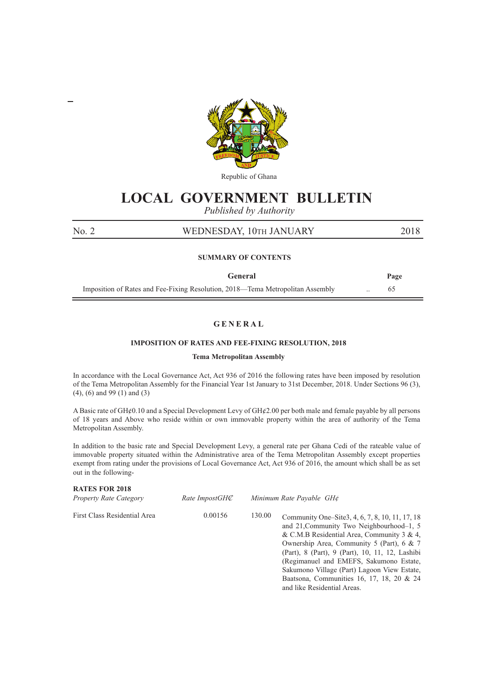

Republic of Ghana

# **LOCAL GOVERNMENT BULLETIN**

*Published by Authority*

## No. 2 WEDNESDAY, 10TH JANUARY 2018

## **SUMMARY OF CONTENTS**

| General                                                                        | Page |
|--------------------------------------------------------------------------------|------|
| Imposition of Rates and Fee-Fixing Resolution, 2018—Tema Metropolitan Assembly |      |

## **G E N E R A L**

#### **IMPOSITION OF RATES AND FEE-FIXING RESOLUTION, 2018**

#### **Tema Metropolitan Assembly**

In accordance with the Local Governance Act, Act 936 of 2016 the following rates have been imposed by resolution of the Tema Metropolitan Assembly for the Financial Year 1st January to 31st December, 2018. Under Sections 96 (3), (4), (6) and 99 (1) and (3)

A Basic rate of Gh¢0.10 and a Special Development Levy of Gh¢2.00 per both male and female payable by all persons of 18 years and Above who reside within or own immovable property within the area of authority of the Tema Metropolitan Assembly.

In addition to the basic rate and Special Development Levy, a general rate per Ghana Cedi of the rateable value of immovable property situated within the Administrative area of the Tema Metropolitan Assembly except properties exempt from rating under the provisions of Local Governance Act, Act 936 of 2016, the amount which shall be as set out in the following-

| <b>RATES FOR 2018</b><br><b>Property Rate Category</b> | Rate ImpostGHC | Minimum Rate Payable GH¢                                                                                                                                                                                                                                                                                                                                                                                                  |
|--------------------------------------------------------|----------------|---------------------------------------------------------------------------------------------------------------------------------------------------------------------------------------------------------------------------------------------------------------------------------------------------------------------------------------------------------------------------------------------------------------------------|
| First Class Residential Area                           | 0.00156        | 130.00<br>Community One–Site3, 4, 6, 7, 8, 10, 11, 17, 18<br>and 21. Community Two Neighbourhood–1, 5<br>& C.M.B Residential Area, Community 3 & 4,<br>Ownership Area, Community 5 (Part), 6 & 7<br>(Part), 8 (Part), 9 (Part), 10, 11, 12, Lashibi<br>(Regimanuel and EMEFS, Sakumono Estate,<br>Sakumono Village (Part) Lagoon View Estate,<br>Baatsona, Communities 16, 17, 18, 20 & 24<br>and like Residential Areas. |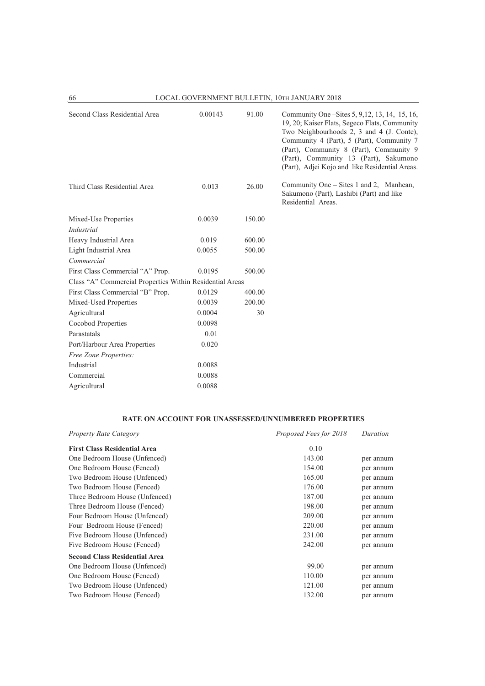| 66                                                       |         |        | LOCAL GOVERNMENT BULLETIN, 10TH JANUARY 2018                                                                                                                                                                                                                                                                                     |
|----------------------------------------------------------|---------|--------|----------------------------------------------------------------------------------------------------------------------------------------------------------------------------------------------------------------------------------------------------------------------------------------------------------------------------------|
| Second Class Residential Area                            | 0.00143 | 91.00  | Community One – Sites 5, 9, 12, 13, 14, 15, 16,<br>19, 20; Kaiser Flats, Segeco Flats, Community<br>Two Neighbourhoods 2, 3 and 4 (J. Conte),<br>Community 4 (Part), 5 (Part), Community 7<br>(Part), Community 8 (Part), Community 9<br>(Part), Community 13 (Part), Sakumono<br>(Part), Adjei Kojo and like Residential Areas. |
| Third Class Residential Area                             | 0.013   | 26.00  | Community One – Sites 1 and 2, Manhean,<br>Sakumono (Part), Lashibi (Part) and like<br>Residential Areas.                                                                                                                                                                                                                        |
| Mixed-Use Properties                                     | 0.0039  | 150.00 |                                                                                                                                                                                                                                                                                                                                  |
| Industrial                                               |         |        |                                                                                                                                                                                                                                                                                                                                  |
| Heavy Industrial Area                                    | 0.019   | 600.00 |                                                                                                                                                                                                                                                                                                                                  |
| Light Industrial Area                                    | 0.0055  | 500.00 |                                                                                                                                                                                                                                                                                                                                  |
| Commercial                                               |         |        |                                                                                                                                                                                                                                                                                                                                  |
| First Class Commercial "A" Prop.                         | 0.0195  | 500.00 |                                                                                                                                                                                                                                                                                                                                  |
| Class "A" Commercial Properties Within Residential Areas |         |        |                                                                                                                                                                                                                                                                                                                                  |
| First Class Commercial "B" Prop.                         | 0.0129  | 400.00 |                                                                                                                                                                                                                                                                                                                                  |
| Mixed-Used Properties                                    | 0.0039  | 200.00 |                                                                                                                                                                                                                                                                                                                                  |
| Agricultural                                             | 0.0004  | 30     |                                                                                                                                                                                                                                                                                                                                  |
| Cocobod Properties                                       | 0.0098  |        |                                                                                                                                                                                                                                                                                                                                  |
| Parastatals                                              | 0.01    |        |                                                                                                                                                                                                                                                                                                                                  |
| Port/Harbour Area Properties                             | 0.020   |        |                                                                                                                                                                                                                                                                                                                                  |
| Free Zone Properties:                                    |         |        |                                                                                                                                                                                                                                                                                                                                  |
| Industrial                                               | 0.0088  |        |                                                                                                                                                                                                                                                                                                                                  |
| Commercial                                               | 0.0088  |        |                                                                                                                                                                                                                                                                                                                                  |
| Agricultural                                             | 0.0088  |        |                                                                                                                                                                                                                                                                                                                                  |

## **RATE ON ACCOUNT FOR UNASSESSED/UNNUMBERED PROPERTIES**

| <b>Property Rate Category</b>        | Proposed Fees for 2018 | Duration  |
|--------------------------------------|------------------------|-----------|
| <b>First Class Residential Area</b>  | 0.10                   |           |
| One Bedroom House (Unfenced)         | 143.00                 | per annum |
| One Bedroom House (Fenced)           | 154.00                 | per annum |
| Two Bedroom House (Unfenced)         | 165.00                 | per annum |
| Two Bedroom House (Fenced)           | 176.00                 | per annum |
| Three Bedroom House (Unfenced)       | 187.00                 | per annum |
| Three Bedroom House (Fenced)         | 198.00                 | per annum |
| Four Bedroom House (Unfenced)        | 209.00                 | per annum |
| Four Bedroom House (Fenced)          | 220.00                 | per annum |
| Five Bedroom House (Unfenced)        | 231.00                 | per annum |
| Five Bedroom House (Fenced)          | 242.00                 | per annum |
| <b>Second Class Residential Area</b> |                        |           |
| One Bedroom House (Unfenced)         | 99.00                  | per annum |
| One Bedroom House (Fenced)           | 110.00                 | per annum |
| Two Bedroom House (Unfenced)         | 121.00                 | per annum |
| Two Bedroom House (Fenced)           | 132.00                 | per annum |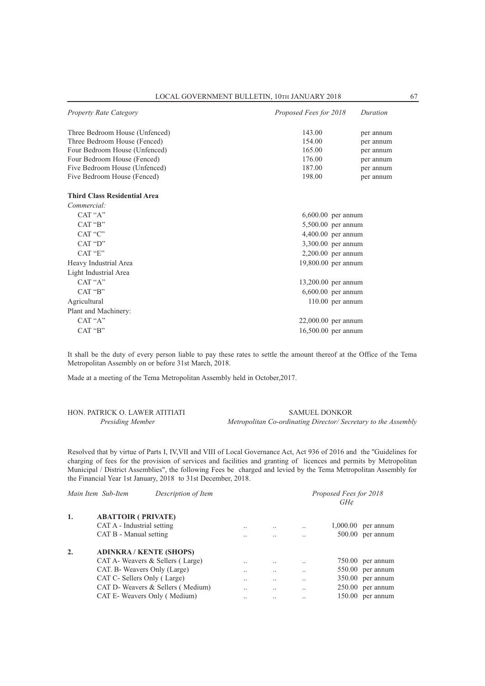| <b>Property Rate Category</b>       | Proposed Fees for 2018 | Duration  |
|-------------------------------------|------------------------|-----------|
| Three Bedroom House (Unfenced)      | 143.00                 | per annum |
| Three Bedroom House (Fenced)        | 154.00                 | per annum |
| Four Bedroom House (Unfenced)       | 165.00                 | per annum |
| Four Bedroom House (Fenced)         | 176.00                 | per annum |
| Five Bedroom House (Unfenced)       | 187.00                 | per annum |
| Five Bedroom House (Fenced)         | 198.00                 | per annum |
| <b>Third Class Residential Area</b> |                        |           |
| Commercial:                         |                        |           |
| CAT "A"                             | $6,600.00$ per annum   |           |
| CAT "B"                             | 5,500.00 per annum     |           |
| CAT "C"                             | $4,400.00$ per annum   |           |
| CAT "D"                             | 3,300.00 per annum     |           |
| CAT "E"                             | $2,200.00$ per annum   |           |
| Heavy Industrial Area               | 19,800.00 per annum    |           |
| Light Industrial Area               |                        |           |
| CAT "A"                             | 13,200.00 per annum    |           |
| CAT "B"                             | $6,600.00$ per annum   |           |
| Agricultural                        | $110.00$ per annum     |           |
| Plant and Machinery:                |                        |           |
| CAT "A"                             | $22,000.00$ per annum  |           |
| CAT "B"                             | 16,500.00 per annum    |           |

It shall be the duty of every person liable to pay these rates to settle the amount thereof at the Office of the Tema Metropolitan Assembly on or before 31st March, 2018.

Made at a meeting of the Tema Metropolitan Assembly held in October,2017.

| HON. PATRICK O. LAWER ATITIATI | <b>SAMUEL DONKOR</b>                                          |
|--------------------------------|---------------------------------------------------------------|
| Presiding Member               | Metropolitan Co-ordinating Director/Secretary to the Assembly |

Resolved that by virtue of Parts I, IV,VII and VIII of Local Governance Act, Act 936 of 2016 and the ''Guidelines for charging of fees for the provision of services and facilities and granting of licences and permits by Metropolitan Municipal / District Assemblies", the following Fees be charged and levied by the Tema Metropolitan Assembly for the Financial Year 1st January, 2018 to 31st December, 2018.

| Description of Item |                                                                                                                                                                                                                                                                                                                  |                      |                      | Proposed Fees for 2018 |
|---------------------|------------------------------------------------------------------------------------------------------------------------------------------------------------------------------------------------------------------------------------------------------------------------------------------------------------------|----------------------|----------------------|------------------------|
|                     |                                                                                                                                                                                                                                                                                                                  |                      |                      | $GH\mathcal{C}$        |
|                     |                                                                                                                                                                                                                                                                                                                  |                      |                      |                        |
|                     | $\cdot \cdot$                                                                                                                                                                                                                                                                                                    |                      | $\ddot{\phantom{0}}$ | 1.000.00<br>per annum  |
|                     |                                                                                                                                                                                                                                                                                                                  |                      |                      | 500.00<br>per annum    |
|                     |                                                                                                                                                                                                                                                                                                                  |                      |                      |                        |
|                     | $\ddot{\phantom{0}}$                                                                                                                                                                                                                                                                                             |                      | $\ddot{\phantom{0}}$ | $750.00$ per annum     |
|                     | $\ddot{\phantom{0}}$                                                                                                                                                                                                                                                                                             | $\ddot{\phantom{0}}$ | $\ddotsc$            | $550.00$ per annum     |
|                     |                                                                                                                                                                                                                                                                                                                  |                      | $\cdot$ .            | $350.00$ per annum     |
|                     | $\ddotsc$                                                                                                                                                                                                                                                                                                        | $\ddot{\phantom{0}}$ | $\ddot{\phantom{0}}$ | $250.00$ per annum     |
|                     |                                                                                                                                                                                                                                                                                                                  | $\cdot \cdot$        | $\ddotsc$            | $150.00$ per annum     |
|                     | Main Item Sub-Item<br><b>ABATTOIR ( PRIVATE)</b><br>CAT A - Industrial setting<br>CAT B - Manual setting<br><b>ADINKRA/KENTE (SHOPS)</b><br>CAT A- Weavers & Sellers (Large)<br>CAT. B- Weavers Only (Large)<br>CAT C- Sellers Only (Large)<br>CAT D- Weavers & Sellers (Medium)<br>CAT E- Weavers Only (Medium) |                      |                      |                        |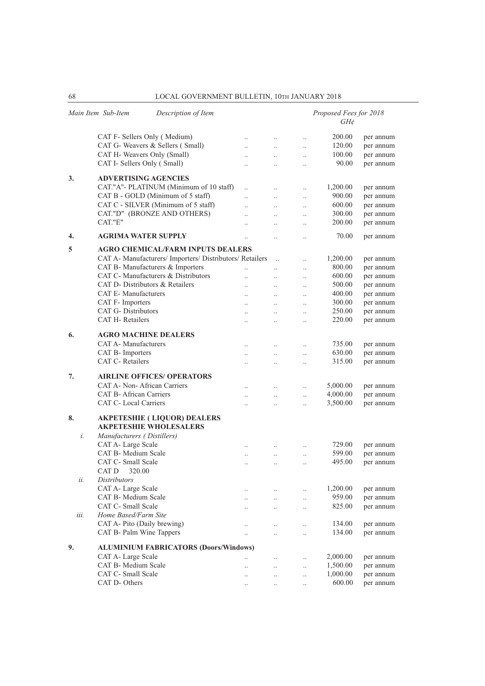|      | Main Item Sub-Item<br>Description of Item                           |                      |                       |                      | Proposed Fees for 2018<br>$GH\phi$ |           |
|------|---------------------------------------------------------------------|----------------------|-----------------------|----------------------|------------------------------------|-----------|
|      | CAT F- Sellers Only (Medium)                                        | $\ddotsc$            | $\ddotsc$             | $\ddotsc$            | 200.00                             | per annum |
|      | CAT G- Weavers & Sellers (Small)                                    | $\ddotsc$            | $\ddotsc$             | $\ddotsc$            | 120.00                             | per annum |
|      | CAT H- Weavers Only (Small)                                         |                      |                       |                      | 100.00                             | per annum |
|      | CAT I- Sellers Only (Small)                                         | $\ddotsc$            | $\ddotsc$             | $\ldots$             | 90.00                              | per annum |
|      |                                                                     | $\ddotsc$            | $\ddotsc$             | $\ddotsc$            |                                    |           |
| 3.   | <b>ADVERTISING AGENCIES</b>                                         |                      |                       |                      |                                    |           |
|      | CAT."A"- PLATINUM (Minimum of 10 staff)                             | $\ddotsc$            | $\ddotsc$             | $\ddotsc$            | 1,200.00                           | per annum |
|      | CAT B - GOLD (Minimum of 5 staff)                                   | $\ddotsc$            | $\dddot{\phantom{0}}$ | $\ddotsc$            | 900.00                             | per annum |
|      | CAT C - SILVER (Minimum of 5 staff)                                 | $\ddot{\phantom{0}}$ | $\ddotsc$             | $\ldots$             | 600.00                             | per annum |
|      | CAT."D" (BRONZE AND OTHERS)                                         | $\ddotsc$            | $\ldots$              | $\ldots$             | 300.00                             | per annum |
|      | CAT."E"                                                             | $\ddot{\phantom{0}}$ | $\ddotsc$             | $\ddotsc$            | 200.00                             | per annum |
| 4.   | <b>AGRIMA WATER SUPPLY</b>                                          | $\ddot{\phantom{0}}$ | $\ddot{\phantom{0}}$  | $\ddot{\phantom{a}}$ | 70.00                              | per annum |
| 5    | <b>AGRO CHEMICAL/FARM INPUTS DEALERS</b>                            |                      |                       |                      |                                    |           |
|      | CAT A- Manufacturers/ Importers/ Distributors/ Retailers            |                      |                       | $\ddotsc$            | 1,200.00                           | per annum |
|      | CAT B- Manufacturers & Importers                                    | $\ddotsc$            | $\ddotsc$             | $\ldots$             | 800.00                             | per annum |
|      | CAT C- Manufacturers & Distributors                                 | $\ddot{\phantom{0}}$ | $\ddotsc$             | $\ddotsc$            | 600.00                             | per annum |
|      | CAT D- Distributors & Retailers                                     | $\ddotsc$            | $\ddotsc$             | $\ddotsc$            | 500.00                             | per annum |
|      | <b>CAT E-Manufacturers</b>                                          | $\ddotsc$            | $\ddotsc$             | $\ddotsc$            | 400.00                             | per annum |
|      | CAT F- Importers                                                    |                      | $\ddotsc$             |                      | 300.00                             | per annum |
|      | <b>CAT G- Distributors</b>                                          | $\ddotsc$            |                       | $\ldots$             | 250.00                             | per annum |
|      | CAT H-Retailers                                                     | $\ddotsc$            | $\ldots$              | $\ldots$             | 220.00                             | per annum |
|      |                                                                     | $\ddotsc$            | $\ddot{\phantom{0}}$  | $\ddotsc$            |                                    |           |
| 6.   | <b>AGRO MACHINE DEALERS</b>                                         |                      |                       |                      |                                    |           |
|      | CAT A- Manufacturers                                                | $\ddotsc$            | $\ddotsc$             | $\ddotsc$            | 735.00                             | per annum |
|      | CAT B- Importers                                                    | $\ddotsc$            | $\ddotsc$             | $\ddotsc$            | 630.00                             | per annum |
|      | CAT C-Retailers                                                     | $\ddotsc$            | $\ddotsc$             | $\ldots$             | 315.00                             | per annum |
| 7.   | <b>AIRLINE OFFICES/ OPERATORS</b>                                   |                      |                       |                      |                                    |           |
|      | CAT A- Non-African Carriers                                         | $\ddotsc$            |                       | $\ldots$             | 5,000.00                           | per annum |
|      | <b>CAT B-African Carriers</b>                                       | $\ddotsc$            | $\ldots$              | $\ldots$             | 4,000.00                           | per annum |
|      | CAT C- Local Carriers                                               | $\ddotsc$            | $\ddotsc$             | $\ldots$             | 3,500.00                           | per annum |
|      |                                                                     |                      |                       |                      |                                    |           |
| 8.   | <b>AKPETESHIE (LIQUOR) DEALERS</b><br><b>AKPETESHIE WHOLESALERS</b> |                      |                       |                      |                                    |           |
| i.   | Manufacturers (Distillers)                                          |                      |                       |                      |                                    |           |
|      | CAT A- Large Scale                                                  |                      |                       | $\ldots$             | 729.00                             | per annum |
|      | CAT B- Medium Scale                                                 | $\ddotsc$            | $\ldots$              | $\ldots$             | 599.00                             | per annum |
|      | CAT C- Small Scale                                                  | $\ddots$             | $\ddotsc$             | $\ddotsc$            | 495.00                             | per annum |
|      | CAT D 320.00                                                        |                      |                       |                      |                                    |           |
| ii.  | <i>Distributors</i>                                                 |                      |                       |                      |                                    |           |
|      | CAT A- Large Scale                                                  |                      |                       |                      | 1,200.00                           | per annum |
|      | CAT B- Medium Scale                                                 | $\ldots$             |                       | $\ldots$             | 959.00                             | per annum |
|      | CAT C- Small Scale                                                  | $\ddotsc$            | $\ldots$              | $\ldots$             | 825.00                             |           |
| iii. | Home Based/Farm Site                                                | $\ddotsc$            | $\ldots$              | $\ldots$             |                                    | per annum |
|      | CAT A- Pito (Daily brewing)                                         |                      |                       |                      |                                    |           |
|      |                                                                     | $\ldots$             | $\ldots$              | $\ldots$             | 134.00                             | per annum |
|      | CAT B- Palm Wine Tappers                                            | $\ddotsc$            | $\ddot{\phantom{0}}$  | $\ddotsc$            | 134.00                             | per annum |
| 9.   | <b>ALUMINIUM FABRICATORS (Doors/Windows)</b>                        |                      |                       |                      |                                    |           |
|      | CAT A- Large Scale                                                  |                      |                       | $\ddotsc$            | 2,000.00                           | per annum |
|      | CAT B- Medium Scale                                                 | $\ddotsc$            | $\ldots$              | $\ldots$             | 1,500.00                           | per annum |
|      | CAT C- Small Scale                                                  | $\ddotsc$            | $\ddotsc$             | $\ddotsc$            | 1,000.00                           | per annum |
|      | CAT D- Others                                                       |                      |                       | $\ddotsc$            | 600.00                             | per annum |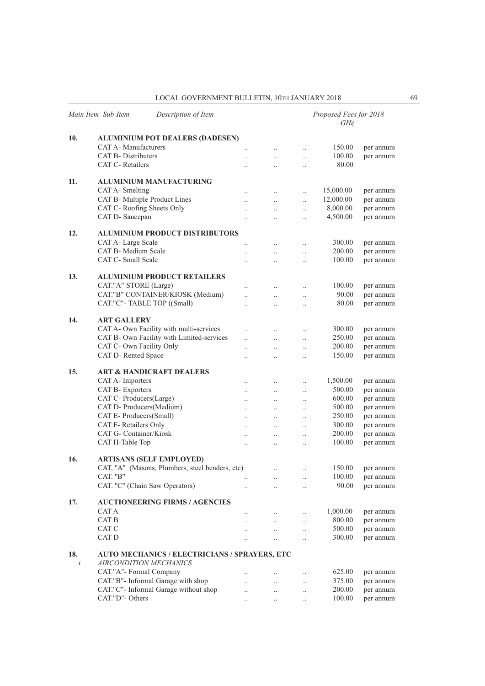|           | Main Item Sub-Item<br>Description of Item                                      |                      |                      |                      | Proposed Fees for 2018<br>$GH\phi$ |           |
|-----------|--------------------------------------------------------------------------------|----------------------|----------------------|----------------------|------------------------------------|-----------|
| 10.       | <b>ALUMINIUM POT DEALERS (DADESEN)</b>                                         |                      |                      |                      |                                    |           |
|           | CAT A- Manufacturers                                                           | $\ddotsc$            | $\ddotsc$            | $\ddotsc$            | 150.00                             | per annum |
|           | <b>CAT B- Distributers</b>                                                     | $\ddot{\phantom{a}}$ | $\ddotsc$            | $\ddotsc$            | 100.00                             | per annum |
|           | CAT C-Retailers                                                                | $\ddot{\phantom{a}}$ | $\ldots$             | $\ldots$             | 80.00                              |           |
| 11.       | ALUMINIUM MANUFACTURING                                                        |                      |                      |                      |                                    |           |
|           | CAT A- Smelting                                                                | $\ddotsc$            | $\ddots$             | $\ddotsc$            | 15,000.00                          | per annum |
|           | CAT B- Multiple Product Lines                                                  | $\ddot{\phantom{0}}$ | $\ldots$             | $\ddotsc$            | 12,000.00                          | per annum |
|           | CAT C- Roofing Sheets Only                                                     | $\ddot{\phantom{0}}$ | $\ldots$             | $\ddotsc$            | 8,000.00                           | per annum |
|           | CAT D- Saucepan                                                                | $\ddotsc$            | $\ddotsc$            | $\ddotsc$            | 4,500.00                           | per annum |
| 12.       | <b>ALUMINIUM PRODUCT DISTRIBUTORS</b>                                          |                      |                      |                      |                                    |           |
|           |                                                                                |                      |                      |                      |                                    |           |
|           | CAT A- Large Scale                                                             |                      |                      | $\ddotsc$            | 300.00                             | per annum |
|           | CAT B- Medium Scale                                                            | $\ddotsc$            | $\ldots$             | $\ldots$             | 200.00                             | per annum |
|           | CAT C- Small Scale                                                             | $\ddot{\phantom{a}}$ | $\ddotsc$            | $\ddot{\phantom{0}}$ | 100.00                             | per annum |
| 13.       | <b>ALUMINIUM PRODUCT RETAILERS</b>                                             |                      |                      |                      |                                    |           |
|           | CAT."A" STORE (Large)                                                          | $\ddotsc$            | $\ldots$             | $\ldots$             | 100.00                             | per annum |
|           | CAT."B" CONTAINER/KIOSK (Medium)                                               | $\ddot{\phantom{0}}$ | $\ldots$             | $\ldots$             | 90.00                              | per annum |
|           | CAT."C"-TABLE TOP ((Small)                                                     | $\ddot{\phantom{a}}$ | $\ddotsc$            | $\ddotsc$            | 80.00                              | per annum |
| 14.       | <b>ART GALLERY</b>                                                             |                      |                      |                      |                                    |           |
|           | CAT A- Own Facility with multi-services                                        | $\ddot{\phantom{0}}$ | $\ddotsc$            | $\ldots$             | 300.00                             | per annum |
|           | CAT B- Own Facility with Limited-services                                      | $\ddot{\phantom{a}}$ | $\ddot{\phantom{0}}$ | $\ddotsc$            | 250.00                             | per annum |
|           | CAT C- Own Facility Only                                                       | $\ddot{\phantom{a}}$ | $\ddotsc$            | $\ddotsc$            | 200.00                             | per annum |
|           | CAT D- Rented Space                                                            | $\ddotsc$            | $\ddotsc$            | $\ddotsc$            | 150.00                             | per annum |
| 15.       | <b>ART &amp; HANDICRAFT DEALERS</b>                                            |                      |                      |                      |                                    |           |
|           | CAT A- Importers                                                               | $\ddot{\phantom{a}}$ | $\ddots$             |                      | 1,500.00                           | per annum |
|           | CAT B- Exporters                                                               |                      |                      | $\ldots$             | 500.00                             | per annum |
|           | CAT C- Producers(Large)                                                        |                      | $\ldots$             | $\ldots$             | 600.00                             | per annum |
|           | CAT D- Producers(Medium)                                                       | $\ddotsc$            | $\ldots$             | $\ldots$             | 500.00                             | per annum |
|           | CAT E- Producers(Small)                                                        | $\ddotsc$            | $\ldots$             | $\ddotsc$            | 250.00                             |           |
|           | CAT F- Retailers Only                                                          | $\ddotsc$            | $\ddotsc$            | $\ddotsc$            | 300.00                             | per annum |
|           | CAT G- Container/Kiosk                                                         | $\ddot{\phantom{a}}$ | $\ddot{\phantom{a}}$ | $\ddotsc$            |                                    | per annum |
|           |                                                                                | $\ddotsc$            | $\ldots$             | $\ldots$             | 200.00                             | per annum |
|           | CAT H-Table Top                                                                | $\ddotsc$            | $\ldots$             | $\ddotsc$            | 100.00                             | per annum |
| 16.       | <b>ARTISANS (SELF EMPLOYED)</b>                                                |                      |                      |                      |                                    |           |
|           | CAT, "A" (Masons, Plumbers, steel benders, etc)                                |                      | $\ldots$             | $\ddotsc$            | 150.00                             | per annum |
|           | CAT. "B"                                                                       | $\ddotsc$            | $\ldots$             | $\ldots$             | 100.00                             | per annum |
|           | CAT. "C" (Chain Saw Operators)                                                 | $\ddotsc$            | $\ddot{\phantom{0}}$ | $\ddotsc$            | 90.00                              | per annum |
| 17.       | <b>AUCTIONEERING FIRMS / AGENCIES</b>                                          |                      |                      |                      |                                    |           |
|           | CAT A                                                                          |                      |                      | $\ddotsc$            | 1,000.00                           | per annum |
|           | CAT B                                                                          | $\ddotsc$            | $\ddotsc$            | $\ldots$             | 800.00                             | per annum |
|           | CAT C                                                                          | $\ddot{\phantom{a}}$ | $\ldots$             | $\ddotsc$            | 500.00                             | per annum |
|           | CAT D                                                                          |                      | $\ddotsc$            | $\ddot{\phantom{0}}$ | 300.00                             | per annum |
| 18.<br>i. | AUTO MECHANICS / ELECTRICIANS / SPRAYERS, ETC<br><i>AIRCONDITION MECHANICS</i> |                      |                      |                      |                                    |           |
|           | CAT."A"- Formal Company                                                        |                      |                      |                      | 625.00                             |           |
|           | CAT."B"- Informal Garage with shop                                             |                      |                      | $\ldots$             | 375.00                             | per annum |
|           |                                                                                | $\ddot{\phantom{0}}$ | $\ddotsc$            | $\ldots$             |                                    | per annum |
|           | CAT."C"- Informal Garage without shop                                          | $\ddotsc$            | $\ddotsc$            | $\ddotsc$            | 200.00                             | per annum |
|           | CAT."D"- Others                                                                | $\ddotsc$            | $\ldots$             | $\ddotsc$            | 100.00                             | per annum |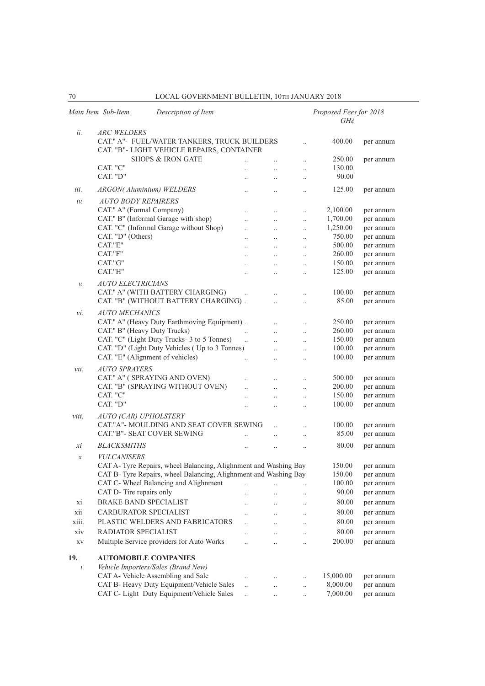| 70                     | LOCAL GOVERNMENT BULLETIN, 10TH JANUARY 2018                              |                      |                                              |                        |                                    |           |
|------------------------|---------------------------------------------------------------------------|----------------------|----------------------------------------------|------------------------|------------------------------------|-----------|
|                        | Main Item Sub-Item<br>Description of Item                                 |                      |                                              |                        | Proposed Fees for 2018<br>$GH\phi$ |           |
| ii.                    | <b>ARC WELDERS</b>                                                        |                      |                                              |                        |                                    |           |
|                        | CAT." A"- FUEL/WATER TANKERS, TRUCK BUILDERS                              |                      |                                              |                        | 400.00                             | per annum |
|                        | CAT. "B"- LIGHT VEHICLE REPAIRS, CONTAINER                                |                      |                                              |                        |                                    |           |
|                        | <b>SHOPS &amp; IRON GATE</b>                                              | $\ddotsc$            |                                              |                        | 250.00                             | per annum |
|                        | CAT. "C"                                                                  |                      | $\ddot{\phantom{a}}$                         | $\ddot{\phantom{0}}$   | 130.00                             |           |
|                        | CAT. "D"                                                                  |                      | $\ddot{\phantom{0}}$                         | $\ddot{\phantom{0}}$   | 90.00                              |           |
| iii.                   | <b>ARGON(Aluminium) WELDERS</b>                                           |                      |                                              |                        | 125.00                             | per annum |
| $iv$ .                 | <b>AUTO BODY REPAIRERS</b>                                                |                      |                                              |                        |                                    |           |
|                        | CAT." A" (Formal Company)                                                 |                      |                                              |                        | 2,100.00                           | per annum |
|                        | CAT." B" (Informal Garage with shop)                                      |                      | $\ddot{\phantom{0}}$                         |                        | 1,700.00                           | per annum |
|                        | CAT. "C" (Informal Garage without Shop)                                   | $\ddotsc$            | $\ddot{\phantom{0}}$                         | $\ddotsc$              | 1,250.00                           | per annum |
|                        | CAT. "D" (Others)                                                         |                      | $\ddot{\phantom{a}}$                         | $\ddot{\phantom{0}}$   | 750.00                             | per annum |
|                        | CAT."E"                                                                   | $\ddot{\phantom{a}}$ | $\ddotsc$                                    | $\ddotsc$              | 500.00                             | per annum |
|                        | CAT."F"                                                                   |                      |                                              | $\ddotsc$              | 260.00                             | per annum |
|                        | CAT."G"                                                                   | $\ddotsc$            | $\ddot{\phantom{a}}$                         | $\ddot{\phantom{a}}$   | 150.00                             | per annum |
|                        | CAT."H"                                                                   | $\ddot{\phantom{0}}$ | $\ddot{\phantom{a}}$                         |                        | 125.00                             | per annum |
| v.                     | <i><b>AUTO ELECTRICIANS</b></i>                                           |                      |                                              |                        |                                    |           |
|                        | CAT." A" (WITH BATTERY CHARGING)                                          |                      |                                              |                        | 100.00                             | per annum |
|                        | CAT. "B" (WITHOUT BATTERY CHARGING)                                       |                      | $\ddot{\phantom{0}}$                         | $\ddot{\phantom{0}}$   | 85.00                              | per annum |
| vi.                    | <b>AUTO MECHANICS</b>                                                     |                      |                                              |                        |                                    |           |
|                        | CAT." A" (Heavy Duty Earthmoving Equipment)                               |                      |                                              | $\ddot{\phantom{a}}$   | 250.00                             | per annum |
|                        | CAT." B" (Heavy Duty Trucks)                                              | $\ddotsc$            | $\ddot{\phantom{0}}$                         | $\ddotsc$              | 260.00                             | per annum |
|                        | CAT. "C" (Light Duty Trucks- 3 to 5 Tonnes)                               | $\ddotsc$            | $\ddot{\phantom{a}}$                         | $\ddotsc$              | 150.00                             | per annum |
|                        | CAT. "D" (Light Duty Vehicles ( Up to 3 Tonnes)                           |                      | $\ddot{\phantom{a}}$                         |                        | 100.00                             | per annum |
|                        | CAT. "E" (Alignment of vehicles)                                          | $\ddotsc$            | $\ddot{\phantom{0}}$                         |                        | 100.00                             | per annum |
| vii.                   | <b>AUTO SPRAYERS</b>                                                      |                      |                                              |                        |                                    |           |
|                        | CAT." A" (SPRAYING AND OVEN)                                              |                      | $\ddot{\phantom{0}}$                         |                        | 500.00                             | per annum |
|                        | CAT. "B" (SPRAYING WITHOUT OVEN)                                          |                      | $\ddotsc$                                    | $\ddot{\phantom{0}}$   | 200.00                             | per annum |
|                        | CAT. "C"                                                                  | $\ddotsc$            | $\ddot{\phantom{0}}$                         | $\ddot{\phantom{0}}$   | 150.00                             | per annum |
|                        | CAT. "D"                                                                  | $\ddotsc$            | $\ddotsc$                                    |                        | 100.00                             | per annum |
| viii.                  | <b>AUTO (CAR) UPHOLSTERY</b>                                              |                      |                                              |                        |                                    |           |
|                        | CAT."A"- MOULDING AND SEAT COVER SEWING                                   |                      |                                              |                        | 100.00                             | per annum |
|                        | CAT."B"- SEAT COVER SEWING                                                |                      | $\ddot{\phantom{0}}$                         |                        | 85.00                              | per annum |
| хi                     | <b>BLACKSMITHS</b>                                                        | $\ddot{\phantom{a}}$ | $\ddot{\phantom{a}}$                         | $\ddotsc$              | 80.00                              | per annum |
| х                      | <b>VULCANISERS</b>                                                        |                      |                                              |                        |                                    |           |
|                        | CAT A- Tyre Repairs, wheel Balancing, Alighnment and Washing Bay          |                      |                                              |                        | 150.00                             | per annum |
|                        | CAT B- Tyre Repairs, wheel Balancing, Alighnment and Washing Bay          |                      |                                              |                        | 150.00                             | per annum |
|                        | CAT C- Wheel Balancing and Alighnment                                     | $\ddotsc$            |                                              |                        | 100.00                             | per annum |
|                        | CAT D- Tire repairs only                                                  | $\ddotsc$            | $\ddotsc$                                    |                        | 90.00                              | per annum |
| xi                     | <b>BRAKE BAND SPECIALIST</b>                                              | $\ddotsc$            | $\ddotsc$                                    |                        | 80.00                              | per annum |
| xii                    | CARBURATOR SPECIALIST                                                     | $\ddotsc$            | $\ddotsc$                                    | $\ddotsc$              | 80.00                              | per annum |
| xiii.                  | PLASTIC WELDERS AND FABRICATORS                                           | $\ddotsc$            | $\ddotsc$                                    | $\ddotsc$              | 80.00                              | per annum |
| xiv                    | <b>RADIATOR SPECIALIST</b>                                                | $\ddot{\phantom{0}}$ | $\ddotsc$                                    | $\ddotsc$              | 80.00                              | per annum |
| $\mathbf{X}\mathbf{V}$ | Multiple Service providers for Auto Works                                 | $\ddotsc$            | $\ddotsc$                                    |                        | 200.00                             | per annum |
|                        |                                                                           |                      |                                              |                        |                                    |           |
| 19.                    | <b>AUTOMOBILE COMPANIES</b>                                               |                      |                                              |                        |                                    |           |
| i.                     | Vehicle Importers/Sales (Brand New)<br>CAT A- Vehicle Assembling and Sale |                      |                                              |                        | 15,000.00                          | per annum |
|                        | CAT B- Heavy Duty Equipment/Vehicle Sales                                 | $\ddotsc$            | $\ddot{\phantom{a}}$<br>$\ddot{\phantom{0}}$ | $\ddotsc$<br>$\ddotsc$ | 8,000.00                           | per annum |
|                        | CAT C- Light Duty Equipment/Vehicle Sales                                 | $\ddotsc$            |                                              | $\ddotsc$              | 7,000.00                           | per annum |
|                        |                                                                           |                      |                                              |                        |                                    |           |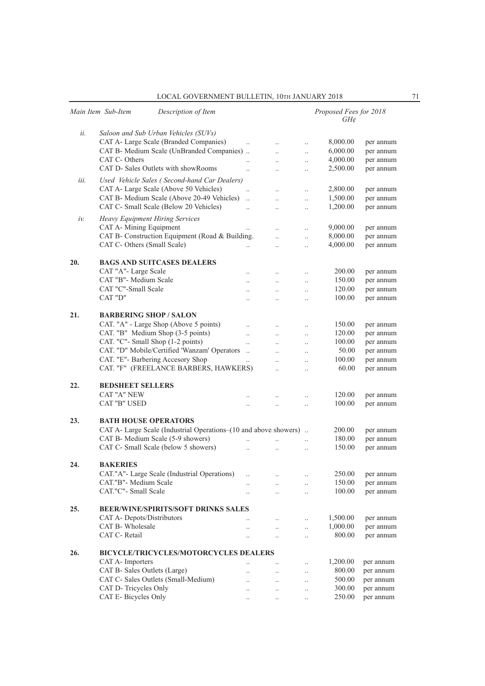|      | Main Item Sub-Item<br>Description of Item                         |                      |                      |                      | Proposed Fees for 2018<br>GH¢ |                        |
|------|-------------------------------------------------------------------|----------------------|----------------------|----------------------|-------------------------------|------------------------|
| ii.  | Saloon and Sub Urban Vehicles (SUVs)                              |                      |                      |                      |                               |                        |
|      | CAT A- Large Scale (Branded Companies)                            | $\ddot{\phantom{a}}$ | $\ddot{\phantom{a}}$ | $\ddotsc$            | 8,000.00                      | per annum              |
|      | CAT B- Medium Scale (UnBranded Companies)<br>CAT C- Others        |                      | $\ddotsc$            | $\ddotsc$            | 6,000.00                      | per annum              |
|      |                                                                   |                      | $\ddot{\phantom{0}}$ | $\ddotsc$            | 4,000.00                      | per annum              |
|      | CAT D- Sales Outlets with showRooms                               | $\ddotsc$            | $\ddot{\phantom{a}}$ | $\ldots$             | 2,500.00                      | per annum              |
| iii. | Used Vehicle Sales (Second-hand Car Dealers)                      |                      |                      |                      |                               |                        |
|      | CAT A- Large Scale (Above 50 Vehicles)                            | $\ddotsc$            |                      | $\ldots$             | 2,800.00                      | per annum              |
|      | CAT B- Medium Scale (Above 20-49 Vehicles)                        | $\ddot{\phantom{a}}$ | $\ddotsc$            | $\ldots$             | 1,500.00                      | per annum              |
|      | CAT C- Small Scale (Below 20 Vehicles)                            | $\ddot{\phantom{a}}$ | $\ddot{\phantom{a}}$ | $\ddotsc$            | 1,200.00                      | per annum              |
| iv.  | <b>Heavy Equipment Hiring Services</b><br>CAT A- Mining Equipment |                      |                      |                      | 9,000.00                      | per annum              |
|      | CAT B- Construction Equipment (Road & Building.                   | $\ddotsc$            |                      | $\ldots$             | 8,000.00                      |                        |
|      | CAT C- Others (Small Scale)                                       |                      | $\ddot{\phantom{0}}$ | $\ddotsc$            | 4,000.00                      | per annum<br>per annum |
|      |                                                                   |                      | $\ddot{\phantom{a}}$ | $\ddotsc$            |                               |                        |
| 20.  | <b>BAGS AND SUITCASES DEALERS</b>                                 |                      |                      |                      |                               |                        |
|      | CAT "A"- Large Scale                                              | $\ddotsc$            | $\ddotsc$            | $\cdot$              | 200.00                        | per annum              |
|      | CAT "B"- Medium Scale                                             |                      | $\ddot{\phantom{0}}$ | $\ldots$             | 150.00                        | per annum              |
|      | CAT "C"-Small Scale                                               | . .                  | $\ddot{\phantom{a}}$ | $\ddotsc$            | 120.00                        | per annum              |
|      | CAT "D"                                                           | $\ddot{\phantom{a}}$ |                      | $\ddotsc$            | 100.00                        | per annum              |
| 21.  | <b>BARBERING SHOP/SALON</b>                                       |                      |                      |                      |                               |                        |
|      | CAT. "A" - Large Shop (Above 5 points)                            |                      | $\ddotsc$            | $\ldots$             | 150.00                        | per annum              |
|      | CAT. "B" Medium Shop (3-5 points)                                 | $\ddot{\phantom{a}}$ | $\ddot{\phantom{0}}$ | $\ddotsc$            | 120.00                        | per annum              |
|      | CAT. "C"- Small Shop (1-2 points)                                 | $\ddot{\phantom{a}}$ | $\ddot{\phantom{a}}$ | $\ddotsc$            | 100.00                        | per annum              |
|      | CAT. "D" Mobile/Certified 'Wanzam' Operators                      | $\ddots$             | $\ddot{\phantom{0}}$ | $\ddotsc$            | 50.00                         | per annum              |
|      | CAT. "E"- Barbering Accesory Shop                                 | $\ddot{\phantom{0}}$ | $\ddot{\phantom{a}}$ | $\ddot{\phantom{a}}$ | 100.00                        | per annum              |
|      | CAT. "F" (FREELANCE BARBERS, HAWKERS)                             |                      |                      | $\ddot{\phantom{a}}$ | 60.00                         | per annum              |
| 22.  | <b>BEDSHEET SELLERS</b>                                           |                      |                      |                      |                               |                        |
|      | <b>CAT "A" NEW</b>                                                |                      |                      |                      | 120.00                        | per annum              |
|      | CAT "B" USED                                                      | $\ddot{\phantom{a}}$ | $\ddotsc$            | $\ddotsc$            | 100.00                        | per annum              |
| 23.  | <b>BATH HOUSE OPERATORS</b>                                       |                      |                      |                      |                               |                        |
|      | CAT A- Large Scale (Industrial Operations–(10 and above showers). |                      |                      |                      | 200.00                        | per annum              |
|      | CAT B- Medium Scale (5-9 showers)                                 | $\ddot{\phantom{0}}$ | $\ddotsc$            | $\ldots$             | 180.00                        | per annum              |
|      | CAT C- Small Scale (below 5 showers)                              | $\ddot{\phantom{0}}$ |                      | $\ddot{\phantom{a}}$ | 150.00                        | per annum              |
| 24.  | <b>BAKERIES</b>                                                   |                      |                      |                      |                               |                        |
|      | CAT."A"- Large Scale (Industrial Operations)                      | $\ddot{\phantom{a}}$ |                      | $\ddotsc$            | 250.00                        | per annum              |
|      | CAT."B"- Medium Scale                                             |                      | $\ddotsc$            | $\ddotsc$            | 150.00                        | per annum              |
|      | CAT."C"- Small Scale                                              | $\ddotsc$            | $\ddotsc$            | $\ddotsc$            | 100.00                        | per annum              |
| 25.  | <b>BEER/WINE/SPIRITS/SOFT DRINKS SALES</b>                        |                      |                      |                      |                               |                        |
|      | CAT A- Depots/Distributors                                        | $\ddot{\phantom{0}}$ | $\ddotsc$            | $\ddotsc$            | 1,500.00                      | per annum              |
|      | CAT B- Wholesale                                                  | $\ddotsc$            | $\ddotsc$            | $\ddotsc$            | 1,000.00                      | per annum              |
|      | CAT C- Retail                                                     | $\ddotsc$            | $\ldots$             | $\ddotsc$            | 800.00                        | per annum              |
| 26.  | <b>BICYCLE/TRICYCLES/MOTORCYCLES DEALERS</b>                      |                      |                      |                      |                               |                        |
|      | CAT A- Importers                                                  |                      |                      | $\ddotsc$            | 1,200.00                      | per annum              |
|      | CAT B- Sales Outlets (Large)                                      | $\ddot{\phantom{a}}$ |                      | $\ddotsc$            | 800.00                        | per annum              |
|      | CAT C- Sales Outlets (Small-Medium)                               | $\ddot{\phantom{0}}$ | $\ddotsc$            | $\ddotsc$            | 500.00                        | per annum              |
|      | CAT D- Tricycles Only                                             | $\ddot{\phantom{a}}$ | $\ddot{\phantom{0}}$ | $\ddotsc$            | 300.00                        | per annum              |
|      | CAT E- Bicycles Only                                              |                      | $\ddot{\phantom{0}}$ | $\ddotsc$            | 250.00                        | per annum              |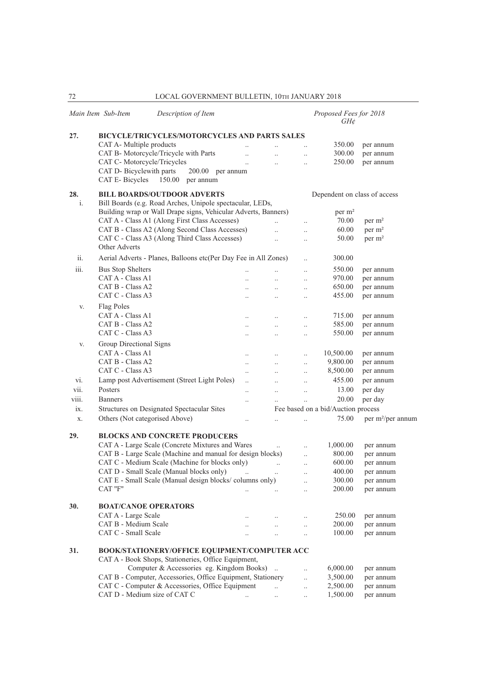|                | Main Item Sub-Item<br>Description of Item                       |                       |                       |                      | Proposed Fees for 2018<br>$GH\phi$ |                               |
|----------------|-----------------------------------------------------------------|-----------------------|-----------------------|----------------------|------------------------------------|-------------------------------|
| 27.            | BICYCLE/TRICYCLES/MOTORCYCLES AND PARTS SALES                   |                       |                       |                      |                                    |                               |
|                | CAT A- Multiple products                                        |                       | $\ddotsc$             |                      | 350.00                             | per annum                     |
|                | CAT B- Motorcycle/Tricycle with Parts                           | $\ddotsc$             | $\ldots$              | $\ddotsc$            | 300.00                             | per annum                     |
|                | CAT C- Motorcycle/Tricycles                                     | $\ddotsc$             |                       | $\ddotsc$            | 250.00                             | per annum                     |
|                | CAT D- Bicyclewith parts<br>200.00 per annum                    |                       |                       |                      |                                    |                               |
|                | CAT E-Bicycles<br>150.00 per annum                              |                       |                       |                      |                                    |                               |
| 28.            | <b>BILL BOARDS/OUTDOOR ADVERTS</b>                              |                       |                       |                      | Dependent on class of access       |                               |
| $\mathbf{i}$ . | Bill Boards (e.g. Road Arches, Unipole spectacular, LEDs,       |                       |                       |                      |                                    |                               |
|                | Building wrap or Wall Drape signs, Vehicular Adverts, Banners)  |                       |                       |                      | per $m2$                           |                               |
|                | CAT A - Class A1 (Along First Class Accesses)                   |                       | $\ddotsc$             | $\ddotsc$            | 70.00                              | per m <sup>2</sup>            |
|                | CAT B - Class A2 (Along Second Class Accesses)                  |                       | $\ddotsc$             | $\ddot{\phantom{a}}$ | 60.00                              | per m <sup>2</sup>            |
|                | CAT C - Class A3 (Along Third Class Accesses)<br>Other Adverts  |                       | $\ddotsc$             | $\ddotsc$            | 50.00                              | per m <sup>2</sup>            |
| ii.            | Aerial Adverts - Planes, Balloons etc(Per Day Fee in All Zones) |                       |                       | $\ddotsc$            | 300.00                             |                               |
| iii.           | <b>Bus Stop Shelters</b>                                        |                       | $\ddotsc$             | $\ldots$             | 550.00                             | per annum                     |
|                | CAT A - Class A1                                                | $\ddot{\phantom{a}}$  | $\ddots$              | $\ddotsc$            | 970.00                             | per annum                     |
|                | CAT B - Class A2                                                | $\ddotsc$             | $\ddots$              | $\ldots$             | 650.00                             | per annum                     |
|                | CAT C - Class A3                                                | $\ddotsc$             | $\ddots$              | $\ddots$             | 455.00                             | per annum                     |
| V.             | Flag Poles                                                      |                       |                       |                      |                                    |                               |
|                | CAT A - Class A1                                                | $\ddot{\phantom{a}}$  | $\ldots$              | $\ddotsc$            | 715.00                             | per annum                     |
|                | CAT B - Class A2                                                |                       |                       |                      | 585.00                             | per annum                     |
|                | CAT C - Class A3                                                | $\ldots$<br>$\ddotsc$ | $\ldots$<br>$\ddotsc$ | $\ldots$             | 550.00                             | per annum                     |
|                |                                                                 |                       |                       | $\ldots$             |                                    |                               |
| V.             | Group Directional Signs                                         |                       |                       |                      |                                    |                               |
|                | CAT A - Class A1<br>CAT B - Class A2                            | $\ddotsc$             | $\ddotsc$             | $\ddotsc$            | 10,500.00                          | per annum                     |
|                |                                                                 | $\ddots$              | $\ddotsc$             | $\ddotsc$            | 9,800.00                           | per annum                     |
|                | CAT C - Class A3                                                | $\ddotsc$             | $\ddot{\phantom{a}}$  | $\ddotsc$            | 8,500.00                           | per annum                     |
| vi.            | Lamp post Advertisement (Street Light Poles)                    | $\ddot{\phantom{a}}$  | $\ddot{\phantom{a}}$  | $\ddotsc$            | 455.00                             | per annum                     |
| vii.           | Posters                                                         | $\ddot{\phantom{a}}$  | $\ddotsc$             | $\ddots$             | 13.00                              | per day                       |
| viii.          | <b>Banners</b>                                                  | $\ddot{\phantom{a}}$  |                       | $\ddotsc$            | 20.00                              | per day                       |
| ix.            | Structures on Designated Spectacular Sites                      |                       |                       |                      | Fee based on a bid/Auction process |                               |
| X.             | Others (Not categorised Above)                                  | $\ddotsc$             | $\ddotsc$             | $\ldots$             | 75.00                              | per m <sup>2</sup> /per annum |
| 29.            | <b>BLOCKS AND CONCRETE PRODUCERS</b>                            |                       |                       |                      |                                    |                               |
|                | CAT A - Large Scale (Concrete Mixtures and Wares                |                       | $\ldots$              | $\cdot$ .            | 1,000.00                           | per annum                     |
|                | CAT B - Large Scale (Machine and manual for design blocks)      |                       |                       | $\cdot$ .            | 800.00                             | per annum                     |
|                | CAT C - Medium Scale (Machine for blocks only)                  |                       | $\ddot{\phantom{a}}$  | $\ddotsc$            | 600.00                             | per annum                     |
|                | CAT D - Small Scale (Manual blocks only)                        | $\ddot{\phantom{a}}$  | $\ddotsc$             | $\ldots$             | 400.00                             | per annum                     |
|                | CAT E - Small Scale (Manual design blocks/columns only)         |                       |                       | $\ddotsc$            | 300.00                             | per annum                     |
|                | CAT "F"                                                         |                       | $\ddotsc$             | $\ldots$             | 200.00                             | per annum                     |
| 30.            | <b>BOAT/CANOE OPERATORS</b>                                     |                       |                       |                      |                                    |                               |
|                | CAT A - Large Scale                                             |                       |                       |                      | 250.00                             | per annum                     |
|                | CAT B - Medium Scale                                            | $\ddotsc$             | $\ddotsc$             | $\ldots$             | 200.00                             | per annum                     |
|                | CAT C - Small Scale                                             |                       | $\ldots$              | $\ldots$             | 100.00                             | per annum                     |
| 31.            | BOOK/STATIONERY/OFFICE EQUIPMENT/COMPUTER ACC                   |                       |                       |                      |                                    |                               |
|                | CAT A - Book Shops, Stationeries, Office Equipment,             |                       |                       |                      |                                    |                               |
|                | Computer & Accessories eg. Kingdom Books).                      |                       |                       | $\ddotsc$            | 6,000.00                           | per annum                     |
|                | CAT B - Computer, Accessories, Office Equipment, Stationery     |                       |                       | $\ldots$             | 3,500.00                           | per annum                     |
|                | CAT C - Computer & Accessories, Office Equipment                |                       | $\ddotsc$             | $\ldots$             | 2,500.00                           | per annum                     |
|                | CAT D - Medium size of CAT C                                    |                       | $\ddotsc$             | $\ldots$             | 1,500.00                           | per annum                     |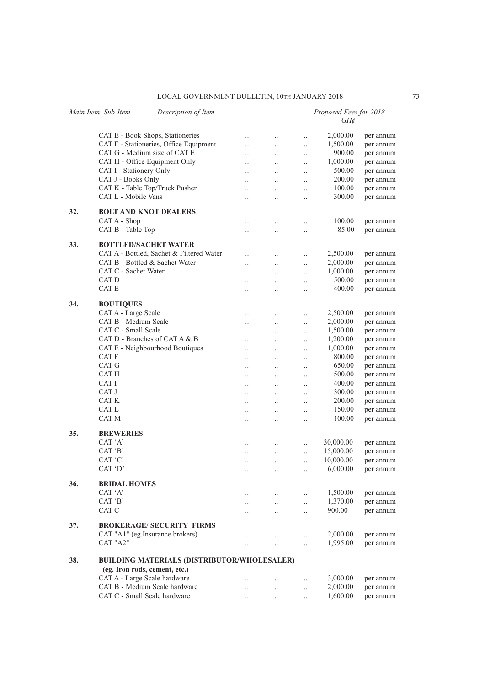|     | Main Item Sub-Item               | Description of Item                                |                                   |                      |                       | Proposed Fees for 2018<br>$GH\phi$ |           |
|-----|----------------------------------|----------------------------------------------------|-----------------------------------|----------------------|-----------------------|------------------------------------|-----------|
|     | CAT E - Book Shops, Stationeries |                                                    | $\ldots$                          | $\ldots$             | $\ldots$              | 2,000.00                           | per annum |
|     |                                  | CAT F - Stationeries, Office Equipment             | $\ddotsc$                         | $\ddotsc$            | $\ldots$              | 1,500.00                           | per annum |
|     | CAT G - Medium size of CAT E     |                                                    | $\ddot{\phantom{0}}$              | $\ddotsc$            | $\ldots$              | 900.00                             | per annum |
|     | CAT H - Office Equipment Only    |                                                    | $\ddot{\phantom{a}}$              | $\ldots$             | $\ldots$              | 1,000.00                           | per annum |
|     | CAT I - Stationery Only          |                                                    | $\ddotsc$                         | $\ddotsc$            | $\ddotsc$             | 500.00                             | per annum |
|     | CAT J - Books Only               |                                                    | $\ddot{\phantom{a}}$              | $\ddotsc$            | $\ddotsc$             | 200.00                             | per annum |
|     | CAT K - Table Top/Truck Pusher   |                                                    |                                   | $\ddotsc$            |                       | 100.00                             | per annum |
|     | CAT L - Mobile Vans              |                                                    | $\ddot{\phantom{a}}$              | $\ddotsc$            | $\ldots$<br>$\ldots$  | 300.00                             | per annum |
| 32. | <b>BOLT AND KNOT DEALERS</b>     |                                                    |                                   |                      |                       |                                    |           |
|     | CAT A - Shop                     |                                                    | $\cdot$ .                         | $\ldots$             | $\ldots$              | 100.00                             | per annum |
|     | CAT B - Table Top                |                                                    |                                   | $\cdot$ .            | $\ldots$              | 85.00                              | per annum |
| 33. | <b>BOTTLED/SACHET WATER</b>      |                                                    |                                   |                      |                       |                                    |           |
|     |                                  | CAT A - Bottled, Sachet & Filtered Water           | $\ddot{\phantom{0}}$              | $\ddotsc$            | $\ddotsc$             | 2,500.00                           | per annum |
|     | CAT B - Bottled & Sachet Water   |                                                    | $\ddotsc$                         | $\ddotsc$            | $\ddotsc$             | 2,000.00                           | per annum |
|     | CAT C - Sachet Water             |                                                    |                                   | $\ldots$             | $\ldots$              | 1,000.00                           | per annum |
|     | CAT D                            |                                                    |                                   | $\ddotsc$            | $\ldots$              | 500.00                             | per annum |
|     | CAT E                            |                                                    | $\ddot{\phantom{0}}$              | $\ddotsc$            | $\ddotsc$             | 400.00                             | per annum |
| 34. | <b>BOUTIQUES</b>                 |                                                    |                                   |                      |                       |                                    |           |
|     | CAT A - Large Scale              |                                                    | $\ldots$                          | $\ldots$             | $\ldots$              | 2,500.00                           | per annum |
|     | CAT B - Medium Scale             |                                                    | $\ddot{\phantom{a}}$              | $\ddotsc$            | $\ldots$              | 2,000.00                           | per annum |
|     | CAT C - Small Scale              |                                                    | $\ddotsc$                         | $\ddotsc$            | $\ddotsc$             | 1,500.00                           | per annum |
|     | CAT D - Branches of CAT A & B    |                                                    | $\ddot{\phantom{a}}$              | $\ddotsc$            | $\ddotsc$             | 1,200.00                           | per annum |
|     |                                  | CAT E - Neighbourhood Boutiques                    | $\cdot$                           | $\ldots$             | $\ldots$              | 1,000.00                           | per annum |
|     | CAT F                            |                                                    |                                   | $\ldots$             | $\ldots$              | 800.00                             | per annum |
|     | CAT G                            |                                                    | $\ddot{\phantom{a}}$              | $\ddotsc$            | $\ddotsc$             | 650.00                             | per annum |
|     | CAT H                            |                                                    | $\ddotsc$                         | $\ddotsc$            | $\ddotsc$             | 500.00                             | per annum |
|     | CAT I                            |                                                    | $\cdot$                           | $\ldots$             | $\ldots$              | 400.00                             | per annum |
|     | CAT J                            |                                                    | $\cdot$ .                         | $\ldots$             | $\cdot$ .             | 300.00                             | per annum |
|     | CAT K                            |                                                    | $\cdot$                           | $\ldots$             | $\ldots$              | 200.00                             | per annum |
|     | CAT L                            |                                                    |                                   | $\ddot{\phantom{0}}$ | $\ldots$              | 150.00                             | per annum |
|     | CAT M                            |                                                    | $\ddot{\phantom{a}}$              | $\ddot{\phantom{0}}$ | $\ddotsc$             | 100.00                             | per annum |
| 35. | <b>BREWERIES</b>                 |                                                    |                                   |                      |                       |                                    |           |
|     | CAT 'A'                          |                                                    |                                   | $\ldots$             | $\ldots$              | 30,000.00                          | per annum |
|     | CAT 'B'                          |                                                    |                                   | $\ldots$             | $\ldots$              | 15,000.00                          | per annum |
|     | CAT 'C'                          |                                                    | $\ddotsc$                         | $\ddotsc$            | $\ddotsc$             | 10,000.00                          | per annum |
|     | CAT 'D'                          |                                                    |                                   | $\ldots$             | $\ddotsc$             | 6,000.00                           | per annum |
| 36. | <b>BRIDAL HOMES</b>              |                                                    |                                   |                      |                       |                                    |           |
|     | CAT 'A'                          |                                                    |                                   | $\ldots$             | $\ldots$              | 1,500.00                           | per annum |
|     | CAT 'B'                          |                                                    | $\ddots$                          | $\ddots$             | $\ddotsc$             | 1,370.00                           | per annum |
|     | CAT C                            |                                                    | $\cdot$ .                         | $\ldots$             | $\ldots$              | 900.00                             | per annum |
| 37. |                                  | <b>BROKERAGE/ SECURITY FIRMS</b>                   |                                   |                      |                       |                                    |           |
|     | CAT "A1" (eg.Insurance brokers)  |                                                    |                                   |                      |                       | 2,000.00                           | per annum |
|     | CAT "A2"                         |                                                    | $\cdot$ .<br>$\ddot{\phantom{0}}$ | $\ldots$<br>$\ddots$ | $\ddotsc$<br>$\ldots$ | 1,995.00                           | per annum |
|     |                                  |                                                    |                                   |                      |                       |                                    |           |
| 38. | (eg. Iron rods, cement, etc.)    | <b>BUILDING MATERIALS (DISTRIBUTOR/WHOLESALER)</b> |                                   |                      |                       |                                    |           |
|     | CAT A - Large Scale hardware     |                                                    |                                   |                      |                       |                                    |           |
|     |                                  |                                                    |                                   |                      |                       | 3,000.00                           | per annum |
|     | CAT B - Medium Scale hardware    |                                                    | $\ddot{\phantom{0}}$              | $\ldots$             | $\ldots$              | 2,000.00                           | per annum |
|     | CAT C - Small Scale hardware     |                                                    |                                   | $\ddot{\phantom{a}}$ |                       | 1,600.00                           | per annum |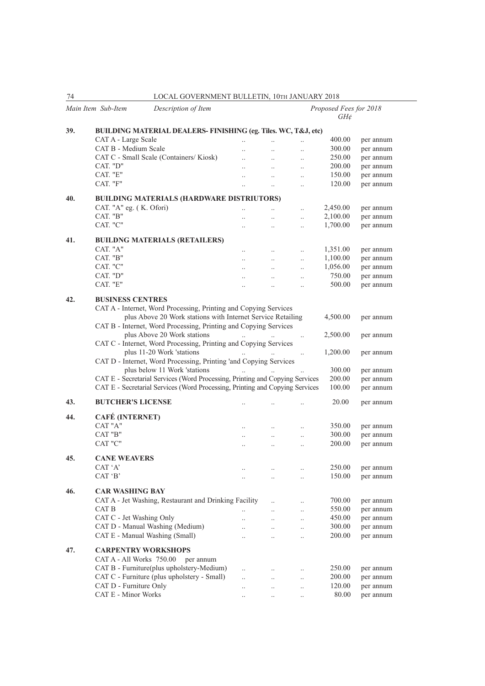| 74  | LOCAL GOVERNMENT BULLETIN, 10TH JANUARY 2018                                                   |                      |           |           |                                    |                        |
|-----|------------------------------------------------------------------------------------------------|----------------------|-----------|-----------|------------------------------------|------------------------|
|     | Main Item Sub-Item<br>Description of Item                                                      |                      |           |           | Proposed Fees for 2018<br>$GH\phi$ |                        |
| 39. | BUILDING MATERIAL DEALERS- FINISHING (eg. Tiles. WC, T&J, etc)                                 |                      |           |           |                                    |                        |
|     | CAT A - Large Scale                                                                            | $\ddot{\phantom{a}}$ | $\ddotsc$ |           | 400.00                             | per annum              |
|     | CAT B - Medium Scale                                                                           | $\ddot{\phantom{0}}$ | $\ddotsc$ | $\ddotsc$ | 300.00                             | per annum              |
|     | CAT C - Small Scale (Containers/Kiosk)                                                         | $\ddotsc$            | $\ddotsc$ | $\ldots$  | 250.00                             | per annum              |
|     | CAT. "D"                                                                                       | $\ddotsc$            | $\ddotsc$ |           | 200.00                             | per annum              |
|     | CAT. "E"                                                                                       | $\ddotsc$            | $\ddotsc$ | $\ddotsc$ | 150.00                             | per annum              |
|     | CAT. "F"                                                                                       | $\ddot{\phantom{0}}$ | $\ldots$  | $\ddotsc$ | 120.00                             | per annum              |
|     |                                                                                                |                      |           |           |                                    |                        |
| 40. | <b>BUILDING MATERIALS (HARDWARE DISTRIUTORS)</b>                                               |                      |           |           |                                    |                        |
|     | CAT. "A" eg. (K. Ofori)                                                                        | $\ddotsc$            |           | $\ddotsc$ | 2,450.00                           | per annum              |
|     | CAT. "B"                                                                                       | $\ddot{\phantom{a}}$ | $\ddotsc$ | $\ddotsc$ | 2,100.00                           | per annum              |
|     | CAT. "C"                                                                                       | $\ddot{\phantom{0}}$ | $\ddotsc$ | $\ddotsc$ | 1,700.00                           | per annum              |
| 41. | <b>BUILDNG MATERIALS (RETAILERS)</b>                                                           |                      |           |           |                                    |                        |
|     | CAT. "A"                                                                                       | $\ddotsc$            | $\ddotsc$ | $\ddotsc$ | 1,351.00                           | per annum              |
|     | CAT. "B"                                                                                       | $\ddotsc$            | $\ddotsc$ | $\ddotsc$ | 1,100.00                           | per annum              |
|     | CAT. "C"                                                                                       | $\ddotsc$            | $\ldots$  | $\ddotsc$ | 1,056.00                           | per annum              |
|     | CAT. "D"                                                                                       | $\ldots$             | $\ddotsc$ | $\ldots$  | 750.00                             | per annum              |
|     | CAT. "E"                                                                                       | $\cdot$ .            | $\ddotsc$ | $\ldots$  | 500.00                             | per annum              |
|     |                                                                                                |                      |           |           |                                    |                        |
| 42. | <b>BUSINESS CENTRES</b>                                                                        |                      |           |           |                                    |                        |
|     | CAT A - Internet, Word Processing, Printing and Copying Services                               |                      |           |           |                                    |                        |
|     | plus Above 20 Work stations with Internet Service Retailing                                    |                      |           |           | 4,500.00                           | per annum              |
|     | CAT B - Internet, Word Processing, Printing and Copying Services                               |                      |           |           |                                    |                        |
|     | plus Above 20 Work stations                                                                    |                      |           | $\ddotsc$ | 2,500.00                           | per annum              |
|     | CAT C - Internet, Word Processing, Printing and Copying Services                               |                      |           |           |                                    |                        |
|     | plus 11-20 Work 'stations<br>CAT D - Internet, Word Processing, Printing 'and Copying Services |                      |           | $\ldots$  | 1,200.00                           | per annum              |
|     | plus below 11 Work 'stations                                                                   |                      |           |           | 300.00                             | per annum              |
|     | CAT E - Secretarial Services (Word Processing, Printing and Copying Services                   |                      |           |           | 200.00                             | per annum              |
|     | CAT E - Secretarial Services (Word Processing, Printing and Copying Services                   |                      |           |           | 100.00                             | per annum              |
|     |                                                                                                |                      |           |           |                                    |                        |
| 43. | <b>BUTCHER'S LICENSE</b>                                                                       |                      |           |           | 20.00                              | per annum              |
| 44. | <b>CAFÉ (INTERNET)</b>                                                                         |                      |           |           |                                    |                        |
|     | CAT "A"                                                                                        |                      |           |           | 350.00                             |                        |
|     | CAT "B"                                                                                        | $\ldots$             | $\ddotsc$ | $\ddotsc$ | 300.00                             | per annum<br>per annum |
|     | CAT "C"                                                                                        | $\ddots$             | $\ddots$  | $\ddotsc$ | 200.00                             | per annum              |
|     |                                                                                                |                      |           | $\ddotsc$ |                                    |                        |
| 45. | <b>CANE WEAVERS</b>                                                                            |                      |           |           |                                    |                        |
|     | CAT 'A'                                                                                        |                      |           |           | 250.00                             | per annum              |
|     | CAT 'B'                                                                                        | $\ldots$             | $\ldots$  | $\ldots$  | 150.00                             | per annum              |
|     |                                                                                                |                      |           |           |                                    |                        |
| 46. | <b>CAR WASHING BAY</b>                                                                         |                      |           |           |                                    |                        |
|     | CAT A - Jet Washing, Restaurant and Drinking Facility                                          |                      | $\ddotsc$ | $\ldots$  | 700.00                             | per annum              |
|     | CAT B                                                                                          | $\cdot$ .            | $\ldots$  | $\ldots$  | 550.00                             | per annum              |
|     | CAT C - Jet Washing Only<br>CAT D - Manual Washing (Medium)                                    | $\ddotsc$            | $\ddotsc$ | $\ldots$  | 450.00                             | per annum              |
|     | CAT E - Manual Washing (Small)                                                                 | $\ddot{\phantom{a}}$ | $\ddotsc$ | $\ldots$  | 300.00<br>200.00                   | per annum<br>per annum |
|     |                                                                                                | $\ddot{\phantom{a}}$ | $\ddotsc$ | $\ddotsc$ |                                    |                        |
| 47. | <b>CARPENTRY WORKSHOPS</b>                                                                     |                      |           |           |                                    |                        |
|     | CAT A - All Works 750.00<br>per annum                                                          |                      |           |           |                                    |                        |
|     | CAT B - Furniture(plus upholstery-Medium)                                                      | $\ddot{\phantom{0}}$ | $\ldots$  | $\ldots$  | 250.00                             | per annum              |
|     | CAT C - Furniture (plus upholstery - Small)                                                    | $\ddotsc$            | $\ddotsc$ | $\ddotsc$ | 200.00                             | per annum              |
|     | CAT D - Furniture Only                                                                         | $\ddotsc$            | $\ddotsc$ | $\ldots$  | 120.00                             | per annum              |
|     | <b>CAT E - Minor Works</b>                                                                     | $\ddotsc$            | $\ldots$  | $\ldots$  | 80.00                              | per annum              |
|     |                                                                                                |                      |           |           |                                    |                        |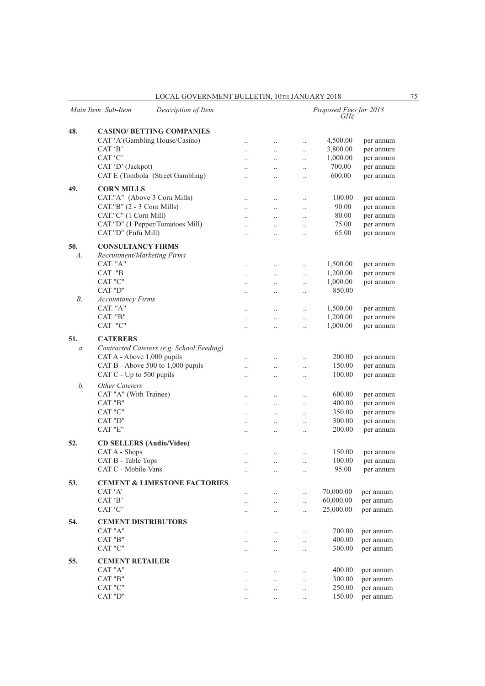|                 | Main Item Sub-Item<br>Description of Item        |                        |                      |                      | Proposed Fees for 2018<br>GH¢ |                        |
|-----------------|--------------------------------------------------|------------------------|----------------------|----------------------|-------------------------------|------------------------|
| 48.             | <b>CASINO/ BETTING COMPANIES</b>                 |                        |                      |                      |                               |                        |
|                 | CAT 'A'(Gambling House/Casino)                   | $\ddotsc$              | $\ddotsc$            | $\ddotsc$            | 4,500.00                      | per annum              |
|                 | CAT 'B'                                          |                        | $\ddotsc$            | $\ddotsc$            | 3,800.00                      | per annum              |
|                 | CAT 'C'                                          | $\ddotsc$<br>$\ddotsc$ | $\ddotsc$            | $\ddotsc$            | 1,000.00                      | per annum              |
|                 | CAT 'D' (Jackpot)                                | $\ddotsc$              | $\ddotsc$            | $\ddotsc$            | 700.00                        | per annum              |
|                 | CAT E (Tombola (Street Gambling)                 | $\ddotsc$              | $\ddot{\phantom{a}}$ | $\ddotsc$            | 600.00                        | per annum              |
|                 |                                                  |                        |                      |                      |                               |                        |
| 49.             | <b>CORN MILLS</b>                                |                        |                      |                      |                               |                        |
|                 | CAT."A" (Above 3 Corn Mills)                     | $\ddotsc$              | $\ddotsc$            |                      | 100.00                        | per annum              |
|                 | CAT."B" (2 - 3 Corn Mills)                       | $\ddot{\phantom{0}}$   | $\ddot{\phantom{0}}$ | $\ddot{\phantom{0}}$ | 90.00                         | per annum              |
|                 | CAT."C" (1 Corn Mill)                            | $\ddot{\phantom{0}}$   | $\ddot{\phantom{0}}$ | $\ddotsc$            | 80.00                         | per annum              |
|                 | CAT."D" (1 Pepper/Tomatoes Mill)                 | $\ddot{\phantom{a}}$   | $\ddot{\phantom{0}}$ | $\ddotsc$            | 75.00                         | per annum              |
|                 | CAT."D" (Fufu Mill)                              | $\ddot{\phantom{a}}$   | $\ddot{\phantom{a}}$ | $\ddotsc$            | 65.00                         | per annum              |
| 50.             | <b>CONSULTANCY FIRMS</b>                         |                        |                      |                      |                               |                        |
| $A$ .           | Recruitment/Marketing Firms                      |                        |                      |                      |                               |                        |
|                 | CAT. "A"                                         | $\ldots$               | $\ddotsc$            | $\ddotsc$            | 1,500.00                      | per annum              |
|                 | CAT "B                                           | $\ddot{\phantom{0}}$   | $\ddot{\phantom{0}}$ | $\ddotsc$            | 1,200.00                      | per annum              |
|                 | CAT "C"                                          | $\ddotsc$              | $\ddotsc$            | $\ddotsc$            | 1,000.00                      | per annum              |
|                 | CAT "D"                                          |                        | $\ddot{\phantom{0}}$ | $\ddotsc$            | 850.00                        |                        |
| В.              | <b>Accountancy Firms</b>                         |                        |                      |                      |                               |                        |
|                 | CAT. "A"                                         | $\ldots$               |                      | $\ddot{\phantom{0}}$ | 1,500.00                      | per annum              |
|                 | CAT. "B"                                         | $\ddotsc$              | $\ddot{\phantom{0}}$ | $\ddotsc$            | 1,200.00                      | per annum              |
|                 | CAT "C"                                          | $\ddotsc$              | $\ddot{\phantom{a}}$ | $\ddotsc$            | 1,000.00                      | per annum              |
| 51.             | <b>CATERERS</b>                                  |                        |                      |                      |                               |                        |
| $\mathfrak{a}.$ | Contracted Caterers (e.g. School Feeding)        |                        |                      |                      |                               |                        |
|                 | CAT A - Above 1,000 pupils                       | $\ddotsc$              | $\ddotsc$            | $\ddotsc$            | 200.00                        | per annum              |
|                 | CAT B - Above 500 to 1,000 pupils                |                        | $\ddot{\phantom{0}}$ | $\ddot{\phantom{0}}$ | 150.00                        | per annum              |
|                 | CAT C - Up to 500 pupils                         | $\ddot{\phantom{0}}$   | $\ddot{\phantom{0}}$ | $\ddot{\phantom{0}}$ | 100.00                        | per annum              |
| b.              | <b>Other Caterers</b>                            |                        |                      |                      |                               |                        |
|                 | CAT "A" (With Trainee)                           | $\ldots$               | $\ddotsc$            | $\ddotsc$            | 600.00                        | per annum              |
|                 | CAT "B"                                          | $\ddotsc$              | $\ldots$             | $\ddotsc$            | 400.00                        | per annum              |
|                 | CAT "C"                                          | $\ddotsc$              | $\ddotsc$            | $\ldots$             | 350.00                        | per annum              |
|                 | CAT "D"                                          | $\ddotsc$              | $\ddotsc$            | $\ddotsc$            | 300.00                        | per annum              |
|                 | CAT "E"                                          | $\ddotsc$              | $\ddot{\phantom{0}}$ | $\ddot{\phantom{0}}$ | 200.00                        | per annum              |
| 52.             |                                                  |                        |                      |                      |                               |                        |
|                 | <b>CD SELLERS (Audio/Video)</b><br>CAT A - Shops |                        |                      |                      | 150.00                        |                        |
|                 | CAT B - Table Tops                               |                        |                      |                      | 100.00                        | per annum<br>per annum |
|                 | CAT C - Mobile Vans                              | $\ldots$               | $\ddotsc$            | $\ldots$             | 95.00                         | per annum              |
|                 |                                                  | $\cdots$               | $\ddotsc$            | $\ldots$             |                               |                        |
| 53.             | <b>CEMENT &amp; LIMESTONE FACTORIES</b>          |                        |                      |                      |                               |                        |
|                 | CAT 'A'                                          | $\ddotsc$              | $\ddotsc$            | $\ddotsc$            | 70,000.00                     | per annum              |
|                 | CAT 'B'                                          |                        | $\ddotsc$            | $\ddotsc$            | 60,000.00                     | per annum              |
|                 | CAT 'C'                                          |                        |                      | $\ddotsc$            | 25,000.00                     | per annum              |
| 54.             | <b>CEMENT DISTRIBUTORS</b>                       |                        |                      |                      |                               |                        |
|                 | CAT "A"                                          | $\ddotsc$              | $\ddotsc$            | $\ddotsc$            | 700.00                        | per annum              |
|                 | CAT "B"                                          |                        |                      | $\ddotsc$            | 400.00                        | per annum              |
|                 | CAT "C"                                          |                        |                      | $\ddotsc$            | 300.00                        | per annum              |
| 55.             | <b>CEMENT RETAILER</b>                           |                        |                      |                      |                               |                        |
|                 | CAT "A"                                          | $\ddotsc$              | $\ddotsc$            | $\ddot{\phantom{0}}$ | 400.00                        | per annum              |
|                 | CAT "B"                                          |                        | $\ddotsc$            | $\ddotsc$            | 300.00                        | per annum              |
|                 | CAT "C"                                          |                        |                      | $\ddotsc$            | 250.00                        | per annum              |
|                 | CAT "D"                                          |                        |                      |                      | 150.00                        | per annum              |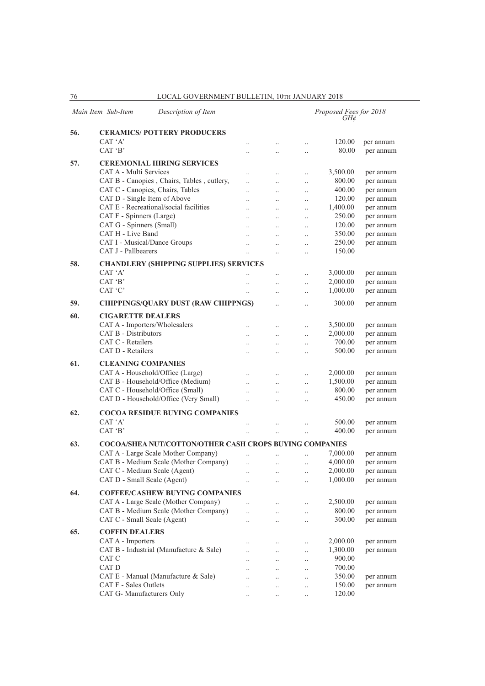|     | Main Item Sub-Item                      | Description of Item                                            |                          |                                  |                      | Proposed Fees for 2018<br>GH¢ |           |
|-----|-----------------------------------------|----------------------------------------------------------------|--------------------------|----------------------------------|----------------------|-------------------------------|-----------|
| 56. | <b>CERAMICS/POTTERY PRODUCERS</b>       |                                                                |                          |                                  |                      |                               |           |
|     | CAT 'A'                                 |                                                                | $\cdot$ .                | $\ldots$                         | $\ddot{\phantom{a}}$ | 120.00                        | per annum |
|     | CAT 'B'                                 |                                                                |                          | $\ddotsc$                        | $\ddot{\phantom{a}}$ | 80.00                         | per annum |
| 57. | <b>CEREMONIAL HIRING SERVICES</b>       |                                                                |                          |                                  |                      |                               |           |
|     | CAT A - Multi Services                  |                                                                |                          | $\ldots$                         | $\cdot$              | 3,500.00                      | per annum |
|     |                                         | CAT B - Canopies, Chairs, Tables, cutlery,                     | $\ddot{\phantom{0}}$     | $\ldots$                         | $\cdot$              | 800.00                        | per annum |
|     | CAT C - Canopies, Chairs, Tables        |                                                                |                          | $\ddotsc$                        | $\ddotsc$            | 400.00                        | per annum |
|     | CAT D - Single Item of Above            |                                                                | $\ddot{\phantom{a}}$     | $\ddotsc$                        | $\ddotsc$            | 120.00                        | per annum |
|     | CAT E - Recreational/social facilities  |                                                                | $\ddot{\phantom{0}}$     | $\ddotsc$                        | $\ldots$             | 1,400.00                      | per annum |
|     | CAT F - Spinners (Large)                |                                                                | $\ddot{\phantom{0}}$     | $\ddotsc$                        | $\ddot{\phantom{a}}$ | 250.00                        | per annum |
|     | CAT G - Spinners (Small)                |                                                                |                          | $\ddotsc$                        | $\ldots$             | 120.00                        | per annum |
|     | CAT H - Live Band                       |                                                                |                          | $\ddotsc$                        | $\ddotsc$            | 350.00                        | per annum |
|     | CAT I - Musical/Dance Groups            |                                                                | $\ddotsc$                | $\ddotsc$                        | $\ddotsc$            | 250.00                        | per annum |
|     | CAT J - Pallbearers                     |                                                                | $\ddot{\phantom{a}}$     | $\ddotsc$                        | $\ldots$             | 150.00                        |           |
| 58. |                                         | <b>CHANDLERY (SHIPPING SUPPLIES) SERVICES</b>                  |                          |                                  |                      |                               |           |
|     | CAT 'A'                                 |                                                                |                          | $\ddotsc$                        | $\ddot{\phantom{a}}$ | 3,000.00                      | per annum |
|     | CAT 'B'                                 |                                                                | $\ddotsc$                | $\ddotsc$                        | $\ddotsc$            | 2,000.00                      | per annum |
|     | CAT 'C'                                 |                                                                | $\ddotsc$                | $\ldots$                         | $\ldots$             | 1,000.00                      | per annum |
|     |                                         |                                                                |                          |                                  |                      |                               |           |
| 59. |                                         | <b>CHIPPINGS/QUARY DUST (RAW CHIPPNGS)</b>                     |                          | $\ddotsc$                        | $\ddot{\phantom{a}}$ | 300.00                        | per annum |
| 60. | <b>CIGARETTE DEALERS</b>                |                                                                |                          |                                  |                      |                               |           |
|     | CAT A - Importers/Wholesalers           |                                                                | $\ddot{\phantom{0}}$     | $\ddotsc$                        | $\cdot$              | 3,500.00                      | per annum |
|     | <b>CAT B - Distributors</b>             |                                                                | $\ddot{\phantom{0}}$     | $\ddotsc$                        | $\ddotsc$            | 2,000.00                      | per annum |
|     | CAT C - Retailers                       |                                                                | $\ddot{\phantom{0}}$     | $\ddotsc$                        | $\ddotsc$            | 700.00                        | per annum |
|     | CAT D - Retailers                       |                                                                |                          |                                  | $\ddotsc$            | 500.00                        | per annum |
| 61. | <b>CLEANING COMPANIES</b>               |                                                                |                          |                                  |                      |                               |           |
|     | CAT A - Household/Office (Large)        |                                                                | $\ddot{\phantom{0}}$     | $\ddotsc$                        | $\cdot$              | 2,000.00                      | per annum |
|     | CAT B - Household/Office (Medium)       |                                                                | $\ddot{\phantom{a}}$     | $\ddotsc$                        | $\ddotsc$            | 1,500.00                      | per annum |
|     | CAT C - Household/Office (Small)        |                                                                | $\ddot{\phantom{a}}$     | $\ddotsc$                        | $\ddot{\phantom{a}}$ | 800.00                        | per annum |
|     | CAT D - Household/Office (Very Small)   |                                                                | $\ddot{\phantom{a}}$     | $\ddotsc$                        | $\ddot{\phantom{a}}$ | 450.00                        | per annum |
|     |                                         |                                                                |                          |                                  |                      |                               |           |
| 62. |                                         | <b>COCOA RESIDUE BUYING COMPANIES</b>                          |                          |                                  |                      |                               |           |
|     | CAT 'A'                                 |                                                                |                          | $\ldots$                         | $\cdot$              | 500.00                        | per annum |
|     | CAT 'B'                                 |                                                                | $\ddot{\phantom{0}}$     | $\ldots$                         | $\ddot{\phantom{a}}$ | 400.00                        | per annum |
| 63. |                                         | <b>COCOA/SHEA NUT/COTTON/OTHER CASH CROPS BUYING COMPANIES</b> |                          |                                  |                      |                               |           |
|     | CAT A - Large Scale Mother Company)     |                                                                |                          | $\ddotsc$                        | $\ddot{\phantom{a}}$ | 7,000.00                      | per annum |
|     |                                         | CAT B - Medium Scale (Mother Company)                          | $\ddotsc$                | $\ddotsc$                        | $\ddotsc$            | 4,000.00                      | per annum |
|     | CAT C - Medium Scale (Agent)            |                                                                |                          |                                  |                      | 2,000.00                      | per annum |
|     | CAT D - Small Scale (Agent)             |                                                                | $\ldots$                 | $\ldots$                         | $\ldots$             | 1,000.00                      | per annum |
| 64. |                                         | <b>COFFEE/CASHEW BUYING COMPANIES</b>                          |                          |                                  |                      |                               |           |
|     | CAT A - Large Scale (Mother Company)    |                                                                | $\ddotsc$                | $\ldots$                         | $\ldots$             | 2,500.00                      | per annum |
|     |                                         | CAT B - Medium Scale (Mother Company)                          | $\ddot{\phantom{a}}$     | $\ddotsc$                        | $\ddotsc$            | 800.00                        | per annum |
|     | CAT C - Small Scale (Agent)             |                                                                | $\ddotsc$                | $\ldots$                         | $\ddotsc$            | 300.00                        | per annum |
| 65. | <b>COFFIN DEALERS</b>                   |                                                                |                          |                                  |                      |                               |           |
|     | CAT A - Importers                       |                                                                |                          |                                  |                      | 2,000.00                      | per annum |
|     | CAT B - Industrial (Manufacture & Sale) |                                                                | $\ldots$                 | $\ldots$                         | $\ddotsc$            | 1,300.00                      | per annum |
|     | CAT C                                   |                                                                | $\ddotsc$                | $\ldots$                         | $\ddotsc$            | 900.00                        |           |
|     | CAT D                                   |                                                                | $\ddotsc$                | $\ddots$                         | $\ldots$             | 700.00                        |           |
|     | CAT E - Manual (Manufacture & Sale)     |                                                                | $\cdot$ .                | $\ldots$                         | $\ldots$             | 350.00                        | per annum |
|     | CAT F - Sales Outlets                   |                                                                |                          | $\ldots$                         | $\ldots$             | 150.00                        | per annum |
|     | CAT G- Manufacturers Only               |                                                                | <br>$\ddot{\phantom{0}}$ | $\ldots$<br>$\ddot{\phantom{a}}$ | $\cdot$<br>$\ddotsc$ | 120.00                        |           |
|     |                                         |                                                                |                          |                                  |                      |                               |           |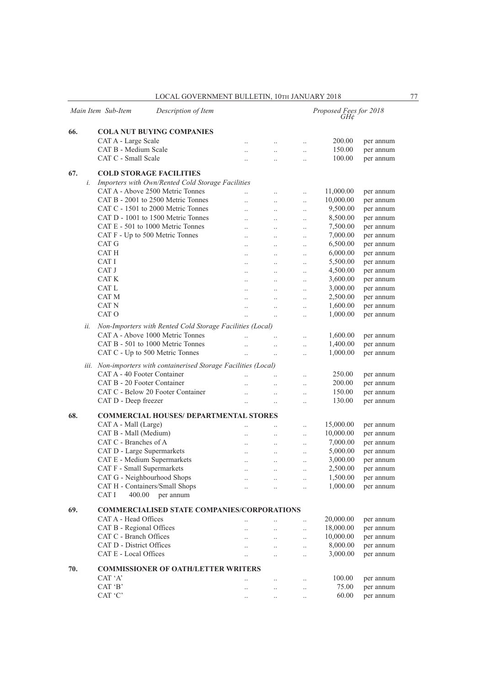|     |     | Main Item Sub-Item                | Description of Item                                              |                      |                      |                      | Proposed Fees for 2018<br>GH¢ |           |
|-----|-----|-----------------------------------|------------------------------------------------------------------|----------------------|----------------------|----------------------|-------------------------------|-----------|
| 66. |     |                                   | <b>COLA NUT BUYING COMPANIES</b>                                 |                      |                      |                      |                               |           |
|     |     | CAT A - Large Scale               |                                                                  | $\ddotsc$            | $\ldots$             | $\ddotsc$            | 200.00                        | per annum |
|     |     | CAT B - Medium Scale              |                                                                  | $\ddot{\phantom{0}}$ | $\ddotsc$            | $\ddot{\phantom{0}}$ | 150.00                        | per annum |
|     |     | CAT C - Small Scale               |                                                                  | $\ddot{\phantom{a}}$ | $\ddotsc$            | $\ddot{\phantom{0}}$ | 100.00                        | per annum |
| 67. |     | <b>COLD STORAGE FACILITIES</b>    |                                                                  |                      |                      |                      |                               |           |
|     | i.  |                                   | Importers with Own/Rented Cold Storage Facilities                |                      |                      |                      |                               |           |
|     |     |                                   | CAT A - Above 2500 Metric Tonnes                                 | $\ddotsc$            | $\ddot{\phantom{0}}$ |                      | 11,000.00                     | per annum |
|     |     |                                   | CAT B - 2001 to 2500 Metric Tonnes                               | $\ddotsc$            | $\ddotsc$            | $\ddotsc$            | 10,000.00                     | per annum |
|     |     |                                   | CAT C - 1501 to 2000 Metric Tonnes                               | $\ddotsc$            | $\ldots$             | $\ddotsc$            | 9,500.00                      | per annum |
|     |     |                                   | CAT D - 1001 to 1500 Metric Tonnes                               | $\ldots$             | $\ldots$             | $\ddot{\phantom{a}}$ | 8,500.00                      | per annum |
|     |     |                                   | CAT E - 501 to 1000 Metric Tonnes                                | $\ddotsc$            | $\ddotsc$            | $\ddot{\phantom{0}}$ | 7,500.00                      | per annum |
|     |     | CAT F - Up to 500 Metric Tonnes   |                                                                  | $\ddot{\phantom{0}}$ | $\ddotsc$            | $\ddot{\phantom{0}}$ | 7,000.00                      | per annum |
|     |     | CAT G                             |                                                                  | $\ddotsc$            | $\ddotsc$            | $\ddotsc$            | 6,500.00                      | per annum |
|     |     | CAT H                             |                                                                  | $\ddotsc$            | $\ldots$             | $\ddotsc$            | 6,000.00                      | per annum |
|     |     | CAT I                             |                                                                  | $\ddotsc$            | $\ldots$             | $\ddotsc$            | 5,500.00                      | per annum |
|     |     | CAT J                             |                                                                  | $\ddotsc$            | $\ddots$             |                      | 4,500.00                      | per annum |
|     |     | CAT K                             |                                                                  | $\ddotsc$            | $\ddotsc$            | $\ddotsc$            | 3,600.00                      | per annum |
|     |     | CAT L                             |                                                                  |                      |                      | $\ddotsc$            | 3,000.00                      | per annum |
|     |     | CAT M                             |                                                                  | $\ddotsc$            | $\ddots$             | $\ddotsc$            | 2,500.00                      | per annum |
|     |     | CAT <sub>N</sub>                  |                                                                  | $\ldots$             | $\ldots$             | $\ddot{\phantom{0}}$ |                               |           |
|     |     | CAT O                             |                                                                  | $\ldots$             | $\ldots$             | $\ddotsc$            | 1,600.00                      | per annum |
|     |     |                                   |                                                                  | $\ddotsc$            | $\ddotsc$            | $\ddot{\phantom{0}}$ | 1,000.00                      | per annum |
|     | ii. |                                   | Non-Importers with Rented Cold Storage Facilities (Local)        |                      |                      |                      |                               |           |
|     |     |                                   | CAT A - Above 1000 Metric Tonnes                                 | $\ddotsc$            | $\ddotsc$            | $\ddotsc$            | 1,600.00                      | per annum |
|     |     |                                   | CAT B - 501 to 1000 Metric Tonnes                                | $\ddotsc$            | $\ddot{\phantom{0}}$ | $\ddot{\phantom{0}}$ | 1,400.00                      | per annum |
|     |     | CAT C - Up to 500 Metric Tonnes   |                                                                  | $\ddotsc$            | $\ddotsc$            | $\ddotsc$            | 1,000.00                      | per annum |
|     |     |                                   | iii. Non-importers with containerised Storage Facilities (Local) |                      |                      |                      |                               |           |
|     |     | CAT A - 40 Footer Container       |                                                                  |                      |                      |                      | 250.00                        | per annum |
|     |     | CAT B - 20 Footer Container       |                                                                  | $\ddotsc$            | $\ddotsc$            | $\ddotsc$            | 200.00                        | per annum |
|     |     |                                   | CAT C - Below 20 Footer Container                                |                      | $\ddot{\phantom{0}}$ | $\ddot{\phantom{0}}$ | 150.00                        |           |
|     |     |                                   |                                                                  | $\ddotsc$            | $\ddotsc$            | $\ddotsc$            |                               | per annum |
|     |     | CAT D - Deep freezer              |                                                                  | $\ddotsc$            | $\ddot{\phantom{0}}$ |                      | 130.00                        | per annum |
| 68. |     |                                   | <b>COMMERCIAL HOUSES/ DEPARTMENTAL STORES</b>                    |                      |                      |                      |                               |           |
|     |     | CAT A - Mall (Large)              |                                                                  |                      |                      | $\ddot{\phantom{a}}$ | 15,000.00                     | per annum |
|     |     | CAT B - Mall (Medium)             |                                                                  | $\ddotsc$            | $\ldots$             | $\ddotsc$            | 10,000.00                     | per annum |
|     |     | CAT C - Branches of A             |                                                                  | $\ddotsc$            | $\ldots$             | $\ddot{\phantom{0}}$ | 7,000.00                      | per annum |
|     |     | CAT D - Large Supermarkets        |                                                                  | $\ddotsc$            | $\ddotsc$            | $\ddotsc$            | 5,000.00                      | per annum |
|     |     | CAT E - Medium Supermarkets       |                                                                  | $\ldots$             | $\ddotsc$            | $\ddotsc$            | 3,000.00                      | per annum |
|     |     | <b>CAT F</b> - Small Supermarkets |                                                                  | $\ddotsc$            | $\ddotsc$            |                      | 2,500.00                      | per annum |
|     |     | CAT G - Neighbourhood Shops       |                                                                  | $\ldots$             | $\ldots$             | $\ddotsc$            | 1,500.00                      | per annum |
|     |     | CAT H - Containers/Small Shops    |                                                                  | $\ldots$             | $\ldots$             | $\ddotsc$            | 1,000.00                      | per annum |
|     |     | CAT I<br>400.00                   | per annum                                                        |                      |                      |                      |                               |           |
|     |     |                                   |                                                                  |                      |                      |                      |                               |           |
| 69. |     |                                   | <b>COMMERCIALISED STATE COMPANIES/CORPORATIONS</b>               |                      |                      |                      |                               |           |
|     |     | CAT A - Head Offices              |                                                                  |                      | $\ddotsc$            | $\ddotsc$            | 20,000.00                     | per annum |
|     |     | CAT B - Regional Offices          |                                                                  |                      | $\ldots$             | $\ddotsc$            | 18,000.00                     | per annum |
|     |     | CAT C - Branch Offices            |                                                                  | $\ddot{\phantom{0}}$ | $\ddotsc$            | $\ldots$             | 10,000.00                     | per annum |
|     |     | CAT D - District Offices          |                                                                  | $\ddot{\phantom{a}}$ | $\ldots$             | $\ldots$             | 8,000.00                      | per annum |
|     |     | CAT E - Local Offices             |                                                                  | $\ddot{\phantom{0}}$ | $\ddotsc$            | $\ddot{\phantom{0}}$ | 3,000.00                      | per annum |
| 70. |     |                                   | <b>COMMISSIONER OF OATH/LETTER WRITERS</b>                       |                      |                      |                      |                               |           |
|     |     | CAT 'A'                           |                                                                  | $\ddotsc$            | $\ldots$             | $\ddotsc$            | 100.00                        | per annum |
|     |     | CAT 'B'                           |                                                                  | $\ddotsc$            | $\ldots$             | $\ddotsc$            | 75.00                         | per annum |
|     |     | CAT 'C'                           |                                                                  | $\ldots$             | $\ldots$             | $\ddotsc$            | 60.00                         | per annum |
|     |     |                                   |                                                                  |                      |                      |                      |                               |           |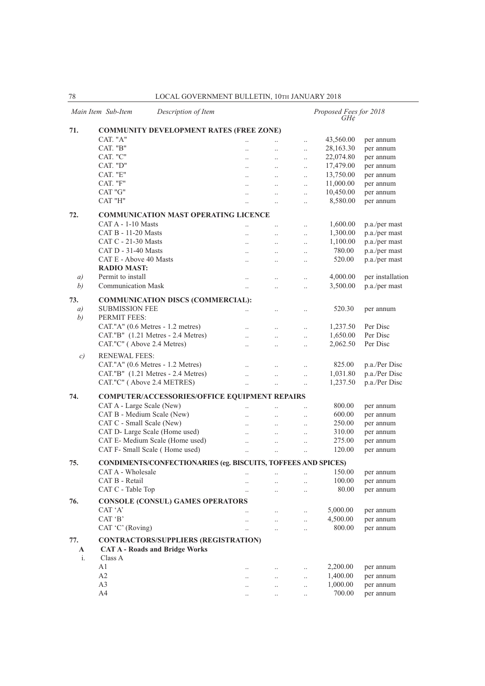|                   | Main Item Sub-Item<br>Description of Item                     |                      |                      |                      | Proposed Fees for 2018<br>GH¢ |                  |  |  |  |  |
|-------------------|---------------------------------------------------------------|----------------------|----------------------|----------------------|-------------------------------|------------------|--|--|--|--|
| 71.               | <b>COMMUNITY DEVELOPMENT RATES (FREE ZONE)</b>                |                      |                      |                      |                               |                  |  |  |  |  |
|                   | CAT. "A"                                                      |                      |                      | $\ddotsc$            | 43,560.00                     | per annum        |  |  |  |  |
|                   | CAT. "B"                                                      | $\ddotsc$            | $\ddotsc$            | $\ldots$             | 28,163.30                     | per annum        |  |  |  |  |
|                   | CAT. "C"                                                      | $\ddotsc$            | $\ddotsc$            | $\ldots$             | 22,074.80                     | per annum        |  |  |  |  |
|                   | CAT. "D"                                                      |                      |                      | $\ddotsc$            | 17,479.00                     | per annum        |  |  |  |  |
|                   | CAT. "E"                                                      |                      |                      | $\ldots$             | 13,750.00                     | per annum        |  |  |  |  |
|                   | CAT. "F"                                                      | $\ddotsc$            |                      | $\ldots$             | 11,000.00                     | per annum        |  |  |  |  |
|                   | CAT "G"                                                       | $\ddotsc$            | $\ddotsc$            | $\ddotsc$            | 10,450.00                     | per annum        |  |  |  |  |
|                   | CAT "H"                                                       |                      |                      | $\ldots$             | 8,580.00                      | per annum        |  |  |  |  |
| 72.               | <b>COMMUNICATION MAST OPERATING LICENCE</b>                   |                      |                      |                      |                               |                  |  |  |  |  |
|                   | CAT A - 1-10 Masts                                            | $\ddot{\phantom{0}}$ | $\ddotsc$            | $\ddotsc$            | 1,600.00                      | p.a./per mast    |  |  |  |  |
|                   | $CAT B - 11-20$ Masts                                         |                      |                      | $\ddotsc$            | 1,300.00                      | p.a./per mast    |  |  |  |  |
|                   | CAT $C - 21-30$ Masts                                         |                      |                      | $\ddotsc$            | 1,100.00                      | p.a./per mast    |  |  |  |  |
|                   | CAT D - 31-40 Masts                                           | $\ddotsc$            | $\ddot{\phantom{a}}$ | $\ddotsc$            | 780.00                        | p.a./per mast    |  |  |  |  |
|                   | CAT E - Above 40 Masts                                        | $\ddot{\phantom{a}}$ |                      | $\cdot$ .            | 520.00                        | p.a./per mast    |  |  |  |  |
|                   | <b>RADIO MAST:</b>                                            |                      |                      |                      |                               |                  |  |  |  |  |
| $\left( a\right)$ | Permit to install                                             | $\ddotsc$            |                      | $\ddotsc$            | 4,000.00                      | per installation |  |  |  |  |
| (b)               | <b>Communication Mask</b>                                     | $\ddotsc$            | $\ddot{\phantom{0}}$ | $\ddotsc$            | 3,500.00                      | p.a./per mast    |  |  |  |  |
|                   |                                                               |                      |                      |                      |                               |                  |  |  |  |  |
| 73.               | <b>COMMUNICATION DISCS (COMMERCIAL):</b>                      |                      |                      |                      |                               |                  |  |  |  |  |
| a)                | <b>SUBMISSION FEE</b>                                         | $\cdot$ .            | $\ldots$             | $\ldots$             | 520.30                        | per annum        |  |  |  |  |
| b)                | PERMIT FEES:                                                  |                      |                      |                      |                               |                  |  |  |  |  |
|                   | CAT."A" (0.6 Metres - 1.2 metres)                             | $\ddot{\phantom{a}}$ | $\ddotsc$            | $\ddotsc$            | 1,237.50                      | Per Disc         |  |  |  |  |
|                   | CAT."B" (1.21 Metres - 2.4 Metres)                            | $\ddotsc$            | $\ddotsc$            | $\ldots$             | 1,650.00                      | Per Disc         |  |  |  |  |
|                   | CAT."C" (Above 2.4 Metres)                                    | $\ddotsc$            | $\ddot{\phantom{a}}$ | $\ddotsc$            | 2,062.50                      | Per Disc         |  |  |  |  |
| $\mathcal{C}$     | <b>RENEWAL FEES:</b>                                          |                      |                      |                      |                               |                  |  |  |  |  |
|                   | CAT."A" (0.6 Metres - 1.2 Metres)                             |                      |                      |                      | 825.00                        | p.a./Per Disc    |  |  |  |  |
|                   | CAT."B" (1.21 Metres - 2.4 Metres)                            |                      |                      | $\ldots$             | 1,031.80                      | p.a./Per Disc    |  |  |  |  |
|                   | CAT."C" (Above 2.4 METRES)                                    | $\ddotsc$            | $\ddot{\phantom{0}}$ | $\ddotsc$            | 1,237.50                      | p.a./Per Disc    |  |  |  |  |
|                   |                                                               | $\ddot{\phantom{0}}$ | $\ddot{\phantom{0}}$ | $\ldots$             |                               |                  |  |  |  |  |
| 74.               | <b>COMPUTER/ACCESSORIES/OFFICE EQUIPMENT REPAIRS</b>          |                      |                      |                      |                               |                  |  |  |  |  |
|                   | CAT A - Large Scale (New)                                     | $\ddot{\phantom{0}}$ |                      | $\ddot{\phantom{0}}$ | 800.00                        | per annum        |  |  |  |  |
|                   | CAT B - Medium Scale (New)                                    | $\ddotsc$            | $\ddotsc$            | $\ddotsc$            | 600.00                        | per annum        |  |  |  |  |
|                   | CAT C - Small Scale (New)                                     | $\ddot{\phantom{a}}$ | $\ddotsc$            | $\ldots$             | 250.00                        | per annum        |  |  |  |  |
|                   | CAT D- Large Scale (Home used)                                | $\ddotsc$            | $\ddotsc$            | $\ldots$             | 310.00                        | per annum        |  |  |  |  |
|                   | CAT E- Medium Scale (Home used)                               | $\ddotsc$            | $\ddot{\phantom{a}}$ | $\ddotsc$            | 275.00                        | per annum        |  |  |  |  |
|                   | CAT F- Small Scale (Home used)                                |                      |                      |                      | 120.00                        | per annum        |  |  |  |  |
|                   |                                                               |                      |                      |                      |                               |                  |  |  |  |  |
| 75.               | CONDIMENTS/CONFECTIONARIES (eg. BISCUITS, TOFFEES AND SPICES) |                      |                      |                      |                               |                  |  |  |  |  |
|                   | CAT A - Wholesale                                             | $\cdot$ .            | $\cdot$ .            | $\cdot$ .            | 150.00                        | per annum        |  |  |  |  |
|                   | CAT B - Retail                                                | $\cdot$ .            | $\ddot{\phantom{a}}$ |                      | 100.00                        | per annum        |  |  |  |  |
|                   | CAT C - Table Top                                             | $\cdot$              |                      | $\ldots$             | 80.00                         | per annum        |  |  |  |  |
| 76.               | <b>CONSOLE (CONSUL) GAMES OPERATORS</b>                       |                      |                      |                      |                               |                  |  |  |  |  |
|                   | CAT 'A'                                                       | $\cdot$ .            | $\ldots$             | $\ldots$             | 5,000.00                      | per annum        |  |  |  |  |
|                   | CAT 'B'                                                       | $\cdot$ .            | $\ldots$             | $\ldots$             | 4,500.00                      | per annum        |  |  |  |  |
|                   | CAT 'C' (Roving)                                              | $\cdot$              | $\ddotsc$            | $\ddotsc$            | 800.00                        | per annum        |  |  |  |  |
| 77.               | <b>CONTRACTORS/SUPPLIERS (REGISTRATION)</b>                   |                      |                      |                      |                               |                  |  |  |  |  |
| A                 | <b>CAT A - Roads and Bridge Works</b>                         |                      |                      |                      |                               |                  |  |  |  |  |
| i.                | Class A                                                       |                      |                      |                      |                               |                  |  |  |  |  |
|                   | A1                                                            | $\ldots$             | $\ddotsc$            | $\ddotsc$            | 2,200.00                      | per annum        |  |  |  |  |
|                   | A2                                                            | $\ddotsc$            | $\ldots$             | $\ldots$             | 1,400.00                      | per annum        |  |  |  |  |
|                   | A <sub>3</sub>                                                | $\cdot$ .            | $\cdot$ .            | $\ldots$             | 1,000.00                      | per annum        |  |  |  |  |
|                   | A4                                                            | $\cdot$ .            | $\ldots$             | $\ldots$             | 700.00                        | per annum        |  |  |  |  |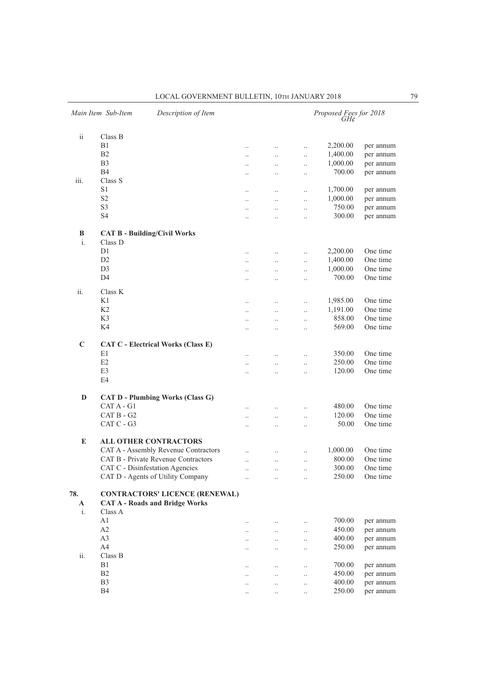|                | Main Item Sub-Item<br>Description of Item                                      |                      |                      |                      | Proposed Fees for 2018<br>GH¢ |           |
|----------------|--------------------------------------------------------------------------------|----------------------|----------------------|----------------------|-------------------------------|-----------|
| ii             | Class B                                                                        |                      |                      |                      |                               |           |
|                | B1                                                                             | $\cdot$              | $\ldots$             | $\ddotsc$            | 2,200.00                      | per annum |
|                | B <sub>2</sub>                                                                 | $\ldots$             | $\ldots$             | $\ddotsc$            | 1,400.00                      | per annum |
|                | B <sub>3</sub>                                                                 |                      | $\ddotsc$            |                      | 1,000.00                      | per annum |
|                | <b>B4</b>                                                                      | $\cdot$ .            |                      | $\ddotsc$            | 700.00                        | per annum |
| iii.           | Class S                                                                        | $\ddotsc$            |                      | $\ddot{\phantom{0}}$ |                               |           |
|                | S1                                                                             |                      |                      |                      | 1,700.00                      | per annum |
|                | S <sub>2</sub>                                                                 |                      |                      | $\cdot$              |                               |           |
|                | S <sub>3</sub>                                                                 | $\ldots$             | $\ldots$             | $\ldots$             | 1,000.00                      | per annum |
|                |                                                                                | $\ddotsc$            | $\ddotsc$            | $\ddotsc$            | 750.00                        | per annum |
|                | S4                                                                             | $\ddotsc$            |                      | $\ddot{\phantom{0}}$ | 300.00                        | per annum |
| B              | <b>CAT B - Building/Civil Works</b>                                            |                      |                      |                      |                               |           |
| $\mathbf{i}$ . | Class D                                                                        |                      |                      |                      |                               |           |
|                | D <sub>1</sub>                                                                 | $\cdot$ .            | $\ldots$             | $\ddotsc$            | 2,200.00                      | One time  |
|                | D <sub>2</sub>                                                                 | $\ddotsc$            | $\ddotsc$            | $\ddotsc$            | 1,400.00                      | One time  |
|                | D <sub>3</sub>                                                                 |                      |                      |                      | 1,000.00                      | One time  |
|                | D <sub>4</sub>                                                                 | $\ddotsc$            | $\ddotsc$            | $\ldots$             | 700.00                        | One time  |
|                |                                                                                | $\cdot$              | $\ddotsc$            | $\ddotsc$            |                               |           |
| ii.            | Class K                                                                        |                      |                      |                      |                               |           |
|                | K1                                                                             | $\cdot$ .            | $\ldots$             | $\ddotsc$            | 1,985.00                      | One time  |
|                | K <sub>2</sub>                                                                 |                      |                      |                      | 1,191.00                      | One time  |
|                | K3                                                                             | $\cdot$ .            | $\ldots$             | $\ddotsc$            | 858.00                        | One time  |
|                | K4                                                                             | $\ddotsc$            | $\ddotsc$            | $\ddotsc$            | 569.00                        | One time  |
|                |                                                                                | $\ddot{\phantom{a}}$ |                      | $\ddotsc$            |                               |           |
| C              |                                                                                |                      |                      |                      |                               |           |
|                | <b>CAT C - Electrical Works (Class E)</b>                                      |                      |                      |                      |                               |           |
|                | E1                                                                             | $\cdot$              | $\ldots$             | $\ddotsc$            | 350.00                        | One time  |
|                | E2                                                                             |                      | $\ddot{\phantom{a}}$ | $\ddot{\phantom{a}}$ | 250.00                        | One time  |
|                | E3                                                                             | $\ddot{\phantom{a}}$ | $\ddotsc$            | $\ddot{\phantom{0}}$ | 120.00                        | One time  |
|                | E4                                                                             |                      |                      |                      |                               |           |
| D              | <b>CAT D - Plumbing Works (Class G)</b>                                        |                      |                      |                      |                               |           |
|                | CAT A - G1                                                                     | $\ddot{\phantom{a}}$ | $\ddotsc$            | $\ddotsc$            | 480.00                        | One time  |
|                | CAT B - G2                                                                     |                      |                      |                      | 120.00                        | One time  |
|                | CAT C - G3                                                                     | $\ddotsc$            | $\ddotsc$            | $\ddotsc$            | 50.00                         | One time  |
|                |                                                                                | $\cdot$ .            | $\ddotsc$            | $\ddotsc$            |                               |           |
| E              | <b>ALL OTHER CONTRACTORS</b>                                                   |                      |                      |                      |                               |           |
|                | CAT A - Assembly Revenue Contractors                                           |                      |                      | $\ddot{\phantom{0}}$ | 1,000.00                      | One time  |
|                | CAT B - Private Revenue Contractors                                            | $\ddotsc$            | $\ddotsc$            | $\ddot{\phantom{0}}$ | 800.00                        | One time  |
|                | CAT C - Disinfestation Agencies                                                |                      |                      |                      | 300.00                        | One time  |
|                | CAT D - Agents of Utility Company                                              | $\ldots$             | $\ldots$             | $\ldots$             | 250.00                        | One time  |
| 78.<br>A       | <b>CONTRACTORS' LICENCE (RENEWAL)</b><br><b>CAT A - Roads and Bridge Works</b> |                      |                      |                      |                               |           |
| i.             | Class A                                                                        |                      |                      |                      |                               |           |
|                | A1                                                                             |                      | $\ldots$             | $\cdot$ .            | 700.00                        | per annum |
|                | A2                                                                             |                      | $\ldots$             | $\ldots$             | 450.00                        | per annum |
|                | A3                                                                             |                      | $\ldots$             | $\ldots$             | 400.00                        | per annum |
|                | A4                                                                             |                      | $\ddotsc$            | $\ddotsc$            | 250.00                        | per annum |
| ii.            | Class B                                                                        |                      |                      |                      |                               |           |
|                | B1                                                                             |                      | $\cdot$              | $\cdot$              | 700.00                        | per annum |
|                | B <sub>2</sub>                                                                 | $\cdot$ .            | $\ldots$             | $\ldots$             | 450.00                        | per annum |
|                | B <sub>3</sub>                                                                 |                      | $\ddotsc$            | $\ddotsc$            | 400.00                        | per annum |
|                | <b>B4</b>                                                                      | $\ddotsc$            | $\ddotsc$            | $\ldots$             | 250.00                        | per annum |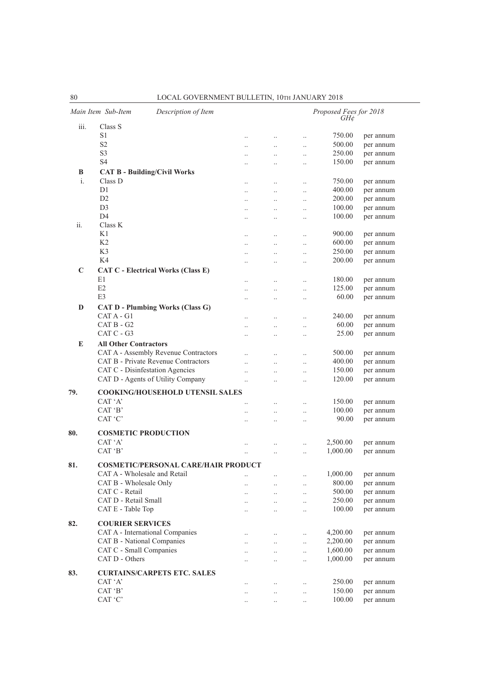|                | Main Item Sub-Item<br>Description of Item                           |                      |                       |                      | Proposed Fees for 2018<br>GH¢ |                        |
|----------------|---------------------------------------------------------------------|----------------------|-----------------------|----------------------|-------------------------------|------------------------|
| iii.           | Class S                                                             |                      |                       |                      |                               |                        |
|                | S <sub>1</sub>                                                      | $\ddot{\phantom{0}}$ | $\ddotsc$             | $\ddotsc$            | 750.00                        | per annum              |
|                | S <sub>2</sub>                                                      |                      | $\ddot{\phantom{0}}$  | $\ddotsc$            | 500.00                        | per annum              |
|                | S <sub>3</sub>                                                      |                      | $\ddotsc$             | $\ddotsc$            | 250.00                        | per annum              |
|                | S <sub>4</sub>                                                      |                      | $\ddot{\phantom{a}}$  | $\ddotsc$            | 150.00                        | per annum              |
| B              | <b>CAT B - Building/Civil Works</b>                                 |                      |                       |                      |                               |                        |
| $\mathbf{i}$ . | Class D                                                             | $\ddotsc$            | $\ddotsc$             | $\ldots$             | 750.00                        | per annum              |
|                | D1                                                                  | $\ddot{\phantom{0}}$ | $\ddotsc$             | $\ddotsc$            | 400.00                        | per annum              |
|                | D2                                                                  | $\ddot{\phantom{a}}$ | $\ddotsc$             | $\ddotsc$            | 200.00                        | per annum              |
|                | D <sub>3</sub><br>D <sub>4</sub>                                    |                      | $\ddotsc$             | $\ddotsc$            | 100.00<br>100.00              | per annum<br>per annum |
| ii.            | Class K                                                             |                      | $\ddotsc$             | $\ddotsc$            |                               |                        |
|                | K1                                                                  | $\ddot{\phantom{0}}$ | $\ddot{\phantom{0}}$  | $\ddotsc$            | 900.00                        | per annum              |
|                | K <sub>2</sub>                                                      |                      | $\ddot{\phantom{a}}$  | $\ddotsc$            | 600.00                        | per annum              |
|                | K <sub>3</sub>                                                      |                      | $\ddot{\phantom{a}}$  | $\ddotsc$            | 250.00                        | per annum              |
|                | K4                                                                  |                      |                       | $\ddotsc$            | 200.00                        | per annum              |
| C              | <b>CAT C - Electrical Works (Class E)</b>                           |                      |                       |                      |                               |                        |
|                | E1                                                                  |                      | $\ddotsc$             | $\ddotsc$            | 180.00                        | per annum              |
|                | E2                                                                  |                      | $\ddot{\phantom{a}}$  | $\ddotsc$            | 125.00                        | per annum              |
|                | E <sub>3</sub>                                                      |                      | $\ddot{\phantom{a}}$  | $\ddotsc$            | 60.00                         | per annum              |
| D              | <b>CAT D - Plumbing Works (Class G)</b>                             |                      |                       |                      |                               |                        |
|                | $CAT A - G1$                                                        | $\ddot{\phantom{a}}$ | $\ddotsc$             | $\ddotsc$            | 240.00                        | per annum              |
|                | CAT B - G2                                                          | $\ddot{\phantom{0}}$ | $\ddotsc$             | $\ddotsc$            | 60.00                         | per annum              |
|                | $CAT C - G3$                                                        |                      |                       | $\ddotsc$            | 25.00                         | per annum              |
| E              | <b>All Other Contractors</b>                                        |                      |                       |                      |                               |                        |
|                | CAT A - Assembly Revenue Contractors                                | $\ddot{\phantom{a}}$ | $\ddotsc$             | $\ddotsc$            | 500.00                        | per annum              |
|                | CAT B - Private Revenue Contractors                                 | $\ddot{\phantom{0}}$ | $\ddot{\phantom{a}}$  | $\ldots$             | 400.00                        | per annum              |
|                | CAT C - Disinfestation Agencies                                     | $\ddot{\phantom{a}}$ | $\ddot{\phantom{a}}$  | $\ldots$             | 150.00                        | per annum              |
|                | CAT D - Agents of Utility Company                                   |                      |                       | $\ddotsc$            | 120.00                        | per annum              |
| 79.            | <b>COOKING/HOUSEHOLD UTENSIL SALES</b>                              |                      |                       |                      |                               |                        |
|                | CAT 'A'                                                             | $\ddot{\phantom{0}}$ | $\ddot{\phantom{a}}$  | $\ddotsc$            | 150.00                        | per annum              |
|                | CAT 'B'                                                             | $\ddot{\phantom{a}}$ | $\ddot{\phantom{a}}$  | $\ddotsc$            | 100.00                        | per annum              |
|                | CAT 'C'                                                             |                      |                       | $\ddotsc$            | 90.00                         | per annum              |
| 80.            | <b>COSMETIC PRODUCTION</b>                                          |                      |                       |                      |                               |                        |
|                | CAT 'A'                                                             |                      |                       |                      | 2,500.00                      | per annum              |
|                | CAT 'B'                                                             |                      |                       | $\ddotsc$            | 1,000.00                      | per annum              |
|                |                                                                     |                      |                       |                      |                               |                        |
| 81.            | COSMETIC/PERSONAL CARE/HAIR PRODUCT<br>CAT A - Wholesale and Retail |                      |                       |                      | 1,000.00                      | per annum              |
|                | CAT B - Wholesale Only                                              | $\cdot$ .            | $\ddotsc$             | $\ldots$             | 800.00                        |                        |
|                | CAT C - Retail                                                      |                      | $\ddotsc$<br>$\ddots$ | $\ldots$             | 500.00                        | per annum<br>per annum |
|                | CAT D - Retail Small                                                | $\ddotsc$<br>        | $\ldots$              | $\ldots$<br>$\ldots$ | 250.00                        | per annum              |
|                | CAT E - Table Top                                                   |                      | $\ldots$              | $\ldots$             | 100.00                        | per annum              |
|                |                                                                     |                      |                       |                      |                               |                        |
| 82.            | <b>COURIER SERVICES</b>                                             |                      |                       |                      |                               |                        |
|                | CAT A - International Companies                                     | $\ddotsc$            | $\ldots$              | $\ldots$             | 4,200.00                      | per annum              |
|                | CAT B - National Companies                                          | $\ddotsc$            | $\ddotsc$             | $\ldots$             | 2,200.00                      | per annum              |
|                | CAT C - Small Companies<br>CAT D - Others                           | $\ddot{\phantom{0}}$ | $\ddotsc$             | $\ldots$             | 1,600.00                      | per annum              |
|                |                                                                     |                      | $\ddotsc$             | $\ldots$             | 1,000.00                      | per annum              |
| 83.            | <b>CURTAINS/CARPETS ETC. SALES</b>                                  |                      |                       |                      |                               |                        |
|                | CAT 'A'                                                             |                      | $\ldots$              | $\ldots$             | 250.00                        | per annum              |
|                | CAT 'B'                                                             | $\cdot$ .            | $\ldots$              | $\cdot$ .            | 150.00                        | per annum              |
|                | CAT 'C'                                                             |                      | $\ldots$              | $\ldots$             | 100.00                        | per annum              |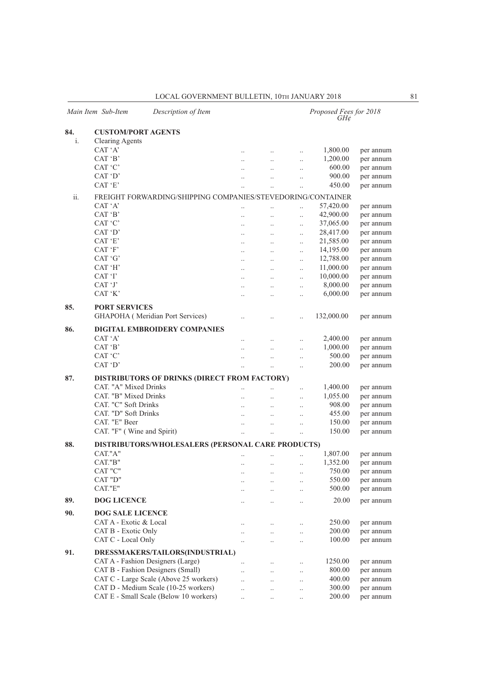|     | Main Item Sub-Item                                          | Description of Item                               |                      |                      |                      | Proposed Fees for 2018<br>GH¢ |           |  |  |  |  |
|-----|-------------------------------------------------------------|---------------------------------------------------|----------------------|----------------------|----------------------|-------------------------------|-----------|--|--|--|--|
| 84. | <b>CUSTOM/PORT AGENTS</b>                                   |                                                   |                      |                      |                      |                               |           |  |  |  |  |
| i.  | <b>Clearing Agents</b>                                      |                                                   |                      |                      |                      |                               |           |  |  |  |  |
|     | CAT 'A'                                                     |                                                   | $\ddotsc$            | $\ldots$             | $\ddotsc$            | 1,800.00                      | per annum |  |  |  |  |
|     | CAT 'B'                                                     |                                                   | $\ddot{\phantom{a}}$ | $\ddotsc$            | $\ddotsc$            | 1,200.00                      | per annum |  |  |  |  |
|     | CAT 'C'                                                     |                                                   | $\ddot{\phantom{a}}$ | $\ddot{\phantom{a}}$ | $\ddot{\phantom{0}}$ | 600.00                        | per annum |  |  |  |  |
|     | CAT 'D'                                                     |                                                   | $\ddot{\phantom{0}}$ | $\ddotsc$            | $\ddotsc$            | 900.00                        | per annum |  |  |  |  |
|     | CAT 'E'                                                     |                                                   |                      |                      |                      | 450.00                        | per annum |  |  |  |  |
| ii. | FREIGHT FORWARDING/SHIPPING COMPANIES/STEVEDORING/CONTAINER |                                                   |                      |                      |                      |                               |           |  |  |  |  |
|     | CAT 'A'                                                     |                                                   | $\ddotsc$            | $\ddotsc$            | $\ddotsc$            | 57,420.00                     | per annum |  |  |  |  |
|     | CAT 'B'                                                     |                                                   | $\ddot{\phantom{a}}$ | $\ddot{\phantom{a}}$ | $\ddotsc$            | 42,900.00                     | per annum |  |  |  |  |
|     | CAT 'C'                                                     |                                                   | $\ddotsc$            | $\ddotsc$            | $\ddotsc$            | 37,065.00                     | per annum |  |  |  |  |
|     | CAT 'D'                                                     |                                                   | $\ddotsc$            | $\ddotsc$            | $\ddotsc$            | 28,417.00                     | per annum |  |  |  |  |
|     | CAT 'E'                                                     |                                                   | $\ddotsc$            | $\ddotsc$            | $\ddotsc$            | 21,585.00                     | per annum |  |  |  |  |
|     | CAT 'F'                                                     |                                                   | $\ddotsc$            | $\ddotsc$            | $\ddotsc$            | 14,195.00                     | per annum |  |  |  |  |
|     | CAT 'G'                                                     |                                                   | $\ddotsc$            | $\ddots$             | $\ddotsc$            | 12,788.00                     | per annum |  |  |  |  |
|     | CAT 'H'                                                     |                                                   | $\ddotsc$            | $\ddotsc$            | $\ddot{\phantom{a}}$ | 11,000.00                     | per annum |  |  |  |  |
|     | CAT 'I'                                                     |                                                   | $\ddotsc$            | $\ddot{\phantom{a}}$ | $\ddot{\phantom{a}}$ | 10,000.00                     | per annum |  |  |  |  |
|     | CAT 'J'                                                     |                                                   | $\ddotsc$            | $\ddotsc$            | $\ddotsc$            | 8,000.00                      | per annum |  |  |  |  |
|     | CAT 'K'                                                     |                                                   |                      |                      |                      | 6,000.00                      | per annum |  |  |  |  |
|     |                                                             |                                                   | $\ddot{\phantom{0}}$ | $\ddotsc$            | $\ddotsc$            |                               |           |  |  |  |  |
| 85. | <b>PORT SERVICES</b>                                        |                                                   |                      |                      |                      |                               |           |  |  |  |  |
|     |                                                             | GHAPOHA (Meridian Port Services)                  | $\ddotsc$            | $\ddotsc$            |                      | 132,000.00                    | per annum |  |  |  |  |
| 86. |                                                             | <b>DIGITAL EMBROIDERY COMPANIES</b>               |                      |                      |                      |                               |           |  |  |  |  |
|     | CAT 'A'                                                     |                                                   | $\ddot{\phantom{a}}$ | $\ddotsc$            | $\ddot{\phantom{0}}$ | 2,400.00                      | per annum |  |  |  |  |
|     | CAT 'B'                                                     |                                                   | $\ddot{\phantom{0}}$ | $\ddotsc$            | $\ddotsc$            | 1,000.00                      | per annum |  |  |  |  |
|     | CAT 'C'                                                     |                                                   | $\ddot{\phantom{0}}$ | $\ddot{\phantom{0}}$ | $\ddot{\phantom{0}}$ | 500.00                        | per annum |  |  |  |  |
|     | CAT 'D'                                                     |                                                   | $\ddotsc$            | $\ddotsc$            | $\ddotsc$            | 200.00                        | per annum |  |  |  |  |
| 87. |                                                             | DISTRIBUTORS OF DRINKS (DIRECT FROM FACTORY)      |                      |                      |                      |                               |           |  |  |  |  |
|     | CAT. "A" Mixed Drinks                                       |                                                   | $\ddot{\phantom{a}}$ | $\ddotsc$            | $\ddotsc$            | 1,400.00                      | per annum |  |  |  |  |
|     | CAT. "B" Mixed Drinks                                       |                                                   | $\ddot{\phantom{0}}$ | $\ddotsc$            | $\ddotsc$            | 1,055.00                      | per annum |  |  |  |  |
|     | CAT. "C" Soft Drinks                                        |                                                   |                      |                      | $\ddotsc$            | 908.00                        | per annum |  |  |  |  |
|     | CAT. "D" Soft Drinks                                        |                                                   | $\ldots$             | $\ldots$             |                      | 455.00                        | per annum |  |  |  |  |
|     | CAT. "E" Beer                                               |                                                   |                      |                      | $\ddotsc$            | 150.00                        | per annum |  |  |  |  |
|     | CAT. "F" (Wine and Spirit)                                  |                                                   |                      | $\ddot{\phantom{a}}$ | $\ddot{\phantom{a}}$ | 150.00                        |           |  |  |  |  |
|     |                                                             |                                                   | $\ddot{\phantom{a}}$ | $\ddotsc$            | $\ddot{\phantom{a}}$ |                               | per annum |  |  |  |  |
| 88. |                                                             | DISTRIBUTORS/WHOLESALERS (PERSONAL CARE PRODUCTS) |                      |                      |                      |                               |           |  |  |  |  |
|     | CAT."A"                                                     |                                                   |                      |                      | $\ddot{\phantom{a}}$ | 1,807.00                      | per annum |  |  |  |  |
|     | CAT."B"                                                     |                                                   | $\ddotsc$            | $\ldots$             | $\ddotsc$            | 1,352.00                      | per annum |  |  |  |  |
|     | CAT "C"                                                     |                                                   |                      |                      | $\ldots$             | 750.00                        | per annum |  |  |  |  |
|     | CAT "D"                                                     |                                                   | $\ddotsc$            | $\ddotsc$            | $\ldots$             | 550.00                        | per annum |  |  |  |  |
|     | CAT."E"                                                     |                                                   |                      | $\ddotsc$            | $\ddotsc$            | 500.00                        | per annum |  |  |  |  |
| 89. | <b>DOG LICENCE</b>                                          |                                                   |                      | $\ddot{\phantom{0}}$ | $\ddotsc$            | 20.00                         | per annum |  |  |  |  |
| 90. | <b>DOG SALE LICENCE</b>                                     |                                                   |                      |                      |                      |                               |           |  |  |  |  |
|     | CAT A - Exotic & Local                                      |                                                   |                      | $\ddotsc$            | $\ldots$             | 250.00                        | per annum |  |  |  |  |
|     | CAT B - Exotic Only                                         |                                                   | $\ddotsc$            | $\ddotsc$            | $\ddotsc$            | 200.00                        | per annum |  |  |  |  |
|     | CAT C - Local Only                                          |                                                   | $\ddot{\phantom{a}}$ |                      | $\ddotsc$            | 100.00                        | per annum |  |  |  |  |
| 91. |                                                             | DRESSMAKERS/TAILORS(INDUSTRIAL)                   |                      |                      |                      |                               |           |  |  |  |  |
|     |                                                             | CAT A - Fashion Designers (Large)                 |                      |                      |                      | 1250.00                       | per annum |  |  |  |  |
|     |                                                             | CAT B - Fashion Designers (Small)                 | $\ddotsc$            | $\ddotsc$            | $\ldots$             | 800.00                        | per annum |  |  |  |  |
|     |                                                             | CAT C - Large Scale (Above 25 workers)            | $\ddot{\phantom{0}}$ | $\ddotsc$            | $\ldots$             | 400.00                        |           |  |  |  |  |
|     |                                                             |                                                   | $\ddotsc$            | $\ddotsc$            | $\ddotsc$            |                               | per annum |  |  |  |  |
|     |                                                             | CAT D - Medium Scale (10-25 workers)              | $\ddotsc$            | $\ddotsc$            | $\ddotsc$            | 300.00                        | per annum |  |  |  |  |
|     |                                                             | CAT E - Small Scale (Below 10 workers)            | $\ddotsc$            | $\ldots$             | $\ldots$             | 200.00                        | per annum |  |  |  |  |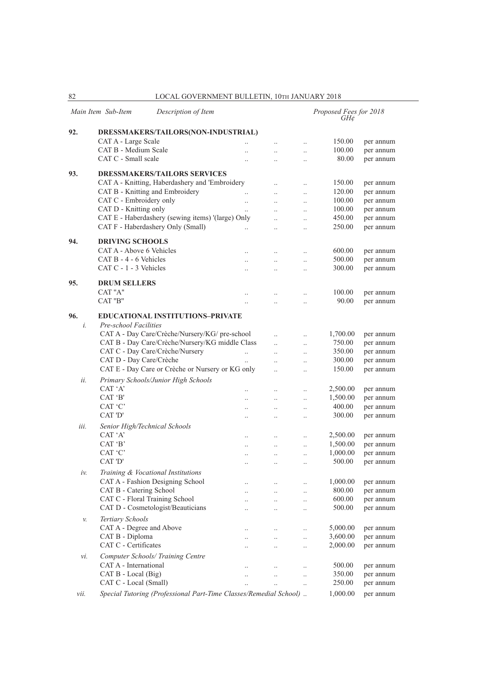|           | Main Item Sub-Item<br>Description of Item                         |                       |                        |                        | Proposed Fees for 2018<br>GH¢ |           |
|-----------|-------------------------------------------------------------------|-----------------------|------------------------|------------------------|-------------------------------|-----------|
| 92.       | DRESSMAKERS/TAILORS(NON-INDUSTRIAL)                               |                       |                        |                        |                               |           |
|           | CAT A - Large Scale                                               |                       | $\ddot{\phantom{0}}$   | $\ddot{\phantom{0}}$   | 150.00                        | per annum |
|           | CAT B - Medium Scale                                              |                       | $\ddot{\phantom{a}}$   | $\ddotsc$              | 100.00                        | per annum |
|           | CAT C - Small scale                                               |                       | $\ddotsc$              | $\ddotsc$              | 80.00                         | per annum |
| 93.       | <b>DRESSMAKERS/TAILORS SERVICES</b>                               |                       |                        |                        |                               |           |
|           | CAT A - Knitting, Haberdashery and 'Embroidery                    |                       | $\ddot{\phantom{0}}$   | $\ddot{\phantom{0}}$   | 150.00                        | per annum |
|           | CAT B - Knitting and Embroidery                                   | $\ddotsc$             | $\ddotsc$              | $\ldots$               | 120.00                        | per annum |
|           | CAT C - Embroidery only                                           |                       | $\ddot{\phantom{0}}$   |                        | 100.00                        | per annum |
|           | CAT D - Knitting only                                             | $\ddotsc$             |                        | $\ddotsc$              | 100.00                        | per annum |
|           | CAT E - Haberdashery (sewing items) '(large) Only                 | $\ddot{\phantom{0}}$  |                        |                        | 450.00                        | per annum |
|           | CAT F - Haberdashery Only (Small)                                 |                       | $\ddotsc$<br>$\ddotsc$ | $\ddotsc$<br>$\ddotsc$ | 250.00                        | per annum |
|           |                                                                   |                       |                        |                        |                               |           |
| 94.       | <b>DRIVING SCHOOLS</b><br>CAT A - Above 6 Vehicles                |                       |                        |                        | 600.00                        | per annum |
|           | $CAT B - 4 - 6$ Vehicles                                          | $\ddot{\phantom{0}}$  |                        | $\ddotsc$              | 500.00                        |           |
|           | CAT C - 1 - 3 Vehicles                                            | $\ddotsc$             | $\ddot{\phantom{0}}$   | $\ddotsc$              | 300.00                        | per annum |
|           |                                                                   | $\ddot{\phantom{a}}$  | $\ddot{\phantom{a}}$   | $\ddot{\phantom{0}}$   |                               | per annum |
| 95.       | <b>DRUM SELLERS</b>                                               |                       |                        |                        |                               |           |
|           | CAT "A"                                                           |                       |                        | $\ddot{\phantom{0}}$   | 100.00                        | per annum |
|           | CAT "B"                                                           |                       |                        | $\ddotsc$              | 90.00                         | per annum |
| 96.<br>i. | <b>EDUCATIONAL INSTITUTIONS-PRIVATE</b><br>Pre-school Facilities  |                       |                        |                        |                               |           |
|           | CAT A - Day Care/Crèche/Nursery/KG/ pre-school                    |                       | $\ddot{\phantom{0}}$   | $\ddotsc$              | 1,700.00                      | per annum |
|           | CAT B - Day Care/Crèche/Nursery/KG middle Class                   |                       | $\ddotsc$              | $\ddotsc$              | 750.00                        | per annum |
|           | CAT C - Day Care/Crèche/Nursery                                   | $\ddot{\phantom{a}}$  | $\ddot{\phantom{a}}$   | $\ddotsc$              | 350.00                        | per annum |
|           | CAT D - Day Care/Crèche                                           | $\dddot{\phantom{0}}$ | $\ddotsc$              | $\ddotsc$              | 300.00                        | per annum |
|           | CAT E - Day Care or Crèche or Nursery or KG only                  |                       | $\ddot{\phantom{a}}$   | $\ddotsc$              | 150.00                        | per annum |
| ii.       | Primary Schools/Junior High Schools                               |                       |                        |                        |                               |           |
|           | CAT 'A'                                                           |                       |                        | $\ddot{\phantom{0}}$   | 2,500.00                      | per annum |
|           | CAT 'B'                                                           | $\ddotsc$             | $\ddotsc$              | $\ddotsc$              | 1,500.00                      | per annum |
|           | CAT 'C'                                                           | $\ddotsc$             |                        | $\ldots$               | 400.00                        | per annum |
|           | CAT 'D'                                                           | $\ldots$              |                        | $\ddotsc$              | 300.00                        | per annum |
| iii.      | Senior High/Technical Schools                                     |                       |                        |                        |                               |           |
|           | CAT 'A'                                                           | $\ddotsc$             | $\ddot{\phantom{0}}$   | $\ddotsc$              | 2,500.00                      | per annum |
|           | CAT 'B'                                                           | $\ddotsc$             | $\ddotsc$              | $\ddot{\phantom{0}}$   | 1,500.00                      | per annum |
|           | CAT 'C'                                                           | $\ddotsc$             | $\ddotsc$              | $\ddotsc$              | 1,000.00                      | per annum |
|           | CAT 'D'                                                           | $\ldots$              | $\ddotsc$              | $\ddotsc$              | 500.00                        | per annum |
| iν.       | Training & Vocational Institutions                                |                       |                        |                        |                               |           |
|           | CAT A - Fashion Designing School                                  | $\ddotsc$             |                        | $\ldots$               | 1,000.00                      | per annum |
|           | CAT B - Catering School                                           | $\ddotsc$             | $\ddot{\phantom{0}}$   | $\ldots$               | 800.00                        | per annum |
|           | CAT C - Floral Training School                                    | $\ddotsc$             | $\ddots$               | $\ldots$               | 600.00                        | per annum |
|           | CAT D - Cosmetologist/Beauticians                                 | $\cdot$ .             |                        | $\ldots$               | 500.00                        | per annum |
| v.        | Tertiary Schools                                                  |                       |                        |                        |                               |           |
|           | CAT A - Degree and Above                                          | $\ddotsc$             | $\ldots$               | $\ldots$               | 5,000.00                      | per annum |
|           | CAT B - Diploma                                                   |                       | $\ddotsc$              | $\ddotsc$              | 3,600.00                      | per annum |
|           | CAT C - Certificates                                              | $\ddotsc$             | $\ddotsc$              | $\ddotsc$              | 2,000.00                      | per annum |
| νi.       | Computer Schools/ Training Centre                                 |                       |                        |                        |                               |           |
|           | CAT A - International                                             | $\ddotsc$             | $\ddotsc$              | $\ldots$               | 500.00                        | per annum |
|           | CAT B - Local (Big)                                               | $\ddotsc$             |                        | $\ldots$               | 350.00                        | per annum |
|           | CAT C - Local (Small)                                             |                       | $\ddot{\phantom{0}}$   | $\ldots$               | 250.00                        | per annum |
| vii.      | Special Tutoring (Professional Part-Time Classes/Remedial School) |                       |                        |                        | 1,000.00                      | per annum |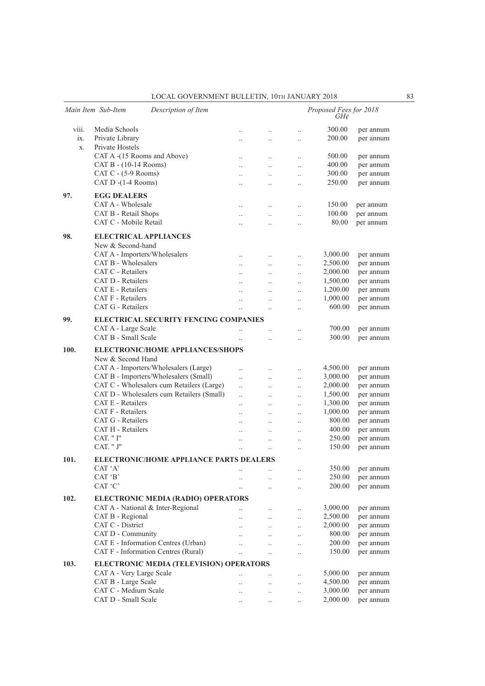|       | Main Item Sub-Item<br>Description of Item      |                                   |                       |                      | Proposed Fees for 2018<br>GH¢ |                        |
|-------|------------------------------------------------|-----------------------------------|-----------------------|----------------------|-------------------------------|------------------------|
| viii. | Media Schools                                  | $\ddotsc$                         | $\ddotsc$             | $\ddotsc$            | 300.00                        | per annum              |
| ix.   | Private Library                                |                                   | $\ddotsc$             | $\ddotsc$            | 200.00                        | per annum              |
| X.    | Private Hostels                                |                                   |                       |                      |                               |                        |
|       | CAT A -(15 Rooms and Above)                    | $\ddotsc$                         | $\ddotsc$             | $\ldots$             | 500.00                        | per annum              |
|       | CAT B - (10-14 Rooms)                          | $\ddot{\phantom{0}}$              | $\ddotsc$             | $\ddot{\phantom{a}}$ | 400.00                        | per annum              |
|       | CAT C $-$ (5-9 Rooms)                          | $\ddot{\phantom{a}}$              | $\ddotsc$             | $\ddot{\phantom{0}}$ | 300.00                        | per annum              |
|       | CAT D -(1-4 Rooms)                             |                                   | $\ddotsc$             | $\ddotsc$            | 250.00                        | per annum              |
| 97.   | <b>EGG DEALERS</b>                             |                                   |                       |                      |                               |                        |
|       | CAT A - Wholesale                              |                                   |                       | $\ddotsc$            | 150.00                        | per annum              |
|       | CAT B - Retail Shops                           | $\ddotsc$<br>$\ddot{\phantom{a}}$ | $\ldots$<br>$\ddotsc$ | $\ddotsc$            | 100.00                        | per annum              |
|       | CAT C - Mobile Retail                          | $\ddot{\phantom{a}}$              | $\ddot{\phantom{a}}$  | $\ddot{\phantom{a}}$ | 80.00                         | per annum              |
|       |                                                |                                   |                       |                      |                               |                        |
| 98.   | <b>ELECTRICAL APPLIANCES</b>                   |                                   |                       |                      |                               |                        |
|       | New & Second-hand                              |                                   |                       |                      |                               |                        |
|       | CAT A - Importers/Wholesalers                  | $\ddot{\phantom{0}}$              | $\ldots$              | $\ddotsc$            | 3,000.00                      | per annum              |
|       | CAT B - Wholesalers<br>CAT C - Retailers       | $\ddot{\phantom{a}}$              | $\ddotsc$             | $\ddotsc$            | 2,500.00                      | per annum              |
|       | CAT D - Retailers                              |                                   |                       | $\ddotsc$            | 2,000.00                      | per annum              |
|       | CAT E - Retailers                              | $\ddot{\phantom{a}}$              | $\ddotsc$             | $\ddotsc$            | 1,500.00                      | per annum              |
|       | <b>CAT F</b> - Retailers                       | $\ddotsc$                         | $\ddotsc$             | $\ddotsc$            | 1,200.00<br>1,000.00          | per annum              |
|       | CAT G - Retailers                              |                                   | $\ddotsc$             | $\ddotsc$            | 600.00                        | per annum<br>per annum |
|       |                                                |                                   | $\ddot{\phantom{a}}$  |                      |                               |                        |
| 99.   | <b>ELECTRICAL SECURITY FENCING COMPANIES</b>   |                                   |                       |                      |                               |                        |
|       | CAT A - Large Scale                            | $\ddotsc$                         | $\ddot{\phantom{0}}$  | $\ddotsc$            | 700.00                        | per annum              |
|       | CAT B - Small Scale                            | $\ddot{\phantom{a}}$              |                       | $\ddotsc$            | 300.00                        | per annum              |
| 100.  | <b>ELECTRONIC/HOME APPLIANCES/SHOPS</b>        |                                   |                       |                      |                               |                        |
|       | New & Second Hand                              |                                   |                       |                      |                               |                        |
|       | CAT A - Importers/Wholesalers (Large)          | $\ddotsc$                         | $\ddotsc$             | $\ddotsc$            | 4,500.00                      | per annum              |
|       | CAT B - Importers/Wholesalers (Small)          | $\ddot{\phantom{0}}$              | $\ddotsc$             | $\ddotsc$            | 3,000.00                      | per annum              |
|       | CAT C - Wholesalers cum Retailers (Large)      | $\ddot{\phantom{0}}$              | $\ddotsc$             | $\ddotsc$            | 2,000.00                      | per annum              |
|       | CAT D - Wholesalers cum Retailers (Small)      | $\ddot{\phantom{0}}$              | $\ddotsc$             | $\ddotsc$            | 1,500.00                      | per annum              |
|       | CAT E - Retailers                              | $\ddot{\phantom{a}}$              | $\ddotsc$             | $\ddotsc$            | 1,300.00                      | per annum              |
|       | <b>CAT F</b> - Retailers                       | $\ddot{\phantom{0}}$              | $\ddotsc$             | $\ddotsc$            | 1,000.00                      | per annum              |
|       | CAT G - Retailers                              |                                   | $\ldots$              | $\ddotsc$            | 800.00                        | per annum              |
|       | CAT H - Retailers                              | $\ddot{\phantom{0}}$              | $\ddotsc$             | $\ddotsc$            | 400.00                        | per annum              |
|       | CAT. " I"<br>CAT. " J"                         | $\ddot{\phantom{a}}$              | $\ddotsc$             | $\ddot{\phantom{a}}$ | 250.00                        | per annum              |
|       |                                                | $\ddot{\phantom{a}}$              |                       | $\ddot{\phantom{0}}$ | 150.00                        | per annum              |
| 101.  | <b>ELECTRONIC/HOME APPLIANCE PARTS DEALERS</b> |                                   |                       |                      |                               |                        |
|       | CAT 'A'                                        | $\ddotsc$                         | $\ddotsc$             | $\ldots$             | 350.00                        | per annum              |
|       | CAT 'B'                                        |                                   | $\ddot{\phantom{0}}$  | $\ddotsc$            | 250.00                        | per annum              |
|       | CAT 'C'                                        |                                   | $\ddotsc$             | $\ddotsc$            | 200.00                        | per annum              |
| 102.  | ELECTRONIC MEDIA (RADIO) OPERATORS             |                                   |                       |                      |                               |                        |
|       | CAT A - National & Inter-Regional              | $\ddot{\phantom{0}}$              | $\ldots$              | $\ddotsc$            | 3,000.00                      | per annum              |
|       | CAT B - Regional                               | $\ddot{\phantom{0}}$              | $\ldots$              | $\ddotsc$            | 2,500.00                      | per annum              |
|       | CAT C - District                               | $\ddot{\phantom{0}}$              | $\ddotsc$             | $\ldots$             | 2,000.00                      | per annum              |
|       | CAT D - Community                              | $\ddot{\phantom{0}}$              | $\ddotsc$             | $\ldots$             | 800.00                        | per annum              |
|       | CAT E - Information Centres (Urban)            |                                   | $\ddotsc$             | $\ddotsc$            | 200.00                        | per annum              |
|       | CAT F - Information Centres (Rural)            |                                   | $\ddotsc$             | $\ddotsc$            | 150.00                        | per annum              |
| 103.  | ELECTRONIC MEDIA (TELEVISION) OPERATORS        |                                   |                       |                      |                               |                        |
|       | CAT A - Very Large Scale                       |                                   |                       | $\ddotsc$            | 5,000.00                      | per annum              |
|       | CAT B - Large Scale                            |                                   | $\ldots$              | $\ddotsc$            | 4,500.00                      | per annum              |
|       | CAT C - Medium Scale                           | $\ddotsc$                         | $\ldots$              | $\ddotsc$            | 3,000.00                      | per annum              |
|       | CAT D - Small Scale                            | $\ddotsc$                         | $\ldots$              | $\ddotsc$            | 2,000.00                      | per annum              |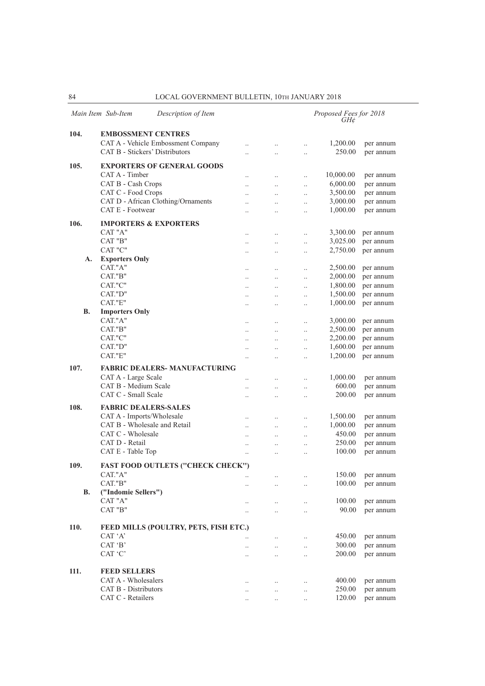|           | Main Item Sub-Item<br>Description of Item                |                                              |                                  |                        | Proposed Fees for 2018<br>$GH\ell$ |                        |
|-----------|----------------------------------------------------------|----------------------------------------------|----------------------------------|------------------------|------------------------------------|------------------------|
| 104.      | <b>EMBOSSMENT CENTRES</b>                                |                                              |                                  |                        |                                    |                        |
|           | CAT A - Vehicle Embossment Company                       | $\ddot{\phantom{0}}$                         | $\ddotsc$                        | $\ddotsc$              | 1,200.00                           | per annum              |
|           | CAT B - Stickers' Distributors                           | $\ddot{\phantom{0}}$                         | $\ddot{\phantom{a}}$             | $\ddotsc$              | 250.00                             | per annum              |
|           |                                                          |                                              |                                  |                        |                                    |                        |
| 105.      | <b>EXPORTERS OF GENERAL GOODS</b>                        |                                              |                                  |                        |                                    |                        |
|           | CAT A - Timber                                           | $\ddot{\phantom{a}}$                         | $\ldots$                         | $\ddotsc$              | 10,000.00                          | per annum              |
|           | CAT B - Cash Crops                                       | $\ddot{\phantom{a}}$                         | $\ddotsc$                        | $\ddotsc$              | 6,000.00                           | per annum              |
|           | CAT C - Food Crops<br>CAT D - African Clothing/Ornaments | $\ddot{\phantom{a}}$                         | $\ddotsc$                        | $\ddotsc$              | 3,500.00<br>3,000.00               | per annum<br>per annum |
|           | CAT E - Footwear                                         | $\ddot{\phantom{a}}$                         | $\ddotsc$                        | $\ddotsc$              | 1,000.00                           | per annum              |
|           |                                                          | $\ddot{\phantom{a}}$                         | $\ddot{\phantom{0}}$             | $\ldots$               |                                    |                        |
| 106.      | <b>IMPORTERS &amp; EXPORTERS</b>                         |                                              |                                  |                        |                                    |                        |
|           | CAT "A"                                                  | $\cdot$                                      | $\ldots$                         | $\ddotsc$              | 3,300.00                           | per annum              |
|           | CAT "B"                                                  | $\ddot{\phantom{a}}$                         | $\ddotsc$                        | $\ddotsc$              | 3,025.00                           | per annum              |
|           | CAT "C"                                                  | $\ddot{\phantom{a}}$                         | $\ddot{\phantom{0}}$             | $\ddotsc$              | 2,750.00                           | per annum              |
| А.        | <b>Exporters Only</b><br>CAT."A"                         |                                              |                                  |                        |                                    |                        |
|           | CAT."B"                                                  |                                              | $\cdot$ .                        | $\ldots$               | 2,500.00<br>2,000.00               | per annum<br>per annum |
|           | CAT."C"                                                  | $\ddot{\phantom{a}}$                         | $\ldots$<br>$\ddot{\phantom{a}}$ | $\ddotsc$              | 1,800.00                           | per annum              |
|           | CAT."D"                                                  | $\ddot{\phantom{a}}$<br>$\ddot{\phantom{a}}$ | $\ddotsc$                        | $\ddotsc$<br>$\ddotsc$ | 1,500.00                           | per annum              |
|           | CAT."E"                                                  | $\ddotsc$                                    | $\ddotsc$                        | $\ldots$               | 1,000.00                           | per annum              |
| В.        | <b>Importers Only</b>                                    |                                              |                                  |                        |                                    |                        |
|           | CAT."A"                                                  | $\ddotsc$                                    | $\cdot$ .                        | $\ddotsc$              | 3,000.00                           | per annum              |
|           | CAT."B"                                                  | $\ddotsc$                                    | $\ddotsc$                        | $\ddotsc$              | 2,500.00                           | per annum              |
|           | CAT."C"                                                  | $\ddot{\phantom{a}}$                         | $\ddotsc$                        | $\ddotsc$              | 2,200.00                           | per annum              |
|           | CAT."D"                                                  | $\ddot{\phantom{a}}$                         | $\ddotsc$                        | $\ldots$               | 1,600.00                           | per annum              |
|           | CAT."E"                                                  | $\ddot{\phantom{a}}$                         | $\ddot{\phantom{a}}$             | $\ddotsc$              | 1,200.00                           | per annum              |
| 107.      | <b>FABRIC DEALERS- MANUFACTURING</b>                     |                                              |                                  |                        |                                    |                        |
|           | CAT A - Large Scale                                      | $\ddot{\phantom{a}}$                         | $\ddot{\phantom{0}}$             | $\ddotsc$              | 1,000.00                           | per annum              |
|           | CAT B - Medium Scale                                     |                                              | $\ddotsc$                        | $\ldots$               | 600.00                             | per annum              |
|           | CAT C - Small Scale                                      | $\ddot{\phantom{a}}$                         | $\ddot{\phantom{a}}$             | $\ldots$               | 200.00                             | per annum              |
| 108.      | <b>FABRIC DEALERS-SALES</b>                              |                                              |                                  |                        |                                    |                        |
|           | CAT A - Imports/Wholesale                                | $\ddotsc$                                    | $\ddotsc$                        | $\ddotsc$              | 1,500.00                           | per annum              |
|           | CAT B - Wholesale and Retail                             | $\ddot{\phantom{0}}$                         | $\ddotsc$                        | $\ldots$               | 1,000.00                           | per annum              |
|           | CAT C - Wholesale                                        | $\ddot{\phantom{a}}$                         | $\ddotsc$                        | $\ldots$               | 450.00                             | per annum              |
|           | CAT D - Retail                                           | $\ddotsc$                                    | $\ddotsc$                        | $\ddotsc$              | 250.00                             | per annum              |
|           | CAT E - Table Top                                        | $\ddot{\phantom{a}}$                         | $\ddot{\phantom{a}}$             | $\ddotsc$              | 100.00                             | per annum              |
|           |                                                          |                                              |                                  |                        |                                    |                        |
| 109.      | <b>FAST FOOD OUTLETS ("CHECK CHECK")</b>                 |                                              |                                  |                        |                                    |                        |
|           | CAT."A"<br>CAT."B"                                       | $\ddot{\phantom{a}}$                         | $\ddotsc$                        | $\ddotsc$              | 150.00<br>100.00                   | per annum              |
| <b>B.</b> | ("Indomie Sellers")                                      |                                              | $\ldots$                         | $\ldots$               |                                    | per annum              |
|           | CAT "A"                                                  |                                              |                                  |                        | 100.00                             | per annum              |
|           | CAT "B"                                                  | $\ldots$<br>$\ldots$                         | $\ldots$<br>$\ldots$             | $\ldots$<br>$\ddotsc$  | 90.00                              | per annum              |
|           |                                                          |                                              |                                  |                        |                                    |                        |
| 110.      | FEED MILLS (POULTRY, PETS, FISH ETC.)                    |                                              |                                  |                        |                                    |                        |
|           | CAT 'A'                                                  | $\ddotsc$                                    | $\ldots$                         | $\ldots$               | 450.00                             | per annum              |
|           | CAT 'B'                                                  | $\ddot{\phantom{0}}$                         | $\ldots$                         | $\ldots$               | 300.00                             | per annum              |
|           | $\rm CAT$ 'C'                                            | $\ddot{\phantom{0}}$                         | $\ddotsc$                        | $\ddotsc$              | 200.00                             | per annum              |
|           |                                                          |                                              |                                  |                        |                                    |                        |
| 111.      | <b>FEED SELLERS</b>                                      |                                              |                                  |                        |                                    |                        |
|           | CAT A - Wholesalers                                      | $\ldots$                                     | $\ldots$                         | $\ldots$               | 400.00                             | per annum              |
|           | CAT B - Distributors                                     | $\ldots$                                     | $\ldots$                         | $\ldots$               | 250.00                             | per annum              |
|           | CAT C - Retailers                                        | $\ddotsc$                                    | $\ddotsc$                        | $\ldots$               | 120.00                             | per annum              |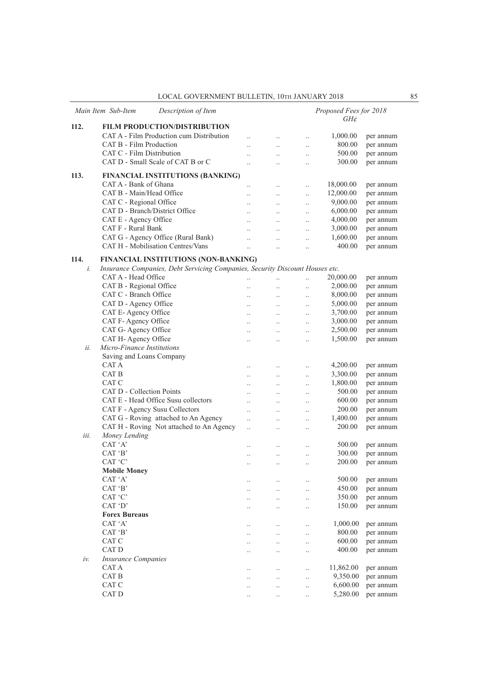|      | Main Item Sub-Item<br>Description of Item                                    |                                   |                                   |                                   | Proposed Fees for 2018<br>$GH\phi$ |           |
|------|------------------------------------------------------------------------------|-----------------------------------|-----------------------------------|-----------------------------------|------------------------------------|-----------|
| 112. | FILM PRODUCTION/DISTRIBUTION                                                 |                                   |                                   |                                   |                                    |           |
|      | CAT A - Film Production cum Distribution                                     | $\ddotsc$                         | $\ddotsc$                         | $\ddotsc$                         | 1,000.00                           | per annum |
|      | CAT B - Film Production                                                      | $\ddot{\phantom{a}}$              | $\ddotsc$                         | $\ddot{\phantom{0}}$              | 800.00                             | per annum |
|      | CAT C - Film Distribution                                                    | $\ddot{\phantom{a}}$              | $\ddotsc$                         | $\ddotsc$                         | 500.00                             | per annum |
|      | CAT D - Small Scale of CAT B or C                                            | $\ddot{\phantom{a}}$              | $\ddotsc$                         | $\ddotsc$                         | 300.00                             | per annum |
| 113. | FINANCIAL INSTITUTIONS (BANKING)                                             |                                   |                                   |                                   |                                    |           |
|      | CAT A - Bank of Ghana                                                        | $\ddotsc$                         | $\ddotsc$                         | $\ddotsc$                         | 18,000.00                          | per annum |
|      | CAT B - Main/Head Office                                                     | $\ddot{\phantom{a}}$              | $\ddotsc$                         | $\ddot{\phantom{0}}$              | 12,000.00                          | per annum |
|      | CAT C - Regional Office                                                      | $\ddotsc$                         | $\ddotsc$                         | $\ddotsc$                         | 9,000.00                           | per annum |
|      | CAT D - Branch/District Office                                               | $\ddot{\phantom{0}}$              | $\ldots$                          | $\ddotsc$                         | 6,000.00                           | per annum |
|      | CAT E - Agency Office                                                        | $\ddotsc$                         | $\ddot{\phantom{0}}$              | $\ddot{\phantom{a}}$              | 4,000.00                           | per annum |
|      | CAT F - Rural Bank                                                           | $\ddot{\phantom{a}}$              |                                   | $\ddot{\phantom{a}}$              | 3,000.00                           | per annum |
|      | CAT G - Agency Office (Rural Bank)                                           | $\ddotsc$                         | $\ddotsc$                         | $\ddot{\phantom{a}}$              | 1,600.00                           | per annum |
|      | CAT H - Mobilisation Centres/Vans                                            | $\ddotsc$                         | $\ddot{\phantom{a}}$              | $\ddot{\phantom{a}}$              | 400.00                             | per annum |
| 114. | FINANCIAL INSTITUTIONS (NON-BANKING)                                         |                                   |                                   |                                   |                                    |           |
| i.   | Insurance Companies, Debt Servicing Companies, Security Discount Houses etc. |                                   |                                   |                                   |                                    |           |
|      | CAT A - Head Office                                                          | $\ddotsc$                         | $\ddotsc$                         | $\ddotsc$                         | 20,000.00                          | per annum |
|      | CAT B - Regional Office                                                      | $\ddot{\phantom{a}}$              |                                   | $\ddotsc$                         | 2,000.00                           | per annum |
|      | CAT C - Branch Office                                                        | $\ddot{\phantom{0}}$              | $\ddotsc$                         | $\ddotsc$                         | 8,000.00                           | per annum |
|      | CAT D - Agency Office                                                        | $\ddot{\phantom{a}}$              | $\ddotsc$                         | $\ddotsc$                         | 5,000.00                           | per annum |
|      | CAT E-Agency Office                                                          | $\ddot{\phantom{a}}$              | $\ddot{\phantom{a}}$              | $\ddotsc$                         | 3,700.00                           | per annum |
|      | CAT F- Agency Office                                                         |                                   |                                   | $\ddotsc$                         | 3,000.00                           | per annum |
|      | CAT G- Agency Office                                                         | $\ddot{\phantom{a}}$              | $\ddotsc$                         | $\ddotsc$                         | 2,500.00                           | per annum |
| ii.  | CAT H- Agency Office<br>Micro-Finance Institutions                           | $\ddotsc$                         | $\ddotsc$                         | $\ddotsc$                         | 1,500.00                           | per annum |
|      | Saving and Loans Company                                                     |                                   |                                   |                                   |                                    |           |
|      | CAT A                                                                        |                                   |                                   |                                   | 4,200.00                           | per annum |
|      | CAT B                                                                        | $\ddotsc$<br>$\ddot{\phantom{a}}$ | $\ddot{\phantom{a}}$<br>$\ddotsc$ | $\ddotsc$<br>$\ddot{\phantom{a}}$ | 3,300.00                           | per annum |
|      | CAT C                                                                        | $\ddot{\phantom{a}}$              | $\ddotsc$                         |                                   | 1,800.00                           | per annum |
|      | CAT D - Collection Points                                                    | $\ddot{\phantom{a}}$              | $\ddot{\phantom{a}}$              | $\ddotsc$                         | 500.00                             | per annum |
|      | CAT E - Head Office Susu collectors                                          | $\ddot{\phantom{0}}$              | $\ddotsc$                         | $\ddotsc$<br>$\ddotsc$            | 600.00                             | per annum |
|      | CAT F - Agency Susu Collectors                                               | $\ddot{\phantom{a}}$              | $\ddot{\phantom{a}}$              | $\ddot{\phantom{a}}$              | 200.00                             | per annum |
|      | CAT G - Roving attached to An Agency                                         | $\ddotsc$                         | $\ddot{\phantom{a}}$              | $\ddotsc$                         | 1,400.00                           | per annum |
|      | CAT H - Roving Not attached to An Agency                                     | $\ddotsc$                         | $\ddotsc$                         | $\ddot{\phantom{a}}$              | 200.00                             | per annum |
| iii. | Money Lending                                                                |                                   |                                   |                                   |                                    |           |
|      | CAT 'A'                                                                      | $\ddot{\phantom{0}}$              | $\ddot{\phantom{a}}$              |                                   | 500.00                             | per annum |
|      | CAT 'B'                                                                      | $\ddot{\phantom{0}}$              | $\ddotsc$                         |                                   | 300.00                             | per annum |
|      | CAT 'C'                                                                      | $\cdot$ .                         | $\cdot$ .                         |                                   | 200.00                             | per annum |
|      | <b>Mobile Money</b>                                                          |                                   |                                   |                                   |                                    |           |
|      | CAT 'A'                                                                      |                                   | $\ldots$                          | $\ddotsc$                         | 500.00                             | per annum |
|      | CAT 'B'                                                                      | $\ddotsc$                         | $\ddotsc$                         | $\ddotsc$                         | 450.00                             | per annum |
|      | CAT 'C'                                                                      | $\ddot{\phantom{a}}$              | $\ddotsc$                         | $\ddotsc$                         | 350.00                             | per annum |
|      | CAT 'D'                                                                      |                                   | $\ddotsc$                         | $\ddotsc$                         | 150.00                             | per annum |
|      | <b>Forex Bureaus</b>                                                         |                                   |                                   |                                   |                                    |           |
|      | CAT 'A'                                                                      |                                   | $\ddotsc$                         | $\ddotsc$                         | 1,000.00                           | per annum |
|      | CAT 'B'                                                                      |                                   | $\ddotsc$                         | $\ddotsc$                         | 800.00                             | per annum |
|      | CAT C                                                                        | $\ddotsc$                         | $\ddotsc$                         | $\ddotsc$                         | 600.00                             | per annum |
|      | CAT D                                                                        |                                   | $\ddotsc$                         | $\ddotsc$                         | 400.00                             | per annum |
| iv.  | <b>Insurance Companies</b>                                                   |                                   |                                   |                                   |                                    |           |
|      | CAT A                                                                        |                                   | $\ddotsc$                         | $\ddotsc$                         | 11,862.00                          | per annum |
|      | CAT B                                                                        | $\ddotsc$                         | $\ddotsc$                         | $\ddotsc$                         | 9,350.00                           | per annum |
|      | CAT C                                                                        | $\ddot{\phantom{0}}$              | $\ddotsc$                         | $\ddotsc$                         | 6,600.00<br>5,280.00               | per annum |
|      | CAT D                                                                        | $\ddotsc$                         | $\ldots$                          | $\ddotsc$                         |                                    | per annum |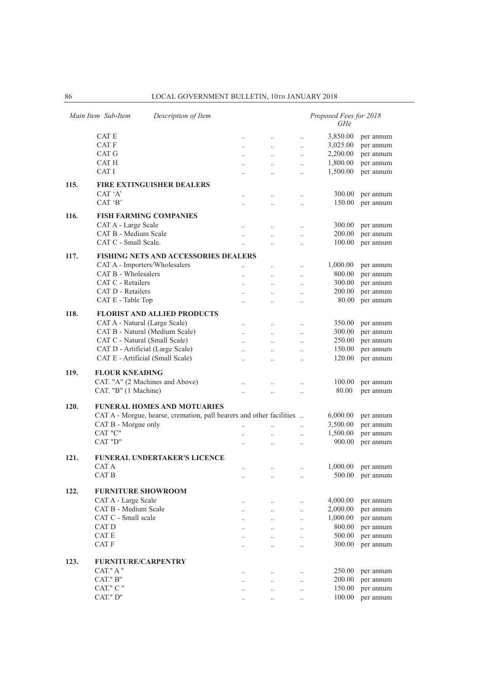|      | Main Item Sub-Item<br>Description of Item                            |                      |                                   |                        | Proposed Fees for 2018<br>$GH\phi$ |                        |
|------|----------------------------------------------------------------------|----------------------|-----------------------------------|------------------------|------------------------------------|------------------------|
|      | CAT E                                                                | $\ddotsc$            | $\ddotsc$                         | $\ldots$               | 3,850.00                           | per annum              |
|      | CAT F                                                                | $\ddotsc$            | $\ddotsc$                         | $\ddotsc$              | 3,025.00                           | per annum              |
|      | CAT G                                                                | $\ddotsc$            | $\ddot{\phantom{0}}$              | $\ddotsc$              | 2,200.00                           | per annum              |
|      | CAT H                                                                |                      | $\ddotsc$                         | $\ddotsc$              | 1,800.00                           | per annum              |
|      | CAT I                                                                |                      |                                   | $\ddot{\phantom{a}}$   | 1,500.00                           | per annum              |
|      |                                                                      |                      |                                   |                        |                                    |                        |
| 115. | <b>FIRE EXTINGUISHER DEALERS</b>                                     |                      |                                   |                        |                                    |                        |
|      | CAT 'A'                                                              |                      |                                   | $\ddotsc$              | 300.00                             | per annum              |
|      | CAT 'B'                                                              |                      | $\ddotsc$                         | $\ddotsc$              | 150.00                             | per annum              |
| 116. | <b>FISH FARMING COMPANIES</b>                                        |                      |                                   |                        |                                    |                        |
|      | CAT A - Large Scale                                                  | $\ddot{\phantom{a}}$ |                                   | $\ddotsc$              | 300.00                             | per annum              |
|      | CAT B - Medium Scale                                                 | $\ddot{\phantom{a}}$ | $\ddotsc$                         | $\ddotsc$              | 200.00                             | per annum              |
|      | CAT C - Small Scale.                                                 | $\ddot{\phantom{0}}$ | $\ddot{\phantom{a}}$              | $\ddotsc$              | 100.00                             | per annum              |
|      |                                                                      |                      |                                   |                        |                                    |                        |
| 117. | <b>FISHING NETS AND ACCESSORIES DEALERS</b>                          |                      |                                   |                        |                                    |                        |
|      | CAT A - Importers/Wholesalers                                        | $\ddot{\phantom{a}}$ | $\ddotsc$                         | $\ddotsc$              | 1,000.00                           | per annum              |
|      | CAT B - Wholesalers                                                  | $\ddot{\phantom{a}}$ |                                   | $\ddotsc$              | 800.00                             | per annum              |
|      | CAT C - Retailers                                                    | $\ddot{\phantom{a}}$ | $\ddot{\phantom{a}}$              | $\ddotsc$              | 300.00                             | per annum              |
|      | CAT D - Retailers                                                    | $\ddotsc$            | $\ddot{\phantom{0}}$              | $\ldots$               | 200.00                             | per annum              |
|      | CAT E - Table Top                                                    |                      | $\ddotsc$                         | $\ddotsc$              | 80.00                              | per annum              |
| 118. | <b>FLORIST AND ALLIED PRODUCTS</b>                                   |                      |                                   |                        |                                    |                        |
|      | CAT A - Natural (Large Scale)                                        | $\ddot{\phantom{a}}$ |                                   |                        | 350.00                             | per annum              |
|      | CAT B - Natural (Medium Scale)                                       | $\ddot{\phantom{a}}$ | $\ddot{\phantom{0}}$<br>$\ddotsc$ | $\ddotsc$<br>$\ddotsc$ | 300.00                             | per annum              |
|      | CAT C - Natural (Small Scale)                                        | $\ddotsc$            | $\ddot{\phantom{0}}$              |                        | 250.00                             | per annum              |
|      | CAT D - Artificial (Large Scale)                                     |                      |                                   | $\ldots$               | 150.00                             | per annum              |
|      | CAT E - Artificial (Small Scale)                                     | $\ddot{\phantom{0}}$ | $\ddotsc$                         | $\ldots$               | 120.00                             | per annum              |
|      |                                                                      | $\ddot{\phantom{0}}$ | $\ddot{\phantom{a}}$              | $\ddotsc$              |                                    |                        |
| 119. | <b>FLOUR KNEADING</b>                                                |                      |                                   |                        |                                    |                        |
|      | CAT. "A" (2 Machines and Above)                                      | $\ddot{\phantom{0}}$ | $\ddot{\phantom{a}}$              | $\ddotsc$              | 100.00                             | per annum              |
|      | CAT. "B" (1 Machine)                                                 | $\ddot{\phantom{a}}$ |                                   | $\ddot{\phantom{a}}$   | 80.00                              | per annum              |
|      |                                                                      |                      |                                   |                        |                                    |                        |
| 120. | <b>FUNERAL HOMES AND MOTUARIES</b>                                   |                      |                                   |                        |                                    |                        |
|      | CAT A - Morgue, hearse, cremation, pall bearers and other facilities |                      |                                   |                        | 6,000.00                           | per annum              |
|      | CAT B - Morgue only                                                  | $\ddotsc$            |                                   | $\ddotsc$              | 3,500.00                           | per annum              |
|      | CAT "C"                                                              | $\ddot{\phantom{a}}$ | $\ddotsc$                         | $\ddotsc$              | 1,500.00                           | per annum              |
|      | CAT "D"                                                              |                      | $\ddotsc$                         | $\ddotsc$              | 900.00                             | per annum              |
|      |                                                                      |                      |                                   |                        |                                    |                        |
| 121. | FUNERAL UNDERTAKER'S LICENCE                                         |                      |                                   |                        |                                    |                        |
|      | CAT A                                                                | $\ddot{\phantom{a}}$ | $\ddotsc$                         | $\ddotsc$              | 1,000.00                           | per annum              |
|      | CAT B                                                                | $\ldots$             | $\ldots$                          | $\ldots$               |                                    | 500.00 per annum       |
| 122. | <b>FURNITURE SHOWROOM</b>                                            |                      |                                   |                        |                                    |                        |
|      | CAT A - Large Scale                                                  |                      |                                   |                        | 4,000.00                           | per annum              |
|      | CAT B - Medium Scale                                                 | $\ddotsc$            | $\ldots$                          | $\ldots$               | 2,000.00                           | per annum              |
|      | CAT C - Small scale                                                  |                      | $\ddotsc$                         | $\ddotsc$              | 1,000.00                           | per annum              |
|      | CAT D                                                                |                      | $\ddotsc$                         | $\ddotsc$              | 800.00                             |                        |
|      | CAT E                                                                | $\ddotsc$            | $\ddotsc$                         | $\ddotsc$              | 500.00                             | per annum<br>per annum |
|      | CAT F                                                                |                      | $\ddotsc$                         | $\ddotsc$              | 300.00                             | per annum              |
|      |                                                                      |                      | $\ddot{\phantom{0}}$              | $\ddotsc$              |                                    |                        |
| 123. | <b>FURNITURE/CARPENTRY</b>                                           |                      |                                   |                        |                                    |                        |
|      | CAT." A "                                                            |                      |                                   |                        | 250.00                             | per annum              |
|      | CAT." B"                                                             |                      | $\ddot{\phantom{0}}$              | $\ddotsc$              | 200.00                             | per annum              |
|      | CAT." C "                                                            |                      | $\ddotsc$                         | $\ldots$               | 150.00                             | per annum              |
|      | CAT." D"                                                             |                      | $\ddotsc$                         | $\ldots$               | 100.00                             | per annum              |
|      |                                                                      |                      |                                   |                        |                                    |                        |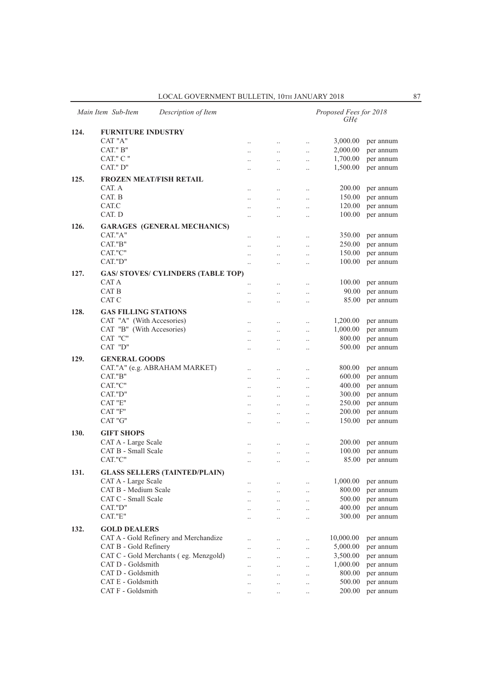|      | Main Item Sub-Item                                       | Description of Item                       |                        |                      |                        | Proposed Fees for 2018<br>$GH\mathcal{E}$ |                        |
|------|----------------------------------------------------------|-------------------------------------------|------------------------|----------------------|------------------------|-------------------------------------------|------------------------|
| 124. | <b>FURNITURE INDUSTRY</b>                                |                                           |                        |                      |                        |                                           |                        |
|      | CAT "A"                                                  |                                           | $\ddotsc$              | $\cdot$ .            | $\ddotsc$              | 3,000.00                                  | per annum              |
|      | CAT." B"                                                 |                                           | $\ddot{\phantom{a}}$   | $\ddot{\phantom{0}}$ | $\ddotsc$              | 2,000.00                                  | per annum              |
|      | CAT." C "                                                |                                           | $\ddotsc$              | $\ddotsc$            | $\ldots$               | 1,700.00                                  | per annum              |
|      | CAT." D"                                                 |                                           |                        | $\cdot$ .            | $\ldots$               | 1,500.00                                  | per annum              |
| 125. |                                                          | <b>FROZEN MEAT/FISH RETAIL</b>            |                        |                      |                        |                                           |                        |
|      | CAT. A                                                   |                                           |                        | $\cdot$              | $\cdot$ .              | 200.00                                    | per annum              |
|      | CAT. B                                                   |                                           |                        | $\cdot$              | $\ldots$               | 150.00                                    | per annum              |
|      | CAT.C                                                    |                                           | $\ddotsc$              | $\ddot{\phantom{a}}$ | $\ldots$               | 120.00                                    | per annum              |
|      | CAT. D                                                   |                                           |                        | $\ddot{\phantom{a}}$ | $\ddotsc$              | 100.00                                    | per annum              |
| 126. |                                                          | <b>GARAGES (GENERAL MECHANICS)</b>        |                        |                      |                        |                                           |                        |
|      | CAT."A"                                                  |                                           | $\cdot$                | $\cdot$ .            | $\ldots$               | 350.00                                    | per annum              |
|      | CAT."B"                                                  |                                           | $\ddot{\phantom{0}}$   | $\ddot{\phantom{0}}$ | $\ddotsc$              | 250.00                                    | per annum              |
|      | CAT."C"                                                  |                                           | $\ddotsc$              | $\ddotsc$            | $\ldots$               | 150.00                                    | per annum              |
|      | CAT."D"                                                  |                                           | $\ldots$               |                      | $\ldots$               | 100.00                                    | per annum              |
| 127. |                                                          | <b>GAS/ STOVES/ CYLINDERS (TABLE TOP)</b> |                        |                      |                        |                                           |                        |
|      | CAT A                                                    |                                           | $\ddot{\phantom{a}}$   |                      | $\ldots$               | 100.00                                    | per annum              |
|      | CAT B                                                    |                                           |                        | $\cdot$              | $\ldots$               | 90.00                                     | per annum              |
|      | CAT C                                                    |                                           | $\ddot{\phantom{a}}$   | $\ddot{\phantom{a}}$ | $\ldots$               | 85.00                                     | per annum              |
| 128. |                                                          |                                           |                        |                      |                        |                                           |                        |
|      | <b>GAS FILLING STATIONS</b><br>CAT "A" (With Accesories) |                                           |                        |                      |                        | 1,200.00                                  | per annum              |
|      | CAT "B" (With Accesories)                                |                                           | $\ddotsc$              | $\cdot$              | $\ddotsc$              | 1,000.00                                  |                        |
|      | CAT "C"                                                  |                                           | $\ddotsc$              | $\ddotsc$            | $\ddotsc$              | 800.00                                    | per annum<br>per annum |
|      | CAT "D"                                                  |                                           | $\ddotsc$<br>          | $\cdot$ .<br>        | $\cdot$ .<br>$\cdot$ . | 500.00                                    | per annum              |
|      |                                                          |                                           |                        |                      |                        |                                           |                        |
| 129. | <b>GENERAL GOODS</b>                                     | CAT."A" (e.g. ABRAHAM MARKET)             |                        |                      |                        | 800.00                                    |                        |
|      | CAT."B"                                                  |                                           |                        | $\cdot$ .            | $\cdot$ .              | 600.00                                    | per annum              |
|      | CAT."C"                                                  |                                           | $\cdot$                | $\cdot$              | $\cdot$ .              | 400.00                                    | per annum<br>per annum |
|      | CAT."D"                                                  |                                           | $\ddot{\phantom{a}}$   | $\ddot{\phantom{a}}$ | $\ddotsc$              | 300.00                                    | per annum              |
|      | CAT "E"                                                  |                                           | $\ddotsc$<br>$\ddotsc$ | $\ddot{\phantom{a}}$ | $\ddotsc$<br>$\ddotsc$ | 250.00                                    | per annum              |
|      | CAT "F"                                                  |                                           |                        |                      | $\cdot$ .              | 200.00                                    | per annum              |
|      | CAT "G"                                                  |                                           |                        |                      | $\cdot$                | 150.00                                    | per annum              |
|      | <b>GIFT SHOPS</b>                                        |                                           |                        |                      |                        |                                           |                        |
| 130. | CAT A - Large Scale                                      |                                           |                        |                      |                        | 200.00                                    |                        |
|      | CAT B - Small Scale                                      |                                           |                        |                      | $\cdot$ .              | 100.00                                    | per annum<br>per annum |
|      | CAT."C"                                                  |                                           |                        |                      | $\cdot$ .              | 85.00                                     | per annum              |
|      |                                                          |                                           |                        |                      |                        |                                           |                        |
| 131. |                                                          | <b>GLASS SELLERS (TAINTED/PLAIN)</b>      |                        |                      |                        |                                           |                        |
|      | CAT A - Large Scale                                      |                                           | $\cdot$ .              |                      | $\cdot$ .              | 1,000.00                                  | per annum              |
|      | CAT B - Medium Scale<br>CAT C - Small Scale              |                                           | $\ldots$               | $\ldots$             | $\ldots$               | 800.00                                    | per annum              |
|      |                                                          |                                           |                        | $\ldots$             | $\cdot$ .              | 500.00                                    | per annum              |
|      | CAT."D"<br>CAT."E"                                       |                                           | $\ddot{\phantom{a}}$   | $\ldots$             | $\ldots$               | 400.00<br>300.00                          | per annum<br>per annum |
|      |                                                          |                                           | $\ddot{\phantom{a}}$   | $\ddotsc$            | $\ddotsc$              |                                           |                        |
| 132. | <b>GOLD DEALERS</b>                                      |                                           |                        |                      |                        |                                           |                        |
|      |                                                          | CAT A - Gold Refinery and Merchandize     | $\cdot$                | $\ldots$             | $\ldots$               | 10,000.00                                 | per annum              |
|      | CAT B - Gold Refinery                                    |                                           | $\ddot{\phantom{a}}$   | $\ddotsc$            | $\ldots$               | 5,000.00                                  | per annum              |
|      |                                                          | CAT C - Gold Merchants (eg. Menzgold)     | $\ddotsc$              | $\ddotsc$            | $\ldots$               | 3,500.00                                  | per annum              |
|      | CAT D - Goldsmith                                        |                                           |                        | $\ddotsc$            | $\ldots$               | 1,000.00                                  | per annum              |
|      | CAT D - Goldsmith<br>CAT E - Goldsmith                   |                                           |                        | $\cdot$ .            | $\ldots$               | 800.00<br>500.00                          | per annum<br>per annum |
|      | CAT F - Goldsmith                                        |                                           |                        |                      | $\cdot$                | 200.00                                    | per annum              |
|      |                                                          |                                           | $\cdot$                |                      |                        |                                           |                        |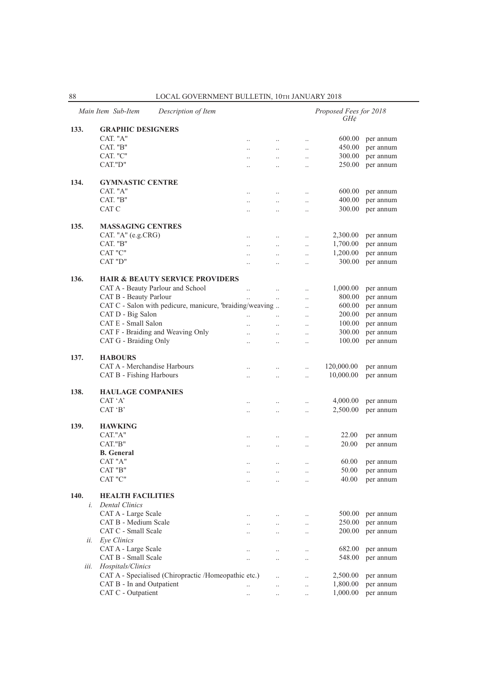|      | Main Item Sub-Item<br>Description of Item                |                      |                      |                      | Proposed Fees for 2018<br>GH¢ |           |
|------|----------------------------------------------------------|----------------------|----------------------|----------------------|-------------------------------|-----------|
| 133. | <b>GRAPHIC DESIGNERS</b>                                 |                      |                      |                      |                               |           |
|      | CAT. "A"                                                 | $\ddotsc$            | $\ldots$             | $\ldots$             | 600.00                        | per annum |
|      | CAT. "B"                                                 | $\ddotsc$            | $\ddotsc$            | $\ddotsc$            | 450.00                        | per annum |
|      | CAT. "C"                                                 | $\ldots$             | $\ldots$             | $\ddotsc$            | 300.00                        | per annum |
|      | CAT."D"                                                  |                      | $\ldots$             | $\ddotsc$            | 250.00                        | per annum |
|      |                                                          |                      |                      |                      |                               |           |
| 134. | <b>GYMNASTIC CENTRE</b>                                  |                      |                      |                      |                               |           |
|      | CAT. "A"                                                 | $\ddotsc$            |                      | $\ddotsc$            | 600.00                        | per annum |
|      | CAT. "B"                                                 | $\ddotsc$            | $\ddotsc$            | $\ddotsc$            | 400.00                        | per annum |
|      | CAT C                                                    | $\ddotsc$            | $\ldots$             | $\ddotsc$            | 300.00                        | per annum |
|      |                                                          |                      |                      |                      |                               |           |
| 135. | <b>MASSAGING CENTRES</b>                                 |                      |                      |                      |                               |           |
|      | CAT. " $A$ " (e.g.CRG)                                   | $\ddotsc$            | $\ddotsc$            | $\ddotsc$            | 2,300.00                      | per annum |
|      | CAT. "B"                                                 | $\ddotsc$            | $\ddotsc$            | $\ddotsc$            | 1,700.00                      | per annum |
|      | CAT "C"                                                  | $\ddotsc$            | $\ldots$             | $\ddotsc$            | 1,200.00                      | per annum |
|      | CAT "D"                                                  | $\ddotsc$            | $\ddot{\phantom{0}}$ | $\ddotsc$            | 300.00                        | per annum |
|      |                                                          |                      |                      |                      |                               |           |
| 136. | <b>HAIR &amp; BEAUTY SERVICE PROVIDERS</b>               |                      |                      |                      |                               |           |
|      | CAT A - Beauty Parlour and School                        | $\ddotsc$            |                      | $\ldots$             | 1,000.00                      | per annum |
|      | CAT B - Beauty Parlour                                   |                      | $\ddotsc$            | $\ldots$             | 800.00                        | per annum |
|      | CAT C - Salon with pedicure, manicure, 'braiding/weaving |                      |                      | $\ddot{\phantom{0}}$ | 600.00                        | per annum |
|      | CAT D - Big Salon                                        |                      |                      | $\ddotsc$            | 200.00                        | per annum |
|      | CAT E - Small Salon                                      |                      | $\ddot{\phantom{a}}$ | $\ddotsc$            | 100.00                        | per annum |
|      | CAT F - Braiding and Weaving Only                        | $\ddotsc$            | $\ldots$             | $\ddotsc$            | 300.00                        | per annum |
|      | CAT G - Braiding Only                                    | $\ddotsc$            | $\ldots$             |                      | 100.00                        | per annum |
|      |                                                          |                      |                      |                      |                               |           |
| 137. | <b>HABOURS</b>                                           |                      |                      |                      |                               |           |
|      | CAT A - Merchandise Harbours                             | $\ddot{\phantom{0}}$ |                      | $\ddotsc$            | 120,000.00                    | per annum |
|      | CAT B - Fishing Harbours                                 | $\ddotsc$            | $\ldots$             | $\ddotsc$            | 10,000.00                     | per annum |
| 138. | <b>HAULAGE COMPANIES</b>                                 |                      |                      |                      |                               |           |
|      | CAT 'A'                                                  |                      |                      |                      | 4,000.00                      | per annum |
|      | CAT 'B'                                                  | $\ddotsc$            | $\ldots$             | $\ddotsc$            | 2,500.00                      | per annum |
|      |                                                          | $\ldots$             | $\ddotsc$            | $\ddotsc$            |                               |           |
| 139. | <b>HAWKING</b>                                           |                      |                      |                      |                               |           |
|      | CAT."A"                                                  | $\ddotsc$            |                      | $\ldots$             | 22.00                         | per annum |
|      | CAT."B"                                                  | $\ddotsc$            | $\ddotsc$            | $\ddot{\phantom{0}}$ | 20.00                         | per annum |
|      | <b>B.</b> General                                        |                      |                      |                      |                               |           |
|      | CAT "A"                                                  | $\ddotsc$            | $\ldots$             | $\ldots$             | 60.00                         | per annum |
|      | CAT "B"                                                  |                      | $\ddotsc$            | $\ddotsc$            | 50.00                         | per annum |
|      | CAT "C"                                                  | $\ddotsc$            | $\ldots$             | $\ddotsc$            | 40.00                         | per annum |
|      |                                                          |                      |                      |                      |                               |           |
| 140. | <b>HEALTH FACILITIES</b>                                 |                      |                      |                      |                               |           |
| i.   | <b>Dental Clinics</b>                                    |                      |                      |                      |                               |           |
|      | CAT A - Large Scale                                      | $\ddotsc$            | $\ddotsc$            | $\ddotsc$            | 500.00                        | per annum |
|      | CAT B - Medium Scale                                     | $\ddotsc$            | $\ddotsc$            | $\ddotsc$            | 250.00                        | per annum |
|      | CAT C - Small Scale                                      | $\ddotsc$            | $\ddotsc$            | $\ddotsc$            | 200.00                        | per annum |
| ii.  | Eye Clinics                                              |                      |                      |                      |                               |           |
|      | CAT A - Large Scale                                      | $\ddotsc$            | $\ldots$             | $\ldots$             | 682.00                        | per annum |
|      | CAT B - Small Scale                                      | $\ddotsc$            | $\ddot{\phantom{a}}$ | $\ddotsc$            | 548.00                        | per annum |
| iii. | Hospitals/Clinics                                        |                      |                      |                      |                               |           |
|      | CAT A - Specialised (Chiropractic /Homeopathic etc.)     |                      | $\ddot{\phantom{0}}$ | $\ldots$             | 2,500.00                      | per annum |
|      | CAT B - In and Outpatient                                | $\cdot$ .            | $\ddotsc$            | $\ddotsc$            | 1,800.00                      | per annum |
|      | CAT C - Outpatient                                       | $\ddot{\phantom{0}}$ | $\ddotsc$            | $\ddotsc$            | 1,000.00                      | per annum |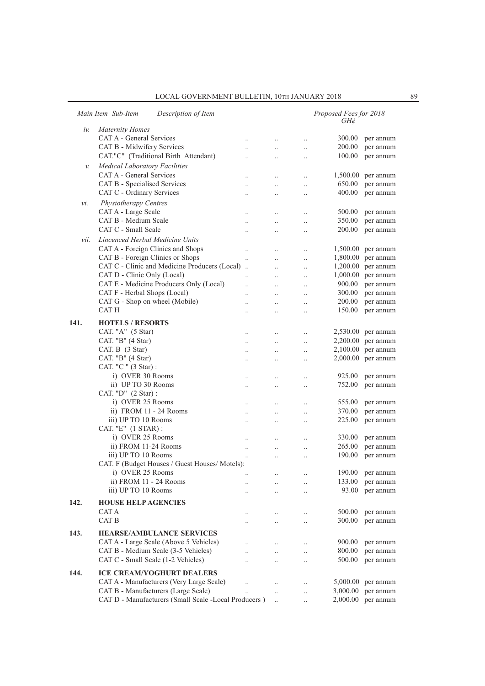|      | Main Item Sub-Item<br>Description of Item            |                      |                      |                      | Proposed Fees for 2018<br>$GH\mathcal{C}$ |                      |
|------|------------------------------------------------------|----------------------|----------------------|----------------------|-------------------------------------------|----------------------|
| iν.  | <b>Maternity Homes</b>                               |                      |                      |                      |                                           |                      |
|      | CAT A - General Services                             | $\ddotsc$            | $\ddotsc$            | $\cdot$              | 300.00                                    | per annum            |
|      | CAT B - Midwifery Services                           | $\ddotsc$            | $\ldots$             | $\ldots$             | 200.00                                    | per annum            |
|      | CAT."C" (Traditional Birth Attendant)                |                      |                      |                      | 100.00                                    | per annum            |
|      |                                                      |                      | $\ddot{\phantom{0}}$ | $\ldots$             |                                           |                      |
| v.   | <b>Medical Laboratory Facilities</b>                 |                      |                      |                      |                                           |                      |
|      | CAT A - General Services                             | $\ldots$             | $\ldots$             | $\ddotsc$            | 1,500.00                                  | per annum            |
|      | CAT B - Specialised Services                         | $\ddot{\phantom{a}}$ | $\ddotsc$            | $\ddotsc$            | 650.00                                    | per annum            |
|      | CAT C - Ordinary Services                            | $\ddot{\phantom{a}}$ | $\ddotsc$            | $\ddotsc$            | 400.00                                    | per annum            |
| νi.  | Physiotherapy Centres                                |                      |                      |                      |                                           |                      |
|      | CAT A - Large Scale                                  | $\ddot{\phantom{a}}$ | $\ddotsc$            | $\ddotsc$            | 500.00                                    | per annum            |
|      | CAT B - Medium Scale                                 | $\ddotsc$            | $\ddotsc$            | $\ddotsc$            | 350.00                                    | per annum            |
|      | CAT C - Small Scale                                  | $\ddotsc$            | $\ddotsc$            | $\ddotsc$            | 200.00                                    | per annum            |
| vii. | Lincenced Herbal Medicine Units                      |                      |                      |                      |                                           |                      |
|      | CAT A - Foreign Clinics and Shops                    | $\ldots$             | $\ldots$             | $\ldots$             |                                           | 1,500.00 per annum   |
|      | CAT B - Foreign Clinics or Shops                     | $\ddotsc$            | $\ddotsc$            | $\ddotsc$            |                                           | $1,800.00$ per annum |
|      | CAT C - Clinic and Medicine Producers (Local)        |                      | $\ddotsc$            | $\ddotsc$            |                                           | 1,200.00 per annum   |
|      | CAT D - Clinic Only (Local)                          |                      |                      |                      |                                           | $1,000.00$ per annum |
|      | CAT E - Medicine Producers Only (Local)              | $\ddot{\phantom{a}}$ | $\ddotsc$            | $\cdot$              | 900.00                                    | per annum            |
|      | CAT F - Herbal Shops (Local)                         |                      | $\ddot{\phantom{0}}$ | $\ldots$             | 300.00                                    | per annum            |
|      | CAT G - Shop on wheel (Mobile)                       | $\ddot{\phantom{a}}$ | $\ddotsc$            | $\ldots$             | 200.00                                    |                      |
|      |                                                      | $\ddotsc$            | $\ddotsc$            | $\ddotsc$            |                                           | per annum            |
|      | CAT H                                                | $\ddot{\phantom{a}}$ | $\ddotsc$            | $\ddot{\phantom{a}}$ | 150.00                                    | per annum            |
| 141. | <b>HOTELS / RESORTS</b>                              |                      |                      |                      |                                           |                      |
|      | CAT. "A" (5 Star)                                    | $\ldots$             | $\ldots$             | $\ddotsc$            |                                           | 2,530.00 per annum   |
|      | CAT. "B" (4 Star)                                    | $\ddotsc$            | $\ddotsc$            | $\ddotsc$            |                                           | 2,200.00 per annum   |
|      | CAT. B (3 Star)                                      | $\ddot{\phantom{0}}$ | $\ddotsc$            | $\ddotsc$            |                                           | 2,100.00 per annum   |
|      | CAT. "B" (4 Star)                                    | $\cdot$              | $\ldots$             | $\cdot$              |                                           | $2,000.00$ per annum |
|      | CAT. "C " (3 Star) :                                 |                      |                      |                      |                                           |                      |
|      | i) OVER 30 Rooms                                     | $\cdot$ .            | $\ldots$             | $\ldots$             | 925.00                                    | per annum            |
|      | ii) UP TO 30 Rooms                                   | $\ddotsc$            | $\ddotsc$            | $\ddotsc$            | 752.00                                    | per annum            |
|      | CAT. "D" (2 Star):                                   |                      |                      |                      |                                           |                      |
|      | i) OVER 25 Rooms                                     | $\ddotsc$            |                      |                      | 555.00                                    | per annum            |
|      | ii) FROM 11 - 24 Rooms                               |                      | $\ldots$             | $\cdot$              | 370.00                                    | per annum            |
|      | iii) UP TO 10 Rooms                                  | $\ddotsc$            | $\ldots$             | $\ldots$             | 225.00                                    | per annum            |
|      | CAT. "E" (1 STAR):                                   | $\ddotsc$            | $\ddotsc$            | $\ldots$             |                                           |                      |
|      | i) OVER 25 Rooms                                     |                      |                      |                      |                                           |                      |
|      |                                                      | $\ddotsc$            | $\ldots$             | $\cdot$ .            | 330.00                                    | per annum            |
|      | ii) FROM 11-24 Rooms                                 | $\ddotsc$            | $\ldots$             | $\ldots$             | 265.00                                    | per annum            |
|      | iii) UP TO 10 Rooms                                  | $\ddotsc$            | $\ddot{\phantom{a}}$ | $\ldots$             | 190.00                                    | per annum            |
|      | CAT. F (Budget Houses / Guest Houses/ Motels):       |                      |                      |                      | 190.00                                    |                      |
|      | i) OVER 25 Rooms                                     | $\ldots$             |                      |                      |                                           | per annum            |
|      | ii) FROM 11 - 24 Rooms                               | $\ddotsc$            | $\ddot{\phantom{a}}$ | $\ddotsc$            | 133.00                                    | per annum            |
|      | iii) UP TO 10 Rooms                                  | $\ddotsc$            | $\ddotsc$            | $\ddotsc$            | 93.00                                     | per annum            |
| 142. | <b>HOUSE HELP AGENCIES</b>                           |                      |                      |                      |                                           |                      |
|      | CAT A                                                | $\ddot{\phantom{0}}$ | $\ddotsc$            | $\ddot{\phantom{0}}$ | 500.00                                    | per annum            |
|      | CAT B                                                | $\ddot{\phantom{0}}$ | $\ddotsc$            | $\ddotsc$            | 300.00                                    | per annum            |
|      |                                                      |                      |                      |                      |                                           |                      |
| 143. | <b>HEARSE/AMBULANCE SERVICES</b>                     |                      |                      |                      |                                           |                      |
|      | CAT A - Large Scale (Above 5 Vehicles)               | $\ddot{\phantom{0}}$ | $\ddotsc$            | $\ddot{\phantom{0}}$ | 900.00                                    | per annum            |
|      | CAT B - Medium Scale (3-5 Vehicles)                  | $\ddotsc$            | $\ddotsc$            | $\ddot{\phantom{0}}$ | 800.00                                    | per annum            |
|      | CAT C - Small Scale (1-2 Vehicles)                   | $\ddot{\phantom{a}}$ | $\ddotsc$            | $\ddot{\phantom{a}}$ | 500.00                                    | per annum            |
| 144. | <b>ICE CREAM/YOGHURT DEALERS</b>                     |                      |                      |                      |                                           |                      |
|      | CAT A - Manufacturers (Very Large Scale)             | $\ddot{\phantom{a}}$ | $\ldots$             | $\ddotsc$            |                                           | 5,000.00 per annum   |
|      | CAT B - Manufacturers (Large Scale)                  | $\ddot{\phantom{0}}$ | $\ldots$             | $\ddotsc$            | 3,000.00                                  | per annum            |
|      | CAT D - Manufacturers (Small Scale -Local Producers) |                      | $\ddotsc$            |                      |                                           | $2,000.00$ per annum |
|      |                                                      |                      |                      |                      |                                           |                      |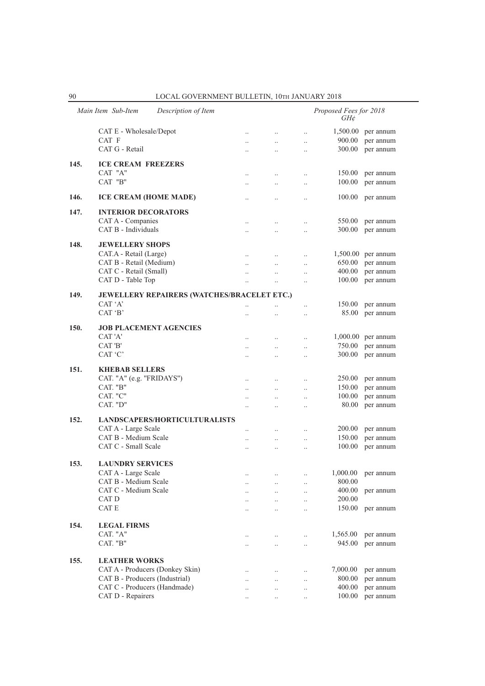|      | Main Item Sub-Item<br>Description of Item          |                      |                                              |                       | Proposed Fees for 2018<br>GH¢ |                        |
|------|----------------------------------------------------|----------------------|----------------------------------------------|-----------------------|-------------------------------|------------------------|
|      | CAT E - Wholesale/Depot                            | $\ldots$             | $\ldots$                                     | $\ldots$              | 1,500.00                      | per annum              |
|      | CAT F                                              | $\ddotsc$            | $\ddotsc$                                    | $\ldots$              | 900.00                        | per annum              |
|      | CAT G - Retail                                     |                      | $\ddotsc$                                    | $\ldots$              | 300.00                        | per annum              |
|      |                                                    |                      |                                              |                       |                               |                        |
| 145. | <b>ICE CREAM FREEZERS</b><br>CAT "A"               |                      |                                              |                       |                               |                        |
|      | CAT "B"                                            | $\cdot$ .            | $\ddotsc$                                    | $\ldots$              | 150.00<br>100.00              | per annum<br>per annum |
|      |                                                    | $\cdot$ .            | $\cdot$                                      | $\ldots$              |                               |                        |
| 146. | <b>ICE CREAM (HOME MADE)</b>                       | $\ddotsc$            | $\ddotsc$                                    | $\ldots$              | 100.00                        | per annum              |
| 147. | <b>INTERIOR DECORATORS</b>                         |                      |                                              |                       |                               |                        |
|      | CAT A - Companies                                  | $\cdot$ .            | $\ldots$                                     | $\ldots$              | 550.00                        | per annum              |
|      | CAT B - Individuals                                |                      |                                              | $\ldots$              | 300.00                        | per annum              |
| 148. | <b>JEWELLERY SHOPS</b>                             |                      |                                              |                       |                               |                        |
|      | CAT.A - Retail (Large)                             | $\ddotsc$            | $\ddotsc$                                    | $\ddotsc$             |                               | $1,500.00$ per annum   |
|      | CAT B - Retail (Medium)                            |                      | $\ddotsc$                                    | $\ddotsc$             | 650.00                        | per annum              |
|      | CAT C - Retail (Small)                             |                      | $\ddotsc$                                    | $\ldots$              | 400.00                        | per annum              |
|      | CAT D - Table Top                                  | $\ddotsc$            |                                              | $\ddotsc$             | 100.00                        | per annum              |
| 149. | <b>JEWELLERY REPAIRERS (WATCHES/BRACELET ETC.)</b> |                      |                                              |                       |                               |                        |
|      | CAT 'A'                                            |                      |                                              | $\ldots$              | 150.00                        | per annum              |
|      | CAT 'B'                                            | $\ddotsc$            | $\ddot{\phantom{a}}$                         | $\ddotsc$             | 85.00                         | per annum              |
|      |                                                    |                      |                                              |                       |                               |                        |
| 150. | <b>JOB PLACEMENT AGENCIES</b>                      |                      |                                              |                       |                               |                        |
|      | CAT 'A'                                            | $\ddotsc$            | $\ddotsc$                                    | $\ddotsc$             | 1,000.00                      | per annum              |
|      | CAT 'B'                                            | $\ddotsc$            | $\ddotsc$                                    | $\ldots$              | 750.00                        | per annum              |
|      | CAT 'C'                                            | $\ddotsc$            | $\ddot{\phantom{0}}$                         | $\ddotsc$             | 300.00                        | per annum              |
| 151. | <b>KHEBAB SELLERS</b>                              |                      |                                              |                       |                               |                        |
|      | CAT. "A" (e.g. "FRIDAYS")                          | $\ddotsc$            | $\ddotsc$                                    | $\cdot$ .             | 250.00                        | per annum              |
|      | CAT. "B"                                           | $\cdot$ .            | $\ldots$                                     | $\ldots$              | 150.00                        | per annum              |
|      | CAT. "C"                                           | $\ddotsc$            | $\ddotsc$                                    | $\ddotsc$             | 100.00                        | per annum              |
|      | CAT. "D"                                           |                      |                                              | $\ddotsc$             | 80.00                         | per annum              |
| 152. | <b>LANDSCAPERS/HORTICULTURALISTS</b>               |                      |                                              |                       |                               |                        |
|      | CAT A - Large Scale                                | $\ddotsc$            | $\ddotsc$                                    | $\ldots$              | 200.00                        | per annum              |
|      | CAT B - Medium Scale                               | $\ddotsc$            | $\ddot{\phantom{0}}$                         | $\ddotsc$             | 150.00                        | per annum              |
|      | CAT C - Small Scale                                | $\ddotsc$            | $\ddot{\phantom{a}}$                         | $\ddotsc$             | 100.00                        | per annum              |
|      |                                                    |                      |                                              |                       |                               |                        |
| 153. | <b>LAUNDRY SERVICES</b><br>CAT A - Large Scale     |                      |                                              |                       |                               |                        |
|      | CAT B - Medium Scale                               |                      | $\cdot$                                      | $\ldots$              | 1,000.00<br>800.00            | per annum              |
|      | CAT C - Medium Scale                               |                      | $\ddot{\phantom{0}}$<br>$\ddot{\phantom{0}}$ | $\ldots$<br>$\ddotsc$ | 400.00                        | per annum              |
|      | CAT D                                              |                      | $\ddot{\phantom{0}}$                         | $\ldots$              | 200.00                        |                        |
|      | CAT E                                              |                      | $\ddot{\phantom{a}}$                         | $\ddotsc$             | 150.00                        | per annum              |
|      |                                                    |                      |                                              |                       |                               |                        |
| 154. | <b>LEGAL FIRMS</b>                                 |                      |                                              |                       |                               |                        |
|      | CAT. "A"                                           | $\ddotsc$            | $\ddotsc$                                    | $\ddotsc$             | 1,565.00                      | per annum              |
|      | CAT. "B"                                           | $\cdot \cdot$        | $\ddotsc$                                    | $\ldots$              | 945.00                        | per annum              |
| 155. | <b>LEATHER WORKS</b>                               |                      |                                              |                       |                               |                        |
|      | CAT A - Producers (Donkey Skin)                    |                      |                                              | $\ldots$              | 7,000.00                      | per annum              |
|      | CAT B - Producers (Industrial)                     | $\ddot{\phantom{a}}$ | $\ddot{\phantom{0}}$                         | $\ldots$              | 800.00                        | per annum              |
|      | CAT C - Producers (Handmade)                       | $\ddotsc$            |                                              | $\cdot$ .             | 400.00                        | per annum              |
|      | CAT D - Repairers                                  | $\cdot$ .            |                                              | $\cdot$               | 100.00                        | per annum              |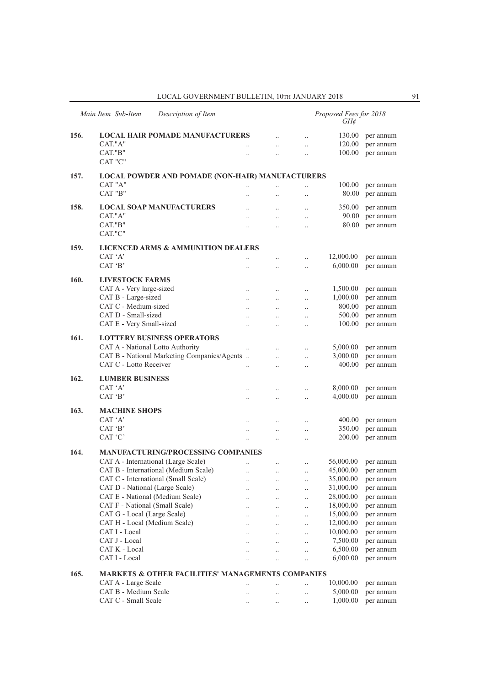|      | Main Item Sub-Item<br>Description of Item                    |                          |                      |                      | Proposed Fees for 2018<br>GH¢ |                        |
|------|--------------------------------------------------------------|--------------------------|----------------------|----------------------|-------------------------------|------------------------|
| 156. | <b>LOCAL HAIR POMADE MANUFACTURERS</b>                       |                          | $\ddotsc$            | $\ddotsc$            | 130.00                        | per annum              |
|      | CAT."A"                                                      | $\ddotsc$                | $\ddotsc$            | $\ddotsc$            | 120.00                        | per annum              |
|      | CAT."B"                                                      | $\ddot{\phantom{0}}$     | $\ddot{\phantom{0}}$ | $\ldots$             | 100.00                        | per annum              |
|      | CAT "C"                                                      |                          |                      |                      |                               |                        |
| 157. | LOCAL POWDER AND POMADE (NON-HAIR) MANUFACTURERS             |                          |                      |                      |                               |                        |
|      | CAT "A"                                                      | $\ddotsc$                | $\cdot$              | $\ldots$             | 100.00                        | per annum              |
|      | $\rm CAT$ "B"                                                | $\ddot{\phantom{a}}$     | $\ddot{\phantom{0}}$ | $\ddotsc$            | 80.00                         | per annum              |
| 158. | <b>LOCAL SOAP MANUFACTURERS</b>                              |                          | $\ddot{\phantom{0}}$ | $\ddotsc$            | 350.00                        | per annum              |
|      | CAT."A"                                                      |                          | $\ddot{\phantom{0}}$ | $\ddotsc$            | 90.00                         | per annum              |
|      | CAT."B"                                                      | $\ddot{\phantom{0}}$     | $\ddot{\phantom{0}}$ | $\ldots$             | 80.00                         | per annum              |
|      | CAT."C"                                                      |                          |                      |                      |                               |                        |
| 159. | <b>LICENCED ARMS &amp; AMMUNITION DEALERS</b>                |                          |                      |                      |                               |                        |
|      | CAT 'A'                                                      | $\ddot{\phantom{a}}$     | $\ddot{\phantom{a}}$ | $\ldots$             | 12,000.00                     | per annum              |
|      | CAT 'B'                                                      |                          | $\ddotsc$            | $\ldots$             | 6,000.00                      | per annum              |
| 160. | <b>LIVESTOCK FARMS</b>                                       |                          |                      |                      |                               |                        |
|      | CAT A - Very large-sized                                     | $\cdot$ .                | $\ldots$             | $\ldots$             | 1,500.00                      | per annum              |
|      | CAT B - Large-sized                                          | $\cdot$                  | $\cdot$ .            | $\ldots$             | 1,000.00                      | per annum              |
|      | CAT C - Medium-sized                                         |                          |                      | $\ddotsc$            | 800.00                        | per annum              |
|      | CAT D - Small-sized                                          | $\ddot{\phantom{a}}$     | $\ddotsc$            | $\ldots$             | 500.00                        | per annum              |
|      | CAT E - Very Small-sized                                     | $\ddotsc$                | $\ddot{\phantom{0}}$ | $\ldots$             | 100.00                        | per annum              |
| 161. | <b>LOTTERY BUSINESS OPERATORS</b>                            |                          |                      |                      |                               |                        |
|      | CAT A - National Lotto Authority                             | $\ddotsc$                | $\ddotsc$            | $\ddots$             | 5,000.00                      | per annum              |
|      | CAT B - National Marketing Companies/Agents                  |                          | $\ddot{\phantom{a}}$ | $\ddotsc$            | 3,000.00                      | per annum              |
|      | CAT C - Lotto Receiver                                       | $\ddot{\phantom{a}}$     | $\ddot{\phantom{0}}$ | $\ddotsc$            | 400.00                        | per annum              |
| 162. | <b>LUMBER BUSINESS</b>                                       |                          |                      |                      |                               |                        |
|      | CAT 'A'                                                      | $\ddot{\phantom{a}}$     |                      | $\ldots$             | 8,000.00                      | per annum              |
|      | CAT 'B'                                                      | $\cdot$                  | $\ddot{\phantom{0}}$ | $\ldots$             | 4,000.00                      | per annum              |
| 163. | <b>MACHINE SHOPS</b>                                         |                          |                      |                      |                               |                        |
|      | CAT 'A'                                                      | $\ldots$                 | $\ddotsc$            | $\ldots$             | 400.00                        | per annum              |
|      | CAT 'B'                                                      | $\ddot{\phantom{a}}$     | $\ddot{\phantom{0}}$ | $\ddotsc$            | 350.00                        | per annum              |
|      | CAT 'C'                                                      | $\ddotsc$                | $\ddotsc$            | $\ddotsc$            | 200.00                        | per annum              |
| 164. | <b>MANUFACTURING/PROCESSING COMPANIES</b>                    |                          |                      |                      |                               |                        |
|      | CAT A - International (Large Scale)                          | $\ldots$                 | $\ldots$             | $\ldots$             | 56,000.00                     | per annum              |
|      | CAT B - International (Medium Scale)                         | $\cdot \cdot$            | $\cdot \cdot$        |                      | 45,000.00                     | per annum              |
|      | CAT C - International (Small Scale)                          | $\cdot$ .                | $\ldots$             | $\ldots$             | 35,000.00                     | per annum              |
|      | CAT D - National (Large Scale)                               | $\cdot$ .                | $\ddotsc$            | $\ldots$             | 31,000.00                     | per annum              |
|      | CAT E - National (Medium Scale)                              |                          | $\ddotsc$            | $\ldots$             | 28,000.00                     | per annum              |
|      | CAT F - National (Small Scale)                               |                          | $\ddotsc$            | $\ldots$             | 18,000.00                     | per annum              |
|      | CAT G - Local (Large Scale)<br>CAT H - Local (Medium Scale)  |                          | $\ldots$             | $\ldots$             | 15,000.00<br>12,000.00        | per annum<br>per annum |
|      | CAT I - Local                                                | $\ddot{\phantom{0}}$     | $\ddotsc$            | $\ldots$             | 10,000.00                     | per annum              |
|      | CAT J - Local                                                | $\ddot{\phantom{0}}$<br> | $\ldots$<br>$\ldots$ | $\ldots$<br>$\ldots$ | 7,500.00                      | per annum              |
|      | CAT K - Local                                                |                          | $\ddotsc$            | $\ddotsc$            | 6,500.00                      | per annum              |
|      | CAT 1 - Local                                                |                          | $\ldots$             | $\ldots$             | 6,000.00                      | per annum              |
|      |                                                              |                          |                      |                      |                               |                        |
| 165. | <b>MARKETS &amp; OTHER FACILITIES' MANAGEMENTS COMPANIES</b> |                          |                      |                      |                               |                        |
|      | CAT A - Large Scale<br>CAT B - Medium Scale                  |                          | $\ddot{\phantom{a}}$ | $\ldots$             | 10,000.00<br>5,000.00         | per annum<br>per annum |
|      | CAT C - Small Scale                                          | $\cdot$ .                | $\ddotsc$            | $\ldots$             | 1,000.00                      | per annum              |
|      |                                                              | $\cdot$ .                | $\cdot$ .            | $\ldots$             |                               |                        |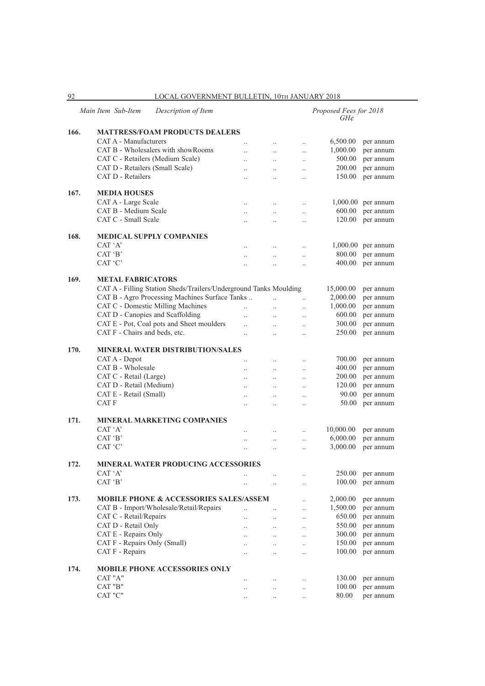CAT A - Manufacturers .. .. .. 6,500.00 per annum CAT B - Wholesalers with showRooms ... ... ... ... 1,000.00 per annum CAT C - Retailers (Medium Scale) .. .. .. 500.00 per annum CAT D - Retailers (Small Scale) .. .. .. 200.00 per annum CAT D - Retailers .. .. .. 150.00 per annum **167. MEDIA HOUSES** CAT A - Large Scale ... ... ... ... ... ... 1,000.00 per annum CAT B - Medium Scale .. .. .. 600.00 per annum CAT C - Small Scale .. .. .. 120.00 per annum **168. MEDICAL SUPPLY COMPANIES** CAT 'A' ... ... ... 1,000.00 per annum<br>
CAT 'B' ... ... ... ... 800.00 per annum .. .. .. .. .. 800.00 per annum CAT 'C' ... ... ... ... 400.00 per annum **169. METAL FABRICATORS** CAT A - Filling Station Sheds/Trailers/Underground Tanks Moulding 15,000.00 per annum CAT B - Agro Processing Machines Surface Tanks .. . .. .. 2,000.00 per annum CAT C - Domestic Milling Machines ... ... ... 1,000.00 per annum CAT D - Canopies and Scaffolding .. .. .. 600.00 per annum CAT E - Pot, Coal pots and Sheet moulders ... ... ... 300.00 per annum CAT F - Chairs and beds, etc. ... ... ... ... ... ... 250.00 per annum **170. MINERAL WATER DISTRIBUTION/SALES** CAT A - Depot .. .. .. 700.00 per annum CAT B - Wholesale ... ... ... ... ... ... 400.00 per annum CAT C - Retail (Large) .. .. .. 200.00 per annum CAT D - Retail (Medium) .. .. .. 120.00 per annum CAT E - Retail (Small) .. .. .. 90.00 per annum CAT F ... ... ... ... 50.00 per annum **171. MINERAL MARKETING COMPANIES**  CAT 'A' ... ... ... ... ... ... 10,000.00 per annum CAT 'B' ... ... ... ... ... 6,000.00 per annum<br>CAT 'C' ... ... ... ... 3,000.00 per annum .. . . . . . . . . 3,000.00 per annum **172. MINERAL WATER PRODUCING ACCESSORIES** CAT 'A' ... ... ... ... 250.00 per annum  $CAT 'B'$  ... ...  $\therefore$  ... ... 100.00 per annum **173. MOBILE PHONE & ACCESSORIES SALES/ASSEM** ... 2,000.00 per annum CAT B - Import/Wholesale/Retail/Repairs ... ... ... 1,500.00 per annum CAT C - Retail/Repairs .. .. .. 650.00 per annum CAT D - Retail Only ... ... ... ... 550.00 per annum CAT E - Repairs Only .. .. .. 300.00 per annum CAT F - Repairs Only (Small) .. .. .. 150.00 per annum CAT F - Repairs .. .. .. 100.00 per annum **174. MOBILE PHONE ACCESSORIES ONLY** CAT "A" ... ... ... ... ... 130.00 per annum CAT "B" .. .. .. 100.00 per annum .. . . . . . . 80.00 per annum

#### 92 LOCAL GOVERNMENT BULLETIN, 10Th JANUARY 2018

*GH¢* 

*Main Item Sub-Item Description of Item Proposed Fees for 2018*

**166. MATTRESS/FOAM PRODUCTS DEALERS**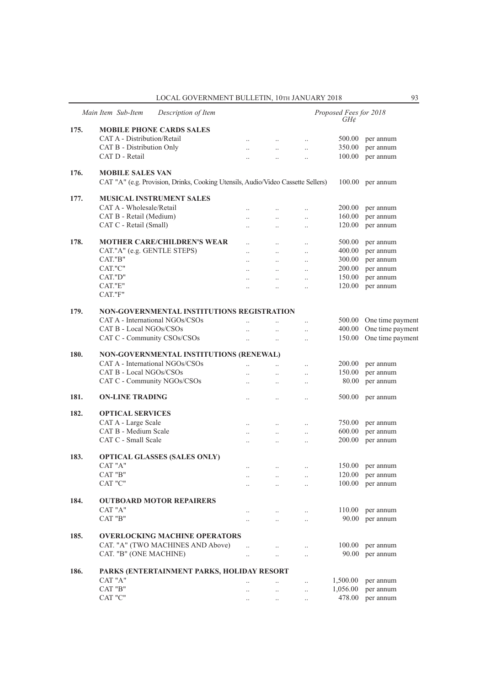|      | Main Item Sub-Item<br>Description of Item                                                                   |                      |                      |                      | Proposed Fees for 2018<br>$GH\mathcal{E}$ |                         |
|------|-------------------------------------------------------------------------------------------------------------|----------------------|----------------------|----------------------|-------------------------------------------|-------------------------|
| 175. | <b>MOBILE PHONE CARDS SALES</b>                                                                             |                      |                      |                      |                                           |                         |
|      | CAT A - Distribution/Retail                                                                                 | $\ddotsc$            | $\ddotsc$            | $\ldots$             | 500.00                                    | per annum               |
|      | CAT B - Distribution Only                                                                                   | $\ddot{\phantom{a}}$ | $\ddotsc$            | $\ddotsc$            | 350.00                                    | per annum               |
|      | CAT D - Retail                                                                                              |                      | $\ddot{\phantom{0}}$ | $\ddotsc$            | 100.00                                    | per annum               |
| 176. | <b>MOBILE SALES VAN</b><br>CAT "A" (e.g. Provision, Drinks, Cooking Utensils, Audio/Video Cassette Sellers) |                      |                      |                      |                                           | 100.00 per annum        |
| 177. | <b>MUSICAL INSTRUMENT SALES</b>                                                                             |                      |                      |                      |                                           |                         |
|      | CAT A - Wholesale/Retail                                                                                    | $\ddot{\phantom{a}}$ | $\ddotsc$            | $\ddotsc$            | 200.00                                    | per annum               |
|      | CAT B - Retail (Medium)                                                                                     |                      | $\ddotsc$            | $\ddot{\phantom{0}}$ | 160.00                                    | per annum               |
|      | CAT C - Retail (Small)                                                                                      | $\ddot{\phantom{0}}$ | $\ddotsc$            | $\ddotsc$            | 120.00                                    | per annum               |
| 178. | <b>MOTHER CARE/CHILDREN'S WEAR</b>                                                                          | $\ddot{\phantom{0}}$ | $\ddotsc$            | $\ddotsc$            | 500.00                                    | per annum               |
|      | CAT."A" (e.g. GENTLE STEPS)                                                                                 | $\ddot{\phantom{a}}$ | $\ddotsc$            | $\ddotsc$            | 400.00                                    | per annum               |
|      | CAT."B"                                                                                                     | $\ddot{\phantom{a}}$ | $\ddotsc$            | $\ddot{\phantom{0}}$ | 300.00                                    | per annum               |
|      | CAT."C"                                                                                                     | $\ddotsc$            | $\ddotsc$            | $\ddotsc$            | 200.00                                    | per annum               |
|      | CAT."D"                                                                                                     | $\ddotsc$            | $\ldots$             | $\ddotsc$            | 150.00                                    | per annum               |
|      | CAT."E"<br>CAT."F"                                                                                          | $\ddotsc$            | $\ddotsc$            | $\ddot{\phantom{a}}$ | 120.00                                    | per annum               |
|      |                                                                                                             |                      |                      |                      |                                           |                         |
| 179. | NON-GOVERNMENTAL INSTITUTIONS REGISTRATION                                                                  |                      |                      |                      |                                           |                         |
|      | CAT A - International NGOs/CSOs                                                                             |                      |                      | $\ddotsc$            |                                           | 500.00 One time payment |
|      | CAT B - Local NGOs/CSOs                                                                                     | $\ddot{\phantom{a}}$ | $\ddotsc$            | $\ddotsc$            |                                           | 400.00 One time payment |
|      | CAT C - Community CSOs/CSOs                                                                                 | $\ddotsc$            | $\ddotsc$            | $\ddotsc$            | 150.00                                    | One time payment        |
| 180. | NON-GOVERNMENTAL INSTITUTIONS (RENEWAL)                                                                     |                      |                      |                      |                                           |                         |
|      | CAT A - International NGOs/CSOs                                                                             | $\ddotsc$            | $\ddotsc$            | $\ddotsc$            | 200.00                                    | per annum               |
|      | CAT B - Local NGOs/CSOs                                                                                     | $\ddot{\phantom{a}}$ | $\ddots$             | $\ddotsc$            | 150.00                                    | per annum               |
|      | CAT C - Community NGOs/CSOs                                                                                 | $\ddot{\phantom{0}}$ | $\ddot{\phantom{0}}$ | $\ddotsc$            | 80.00                                     | per annum               |
| 181. | <b>ON-LINE TRADING</b>                                                                                      |                      | $\ddotsc$            | $\ddotsc$            | 500.00                                    | per annum               |
| 182. | <b>OPTICAL SERVICES</b>                                                                                     |                      |                      |                      |                                           |                         |
|      | CAT A - Large Scale                                                                                         | $\ddotsc$            | $\ddotsc$            | $\ddotsc$            | 750.00                                    | per annum               |
|      | CAT B - Medium Scale                                                                                        | $\ddot{\phantom{a}}$ | $\ddotsc$            | $\ddotsc$            | 600.00                                    | per annum               |
|      | CAT C - Small Scale                                                                                         | $\ddot{\phantom{a}}$ | $\ddotsc$            | $\ddot{\phantom{0}}$ | 200.00                                    | per annum               |
| 183. | <b>OPTICAL GLASSES (SALES ONLY)</b>                                                                         |                      |                      |                      |                                           |                         |
|      | CAT "A"                                                                                                     | $\ddotsc$            | $\ldots$             | $\ldots$             | 150.00                                    | per annum               |
|      | CAT "B"                                                                                                     |                      | $\ddot{\phantom{0}}$ | $\ddot{\phantom{0}}$ | 120.00                                    | per annum               |
|      | CAT "C"                                                                                                     |                      | $\ddot{\phantom{a}}$ |                      |                                           | 100.00 per annum        |
| 184. | <b>OUTBOARD MOTOR REPAIRERS</b>                                                                             |                      |                      |                      |                                           |                         |
|      | CAT "A"                                                                                                     | $\ddotsc$            | $\ddot{\phantom{0}}$ | $\ddotsc$            | 110.00                                    | per annum               |
|      | CAT "B"                                                                                                     | $\ddot{\phantom{0}}$ | $\ddot{\phantom{a}}$ | $\ddotsc$            | 90.00                                     | per annum               |
| 185. | <b>OVERLOCKING MACHINE OPERATORS</b>                                                                        |                      |                      |                      |                                           |                         |
|      | CAT. "A" (TWO MACHINES AND Above)                                                                           | $\ddotsc$            | $\ddot{\phantom{0}}$ | $\ddotsc$            | 100.00                                    | per annum               |
|      | CAT. "B" (ONE MACHINE)                                                                                      | $\ddotsc$            | $\ddotsc$            |                      |                                           | 90.00 per annum         |
| 186. | PARKS (ENTERTAINMENT PARKS, HOLIDAY RESORT                                                                  |                      |                      |                      |                                           |                         |
|      | CAT "A"                                                                                                     |                      |                      |                      | 1,500.00                                  | per annum               |
|      | CAT "B"                                                                                                     | $\ddotsc$            | $\ddotsc$            | $\ddotsc$            | 1,056.00                                  | per annum               |
|      | CAT "C"                                                                                                     | $\cdots$             | $\ldots$             | $\ldots$             | 478.00                                    | per annum               |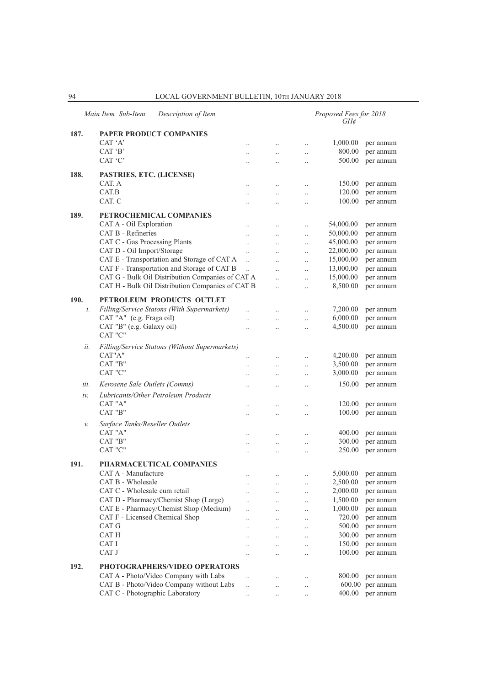|      | Main Item Sub-Item<br>Description of Item        |                                              |                                   |                        | Proposed Fees for 2018<br>GH¢ |                    |
|------|--------------------------------------------------|----------------------------------------------|-----------------------------------|------------------------|-------------------------------|--------------------|
| 187. | PAPER PRODUCT COMPANIES                          |                                              |                                   |                        |                               |                    |
|      | CAT 'A'                                          | $\cdot$                                      | $\ldots$                          | $\ldots$               | 1,000.00                      | per annum          |
|      | CAT 'B'                                          | $\ddot{\phantom{a}}$                         | $\ddot{\phantom{0}}$              | $\ldots$               | 800.00                        | per annum          |
|      | CAT 'C'                                          | $\ddot{\phantom{a}}$                         | $\ddot{\phantom{a}}$              | $\ldots$               | 500.00                        | per annum          |
| 188. | PASTRIES, ETC. (LICENSE)                         |                                              |                                   |                        |                               |                    |
|      | CAT. A                                           | $\ddot{\phantom{a}}$                         | $\cdot$ .                         | $\ddotsc$              | 150.00                        | per annum          |
|      | CAT.B                                            | $\ddotsc$                                    | $\ddotsc$                         | $\ddotsc$              | 120.00                        | per annum          |
|      | CAT. C                                           |                                              |                                   | $\cdot$ .              | 100.00                        | per annum          |
| 189. | PETROCHEMICAL COMPANIES                          |                                              |                                   |                        |                               |                    |
|      | CAT A - Oil Exploration                          | $\ddotsc$                                    | $\ddotsc$                         | $\ddotsc$              | 54,000.00                     | per annum          |
|      | CAT B - Refineries                               | $\ddot{\phantom{a}}$                         | $\ddotsc$                         | $\ldots$               | 50,000.00                     | per annum          |
|      | CAT C - Gas Processing Plants                    | $\cdot$                                      | $\cdot$ .                         | $\ldots$               | 45,000.00                     | per annum          |
|      | CAT D - Oil Import/Storage                       | $\cdot$                                      | $\ddot{\phantom{0}}$              | $\ddotsc$              | 22,000.00                     | per annum          |
|      | CAT E - Transportation and Storage of CAT A      | $\ddotsc$                                    | $\ddot{\phantom{a}}$              | $\ddotsc$              | 15,000.00                     | per annum          |
|      | CAT F - Transportation and Storage of CAT B      | $\ddotsc$                                    | $\ddot{\phantom{a}}$              | $\ddotsc$              | 13,000.00                     | per annum          |
|      | CAT G - Bulk Oil Distribution Companies of CAT A |                                              | $\ddot{\phantom{0}}$              | $\ddotsc$              | 15,000.00                     | per annum          |
|      | CAT H - Bulk Oil Distribution Companies of CAT B |                                              | $\ddot{\phantom{0}}$              | $\ldots$               | 8,500.00                      | per annum          |
| 190. | PETROLEUM PRODUCTS OUTLET                        |                                              |                                   |                        |                               |                    |
| i.   | Filling/Service Statons (With Supermarkets)      |                                              |                                   |                        | 7,200.00                      | per annum          |
|      | CAT "A" (e.g. Fraga oil)                         | $\ddot{\phantom{a}}$                         | $\cdot$ .                         | $\ldots$               | 6,000.00                      | per annum          |
|      | CAT "B" (e.g. Galaxy oil)                        | $\ddot{\phantom{a}}$<br>$\ddot{\phantom{a}}$ | $\ddot{\phantom{0}}$<br>$\ddotsc$ | $\ddotsc$<br>$\ddotsc$ | 4,500.00                      | per annum          |
|      | CAT "C"                                          |                                              |                                   |                        |                               |                    |
| ii.  | Filling/Service Statons (Without Supermarkets)   |                                              |                                   |                        |                               |                    |
|      | CAT"A"                                           |                                              | $\cdot$                           | $\ldots$               | 4,200.00                      | per annum          |
|      | CAT "B"                                          | $\ddotsc$                                    | $\cdot$ .                         | $\ldots$               | 3,500.00                      | per annum          |
|      | CAT "C"                                          | $\ddotsc$                                    | $\cdot$ .                         | $\ldots$               | 3,000.00                      | per annum          |
| iii. | Kerosene Sale Outlets (Comms)                    | $\ddot{\phantom{a}}$                         | $\ddot{\phantom{a}}$              | $\ddotsc$              | 150.00                        | per annum          |
| iν.  | Lubricants/Other Petroleum Products              |                                              |                                   |                        |                               |                    |
|      | CAT "A"                                          |                                              |                                   |                        | 120.00                        | per annum          |
|      | CAT "B"                                          | $\ddotsc$                                    | $\ddotsc$                         | $\ldots$               | 100.00                        | per annum          |
|      |                                                  |                                              | $\cdot$                           | $\ldots$               |                               |                    |
| v.   | Surface Tanks/Reseller Outlets<br>CAT "A"        |                                              |                                   |                        | 400.00                        | per annum          |
|      | CAT "B"                                          | $\cdot$                                      | $\ldots$                          | $\cdot$                | 300.00                        | per annum          |
|      | CAT "C"                                          | $\ddot{\phantom{a}}$                         | $\ddotsc$                         | $\ldots$               | 250.00                        | per annum          |
|      |                                                  |                                              | $\ddotsc$                         | $\ddotsc$              |                               |                    |
| 191. | PHARMACEUTICAL COMPANIES                         |                                              |                                   |                        |                               |                    |
|      | CAT A - Manufacture                              |                                              |                                   |                        |                               | 5,000.00 per annum |
|      | CAT B - Wholesale                                | $\cdot$ .                                    | $\ldots$                          | $\cdot$ .              | 2,500.00                      | per annum          |
|      | CAT C - Wholesale cum retail                     |                                              | $\ldots$                          | $\ldots$               | 2,000.00                      | per annum          |
|      | CAT D - Pharmacy/Chemist Shop (Large)            |                                              |                                   | $\ldots$               | 1,500.00                      | per annum          |
|      | CAT E - Pharmacy/Chemist Shop (Medium)           | $\ddot{\phantom{a}}$                         | $\ddotsc$                         | $\ldots$               | 1,000.00                      | per annum          |
|      | CAT F - Licensed Chemical Shop                   | $\ddot{\phantom{a}}$                         | $\ddotsc$                         | $\ddotsc$              | 720.00                        | per annum          |
|      | CAT G                                            |                                              | $\ddotsc$                         | $\cdot$ .              | 500.00                        | per annum          |
|      | CAT H<br>CAT I                                   |                                              | $\cdot$ .                         | $\cdot$ .              | 300.00<br>150.00              | per annum          |
|      | CAT J                                            |                                              |                                   | $\cdot$                | 100.00                        | per annum          |
|      |                                                  | $\cdot$                                      |                                   | $\ldots$               |                               | per annum          |
| 192. | PHOTOGRAPHERS/VIDEO OPERATORS                    |                                              |                                   |                        |                               |                    |
|      | CAT A - Photo/Video Company with Labs            | $\ddotsc$                                    | $\ddotsc$                         | $\ldots$               | 800.00                        | per annum          |
|      | CAT B - Photo/Video Company without Labs         | $\ddotsc$                                    | $\ddot{\phantom{0}}$              | $\ldots$               | 600.00                        | per annum          |
|      | CAT C - Photographic Laboratory                  | $\ldots$                                     | $\ldots$                          | $\ldots$               | 400.00                        | per annum          |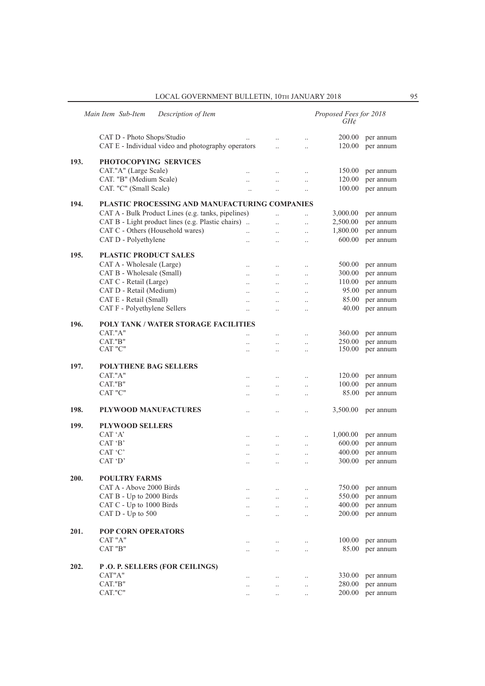|      | Main Item Sub-Item<br>Description of Item          |                                              |                        |                        | Proposed Fees for 2018<br>GH¢ |           |
|------|----------------------------------------------------|----------------------------------------------|------------------------|------------------------|-------------------------------|-----------|
|      | CAT D - Photo Shops/Studio                         |                                              | $\ddot{\phantom{0}}$   | $\ddotsc$              | 200.00                        | per annum |
|      | CAT E - Individual video and photography operators |                                              | $\ddot{\phantom{a}}$   | $\ddot{\phantom{0}}$   | 120.00                        | per annum |
| 193. | PHOTOCOPYING SERVICES                              |                                              |                        |                        |                               |           |
|      | CAT."A" (Large Scale)                              | $\ddot{\phantom{a}}$                         | $\ldots$               | $\ldots$               | 150.00                        | per annum |
|      | CAT. "B" (Medium Scale)                            | $\ddot{\phantom{0}}$                         | $\ddot{\phantom{0}}$   | $\ldots$               | 120.00                        | per annum |
|      | CAT. "C" (Small Scale)                             |                                              | $\ddotsc$              | $\ddotsc$              | 100.00                        | per annum |
| 194. | PLASTIC PROCESSING AND MANUFACTURING COMPANIES     |                                              |                        |                        |                               |           |
|      | CAT A - Bulk Product Lines (e.g. tanks, pipelines) |                                              | $\ddot{\phantom{a}}$   | $\ddotsc$              | 3,000.00                      | per annum |
|      | CAT B - Light product lines (e.g. Plastic chairs). |                                              | $\ddotsc$              | $\ddotsc$              | 2,500.00                      | per annum |
|      | CAT C - Others (Household wares)                   | $\ddotsc$                                    | $\ddotsc$              | $\ldots$               | 1,800.00                      | per annum |
|      | CAT D - Polyethylene                               | $\ddot{\phantom{0}}$                         | $\ddotsc$              | $\ldots$               | 600.00                        | per annum |
| 195. | <b>PLASTIC PRODUCT SALES</b>                       |                                              |                        |                        |                               |           |
|      | CAT A - Wholesale (Large)                          | $\ddotsc$                                    | $\ddotsc$              | $\ddotsc$              | 500.00                        | per annum |
|      | CAT B - Wholesale (Small)                          | $\ddotsc$                                    | $\ldots$               | $\ldots$               | 300.00                        | per annum |
|      | CAT C - Retail (Large)                             | $\ddotsc$                                    | $\ldots$               | $\ldots$               | 110.00                        | per annum |
|      | CAT D - Retail (Medium)                            |                                              |                        | $\ddotsc$              | 95.00                         | per annum |
|      | CAT E - Retail (Small)                             | $\ddotsc$                                    | $\ddotsc$              | $\ddotsc$              | 85.00                         | per annum |
|      | CAT F - Polyethylene Sellers                       | $\ddotsc$                                    | $\ddot{\phantom{0}}$   | $\ddotsc$              | 40.00                         | per annum |
|      |                                                    |                                              |                        |                        |                               |           |
| 196. | POLY TANK / WATER STORAGE FACILITIES<br>CAT."A"    |                                              |                        |                        | 360.00                        | per annum |
|      | CAT."B"                                            | $\ddot{\phantom{a}}$                         | $\ddotsc$              | $\cdot$ .              | 250.00                        | per annum |
|      | CAT "C"                                            | $\ddot{\phantom{a}}$<br>$\ddot{\phantom{a}}$ | $\ddotsc$<br>$\ddotsc$ | $\ddotsc$<br>$\ldots$  | 150.00                        | per annum |
| 197. | POLYTHENE BAG SELLERS                              |                                              |                        |                        |                               |           |
|      | CAT."A"                                            | $\ddotsc$                                    | $\ddotsc$              | $\ddotsc$              | 120.00                        | per annum |
|      | CAT."B"                                            | $\ddotsc$                                    | $\ddotsc$              | $\ldots$               | 100.00                        | per annum |
|      | CAT "C"                                            |                                              | $\ddotsc$              | $\cdot$                | 85.00                         | per annum |
| 198. | PLYWOOD MANUFACTURES                               | $\cdot$ .                                    | $\cdot$ .              | $\cdot$                | 3,500.00                      | per annum |
| 199. | <b>PLYWOOD SELLERS</b>                             |                                              |                        |                        |                               |           |
|      | CAT 'A'                                            | $\cdot$                                      | $\ldots$               | $\ldots$               | 1,000.00                      | per annum |
|      | CAT 'B'                                            | $\ddotsc$                                    | $\ldots$               | $\ldots$               | 600.00                        | per annum |
|      | CAT 'C'                                            | $\ddot{\phantom{a}}$                         | $\ddotsc$              | $\ddotsc$              | 400.00                        | per annum |
|      | CAT 'D'                                            |                                              | $\ddot{\phantom{a}}$   | $\ddotsc$              | 300.00                        | per annum |
| 200. | <b>POULTRY FARMS</b>                               |                                              |                        |                        |                               |           |
|      | CAT A - Above 2000 Birds                           |                                              |                        |                        | 750.00                        | per annum |
|      | CAT B - Up to 2000 Birds                           | $\cdot$ .                                    | $\cdot$ .              |                        | 550.00                        | per annum |
|      | CAT C - Up to 1000 Birds                           | $\ddotsc$                                    | $\ddots$<br>$\ddotsc$  | $\ddotsc$<br>$\ddotsc$ | 400.00                        | per annum |
|      | CAT $D - Up$ to 500                                |                                              | $\ddotsc$              | $\ldots$               | 200.00                        | per annum |
|      |                                                    |                                              |                        |                        |                               |           |
| 201. | <b>POP CORN OPERATORS</b>                          |                                              |                        |                        |                               |           |
|      | CAT "A"<br>CAT "B"                                 | $\ddot{\phantom{a}}$                         | $\ddotsc$              | $\ddotsc$              | 100.00<br>85.00               | per annum |
|      |                                                    |                                              | $\ddotsc$              | $\ddotsc$              |                               | per annum |
| 202. | <b>P.O. P. SELLERS (FOR CEILINGS)</b>              |                                              |                        |                        |                               |           |
|      | CAT"A"                                             |                                              | $\ldots$               | $\ldots$               | 330.00                        | per annum |
|      | CAT."B"                                            | $\ddotsc$                                    | $\ddotsc$              | $\ldots$               | 280.00                        | per annum |
|      | CAT."C"                                            | $\cdot$ .                                    | $\ldots$               | $\ldots$               | 200.00                        | per annum |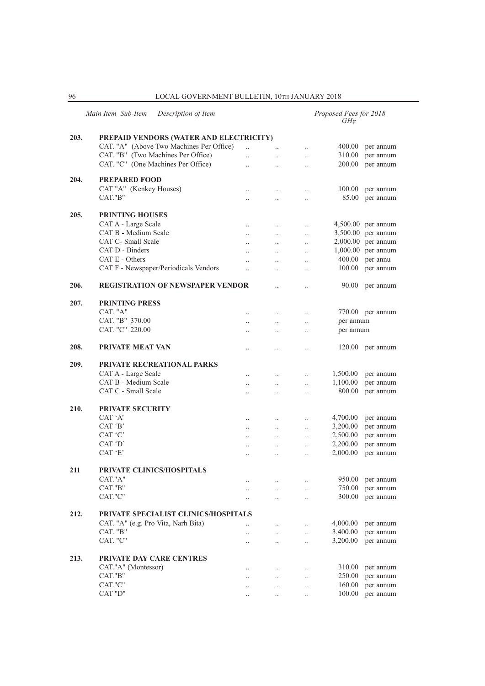|      | Main Item Sub-Item<br>Description of Item |                      |                      |                      | Proposed Fees for 2018<br>GH¢ |                      |
|------|-------------------------------------------|----------------------|----------------------|----------------------|-------------------------------|----------------------|
| 203. | PREPAID VENDORS (WATER AND ELECTRICITY)   |                      |                      |                      |                               |                      |
|      | CAT. "A" (Above Two Machines Per Office)  | $\ddot{\phantom{a}}$ |                      | $\ddot{\phantom{a}}$ | 400.00                        | per annum            |
|      | CAT. "B" (Two Machines Per Office)        | $\ddotsc$            | $\ddotsc$            | $\ddotsc$            | 310.00                        | per annum            |
|      | CAT. "C" (One Machines Per Office)        | $\ddotsc$            | $\ddot{\phantom{0}}$ | $\ddotsc$            | 200.00                        | per annum            |
|      |                                           |                      |                      |                      |                               |                      |
| 204. | <b>PREPARED FOOD</b>                      |                      |                      |                      |                               |                      |
|      | CAT "A" (Kenkey Houses)                   | $\ddot{\phantom{a}}$ | $\ldots$             | $\ldots$             | 100.00                        | per annum            |
|      | CAT."B"                                   |                      | $\ddotsc$            | $\ddot{\phantom{a}}$ | 85.00                         | per annum            |
| 205. | <b>PRINTING HOUSES</b>                    |                      |                      |                      |                               |                      |
|      | CAT A - Large Scale                       | $\ddotsc$            | $\ddotsc$            | $\ldots$             |                               | $4,500.00$ per annum |
|      | CAT B - Medium Scale                      | $\ddotsc$            | $\ddotsc$            | $\cdot$ .            | 3,500.00                      | per annum            |
|      | CAT C- Small Scale                        |                      |                      |                      |                               | 2,000.00 per annum   |
|      | CAT D - Binders                           |                      | $\ddotsc$            |                      |                               | 1,000.00 per annum   |
|      | CAT E - Others                            |                      |                      | $\ddotsc$            | 400.00                        | per annu             |
|      |                                           | $\ddot{\phantom{a}}$ | $\ddot{\phantom{a}}$ | $\ldots$             |                               |                      |
|      | CAT F - Newspaper/Periodicals Vendors     | $\ddot{\phantom{a}}$ | $\ddotsc$            |                      | 100.00                        | per annum            |
| 206. | <b>REGISTRATION OF NEWSPAPER VENDOR</b>   |                      | $\ddot{\phantom{0}}$ | $\ddot{\phantom{a}}$ | 90.00                         | per annum            |
| 207. | <b>PRINTING PRESS</b>                     |                      |                      |                      |                               |                      |
|      | CAT. "A"                                  | $\ddotsc$            | $\ddotsc$            | $\ldots$             |                               | 770.00 per annum     |
|      | CAT. "B" 370.00                           | $\ddot{\phantom{a}}$ | $\ddotsc$            | $\cdot$ .            | per annum                     |                      |
|      | CAT. "C" 220.00                           |                      |                      |                      | per annum                     |                      |
|      |                                           |                      |                      |                      |                               |                      |
| 208. | <b>PRIVATE MEAT VAN</b>                   | $\ddot{\phantom{a}}$ | $\ddot{\phantom{a}}$ | $\ddot{\phantom{a}}$ | 120.00                        | per annum            |
| 209. | <b>PRIVATE RECREATIONAL PARKS</b>         |                      |                      |                      |                               |                      |
|      | CAT A - Large Scale                       | $\ddot{\phantom{a}}$ | $\ddot{\phantom{0}}$ | $\ddotsc$            | 1,500.00                      | per annum            |
|      | CAT B - Medium Scale                      | $\ddot{\phantom{a}}$ | $\ddotsc$            | $\ddotsc$            | 1,100.00                      | per annum            |
|      | CAT C - Small Scale                       | $\ddot{\phantom{a}}$ | $\ddot{\phantom{0}}$ | $\ddotsc$            | 800.00                        | per annum            |
| 210. | <b>PRIVATE SECURITY</b>                   |                      |                      |                      |                               |                      |
|      | CAT 'A'                                   |                      |                      |                      | 4,700.00                      |                      |
|      |                                           | $\ddotsc$            | $\ddotsc$            | $\ddotsc$            |                               | per annum            |
|      | CAT 'B'                                   | $\ddot{\phantom{a}}$ | $\ddotsc$            | $\ddot{\phantom{0}}$ | 3,200.00                      | per annum            |
|      | CAT 'C'                                   | $\ddot{\phantom{0}}$ | $\ddotsc$            | $\ddotsc$            | 2,500.00                      | per annum            |
|      | CAT 'D'                                   | $\ddotsc$            | $\ddotsc$            | $\ddotsc$            | 2,200.00                      | per annum            |
|      | CAT 'E'                                   | $\ddot{\phantom{0}}$ | $\ddot{\phantom{0}}$ | $\ddot{\phantom{a}}$ | 2,000.00                      | per annum            |
| 211  | PRIVATE CLINICS/HOSPITALS                 |                      |                      |                      |                               |                      |
|      | CAT."A"                                   |                      |                      |                      | 950.00                        | per annum            |
|      | CAT."B"                                   |                      |                      | $\ddotsc$            | 750.00                        | per annum            |
|      | CAT."C"                                   | $\ddotsc$            | $\ddotsc$            | $\ddotsc$            | 300.00                        | per annum            |
|      |                                           |                      |                      |                      |                               |                      |
| 212. | PRIVATE SPECIALIST CLINICS/HOSPITALS      |                      |                      |                      |                               |                      |
|      | CAT. "A" (e.g. Pro Vita, Narh Bita)       |                      | $\cdot$ .            | $\ldots$             | 4,000.00                      | per annum            |
|      | CAT. "B"                                  |                      | $\ldots$             | $\ldots$             | 3,400.00                      | per annum            |
|      | CAT. "C"                                  |                      | $\ldots$             | $\ddotsc$            | 3,200.00                      | per annum            |
| 213. | <b>PRIVATE DAY CARE CENTRES</b>           |                      |                      |                      |                               |                      |
|      |                                           |                      |                      |                      |                               |                      |
|      | CAT."A" (Montessor)                       |                      | $\cdot$ .            | $\ldots$             | 310.00                        | per annum            |
|      | CAT."B"                                   |                      | $\ddotsc$            | $\cdot$              | 250.00                        | per annum            |
|      | CAT."C"                                   |                      | $\ddotsc$            | $\cdot$              | 160.00                        | per annum            |
|      | CAT "D"                                   |                      | $\ddot{\phantom{a}}$ | $\ddot{\phantom{a}}$ | 100.00                        | per annum            |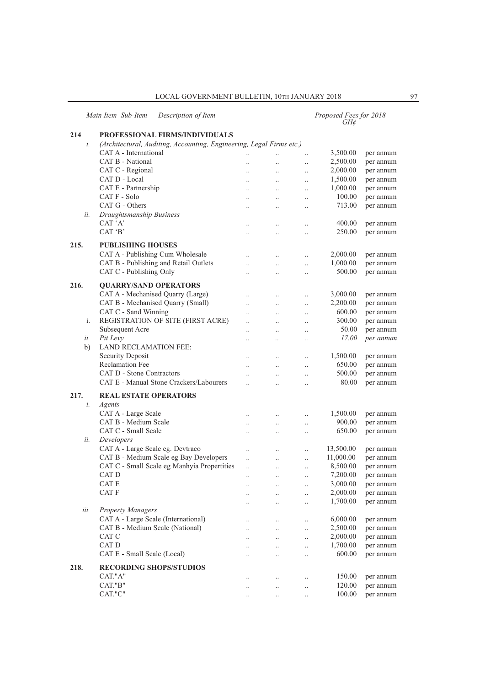*Main Item Sub-Item Description of Item Proposed Fees for 2018*

## *GH¢*

## **214 PROFESSIONAL FIRMS/INDIVIDUALS** *i. (Architectural, Auditing, Accounting, Engineering, Legal Firms etc.)* CAT A - International ... ... ... ... 3,500.00 per annum CAT B - National ... ... ... ... 2,500.00 per annum CAT C - Regional .. .. .. 2,000.00 per annum CAT D - Local .. .. .. 1,500.00 per annum CAT E - Partnership .. .. .. 1,000.00 per annum CAT F - Solo .. .. .. 100.00 per annum CAT G - Others .. .. .. 713.00 per annum *ii. Draughtsmanship Business* CAT 'A' ... ... ... 400.00 per annum<br>CAT 'B' ... ... ... 250.00 per annum .. .. .. .. .. 250.00 per annum **215. PUBLISHING HOUSES** CAT A - Publishing Cum Wholesale ... ... ... ... 2,000.00 per annum CAT B - Publishing and Retail Outlets ... ... ... ... 1,000.00 per annum CAT C - Publishing Only .. .. .. 500.00 per annum **216. QUARRY/SAND OPERATORS** CAT A - Mechanised Quarry (Large) .. .. .. 3,000.00 per annum CAT B - Mechanised Quarry (Small) ... ... ... 2,200.00 per annum CAT C - Sand Winning ... ... ... ... ... ... 600.00 per annum<br>REGISTRATION OF SITE (FIRST ACRE) ... ... ... 300.00 per annum i. REGISTRATION OF SITE (FIRST ACRE) ... ... ... 300.00 Subsequent Acre .. .. .. 50.00 per annum *ii. Pit Levy .. .. .. 17.00 per annum*  b) LAND RECLAMATION FEE: Security Deposit .. .. .. 1,500.00 per annum Reclamation Fee .. .. .. 650.00 per annum CAT D - Stone Contractors .. .. .. 500.00 per annum CAT E - Manual Stone Crackers/Labourers ... ... ... ... 80.00 per annum **217. REAL ESTATE OPERATORS** *i. Agents* CAT A - Large Scale .. .. .. 1,500.00 per annum CAT B - Medium Scale .. .. .. 900.00 per annum CAT C - Small Scale .. .. .. 650.00 per annum *ii. Developers* CAT A - Large Scale eg. Devtraco ... ... ... ... 13,500.00 per annum CAT B - Medium Scale eg Bay Developers ... ... 11,000.00 per annum CAT C - Small Scale eg Manhyia Propertities ... ... ... 8,500.00 per annum CAT D ... ... 7,200.00 per annum CAT E ... ... ... ... 3,000.00 per annum CAT F ... ... ... 2,000.00 per annum .. .. .. .. 1,700.00 per annum *iii. Property Managers* CAT A - Large Scale (International) ... ... ... ... 6,000.00 per annum CAT B - Medium Scale (National) .. .. .. 2,500.00 per annum CAT C ... ... ... 2,000.00 per annum CAT D ... ... 1,700.00 per annum CAT E - Small Scale (Local) .. .. .. 600.00 per annum **218. RECORDING SHOPS/STUDIOS** CAT."A" ... ... ... 150.00 per annum CAT."B" .. .. .. 120.00 per annum CAT."C" ... ... ... ... 100.00 per annum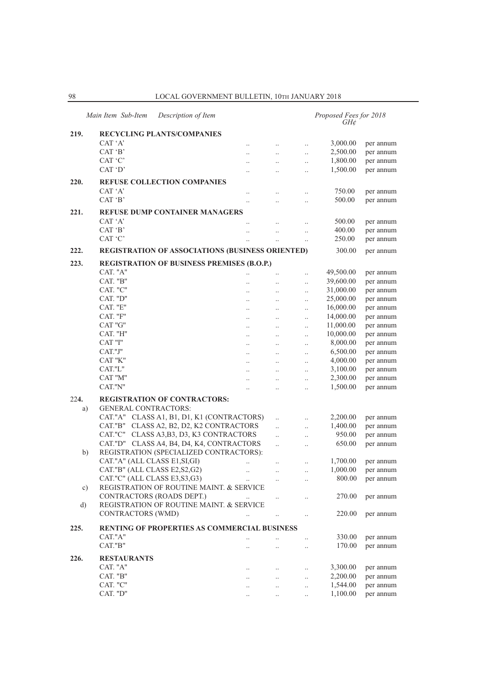|          | Main Item Sub-Item<br>Description of Item           |                      |                      |                      | Proposed Fees for 2018<br>$GH\mathcal{C}$ |           |
|----------|-----------------------------------------------------|----------------------|----------------------|----------------------|-------------------------------------------|-----------|
| 219.     | <b>RECYCLING PLANTS/COMPANIES</b>                   |                      |                      |                      |                                           |           |
|          | CAT 'A'                                             | $\ddot{\phantom{0}}$ | $\ldots$             | $\ddotsc$            | 3,000.00                                  | per annum |
|          | CAT 'B'                                             | $\ddot{\phantom{0}}$ | $\ddotsc$            | $\ddotsc$            | 2,500.00                                  | per annum |
|          | CAT 'C'                                             | $\ddotsc$            | $\ddot{\phantom{0}}$ | $\ddotsc$            | 1,800.00                                  | per annum |
|          | CAT 'D'                                             |                      | $\cdot$ .            | $\ldots$             | 1,500.00                                  | per annum |
|          |                                                     |                      |                      |                      |                                           |           |
| 220.     | <b>REFUSE COLLECTION COMPANIES</b>                  |                      |                      |                      |                                           |           |
|          | CAT 'A'<br>CAT 'B'                                  | $\ddot{\phantom{a}}$ | $\cdot$ .            | $\ddotsc$            | 750.00                                    | per annum |
|          |                                                     | $\ddotsc$            | $\ddot{\phantom{a}}$ | $\ddotsc$            | 500.00                                    | per annum |
| 221.     | <b>REFUSE DUMP CONTAINER MANAGERS</b>               |                      |                      |                      |                                           |           |
|          | CAT 'A'                                             | $\ddot{\phantom{0}}$ | $\ddot{\phantom{0}}$ | $\ddot{\phantom{a}}$ | 500.00                                    | per annum |
|          | CAT 'B'                                             |                      | $\ddot{\phantom{a}}$ | $\ddotsc$            | 400.00                                    | per annum |
|          | CAT 'C'                                             |                      | $\ddot{\phantom{0}}$ | $\ddotsc$            | 250.00                                    | per annum |
| 222.     | REGISTRATION OF ASSOCIATIONS (BUSINESS ORIENTED)    |                      |                      |                      | 300.00                                    | per annum |
| 223.     | REGISTRATION OF BUSINESS PREMISES (B.O.P.)          |                      |                      |                      |                                           |           |
|          | CAT. "A"                                            | $\ddot{\phantom{a}}$ | $\ldots$             | $\ldots$             | 49,500.00                                 | per annum |
|          | CAT. "B"                                            | $\ddot{\phantom{0}}$ | $\ddotsc$            | $\ddotsc$            | 39,600.00                                 | per annum |
|          | CAT. "C"                                            | $\ddot{\phantom{0}}$ | $\ddot{\phantom{0}}$ | $\ddot{\phantom{a}}$ | 31,000.00                                 | per annum |
|          | CAT. "D"                                            | $\ddot{\phantom{a}}$ | $\ddotsc$            | $\ddotsc$            | 25,000.00                                 | per annum |
|          | CAT. "E"                                            | $\ddot{\phantom{a}}$ | $\ddotsc$            | $\ddotsc$            | 16,000.00                                 | per annum |
|          | CAT. "F"                                            | $\ldots$             | $\ldots$             | $\ldots$             | 14,000.00                                 | per annum |
|          | CAT "G"                                             | $\ddot{\phantom{a}}$ | $\ddot{\phantom{0}}$ | $\ldots$             | 11,000.00                                 | per annum |
|          | CAT. "H"                                            | $\ddot{\phantom{a}}$ | $\ddot{\phantom{0}}$ | $\ddot{\phantom{a}}$ | 10,000.00                                 | per annum |
|          | CAT "I"                                             | $\ddot{\phantom{a}}$ | $\ddotsc$            | $\ddotsc$            | 8,000.00                                  | per annum |
|          | CAT."J"                                             | $\ddotsc$            | $\ldots$             | $\ldots$             | 6,500.00                                  | per annum |
|          | CAT "K"                                             | $\ldots$             | $\ldots$             | $\ldots$             | 4,000.00                                  | per annum |
|          | CAT."L"                                             | $\ddotsc$            | $\ddotsc$            | $\ddot{\phantom{a}}$ | 3,100.00                                  | per annum |
|          | CAT "M"                                             | $\ddotsc$            |                      | $\ddot{\phantom{a}}$ | 2,300.00                                  | per annum |
|          | CAT."N"                                             | $\ddot{\phantom{a}}$ | $\ddotsc$            | $\ddotsc$            | 1,500.00                                  | per annum |
| 224.     | <b>REGISTRATION OF CONTRACTORS:</b>                 |                      |                      |                      |                                           |           |
| a)       | <b>GENERAL CONTRACTORS:</b>                         |                      |                      |                      |                                           |           |
|          | CAT."A" CLASS A1, B1, D1, K1 (CONTRACTORS)          |                      | $\ddotsc$            | $\ddotsc$            | 2,200.00                                  | per annum |
|          | CLASS A2, B2, D2, K2 CONTRACTORS<br>CAT."B"         |                      | $\ddotsc$            | $\ddot{\phantom{a}}$ | 1,400.00                                  | per annum |
|          | CAT."C" CLASS A3, B3, D3, K3 CONTRACTORS            |                      | $\ddotsc$            | $\cdot$              | 950.00                                    | per annum |
|          | CAT."D" CLASS A4, B4, D4, K4, CONTRACTORS           |                      | $\ddotsc$            | $\ldots$             | 650.00                                    | per annum |
| b)       | REGISTRATION (SPECIALIZED CONTRACTORS):             |                      |                      |                      |                                           |           |
|          | CAT."A" (ALL CLASS E1, SI, GI)                      | $\ddotsc$            | $\ddotsc$            | $\ldots$             | 1,700.00                                  | per annum |
|          | CAT."B" (ALL CLASS E2, S2, G2)                      | $\ddotsc$            | $\ldots$             | $\ddotsc$            | 1,000.00                                  | per annum |
|          | CAT."C" (ALL CLASS E3, S3, G3)                      |                      |                      | $\ldots$             | 800.00                                    | per annum |
| c)       | REGISTRATION OF ROUTINE MAINT. & SERVICE            |                      |                      |                      |                                           |           |
|          | CONTRACTORS (ROADS DEPT.)                           |                      | $\ldots$             | $\ddotsc$            | 270.00                                    | per annum |
| $\rm d)$ | REGISTRATION OF ROUTINE MAINT. & SERVICE            |                      |                      |                      |                                           |           |
|          | <b>CONTRACTORS (WMD)</b>                            | $\ddot{\phantom{0}}$ | $\ldots$             | $\ldots$             | 220.00                                    | per annum |
| 225.     | <b>RENTING OF PROPERTIES AS COMMERCIAL BUSINESS</b> |                      |                      |                      |                                           |           |
|          | CAT."A"                                             |                      | $\ldots$             |                      | 330.00                                    | per annum |
|          | CAT."B"                                             |                      | $\ldots$             | $\ldots$             | 170.00                                    | per annum |
| 226.     | <b>RESTAURANTS</b>                                  |                      |                      |                      |                                           |           |
|          | CAT. "A"                                            | $\ddot{\phantom{0}}$ | $\ddots$             | $\ldots$             | 3,300.00                                  | per annum |
|          | CAT. $"B"$                                          | $\ddot{\phantom{0}}$ | $\ddotsc$            | $\ddotsc$            | 2,200.00                                  | per annum |
|          | CAT. "C"                                            |                      | $\ddotsc$            | $\ldots$             | 1,544.00                                  | per annum |
|          | CAT. "D"                                            | $\cdot$ .            | $\ddots$             | $\ldots$             | 1,100.00                                  | per annum |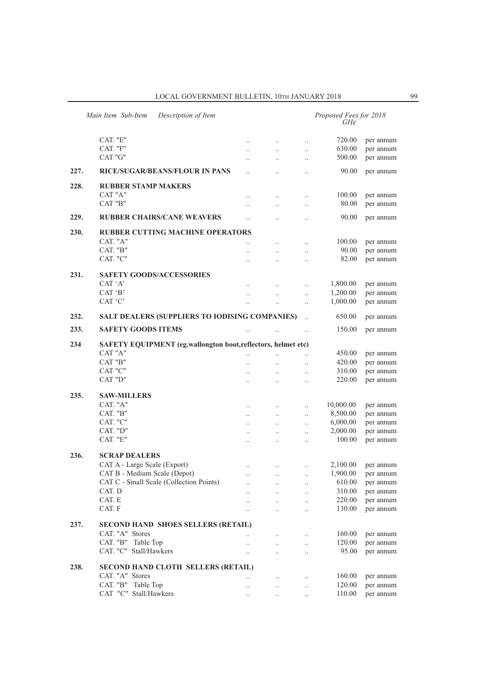| Main Item Sub-Item<br>Description of Item |                                                              |                      |           |               | Proposed Fees for 2018<br>$GH\mathcal{C}$ |           |  |  |  |  |
|-------------------------------------------|--------------------------------------------------------------|----------------------|-----------|---------------|-------------------------------------------|-----------|--|--|--|--|
|                                           | CAT. "E"                                                     | $\cdot$ .            | $\ldots$  | $\ldots$      | 720.00                                    | per annum |  |  |  |  |
|                                           | CAT. "F"                                                     | $\ddot{\phantom{0}}$ | $\ddotsc$ | $\ddotsc$     | 630.00                                    | per annum |  |  |  |  |
|                                           | CAT "G"                                                      |                      |           |               | 500.00                                    | per annum |  |  |  |  |
|                                           |                                                              | $\ddot{\phantom{0}}$ | $\ddotsc$ | $\ddots$      |                                           |           |  |  |  |  |
| 227.                                      | <b>RICE/SUGAR/BEANS/FLOUR IN PANS</b>                        | $\ddot{\phantom{a}}$ | $\ddotsc$ | $\ddotsc$     | 90.00                                     | per annum |  |  |  |  |
| 228.                                      | <b>RUBBER STAMP MAKERS</b>                                   |                      |           |               |                                           |           |  |  |  |  |
|                                           | CAT "A"                                                      | $\cdot$              | $\ldots$  | $\ldots$      | 100.00                                    | per annum |  |  |  |  |
|                                           | CAT "B"                                                      | $\ddot{\phantom{a}}$ | $\ldots$  | $\ldots$      | 80.00                                     | per annum |  |  |  |  |
| 229.                                      | <b>RUBBER CHAIRS/CANE WEAVERS</b>                            | $\ddot{\phantom{a}}$ | $\ddotsc$ | $\ddotsc$     | 90.00                                     | per annum |  |  |  |  |
| 230.                                      | <b>RUBBER CUTTING MACHINE OPERATORS</b>                      |                      |           |               |                                           |           |  |  |  |  |
|                                           | CAT. "A"                                                     | $\ddot{\phantom{a}}$ | $\ddots$  | $\ddotsc$     | 100.00                                    | per annum |  |  |  |  |
|                                           | CAT. "B"                                                     | $\ddot{\phantom{0}}$ | $\ddotsc$ | $\ddotsc$     | 90.00                                     | per annum |  |  |  |  |
|                                           | CAT. "C"                                                     | $\ddot{\phantom{a}}$ | $\ddotsc$ | $\ddotsc$     | 82.00                                     | per annum |  |  |  |  |
|                                           |                                                              |                      |           |               |                                           |           |  |  |  |  |
| 231.                                      | <b>SAFETY GOODS/ACCESSORIES</b>                              |                      |           |               |                                           |           |  |  |  |  |
|                                           | CAT 'A'                                                      |                      | $\ldots$  | $\ldots$      | 1,800.00                                  | per annum |  |  |  |  |
|                                           | CAT 'B'                                                      | $\ddotsc$            | $\ldots$  | $\ddots$      | 1,200.00                                  | per annum |  |  |  |  |
|                                           | CAT 'C'                                                      | $\ddotsc$            | $\ldots$  | $\ldots$      | 1,000.00                                  | per annum |  |  |  |  |
| 232.                                      | SALT DEALERS (SUPPLIERS TO IODISING COMPANIES)               |                      |           | $\ddotsc$     | 650.00                                    | per annum |  |  |  |  |
| 233.                                      | <b>SAFETY GOODS ITEMS</b>                                    | $\ddot{\phantom{a}}$ | $\ldots$  | $\ddots$      | 150.00                                    | per annum |  |  |  |  |
| 234                                       | SAFETY EQUIPMENT (eg.wallongton boot,reflectors, helmet etc) |                      |           |               |                                           |           |  |  |  |  |
|                                           | CAT "A"                                                      | $\ddot{\phantom{a}}$ | $\ddotsc$ | $\ddotsc$     | 450.00                                    | per annum |  |  |  |  |
|                                           | CAT "B"                                                      | $\ddot{\phantom{0}}$ | $\ldots$  | $\ldots$      | 420.00                                    | per annum |  |  |  |  |
|                                           | CAT "C"                                                      | $\cdot$              | $\ldots$  | $\ldots$      | 310.00                                    | per annum |  |  |  |  |
|                                           | CAT "D"                                                      | $\ddot{\phantom{0}}$ | $\ldots$  | $\ldots$      | 220.00                                    | per annum |  |  |  |  |
|                                           |                                                              |                      |           |               |                                           |           |  |  |  |  |
| 235.                                      | <b>SAW-MILLERS</b>                                           |                      |           |               |                                           |           |  |  |  |  |
|                                           | CAT. "A"                                                     | $\ldots$             | $\ldots$  | $\ldots$      | 10,000.00                                 | per annum |  |  |  |  |
|                                           | CAT. "B"                                                     | $\ddotsc$            | $\ldots$  | $\ldots$      | 8,500.00                                  | per annum |  |  |  |  |
|                                           | CAT. "C"                                                     | $\ddotsc$            | $\ddots$  | $\ldots$      | 6,000.00                                  | per annum |  |  |  |  |
|                                           | CAT. "D"                                                     | $\ddotsc$            | $\ddotsc$ | $\ddots$      | 2,000.00                                  | per annum |  |  |  |  |
|                                           | CAT. "E"                                                     | $\ddotsc$            | $\ddotsc$ | $\ddotsc$     | 100.00                                    | per annum |  |  |  |  |
| 236.                                      | <b>SCRAP DEALERS</b>                                         |                      |           |               |                                           |           |  |  |  |  |
|                                           | CAT A - Large Scale (Export)                                 |                      |           |               | 2,100.00                                  | per annum |  |  |  |  |
|                                           | CAT B - Medium Scale (Depot)                                 | $\cdot$ .            | $\ldots$  | $\ldots$      | 1,900.00                                  | per annum |  |  |  |  |
|                                           | CAT C - Small Scale (Collection Points)                      | $\cdot \cdot$        | $\ddots$  | $\cdot \cdot$ | 610.00                                    |           |  |  |  |  |
|                                           |                                                              | $\cdot$              | $\ldots$  | $\ldots$      |                                           | per annum |  |  |  |  |
|                                           | CAT. D                                                       |                      | $\ddots$  | $\ddotsc$     | 310.00                                    | per annum |  |  |  |  |
|                                           | CAT. E                                                       | $\ddotsc$            | $\ddots$  | $\ldots$      | 220.00                                    | per annum |  |  |  |  |
|                                           | CAT. F                                                       |                      | $\ldots$  | $\ldots$      | 130.00                                    | per annum |  |  |  |  |
| 237.                                      | <b>SECOND HAND SHOES SELLERS (RETAIL)</b>                    |                      |           |               |                                           |           |  |  |  |  |
|                                           | CAT. "A" Stores                                              | $\ddotsc$            | $\ldots$  | $\ldots$      | 160.00                                    | per annum |  |  |  |  |
|                                           | CAT. "B" Table Top                                           | $\ddotsc$            | $\ddotsc$ | $\ldots$      | 120.00                                    | per annum |  |  |  |  |
|                                           | CAT. "C" Stall/Hawkers                                       | $\ldots$             | $\ldots$  | $\ldots$      | 95.00                                     | per annum |  |  |  |  |
| 238.                                      |                                                              |                      |           |               |                                           |           |  |  |  |  |
|                                           | SECOND HAND CLOTH SELLERS (RETAIL)                           |                      |           |               |                                           |           |  |  |  |  |
|                                           | CAT. "A" Stores                                              | $\cdot$ .            | $\ldots$  | $\ldots$      | 160.00                                    | per annum |  |  |  |  |
|                                           | CAT. "B" Table Top                                           | $\cdot$ .            | $\ldots$  | $\ldots$      | 120.00                                    | per annum |  |  |  |  |
|                                           | CAT "C" Stall/Hawkers                                        | $\cdot$ .            | $\ldots$  | $\ldots$      | 110.00                                    | per annum |  |  |  |  |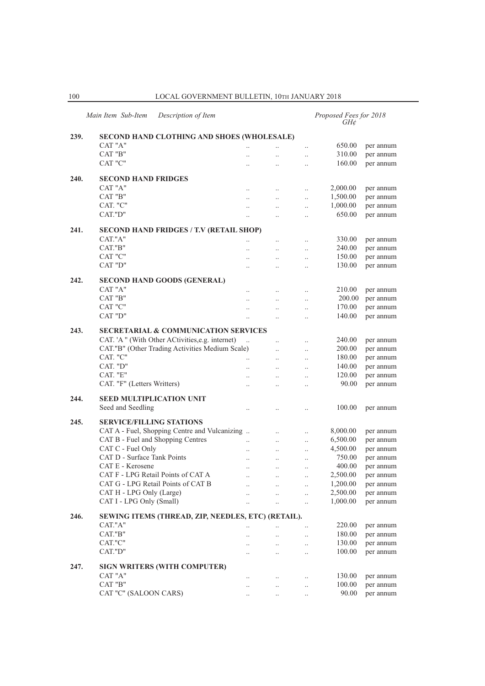| Main Item Sub-Item<br>Description of Item |                                                    |                      |           |                      | Proposed Fees for 2018<br>$GH\mathcal{C}$ |           |
|-------------------------------------------|----------------------------------------------------|----------------------|-----------|----------------------|-------------------------------------------|-----------|
| 239.                                      | <b>SECOND HAND CLOTHING AND SHOES (WHOLESALE)</b>  |                      |           |                      |                                           |           |
|                                           | CAT "A"                                            | $\ddotsc$            |           | $\ldots$             | 650.00                                    | per annum |
|                                           | CAT "B"                                            |                      | $\ddotsc$ | $\ldots$             | 310.00                                    | per annum |
|                                           | CAT "C"                                            |                      | $\ddotsc$ | $\ddotsc$            | 160.00                                    | per annum |
| 240.                                      | <b>SECOND HAND FRIDGES</b>                         |                      |           |                      |                                           |           |
|                                           | CAT "A"                                            | $\ddotsc$            | $\ddotsc$ | $\ddotsc$            | 2,000.00                                  | per annum |
|                                           | CAT "B"                                            |                      |           |                      | 1,500.00                                  | per annum |
|                                           | CAT. "C"                                           | $\ddotsc$            | $\ddotsc$ | $\ddotsc$            | 1,000.00                                  |           |
|                                           | CAT."D"                                            | $\ldots$             | $\ldots$  | $\ldots$             | 650.00                                    | per annum |
|                                           |                                                    | $\ldots$             | $\ddotsc$ | $\ddotsc$            |                                           | per annum |
| 241.                                      | <b>SECOND HAND FRIDGES / T.V (RETAIL SHOP)</b>     |                      |           |                      |                                           |           |
|                                           | CAT."A"                                            | $\ddot{\phantom{0}}$ | $\ddotsc$ | $\ddotsc$            | 330.00                                    | per annum |
|                                           | CAT."B"                                            | $\ddotsc$            | $\ldots$  | $\ldots$             | 240.00                                    | per annum |
|                                           | CAT "C"                                            | $\ddotsc$            | $\ddotsc$ | $\ddotsc$            | 150.00                                    | per annum |
|                                           | CAT "D"                                            | $\ddotsc$            | $\ddotsc$ | $\ddotsc$            | 130.00                                    | per annum |
| 242.                                      | <b>SECOND HAND GOODS (GENERAL)</b>                 |                      |           |                      |                                           |           |
|                                           | CAT "A"                                            | $\ddotsc$            | $\ddotsc$ | $\ldots$             | 210.00                                    | per annum |
|                                           | CAT "B"                                            |                      | $\ldots$  | $\ldots$             | 200.00                                    | per annum |
|                                           | CAT "C"                                            | $\cdot$ .            | $\ldots$  | $\ldots$             | 170.00                                    | per annum |
|                                           | CAT "D"                                            | $\ddotsc$            | $\ddotsc$ | $\ddotsc$            | 140.00                                    | per annum |
|                                           |                                                    |                      |           |                      |                                           |           |
| 243.                                      | <b>SECRETARIAL &amp; COMMUNICATION SERVICES</b>    |                      |           |                      |                                           |           |
|                                           | CAT. 'A " (With Other ACtivities, e.g. internet)   |                      | $\ddotsc$ | $\ldots$             | 240.00                                    | per annum |
|                                           | CAT."B" (Other Trading Activities Medium Scale)    |                      | $\ddotsc$ | $\ddotsc$            | 200.00                                    | per annum |
|                                           | CAT. "C"                                           |                      | $\ddotsc$ | $\ddotsc$            | 180.00                                    | per annum |
|                                           | CAT. "D"                                           | $\ddotsc$            | $\ddotsc$ | $\ddotsc$            | 140.00                                    | per annum |
|                                           | CAT. "E"                                           | $\cdot$ .            | $\ldots$  | $\cdot$ .            | 120.00                                    | per annum |
|                                           | CAT. "F" (Letters Writters)                        | $\cdot$ .            | $\ddotsc$ | $\cdot$              | 90.00                                     | per annum |
| 244.                                      | <b>SEED MULTIPLICATION UNIT</b>                    |                      |           |                      |                                           |           |
|                                           | Seed and Seedling                                  | $\ddotsc$            |           | $\ddot{\phantom{0}}$ | 100.00                                    | per annum |
| 245.                                      | <b>SERVICE/FILLING STATIONS</b>                    |                      |           |                      |                                           |           |
|                                           | CAT A - Fuel, Shopping Centre and Vulcanizing      |                      | $\ddotsc$ | $\ldots$             | 8,000.00                                  | per annum |
|                                           | CAT B - Fuel and Shopping Centres                  | $\ddotsc$            | $\ldots$  | $\ldots$             | 6,500.00                                  | per annum |
|                                           | CAT C - Fuel Only                                  | $\ddotsc$            | $\ldots$  |                      | 4,500.00                                  | per annum |
|                                           | CAT D - Surface Tank Points                        |                      | $\ddotsc$ | $\ldots$             | 750.00                                    | per annum |
|                                           | CAT E - Kerosene                                   |                      |           | $\ldots$             | 400.00                                    | per annum |
|                                           | CAT F - LPG Retail Points of CAT A                 | $\ddotsc$            | $\ddotsc$ | $\ddotsc$            | 2,500.00                                  | per annum |
|                                           | CAT G - LPG Retail Points of CAT B                 |                      |           |                      | 1,200.00                                  |           |
|                                           |                                                    |                      | $\cdot$ . | $\ldots$             |                                           | per annum |
|                                           | CAT H - LPG Only (Large)                           | $\ddotsc$            | $\ddotsc$ | $\ldots$             | 2,500.00<br>1,000.00                      | per annum |
|                                           | CAT I - LPG Only (Small)                           |                      | $\ldots$  | $\ddots$             |                                           | per annum |
| 246.                                      | SEWING ITEMS (THREAD, ZIP, NEEDLES, ETC) (RETAIL). |                      |           |                      |                                           |           |
|                                           | CAT."A"                                            |                      |           | $\ldots$             | 220.00                                    | per annum |
|                                           | CAT."B"                                            | $\ddotsc$            | $\ddots$  | $\ldots$             | 180.00                                    | per annum |
|                                           | CAT."C"                                            | $\cdot$ .            | $\ddotsc$ | $\ldots$             | 130.00                                    | per annum |
|                                           | CAT."D"                                            | $\ddotsc$            | $\ddotsc$ | $\ddotsc$            | 100.00                                    | per annum |
| 247.                                      | <b>SIGN WRITERS (WITH COMPUTER)</b>                |                      |           |                      |                                           |           |
|                                           | CAT "A"                                            | $\ldots$             | $\ldots$  | $\ldots$             | 130.00                                    | per annum |
|                                           | CAT "B"                                            | $\ldots$             | $\ldots$  | $\ldots$             | 100.00                                    | per annum |
|                                           | CAT "C" (SALOON CARS)                              |                      | $\ddotsc$ | $\ldots$             | 90.00                                     | per annum |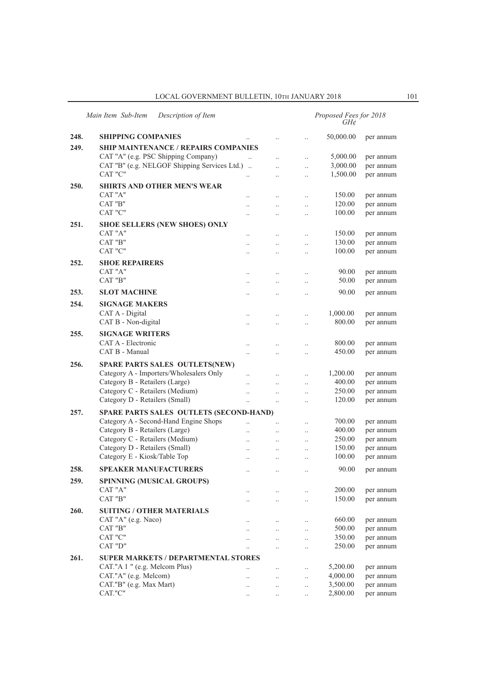## LOCAL GOVERNMENT BULLETIN, 10TH JANUARY 2018 101

|      | Main Item Sub-Item<br>Description of Item    |                      |                      |                      | Proposed Fees for 2018<br>GH¢ |           |
|------|----------------------------------------------|----------------------|----------------------|----------------------|-------------------------------|-----------|
| 248. | <b>SHIPPING COMPANIES</b>                    |                      | $\ddot{\phantom{a}}$ | $\ddotsc$            | 50,000.00                     | per annum |
| 249. | SHIP MAINTENANCE / REPAIRS COMPANIES         |                      |                      |                      |                               |           |
|      | CAT "A" (e.g. PSC Shipping Company)          | $\ddotsc$            | $\ddotsc$            | $\cdot$ .            | 5,000.00                      | per annum |
|      | CAT "B" (e.g. NELGOF Shipping Services Ltd.) |                      | $\ddot{\phantom{a}}$ | $\ddotsc$            | 3,000.00                      | per annum |
|      | CAT "C"                                      |                      | $\ddot{\phantom{a}}$ | $\ddotsc$            | 1,500.00                      | per annum |
| 250. | SHIRTS AND OTHER MEN'S WEAR                  |                      |                      |                      |                               |           |
|      | CAT "A"                                      |                      | $\ddot{\phantom{a}}$ | $\ddot{\phantom{a}}$ | 150.00                        | per annum |
|      | CAT "B"                                      |                      | $\ddot{\phantom{a}}$ | $\ddot{\phantom{a}}$ | 120.00                        | per annum |
|      | CAT "C"                                      |                      | $\ddotsc$            | $\ddotsc$            | 100.00                        | per annum |
| 251. | <b>SHOE SELLERS (NEW SHOES) ONLY</b>         |                      |                      |                      |                               |           |
|      | CAT "A"                                      |                      |                      | $\ddot{\phantom{a}}$ | 150.00                        | per annum |
|      | CAT "B"                                      | $\cdot$              | $\cdot$ .            | $\cdot$              | 130.00                        | per annum |
|      | CAT "C"                                      |                      |                      |                      | 100.00                        | per annum |
| 252. | <b>SHOE REPAIRERS</b>                        |                      |                      |                      |                               |           |
|      | CAT "A"                                      |                      |                      | $\cdot$ .            | 90.00                         | per annum |
|      | CAT "B"                                      |                      | $\cdot$              | $\cdot$              | 50.00                         | per annum |
| 253. | <b>SLOT MACHINE</b>                          |                      |                      |                      | 90.00                         | per annum |
| 254. | <b>SIGNAGE MAKERS</b>                        |                      |                      |                      |                               |           |
|      | CAT A - Digital                              | $\ddot{\phantom{a}}$ | $\ddot{\phantom{a}}$ | $\cdot$              | 1,000.00                      | per annum |
|      | CAT B - Non-digital                          | $\ddot{\phantom{a}}$ | $\ddot{\phantom{0}}$ | $\ddotsc$            | 800.00                        | per annum |
| 255. | <b>SIGNAGE WRITERS</b>                       |                      |                      |                      |                               |           |
|      | CAT A - Electronic                           | $\ddot{\phantom{a}}$ | $\ddot{\phantom{a}}$ | $\ddot{\phantom{a}}$ | 800.00                        | per annum |
|      | CAT B - Manual                               | $\ddot{\phantom{0}}$ | $\ddot{\phantom{a}}$ | $\ddot{\phantom{a}}$ | 450.00                        | per annum |
| 256. | <b>SPARE PARTS SALES OUTLETS(NEW)</b>        |                      |                      |                      |                               |           |
|      | Category A - Importers/Wholesalers Only      | $\ddot{\phantom{a}}$ | $\cdot$ .            | $\ldots$             | 1,200.00                      | per annum |
|      | Category B - Retailers (Large)               |                      |                      | $\ddot{\phantom{a}}$ | 400.00                        | per annum |
|      | Category C - Retailers (Medium)              |                      | $\ddotsc$            | $\ddotsc$            | 250.00                        | per annum |
|      | Category D - Retailers (Small)               | $\ddotsc$            | $\ddotsc$            | $\cdot$              | 120.00                        | per annum |
| 257. | SPARE PARTS SALES OUTLETS (SECOND-HAND)      |                      |                      |                      |                               |           |
|      | Category A - Second-Hand Engine Shops        | $\ddotsc$            | $\ddotsc$            | $\ddotsc$            | 700.00                        | per annum |
|      | Category B - Retailers (Large)               | $\ddotsc$            | $\ddot{\phantom{0}}$ | $\ddotsc$            | 400.00                        | per annum |
|      | Category C - Retailers (Medium)              | $\ddot{\phantom{a}}$ | $\cdot$ .            | $\cdot$ .            | 250.00                        | per annum |
|      | Category D - Retailers (Small)               |                      |                      |                      | 150.00                        | per annum |
|      | Category E - Kiosk/Table Top                 | $\ddotsc$            | $\cdot$ .            |                      | 100.00                        | per annum |
| 258. | <b>SPEAKER MANUFACTURERS</b>                 | $\ddot{\phantom{a}}$ | $\ddotsc$            | $\ddot{\phantom{a}}$ | 90.00                         | per annum |
| 259. | <b>SPINNING (MUSICAL GROUPS)</b>             |                      |                      |                      |                               |           |
|      | CAT "A"                                      | $\ddotsc$            | $\cdot$ .            | $\ddotsc$            | 200.00                        | per annum |
|      | CAT "B"                                      | $\ddot{\phantom{0}}$ | $\ddots$             | $\ldots$             | 150.00                        | per annum |
| 260. | <b>SUITING / OTHER MATERIALS</b>             |                      |                      |                      |                               |           |
|      | CAT "A" (e.g. Naco)                          | $\cdot$              | $\ldots$             | $\ldots$             | 660.00                        | per annum |
|      | CAT "B"                                      |                      | $\ddotsc$            | $\cdot$              | 500.00                        | per annum |
|      | CAT "C"                                      | $\cdot$              | $\ddotsc$            | $\ldots$             | 350.00                        | per annum |
|      | CAT "D"                                      | $\ddotsc$            | $\ddot{\phantom{0}}$ | $\ddotsc$            | 250.00                        | per annum |
| 261. | <b>SUPER MARKETS / DEPARTMENTAL STORES</b>   |                      |                      |                      |                               |           |
|      | CAT."A 1 " (e.g. Melcom Plus)                | $\ddotsc$            | $\ddotsc$            | $\ddotsc$            | 5,200.00                      | per annum |
|      | CAT."A" (e.g. Melcom)                        |                      | $\ddotsc$            | $\ddotsc$            | 4,000.00                      | per annum |
|      | CAT."B" (e.g. Max Mart)                      |                      | $\cdot$ .            | $\ldots$             | 3,500.00                      | per annum |
|      | CAT."C"                                      | $\cdot$ .            | $\ldots$             | $\ddotsc$            | 2,800.00                      | per annum |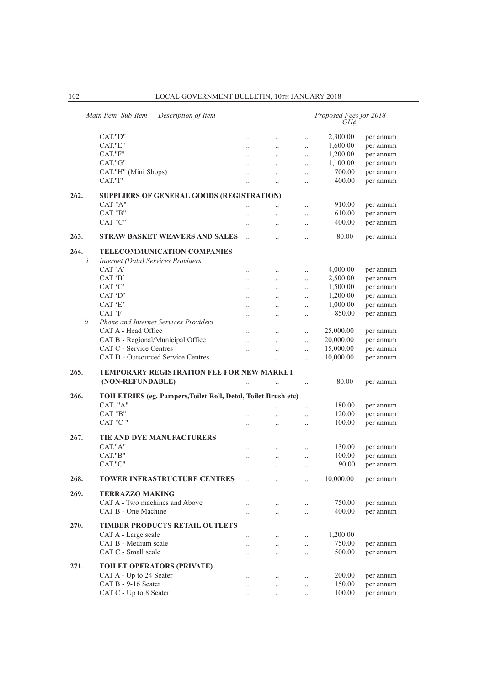|      | Main Item Sub-Item<br>Description of Item                             |                      |                       |                       | Proposed Fees for 2018<br>GH¢ |           |
|------|-----------------------------------------------------------------------|----------------------|-----------------------|-----------------------|-------------------------------|-----------|
|      | CAT."D"                                                               | $\ddotsc$            | $\ldots$              | $\ddotsc$             | 2,300.00                      | per annum |
|      | CAT."E"                                                               | $\ddotsc$            | $\ddotsc$             | $\ddotsc$             | 1,600.00                      | per annum |
|      | CAT."F"                                                               | $\ddotsc$            | $\ddotsc$             | $\ldots$              | 1,200.00                      | per annum |
|      | CAT."G"                                                               |                      |                       |                       | 1,100.00                      | per annum |
|      | CAT."H" (Mini Shops)                                                  | $\cdot$ .            | $\ldots$              | $\ldots$              | 700.00                        | per annum |
|      | CAT."I"                                                               |                      | $\ldots$<br>$\ddotsc$ | $\ldots$<br>$\ddotsc$ | 400.00                        | per annum |
|      |                                                                       |                      |                       |                       |                               |           |
| 262. | SUPPLIERS OF GENERAL GOODS (REGISTRATION)                             |                      |                       |                       |                               |           |
|      | CAT "A"                                                               | $\ddot{\phantom{0}}$ | $\ddot{\phantom{a}}$  | $\ddotsc$             | 910.00                        | per annum |
|      | CAT "B"                                                               |                      | $\ddotsc$             | $\ldots$              | 610.00                        | per annum |
|      | CAT "C"                                                               |                      | $\ddotsc$             | $\ldots$              | 400.00                        | per annum |
| 263. | <b>STRAW BASKET WEAVERS AND SALES</b>                                 | $\ddotsc$            | $\ddotsc$             | $\ddotsc$             | 80.00                         | per annum |
| 264. | <b>TELECOMMUNICATION COMPANIES</b>                                    |                      |                       |                       |                               |           |
| i.   | Internet (Data) Services Providers<br>CAT 'A'                         |                      |                       |                       |                               |           |
|      |                                                                       |                      | $\ddotsc$             | $\ldots$              | 4,000.00                      | per annum |
|      | CAT 'B'                                                               |                      | $\ddotsc$             | $\ddotsc$             | 2,500.00                      | per annum |
|      | CAT 'C'                                                               |                      | $\ddotsc$             | $\ldots$              | 1,500.00                      | per annum |
|      | CAT 'D'                                                               | $\ddotsc$            |                       | $\ddotsc$             | 1,200.00                      | per annum |
|      | CAT 'E'                                                               | $\ddotsc$            | $\ddotsc$             | $\ddots$              | 1,000.00                      | per annum |
|      | CAT 'F'                                                               |                      |                       | $\ldots$              | 850.00                        | per annum |
| ii.  | Phone and Internet Services Providers                                 |                      |                       |                       |                               |           |
|      | CAT A - Head Office                                                   |                      |                       | $\ddotsc$             | 25,000.00                     | per annum |
|      | CAT B - Regional/Municipal Office                                     |                      | $\ddotsc$             | $\ddotsc$             | 20,000.00                     | per annum |
|      | CAT C - Service Centres                                               | $\ddot{\phantom{a}}$ | $\ddotsc$             | $\ddotsc$             | 15,000.00                     | per annum |
|      | CAT D - Outsourced Service Centres                                    | $\ddotsc$            | $\ddot{\phantom{a}}$  | $\ddotsc$             | 10,000.00                     | per annum |
| 265. | <b>TEMPORARY REGISTRATION FEE FOR NEW MARKET</b>                      |                      |                       |                       |                               |           |
|      | (NON-REFUNDABLE)                                                      |                      |                       | $\ldots$              | 80.00                         | per annum |
| 266. | <b>TOILETRIES</b> (eg. Pampers, Toilet Roll, Detol, Toilet Brush etc) |                      |                       |                       |                               |           |
|      | CAT "A"                                                               |                      |                       | $\ddotsc$             | 180.00                        | per annum |
|      | CAT "B"                                                               |                      | $\ddot{\phantom{0}}$  | $\ddotsc$             | 120.00                        | per annum |
|      | CAT "C "                                                              | $\ddot{\phantom{a}}$ |                       | $\ddotsc$             | 100.00                        | per annum |
| 267. | TIE AND DYE MANUFACTURERS                                             |                      |                       |                       |                               |           |
|      | CAT."A"                                                               |                      |                       | $\ldots$              | 130.00                        | per annum |
|      | CAT."B"                                                               |                      |                       | $\ldots$              | 100.00                        | per annum |
|      | CAT."C"                                                               |                      |                       | $\ddotsc$             | 90.00                         | per annum |
| 268. | <b>TOWER INFRASTRUCTURE CENTRES</b>                                   | $\ddotsc$            | $\ddotsc$             | $\ddotsc$             | 10,000.00                     | per annum |
| 269. | <b>TERRAZZO MAKING</b>                                                |                      |                       |                       |                               |           |
|      | CAT A - Two machines and Above                                        | $\ddot{\phantom{0}}$ | $\ddotsc$             | $\ldots$              | 750.00                        | per annum |
|      | CAT B - One Machine                                                   | $\ddot{\phantom{0}}$ | $\ddotsc$             | $\ldots$              | 400.00                        | per annum |
|      |                                                                       |                      |                       |                       |                               |           |
| 270. | <b>TIMBER PRODUCTS RETAIL OUTLETS</b>                                 |                      |                       |                       |                               |           |
|      | CAT A - Large scale                                                   |                      | $\ldots$              | $\ldots$              | 1,200.00                      |           |
|      | CAT B - Medium scale                                                  |                      | $\ldots$              | $\ldots$              | 750.00                        | per annum |
|      | CAT C - Small scale                                                   |                      | $\ddotsc$             | $\ldots$              | 500.00                        | per annum |
| 271. | <b>TOILET OPERATORS (PRIVATE)</b>                                     |                      |                       |                       |                               |           |
|      | CAT A - Up to 24 Seater                                               |                      | $\ddotsc$             | $\ldots$              | 200.00                        | per annum |
|      | CAT B - 9-16 Seater                                                   | $\ddotsc$            | $\ddotsc$             | $\ldots$              | 150.00                        | per annum |
|      | CAT C - Up to 8 Seater                                                | $\ldots$             | $\ldots$              | $\ldots$              | 100.00                        | per annum |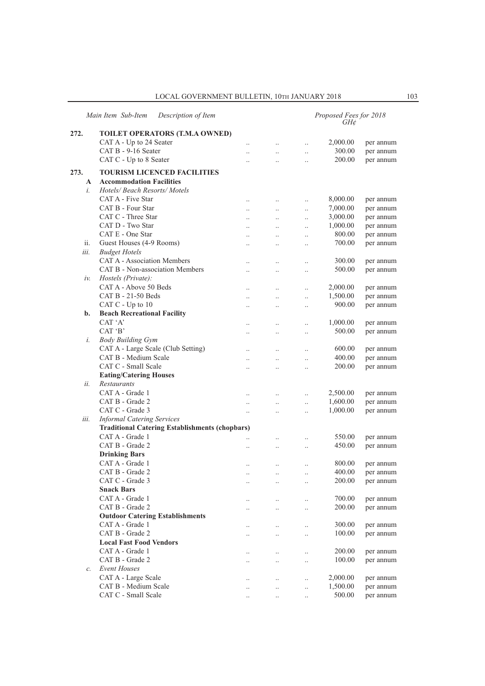## LOCAL GOVERNMENT BULLETIN, 10TH JANUARY 2018 103

|       | Main Item Sub-Item<br>Description of Item                  |                      |                      |           | Proposed Fees for 2018<br>GH¢ |           |
|-------|------------------------------------------------------------|----------------------|----------------------|-----------|-------------------------------|-----------|
| 272.  | TOILET OPERATORS (T.M.A OWNED)                             |                      |                      |           |                               |           |
|       | CAT A - Up to 24 Seater                                    | $\cdot$ .            | $\ldots$             | $\ldots$  | 2,000.00                      | per annum |
|       | CAT B - 9-16 Seater                                        |                      | $\ddotsc$            | $\ddotsc$ | 300.00                        | per annum |
|       | CAT C - Up to 8 Seater                                     |                      | $\ddotsc$            | $\ddotsc$ | 200.00                        | per annum |
| 273.  | <b>TOURISM LICENCED FACILITIES</b>                         |                      |                      |           |                               |           |
| A     | <b>Accommodation Facilities</b>                            |                      |                      |           |                               |           |
| i.    | Hotels/ Beach Resorts/ Motels                              |                      |                      |           |                               |           |
|       | CAT A - Five Star                                          |                      |                      |           |                               |           |
|       | CAT B - Four Star                                          | $\ddotsc$            | $\ddotsc$            | $\ldots$  | 8,000.00                      | per annum |
|       | CAT C - Three Star                                         | $\ddotsc$            | $\ldots$             | $\ddotsc$ | 7,000.00<br>3,000.00          | per annum |
|       | CAT D - Two Star                                           | $\ldots$             | $\ldots$             | $\ldots$  |                               | per annum |
|       | CAT E - One Star                                           | $\ldots$             | $\ldots$             | $\ldots$  | 1,000.00                      | per annum |
|       |                                                            | $\ddotsc$            | $\ddot{\phantom{a}}$ | $\ddotsc$ | 800.00                        | per annum |
| ii.   | Guest Houses (4-9 Rooms)                                   | $\ddot{\phantom{0}}$ | $\ddotsc$            | $\ddotsc$ | 700.00                        | per annum |
| iii.  | <b>Budget Hotels</b><br><b>CAT A - Association Members</b> |                      |                      |           |                               |           |
|       |                                                            | $\ldots$             | $\cdot$              | $\ldots$  | 300.00                        | per annum |
|       | CAT B - Non-association Members                            | $\ldots$             | $\cdot$              | $\ldots$  | 500.00                        | per annum |
| iν.   | Hostels (Private):                                         |                      |                      |           |                               |           |
|       | CAT A - Above 50 Beds                                      | $\ddotsc$            | $\ddotsc$            | $\ldots$  | 2,000.00                      | per annum |
|       | CAT B - 21-50 Beds                                         | $\ddotsc$            | $\ddotsc$            | $\ddotsc$ | 1,500.00                      | per annum |
|       | CAT C - Up to 10                                           | $\cdot$ .            | $\cdot$              | $\ldots$  | 900.00                        | per annum |
| $b$ . | <b>Beach Recreational Facility</b>                         |                      |                      |           |                               |           |
|       | CAT 'A'                                                    | $\ddotsc$            | $\ddotsc$            | $\ldots$  | 1,000.00                      | per annum |
|       | CAT 'B'                                                    | $\ddot{\phantom{0}}$ | $\ddotsc$            | $\ddotsc$ | 500.00                        | per annum |
| i.    | <b>Body Building Gym</b>                                   |                      |                      |           |                               |           |
|       | CAT A - Large Scale (Club Setting)                         | $\ldots$             | $\ldots$             | $\ldots$  | 600.00                        | per annum |
|       | CAT B - Medium Scale                                       | $\ddotsc$            | $\ddot{\phantom{0}}$ | $\ldots$  | 400.00                        | per annum |
|       | CAT C - Small Scale                                        |                      | $\ddot{\phantom{0}}$ | $\ddotsc$ | 200.00                        | per annum |
|       | <b>Eating/Catering Houses</b>                              |                      |                      |           |                               |           |
| ii.   | Restaurants                                                |                      |                      |           |                               |           |
|       | CAT A - Grade 1                                            | $\ldots$             | $\ldots$             | $\ldots$  | 2,500.00                      | per annum |
|       | CAT B - Grade 2                                            | $\ldots$             | $\ddotsc$            | $\ldots$  | 1,600.00                      | per annum |
|       | CAT C - Grade 3                                            | $\ddot{\phantom{0}}$ | $\ddot{\phantom{0}}$ | $\ddotsc$ | 1,000.00                      | per annum |
| iii.  | <b>Informal Catering Services</b>                          |                      |                      |           |                               |           |
|       | <b>Traditional Catering Establishments (chopbars)</b>      |                      |                      |           |                               |           |
|       | CAT A - Grade 1                                            | $\ddotsc$            | $\ldots$             | $\ldots$  | 550.00                        | per annum |
|       | CAT B - Grade 2                                            | $\ldots$             | $\ddotsc$            | $\ldots$  | 450.00                        | per annum |
|       | <b>Drinking Bars</b>                                       |                      |                      |           |                               |           |
|       | CAT A - Grade 1                                            | $\ddotsc$            | $\ddotsc$            | $\ldots$  | 800.00                        | per annum |
|       | CAT B - Grade 2                                            |                      |                      |           | 400.00                        | per annum |
|       | CAT C - Grade 3                                            | $\cdots$             | $\ldots$             | $\ldots$  | 200.00                        | per annum |
|       | <b>Snack Bars</b>                                          |                      |                      |           |                               |           |
|       | CAT A - Grade 1                                            | $\cdot$ .            | $\ddots$             | $\ldots$  | 700.00                        | per annum |
|       | CAT B - Grade 2                                            | $\ddotsc$            | $\ddotsc$            | $\ldots$  | 200.00                        | per annum |
|       | <b>Outdoor Catering Establishments</b>                     |                      |                      |           |                               |           |
|       | CAT A - Grade 1                                            | $\ldots$             | $\ldots$             | $\ldots$  | 300.00                        | per annum |
|       | CAT B - Grade 2                                            | $\cdot$ .            | $\ldots$             | $\ldots$  | 100.00                        | per annum |
|       | <b>Local Fast Food Vendors</b>                             |                      |                      |           |                               |           |
|       | CAT A - Grade 1                                            | $\cdot$ .            | $\ldots$             | $\ldots$  | 200.00                        | per annum |
|       | CAT B - Grade 2                                            | $\ldots$             | $\ldots$             | $\ldots$  | 100.00                        | per annum |
| $c$ . | <b>Event Houses</b>                                        |                      |                      |           |                               |           |
|       | CAT A - Large Scale                                        | $\ldots$             | $\ldots$             | $\ldots$  | 2,000.00                      | per annum |
|       | CAT B - Medium Scale                                       | $\cdot \cdot$        | $\ddotsc$            | $\ldots$  | 1,500.00                      | per annum |
|       | CAT C - Small Scale                                        | $\cdot$ .            | $\ldots$             | $\ldots$  | 500.00                        | per annum |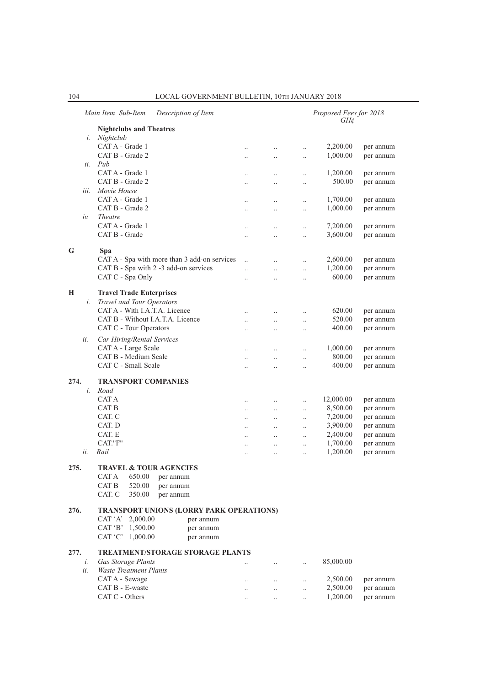|        | Main Item Sub-Item<br>Description of Item                  |                      |                      |           | Proposed Fees for 2018<br>GH¢ |           |
|--------|------------------------------------------------------------|----------------------|----------------------|-----------|-------------------------------|-----------|
|        | <b>Nightclubs and Theatres</b>                             |                      |                      |           |                               |           |
| i.     | Nightclub                                                  |                      |                      |           |                               |           |
|        | CAT A - Grade 1                                            | $\ddotsc$            | $\ddot{\phantom{0}}$ | $\ddotsc$ | 2,200.00                      | per annum |
|        | CAT B - Grade 2                                            | $\ddotsc$            | $\ddotsc$            | $\ddotsc$ | 1,000.00                      | per annum |
| ii.    | Pub                                                        |                      |                      |           |                               |           |
|        | CAT A - Grade 1                                            |                      | $\ddot{\phantom{0}}$ | $\ddotsc$ | 1,200.00                      | per annum |
|        | CAT B - Grade 2                                            | $\ddot{\phantom{a}}$ | $\ddot{\phantom{a}}$ | $\ddotsc$ | 500.00                        | per annum |
| iii.   | Movie House                                                |                      |                      |           |                               |           |
|        | CAT A - Grade 1                                            |                      | $\ddotsc$            | $\ldots$  | 1,700.00                      | per annum |
|        | CAT B - Grade 2                                            | $\ddot{\phantom{0}}$ | $\ddotsc$            | $\ldots$  | 1,000.00                      | per annum |
| $iv$ . | <b>Theatre</b>                                             |                      |                      |           |                               |           |
|        | CAT A - Grade 1                                            | $\ddot{\phantom{0}}$ | $\ddotsc$            | $\ddotsc$ | 7,200.00                      | per annum |
|        | CAT B - Grade                                              | $\ddot{\phantom{a}}$ | $\ddot{\phantom{a}}$ | $\ddotsc$ | 3,600.00                      | per annum |
| G      | Spa                                                        |                      |                      |           |                               |           |
|        | CAT A - Spa with more than 3 add-on services               |                      |                      |           | 2,600.00                      | per annum |
|        | CAT B - Spa with 2 -3 add-on services                      | $\ddot{\phantom{a}}$ | $\ddotsc$            | $\ddotsc$ | 1,200.00                      | per annum |
|        | CAT C - Spa Only                                           | $\ddotsc$            | $\ddotsc$            | $\ddotsc$ | 600.00                        | per annum |
|        |                                                            | $\ddot{\phantom{a}}$ | $\ddot{\phantom{a}}$ | $\ddotsc$ |                               |           |
| Н      | <b>Travel Trade Enterprises</b>                            |                      |                      |           |                               |           |
| i.     | Travel and Tour Operators                                  |                      |                      |           |                               |           |
|        | CAT A - With I.A.T.A. Licence                              | $\ddot{\phantom{0}}$ | $\ddotsc$            | $\ldots$  | 620.00                        | per annum |
|        | CAT B - Without I.A.T.A. Licence                           | $\ddot{\phantom{0}}$ | $\ddotsc$            | $\ddotsc$ | 520.00                        | per annum |
|        | CAT C - Tour Operators                                     | $\ddot{\phantom{a}}$ | $\ddotsc$            | $\ddotsc$ | 400.00                        | per annum |
| ii.    | Car Hiring/Rental Services                                 |                      |                      |           |                               |           |
|        | CAT A - Large Scale                                        | $\ddotsc$            | $\ddot{\phantom{0}}$ | $\ddotsc$ | 1,000.00                      | per annum |
|        | CAT B - Medium Scale                                       | $\ddot{\phantom{a}}$ | $\ddotsc$            | $\ddotsc$ | 800.00                        | per annum |
|        | CAT C - Small Scale                                        | $\ddot{\phantom{0}}$ | $\ddotsc$            | $\ldots$  | 400.00                        | per annum |
|        |                                                            |                      |                      |           |                               |           |
| 274.   | <b>TRANSPORT COMPANIES</b>                                 |                      |                      |           |                               |           |
| i.     | Road                                                       |                      |                      |           |                               |           |
|        | CAT A                                                      | $\ddot{\phantom{0}}$ | $\ddotsc$            | $\ddotsc$ | 12,000.00                     | per annum |
|        | CAT B                                                      | $\ldots$             | $\ddotsc$            | $\ddotsc$ | 8,500.00                      | per annum |
|        | CAT. C                                                     | $\ddotsc$            | $\ddotsc$            | $\ldots$  | 7,200.00                      | per annum |
|        | CAT. D                                                     | $\ddotsc$            | $\ddotsc$            | $\ddotsc$ | 3,900.00                      | per annum |
|        | CAT. E                                                     | $\ddot{\phantom{0}}$ | $\ddotsc$            | $\ddotsc$ | 2,400.00                      | per annum |
|        | CAT."F"                                                    | $\ddotsc$            | $\ddotsc$            | $\ddotsc$ | 1,700.00                      | per annum |
| ii.    | Rail                                                       | $\ddotsc$            | $\ddotsc$            | $\ddotsc$ | 1,200.00                      | per annum |
|        | <b>TRAVEL &amp; TOUR AGENCIES</b>                          |                      |                      |           |                               |           |
| 275.   | CAT A<br>650.00                                            |                      |                      |           |                               |           |
|        | per annum<br>CAT B<br>520.00<br>per annum                  |                      |                      |           |                               |           |
|        | CAT. C<br>350.00<br>per annum                              |                      |                      |           |                               |           |
|        |                                                            |                      |                      |           |                               |           |
| 276.   | <b>TRANSPORT UNIONS (LORRY PARK OPERATIONS)</b>            |                      |                      |           |                               |           |
|        | CAT 'A'<br>2,000.00<br>per annum                           |                      |                      |           |                               |           |
|        | CAT 'B' 1,500.00<br>per annum                              |                      |                      |           |                               |           |
|        | CAT 'C' 1,000.00<br>per annum                              |                      |                      |           |                               |           |
|        |                                                            |                      |                      |           |                               |           |
| 277.   | <b>TREATMENT/STORAGE STORAGE PLANTS</b>                    |                      |                      |           |                               |           |
| i.     | <b>Gas Storage Plants</b><br><b>Waste Treatment Plants</b> |                      |                      | $\ddotsc$ | 85,000.00                     |           |
| ii.    |                                                            |                      |                      |           |                               |           |
|        | CAT A - Sewage<br>CAT B - E-waste                          | $\ddotsc$            | $\ddotsc$            | $\ldots$  | 2,500.00                      | per annum |
|        | CAT C - Others                                             |                      |                      | $\ddotsc$ | 2,500.00<br>1,200.00          | per annum |
|        |                                                            |                      |                      |           |                               | per annum |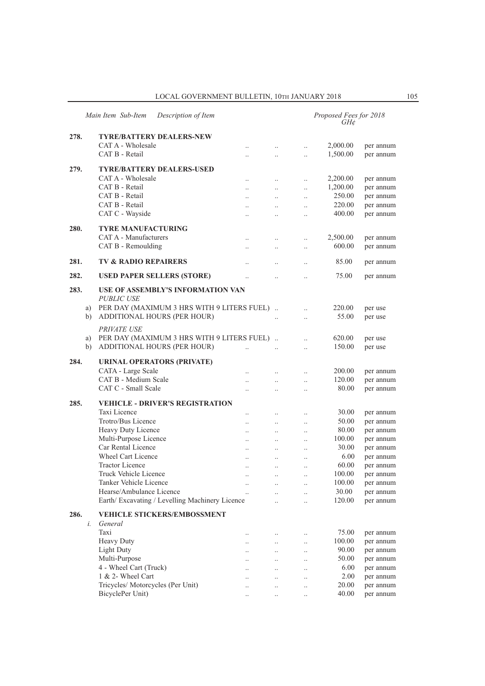## LOCAL GOVERNMENT BULLETIN,  $10\text{th}$  JANUARY  $2018$   $105$

|      |    | Main Item Sub-Item<br>Description of Item                 |                      |                      | Proposed Fees for 2018<br>$GH\mathcal{C}$ |                        |
|------|----|-----------------------------------------------------------|----------------------|----------------------|-------------------------------------------|------------------------|
| 278. |    | <b>TYRE/BATTERY DEALERS-NEW</b>                           |                      |                      |                                           |                        |
|      |    | CAT A - Wholesale<br>$\ddotsc$                            | $\ddotsc$            | $\ddot{\phantom{0}}$ | 2,000.00                                  | per annum              |
|      |    | CAT B - Retail                                            | $\ddot{\phantom{a}}$ | $\ddotsc$            | 1,500.00                                  | per annum              |
|      |    |                                                           |                      |                      |                                           |                        |
| 279. |    | <b>TYRE/BATTERY DEALERS-USED</b>                          |                      |                      |                                           |                        |
|      |    | CAT A - Wholesale<br>$\ddotsc$                            | $\ddotsc$            | $\ddotsc$            | 2,200.00                                  | per annum              |
|      |    | CAT B - Retail<br>$\ddotsc$                               | $\ddotsc$            | $\ddotsc$            | 1,200.00                                  | per annum              |
|      |    | CAT B - Retail<br>$\ddotsc$                               | $\ddots$             | $\ddotsc$            | 250.00                                    | per annum              |
|      |    | CAT B - Retail<br>$\ddotsc$                               | $\ddotsc$            | $\ddotsc$            | 220.00                                    | per annum              |
|      |    | CAT C - Wayside<br>$\ddot{\phantom{0}}$                   |                      | $\ddotsc$            | 400.00                                    | per annum              |
| 280. |    | <b>TYRE MANUFACTURING</b>                                 |                      |                      |                                           |                        |
|      |    | CAT A - Manufacturers<br>$\ldots$                         | $\ddotsc$            | $\ddot{\phantom{0}}$ | 2,500.00                                  | per annum              |
|      |    | CAT B - Remoulding<br>$\ddotsc$                           | $\ddotsc$            | $\ddot{\phantom{0}}$ | 600.00                                    | per annum              |
| 281. |    | <b>TV &amp; RADIO REPAIRERS</b>                           |                      |                      | 85.00                                     | per annum              |
|      |    | $\ddot{\phantom{0}}$                                      | $\ddot{\phantom{0}}$ | $\ddot{\phantom{0}}$ |                                           |                        |
| 282. |    | <b>USED PAPER SELLERS (STORE)</b><br>$\ddotsc$            | $\ddot{\phantom{a}}$ | $\ddot{\phantom{0}}$ | 75.00                                     | per annum              |
| 283. |    | USE OF ASSEMBLY'S INFORMATION VAN                         |                      |                      |                                           |                        |
|      |    | <b>PUBLIC USE</b>                                         |                      |                      |                                           |                        |
|      | a) | PER DAY (MAXIMUM 3 HRS WITH 9 LITERS FUEL).               |                      | $\ddotsc$            | 220.00                                    | per use                |
|      | b) | ADDITIONAL HOURS (PER HOUR)                               | $\ddotsc$            | $\ddotsc$            | 55.00                                     | per use                |
|      |    | PRIVATE USE                                               |                      |                      |                                           |                        |
|      | a) | PER DAY (MAXIMUM 3 HRS WITH 9 LITERS FUEL).               |                      | $\ddotsc$            | 620.00                                    | per use                |
|      | b) | ADDITIONAL HOURS (PER HOUR)<br>$\ddotsc$                  | $\ddotsc$            | $\ddotsc$            | 150.00                                    | per use                |
|      |    |                                                           |                      |                      |                                           |                        |
|      |    |                                                           |                      |                      |                                           |                        |
| 284. |    | <b>URINAL OPERATORS (PRIVATE)</b>                         |                      |                      |                                           |                        |
|      |    | CATA - Large Scale<br>$\ddot{\phantom{0}}$                | $\ddotsc$            | $\ddotsc$            | 200.00                                    | per annum              |
|      |    | CAT B - Medium Scale<br>$\ddot{\phantom{0}}$              | $\ddotsc$            | $\ddotsc$            | 120.00                                    | per annum              |
|      |    | CAT C - Small Scale                                       |                      | $\ddot{\phantom{0}}$ | 80.00                                     | per annum              |
| 285. |    | <b>VEHICLE - DRIVER'S REGISTRATION</b>                    |                      |                      |                                           |                        |
|      |    | Taxi Licence<br>$\ddotsc$                                 | $\ddotsc$            | $\ddotsc$            | 30.00                                     | per annum              |
|      |    | Trotro/Bus Licence<br>$\ddotsc$                           | $\ddotsc$            | $\ddotsc$            | 50.00                                     | per annum              |
|      |    | Heavy Duty Licence<br>$\ddotsc$                           | $\ddots$             | $\ddotsc$            | 80.00                                     | per annum              |
|      |    | Multi-Purpose Licence<br>$\ddotsc$                        | $\ddots$             | $\ddotsc$            | 100.00                                    | per annum              |
|      |    | Car Rental Licence<br>$\ddotsc$                           | $\ddots$             | $\ddotsc$            | 30.00                                     | per annum              |
|      |    | Wheel Cart Licence<br>$\ddotsc$                           | $\ddotsc$            | $\ddot{\phantom{0}}$ | 6.00                                      | per annum              |
|      |    | <b>Tractor Licence</b><br>$\ldots$                        | $\ddotsc$            | $\ddotsc$            | 60.00                                     | per annum              |
|      |    | Truck Vehicle Licence<br>                                 | $\ddotsc$            |                      | 100.00                                    | per annum              |
|      |    | Tanker Vehicle Licence<br>$\ldots$                        | $\ddotsc$            | $\ddotsc$            | 100.00                                    | per annum              |
|      |    | Hearse/Ambulance Licence                                  | $\ddotsc$            | $\ddot{\phantom{0}}$ | 30.00                                     | per annum              |
|      |    | Earth/Excavating / Levelling Machinery Licence            | $\ddotsc$            | $\ddot{\phantom{a}}$ | 120.00                                    | per annum              |
| 286. |    | <b>VEHICLE STICKERS/EMBOSSMENT</b>                        |                      |                      |                                           |                        |
|      | i. | General                                                   |                      |                      |                                           |                        |
|      |    | Taxi<br>$\ddotsc$                                         | $\ldots$             | $\ddotsc$            | 75.00                                     |                        |
|      |    | Heavy Duty<br>$\ddotsc$                                   | $\ddotsc$            | $\ddotsc$            | 100.00                                    | per annum<br>per annum |
|      |    | <b>Light Duty</b><br>$\ddot{\phantom{0}}$                 | $\ddots$             | $\ddotsc$            | 90.00                                     | per annum              |
|      |    | Multi-Purpose<br>$\ddot{\phantom{0}}$                     | $\ddotsc$            | $\ddot{\phantom{0}}$ | 50.00                                     | per annum              |
|      |    | 4 - Wheel Cart (Truck)                                    |                      | $\ddotsc$            | 6.00                                      | per annum              |
|      |    | 1 & 2- Wheel Cart                                         |                      |                      | 2.00                                      | per annum              |
|      |    | Tricycles/ Motorcycles (Per Unit)<br>$\ddot{\phantom{0}}$ |                      | $\ddotsc$            | 20.00                                     | per annum              |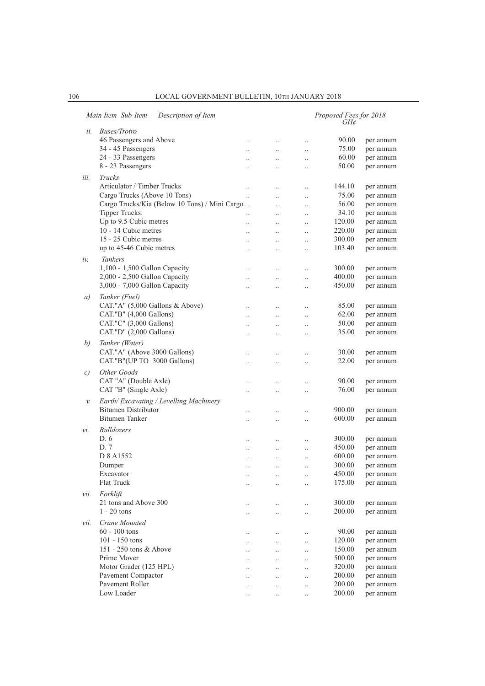|               | Main Item Sub-Item<br>Description of Item     |                      |                      |           | Proposed Fees for 2018<br>$GH\phi$ |           |
|---------------|-----------------------------------------------|----------------------|----------------------|-----------|------------------------------------|-----------|
| ii.           | <b>Buses/Trotro</b>                           |                      |                      |           |                                    |           |
|               | 46 Passengers and Above                       | $\ddotsc$            | $\cdot$              | $\ldots$  | 90.00                              | per annum |
|               | 34 - 45 Passengers                            | $\cdot$ .            | $\ddotsc$            | $\cdot$ . | 75.00                              | per annum |
|               | 24 - 33 Passengers                            |                      | $\cdot$              | $\ldots$  | 60.00                              | per annum |
|               | 8 - 23 Passengers                             |                      |                      | $\ldots$  | 50.00                              | per annum |
| iii.          | Trucks                                        |                      |                      |           |                                    |           |
|               | Articulator / Timber Trucks                   |                      |                      |           | 144.10                             |           |
|               | Cargo Trucks (Above 10 Tons)                  | $\ldots$             | $\ddot{\phantom{a}}$ | $\ddotsc$ |                                    | per annum |
|               |                                               | $\ddot{\phantom{0}}$ | $\ddot{\phantom{0}}$ | $\ldots$  | 75.00                              | per annum |
|               | Cargo Trucks/Kia (Below 10 Tons) / Mini Cargo |                      | $\ddotsc$            | $\ldots$  | 56.00                              | per annum |
|               | Tipper Trucks:                                |                      | $\ddot{\phantom{0}}$ | $\ldots$  | 34.10                              | per annum |
|               | Up to 9.5 Cubic metres                        | $\ddotsc$            | $\ddot{\phantom{a}}$ | $\ldots$  | 120.00                             | per annum |
|               | 10 - 14 Cubic metres                          | $\ddotsc$            | $\ddot{\phantom{a}}$ | $\ddotsc$ | 220.00                             | per annum |
|               | 15 - 25 Cubic metres                          | $\ddot{\phantom{a}}$ | $\ddot{\phantom{0}}$ | $\ldots$  | 300.00                             | per annum |
|               | up to 45-46 Cubic metres                      |                      | $\ddotsc$            | $\ldots$  | 103.40                             | per annum |
| iν.           | <b>Tankers</b>                                |                      |                      |           |                                    |           |
|               | 1,100 - 1,500 Gallon Capacity                 | $\ddotsc$            | $\ddot{\phantom{a}}$ | $\ldots$  | 300.00                             | per annum |
|               | 2,000 - 2,500 Gallon Capacity                 | $\ddotsc$            | $\ddot{\phantom{0}}$ | $\ddotsc$ | 400.00                             | per annum |
|               | 3,000 - 7,000 Gallon Capacity                 | $\ddotsc$            | $\cdot$              | $\cdot$ . | 450.00                             | per annum |
|               |                                               |                      |                      |           |                                    |           |
| a)            | Tanker (Fuel)                                 |                      |                      |           |                                    |           |
|               | CAT."A" (5,000 Gallons & Above)               | $\ddotsc$            | $\cdot$              | $\ldots$  | 85.00                              | per annum |
|               | CAT."B" (4,000 Gallons)                       | $\ddotsc$            | $\ddot{\phantom{a}}$ | $\ldots$  | 62.00                              | per annum |
|               | CAT."C" (3,000 Gallons)                       | $\ddotsc$            | $\ddot{\phantom{a}}$ | $\ddotsc$ | 50.00                              | per annum |
|               | CAT."D" (2,000 Gallons)                       | $\ddot{\phantom{a}}$ | $\ddot{\phantom{a}}$ | $\ldots$  | 35.00                              | per annum |
| b)            | Tanker (Water)                                |                      |                      |           |                                    |           |
|               | CAT."A" (Above 3000 Gallons)                  | $\ddot{\phantom{a}}$ | $\cdot$              | $\ldots$  | 30.00                              | per annum |
|               | CAT."B"(UP TO 3000 Gallons)                   | $\ddot{\phantom{a}}$ | $\ddot{\phantom{0}}$ | $\ddotsc$ | 22.00                              | per annum |
| $\mathcal{C}$ | Other Goods                                   |                      |                      |           |                                    |           |
|               | CAT "A" (Double Axle)                         | $\ddot{\phantom{a}}$ | $\ddot{\phantom{a}}$ |           | 90.00                              | per annum |
|               | CAT "B" (Single Axle)                         |                      |                      | $\cdot$ . | 76.00                              | per annum |
|               |                                               | $\cdot$              |                      | $\ldots$  |                                    |           |
| v.            | Earth/Excavating / Levelling Machinery        |                      |                      |           |                                    |           |
|               | <b>Bitumen Distributor</b>                    | $\ddotsc$            | $\ddot{\phantom{a}}$ | $\ddotsc$ | 900.00                             | per annum |
|               | <b>Bitumen</b> Tanker                         | $\ddotsc$            | $\ddot{\phantom{a}}$ | $\ldots$  | 600.00                             | per annum |
| νi.           | <b>Bulldozers</b>                             |                      |                      |           |                                    |           |
|               | D. 6                                          |                      |                      | $\cdot$   | 300.00                             | per annum |
|               | D. 7                                          | $\cdot$ .            | $\ddotsc$            | $\ldots$  | 450.00                             | per annum |
|               | D 8 A1552                                     |                      | $\ddot{\phantom{a}}$ | $\ddotsc$ | 600.00                             | per annum |
|               | Dumper                                        | $\cdot$ .            | $\cdot$              | $\cdot$ . | 300.00                             | per annum |
|               | Excavator                                     |                      | $\cdot$ .            | $\cdot$ . | 450.00                             | per annum |
|               | Flat Truck                                    | $\cdot$ .            | $\ldots$             | $\ldots$  | 175.00                             | per annum |
|               | Forklift                                      |                      |                      |           |                                    |           |
| vii.          | 21 tons and Above 300                         |                      |                      |           |                                    |           |
|               | $1 - 20$ tons                                 | $\cdot$ .            | $\ddotsc$            | $\ldots$  | 300.00                             | per annum |
|               |                                               | $\cdot$ .            | $\ldots$             | $\ldots$  | 200.00                             | per annum |
| vii.          | Crane Mounted                                 |                      |                      |           |                                    |           |
|               | $60 - 100$ tons                               | $\ldots$             | $\ldots$             | $\ldots$  | 90.00                              | per annum |
|               | 101 - 150 tons                                | $\ldots$             | $\ldots$             | $\ldots$  | 120.00                             | per annum |
|               | 151 - 250 tons & Above                        | $\ddotsc$            | $\ldots$             | $\ldots$  | 150.00                             | per annum |
|               | Prime Mover                                   | $\ddot{\phantom{a}}$ | $\ddotsc$            | $\ldots$  | 500.00                             | per annum |
|               | Motor Grader (125 HPL)                        | $\ddot{\phantom{a}}$ | $\ddotsc$            | $\ldots$  | 320.00                             | per annum |
|               | Pavement Compactor                            |                      | $\ldots$             | $\ldots$  | 200.00                             | per annum |
|               | Pavement Roller                               | $\cdot$ .            | $\ddotsc$            | $\ldots$  | 200.00                             | per annum |
|               | Low Loader                                    | $\cdot$ .            | $\ldots$             | $\ldots$  | 200.00                             | per annum |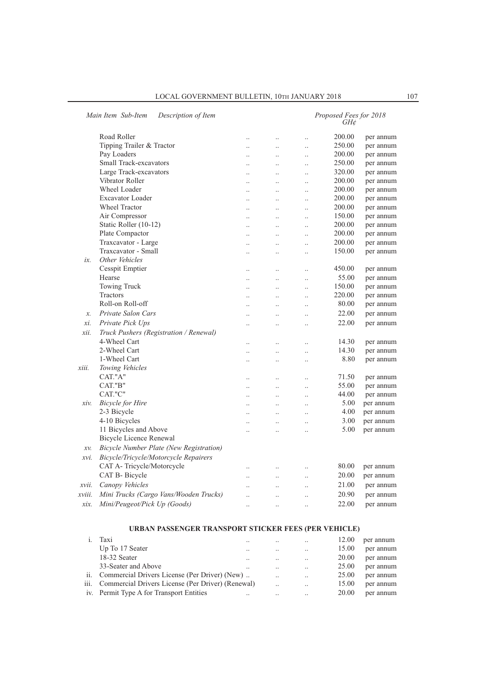|        |                                                |                      |                      |                      | GH¢    |           |
|--------|------------------------------------------------|----------------------|----------------------|----------------------|--------|-----------|
|        | Road Roller                                    | $\ddot{\phantom{a}}$ | $\ddotsc$            | $\ddot{\phantom{a}}$ | 200.00 | per annum |
|        | Tipping Trailer & Tractor                      | $\ddot{\phantom{a}}$ | $\ldots$             | $\ddotsc$            | 250.00 | per annum |
|        | Pay Loaders                                    |                      | $\ddotsc$            | $\ddotsc$            | 200.00 | per annum |
|        | <b>Small Track-excavators</b>                  | $\ddot{\phantom{a}}$ | $\ddot{\phantom{a}}$ | $\ddotsc$            | 250.00 | per annum |
|        | Large Track-excavators                         |                      | $\ddotsc$            | $\ddotsc$            | 320.00 | per annum |
|        | Vibrator Roller                                |                      | $\ddot{\phantom{a}}$ | $\ddot{\phantom{a}}$ | 200.00 | per annum |
|        | Wheel Loader                                   | $\ddot{\phantom{a}}$ | $\ddotsc$            | $\ddotsc$            | 200.00 | per annum |
|        | <b>Excavator Loader</b>                        |                      | $\ddotsc$            | $\ddotsc$            | 200.00 | per annum |
|        | <b>Wheel Tractor</b>                           | $\ddotsc$            | $\ddotsc$            | $\ddotsc$            | 200.00 | per annum |
|        | Air Compressor                                 | $\ddotsc$            | $\ddotsc$            | $\ddotsc$            | 150.00 | per annum |
|        | Static Roller (10-12)                          |                      | $\ddot{\phantom{a}}$ | $\ddot{\phantom{a}}$ | 200.00 | per annum |
|        | Plate Compactor                                | $\ddotsc$            | $\ddotsc$            | $\ddotsc$            | 200.00 | per annum |
|        | Traxcavator - Large                            | $\ddot{\phantom{a}}$ | $\ddot{\phantom{a}}$ | $\ddot{\phantom{a}}$ | 200.00 | per annum |
|        | Traxcavator - Small                            | $\ddot{\cdot}$       | $\ddot{\phantom{a}}$ | $\ddot{\phantom{a}}$ | 150.00 | per annum |
| ix.    | Other Vehicles                                 |                      |                      |                      |        |           |
|        | Cesspit Emptier                                | $\ddotsc$            | $\ldots$             | $\ddotsc$            | 450.00 | per annum |
|        | Hearse                                         | $\ddot{\phantom{a}}$ | $\ddot{\phantom{a}}$ | $\ddot{\phantom{a}}$ | 55.00  | per annum |
|        | Towing Truck                                   | $\ddotsc$            | $\ddotsc$            | $\ddotsc$            | 150.00 | per annum |
|        | Tractors                                       | $\ddot{\phantom{0}}$ | $\ldots$             | $\ldots$             | 220.00 | per annum |
|        | Roll-on Roll-off                               | $\ddotsc$            | $\ddot{\phantom{a}}$ | $\ddot{\phantom{a}}$ | 80.00  | per annum |
| x.     | Private Salon Cars                             |                      | $\ddot{\phantom{a}}$ | $\ddot{\phantom{a}}$ | 22.00  | per annum |
| xi.    | Private Pick Ups                               |                      | $\ddot{\phantom{a}}$ | $\ddot{\phantom{a}}$ | 22.00  | per annum |
| xii.   | Truck Pushers (Registration / Renewal)         |                      |                      |                      |        |           |
|        | 4-Wheel Cart                                   |                      | $\ddot{\phantom{a}}$ | $\ddot{\phantom{a}}$ | 14.30  | per annum |
|        | 2-Wheel Cart                                   | $\ddot{\phantom{a}}$ | $\ddot{\phantom{a}}$ | $\ddotsc$            | 14.30  | per annum |
|        | 1-Wheel Cart                                   |                      | $\ddot{\phantom{a}}$ | $\ddotsc$            | 8.80   | per annum |
| xiii.  | Towing Vehicles                                |                      |                      |                      |        |           |
|        | CAT."A"                                        | $\ddot{\cdot}$       | $\ddot{\phantom{a}}$ | $\ddot{\phantom{a}}$ | 71.50  | per annum |
|        | CAT."B"                                        |                      | $\ddot{\phantom{a}}$ | $\ddot{\phantom{a}}$ | 55.00  | per annum |
|        | CAT."C"                                        | $\ddot{\phantom{a}}$ | $\ddotsc$            | $\ddotsc$            | 44.00  | per annum |
| xiv.   | <b>Bicycle</b> for Hire                        |                      | $\ddotsc$            | $\ddot{\phantom{0}}$ | 5.00   | per annum |
|        | 2-3 Bicycle                                    | $\ddot{\phantom{a}}$ | $\ddot{\phantom{a}}$ | $\ddot{\phantom{a}}$ | 4.00   | per annum |
|        | 4-10 Bicycles                                  | $\ddot{\phantom{a}}$ | $\ddotsc$            | $\ddot{\phantom{a}}$ | 3.00   | per annum |
|        | 11 Bicycles and Above                          |                      | $\ddotsc$            | $\ddot{\phantom{0}}$ | 5.00   | per annum |
|        | <b>Bicycle Licence Renewal</b>                 |                      |                      |                      |        |           |
| $xv$ . | <b>Bicycle Number Plate (New Registration)</b> |                      |                      |                      |        |           |
| xvi.   | Bicycle/Tricycle/Motorcycle Repairers          |                      |                      |                      |        |           |
|        | CAT A-Tricycle/Motorcycle                      |                      | $\ldots$             | $\ddotsc$            | 80.00  | per annum |
|        | CAT B- Bicycle                                 | $\ddot{\phantom{a}}$ | $\ddotsc$            | $\ddot{\phantom{a}}$ | 20.00  | per annum |
| xvii.  | Canopy Vehicles                                |                      | $\ldots$             | $\ldots$             | 21.00  | per annum |
| xviii. | Mini Trucks (Cargo Vans/Wooden Trucks)         |                      | $\ddotsc$            | $\ddotsc$            | 20.90  | per annum |
| xix.   | Mini/Peugeot/Pick Up (Goods)                   | $\ddotsc$            | $\ddot{\phantom{a}}$ | $\ddot{\phantom{a}}$ | 22.00  | per annum |

## **URBAN PASSENGER TRANSPORT STICKER FEES (PER VEHICLE)**

| Taxi                                                   | $\cdot$ . | $\cdot$ . | $\cdot$ .            | 12.00 | per annum |
|--------------------------------------------------------|-----------|-----------|----------------------|-------|-----------|
| Up To 17 Seater                                        | $\cdot$ . | $\cdot$ . | $\cdot$ .            | 15.00 | per annum |
| 18-32 Seater                                           | $\cdot$ . | $\cdot$ . | $\cdot$ .            | 20.00 | per annum |
| 33-Seater and Above                                    |           | $\cdot$ . | $\cdot$ .            | 25.00 | per annum |
| ii. Commercial Drivers License (Per Driver) (New)      |           | $\cdot$ . | $\ddot{\phantom{a}}$ | 25.00 | per annum |
| iii. Commercial Drivers License (Per Driver) (Renewal) |           | $\cdot$ . | $\cdot \cdot$        | 15.00 | per annum |
| iv. Permit Type A for Transport Entities               | $\cdot$ . | $\cdot$ . | $\cdot$ .            | 20.00 | per annum |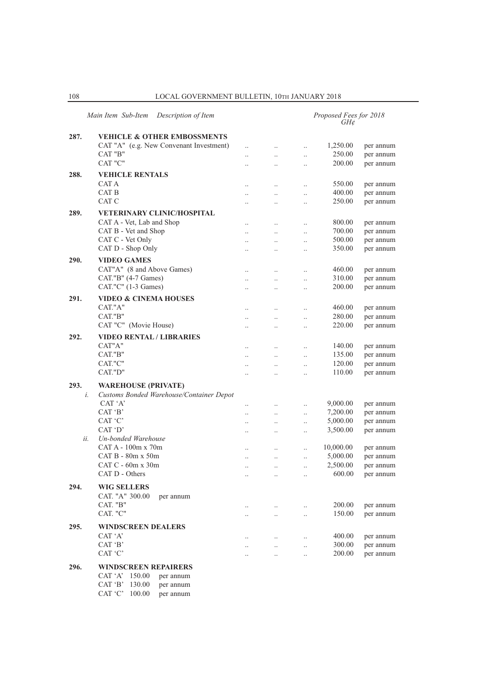|      | Main Item Sub-Item<br>Description of Item |                                   |                       |                       | Proposed Fees for 2018<br>$GH\mathcal{C}$ |           |
|------|-------------------------------------------|-----------------------------------|-----------------------|-----------------------|-------------------------------------------|-----------|
| 287. | <b>VEHICLE &amp; OTHER EMBOSSMENTS</b>    |                                   |                       |                       |                                           |           |
|      | CAT "A" (e.g. New Convenant Investment)   | $\ddot{\phantom{0}}$              | $\ldots$              | $\ddotsc$             | 1,250.00                                  | per annum |
|      | CAT "B"                                   |                                   | $\ddotsc$             | $\ddotsc$             | 250.00                                    | per annum |
|      | CAT "C"                                   |                                   | $\ddotsc$             | $\ddot{\phantom{a}}$  | 200.00                                    | per annum |
|      |                                           |                                   |                       |                       |                                           |           |
| 288. | <b>VEHICLE RENTALS</b><br>CAT A           |                                   |                       |                       |                                           |           |
|      | CAT B                                     | $\cdot$                           | $\ldots$              | $\ddotsc$             | 550.00<br>400.00                          | per annum |
|      | CAT C                                     |                                   | $\ddot{\phantom{0}}$  | $\ddotsc$             |                                           | per annum |
|      |                                           | $\ddot{\phantom{a}}$              | $\ddotsc$             | $\ddot{\phantom{0}}$  | 250.00                                    | per annum |
| 289. | <b>VETERINARY CLINIC/HOSPITAL</b>         |                                   |                       |                       |                                           |           |
|      | CAT A - Vet, Lab and Shop                 | $\ddot{\phantom{a}}$              | $\ddotsc$             | $\ddot{\phantom{0}}$  | 800.00                                    | per annum |
|      | CAT B - Vet and Shop                      | $\ddotsc$                         | $\ddotsc$             | $\ddot{\phantom{0}}$  | 700.00                                    | per annum |
|      | CAT C - Vet Only                          | $\ddotsc$                         | $\ddotsc$             | $\ddotsc$             | 500.00                                    | per annum |
|      | CAT D - Shop Only                         |                                   | $\cdot$ .             | $\ddotsc$             | 350.00                                    | per annum |
| 290. | <b>VIDEO GAMES</b>                        |                                   |                       |                       |                                           |           |
|      | CAT"A" (8 and Above Games)                | $\ddot{\phantom{a}}$              | $\cdot$ .             | $\ddotsc$             | 460.00                                    | per annum |
|      | CAT."B" (4-7 Games)                       | $\cdot$                           | $\ldots$              | $\ddotsc$             | 310.00                                    | per annum |
|      | CAT."C" (1-3 Games)                       | $\ddotsc$                         | $\ddot{\phantom{0}}$  | $\ddotsc$             | 200.00                                    | per annum |
|      | <b>VIDEO &amp; CINEMA HOUSES</b>          |                                   |                       |                       |                                           |           |
| 291. |                                           |                                   |                       |                       |                                           |           |
|      | CAT."A"                                   | $\ddotsc$                         | $\ldots$              | $\cdot$               | 460.00                                    | per annum |
|      | CAT."B"                                   | $\ddot{\phantom{a}}$              | $\ldots$              | $\ddotsc$             | 280.00                                    | per annum |
|      | CAT "C" (Movie House)                     |                                   | $\ddotsc$             | $\ddotsc$             | 220.00                                    | per annum |
| 292. | <b>VIDEO RENTAL / LIBRARIES</b>           |                                   |                       |                       |                                           |           |
|      | CAT"A"                                    | $\ddot{\phantom{0}}$              | $\ldots$              | $\ldots$              | 140.00                                    | per annum |
|      | CAT."B"                                   | $\ddot{\phantom{a}}$              | $\ddotsc$             | $\ddotsc$             | 135.00                                    | per annum |
|      | CAT."C"                                   | $\ddotsc$                         | $\ddotsc$             | $\ddotsc$             | 120.00                                    | per annum |
|      | CAT."D"                                   | $\ddot{\phantom{a}}$              | $\ddot{\phantom{a}}$  | $\ddot{\phantom{0}}$  | 110.00                                    | per annum |
| 293. | <b>WAREHOUSE (PRIVATE)</b>                |                                   |                       |                       |                                           |           |
| i.   | Customs Bonded Warehouse/Container Depot  |                                   |                       |                       |                                           |           |
|      | CAT 'A'                                   |                                   |                       |                       | 9,000.00                                  | per annum |
|      | CAT 'B'                                   | $\ddotsc$<br>$\ddot{\phantom{0}}$ | $\ldots$<br>$\ddotsc$ | $\ldots$<br>$\ldots$  | 7,200.00                                  | per annum |
|      | CAT 'C'                                   |                                   | $\ldots$              |                       | 5,000.00                                  | per annum |
|      | CAT 'D'                                   | $\cdot$                           |                       | $\ddotsc$             | 3,500.00                                  | per annum |
| ii.  | Un-bonded Warehouse                       | $\ldots$                          | $\ldots$              | $\ddot{\phantom{a}}$  |                                           |           |
|      | CAT A - 100m x 70m                        | $\ddot{\phantom{a}}$              |                       | $\ddot{\phantom{0}}$  | 10,000.00                                 | per annum |
|      | CAT B - 80m x 50m                         | $\ddotsc$                         | $\ldots$<br>$\ddotsc$ |                       | 5,000.00                                  | per annum |
|      | CAT C - 60m x 30m                         |                                   | $\ldots$              | $\ddotsc$<br>$\ldots$ | 2,500.00                                  | per annum |
|      | CAT D - Others                            | $\ldots$                          |                       |                       | 600.00                                    | per annum |
|      |                                           | $\cdot \cdot$                     | $\cdot \cdot$         | $\cdot \cdot$         |                                           |           |
| 294. | <b>WIG SELLERS</b>                        |                                   |                       |                       |                                           |           |
|      | CAT. "A" 300.00<br>per annum              |                                   |                       |                       |                                           |           |
|      | CAT. "B"                                  | $\cdot$ .                         | $\ldots$              | $\ldots$              | 200.00                                    | per annum |
|      | CAT. "C"                                  |                                   | $\ldots$              | $\ddot{\phantom{0}}$  | 150.00                                    | per annum |
| 295. | <b>WINDSCREEN DEALERS</b>                 |                                   |                       |                       |                                           |           |
|      | CAT 'A'                                   |                                   |                       |                       | 400.00                                    | per annum |
|      | CAT 'B'                                   |                                   | $\ldots$              | $\ddot{\phantom{0}}$  | 300.00                                    | per annum |
|      | CAT 'C'                                   |                                   | $\ddotsc$             |                       | 200.00                                    | per annum |
|      |                                           |                                   | $\ddotsc$             | $\ddot{\phantom{0}}$  |                                           |           |
| 296. | <b>WINDSCREEN REPAIRERS</b>               |                                   |                       |                       |                                           |           |

CAT 'A' 150.00 per annum CAT 'B' 130.00 per annum CAT 'C' 100.00 per annum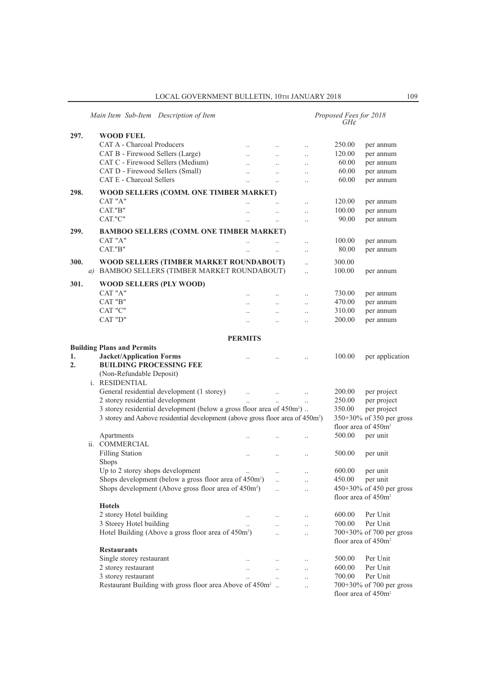|                  | Main Item Sub-Item Description of Item                                                     |                      |                      |                      | Proposed Fees for 2018<br>$GH\mathcal{C}$ |                          |
|------------------|--------------------------------------------------------------------------------------------|----------------------|----------------------|----------------------|-------------------------------------------|--------------------------|
| 297.             | <b>WOOD FUEL</b>                                                                           |                      |                      |                      |                                           |                          |
|                  | <b>CAT A - Charcoal Producers</b>                                                          | $\ddotsc$            | $\ldots$             | $\ldots$             | 250.00                                    | per annum                |
|                  | CAT B - Firewood Sellers (Large)                                                           |                      | $\ddotsc$            | $\ddot{\phantom{a}}$ | 120.00                                    | per annum                |
|                  | CAT C - Firewood Sellers (Medium)                                                          |                      |                      |                      | 60.00                                     | per annum                |
|                  | CAT D - Firewood Sellers (Small)                                                           | $\ddot{\phantom{a}}$ |                      | $\ddotsc$            | 60.00                                     | per annum                |
|                  | CAT E - Charcoal Sellers                                                                   | $\ddotsc$            | $\ddot{\phantom{a}}$ | $\ddotsc$            | 60.00                                     | per annum                |
| 298.             | WOOD SELLERS (COMM. ONE TIMBER MARKET)                                                     |                      |                      |                      |                                           |                          |
|                  | CAT "A"                                                                                    |                      |                      | $\ddotsc$            | 120.00                                    | per annum                |
|                  | CAT."B"                                                                                    |                      | $\ddotsc$            | $\ddotsc$            | 100.00                                    | per annum                |
|                  | CAT."C"                                                                                    |                      | $\ddotsc$            | $\ddotsc$            | 90.00                                     | per annum                |
| 299.             | <b>BAMBOO SELLERS (COMM. ONE TIMBER MARKET)</b>                                            |                      |                      |                      |                                           |                          |
|                  | CAT "A"                                                                                    |                      |                      |                      | 100.00                                    |                          |
|                  | CAT."B"                                                                                    |                      |                      | $\ddotsc$            | 80.00                                     | per annum                |
|                  |                                                                                            |                      |                      | $\ddotsc$            |                                           | per annum                |
| 300.             | WOOD SELLERS (TIMBER MARKET ROUNDABOUT)                                                    |                      |                      | $\ddotsc$            | 300.00                                    |                          |
| a)               | BAMBOO SELLERS (TIMBER MARKET ROUNDABOUT)                                                  |                      |                      | $\ddot{\phantom{0}}$ | 100.00                                    | per annum                |
| 301.             | WOOD SELLERS (PLY WOOD)                                                                    |                      |                      |                      |                                           |                          |
|                  | CAT "A"                                                                                    |                      |                      |                      | 730.00                                    | per annum                |
|                  | CAT "B"                                                                                    |                      |                      | $\ddotsc$            | 470.00                                    | per annum                |
|                  | CAT "C"                                                                                    | $\ddot{\phantom{a}}$ | $\ddotsc$            | $\ldots$             | 310.00                                    | per annum                |
|                  | CAT "D"                                                                                    | $\ddotsc$            | $\ldots$             | $\ldots$             | 200.00                                    | per annum                |
|                  |                                                                                            |                      | $\ddot{\phantom{a}}$ |                      |                                           |                          |
|                  | <b>PERMITS</b>                                                                             |                      |                      |                      |                                           |                          |
|                  | <b>Building Plans and Permits</b>                                                          |                      |                      |                      |                                           |                          |
| 1.               | <b>Jacket/Application Forms</b>                                                            |                      |                      |                      | 100.00                                    | per application          |
| $\overline{2}$ . | <b>BUILDING PROCESSING FEE</b>                                                             |                      |                      |                      |                                           |                          |
|                  | (Non-Refundable Deposit)                                                                   |                      |                      |                      |                                           |                          |
|                  | i. RESIDENTIAL                                                                             |                      |                      |                      |                                           |                          |
|                  | General residential development (1 storey)                                                 |                      | $\ddotsc$            | $\ldots$             | 200.00                                    | per project              |
|                  | 2 storey residential development                                                           |                      | $\ddotsc$            | $\ddotsc$            | 250.00                                    | per project              |
|                  | 3 storey residential development (below a gross floor area of 450m <sup>2</sup> )          |                      |                      |                      | 350.00                                    | per project              |
|                  | 3 storey and Aabove residential development (above gross floor area of 450m <sup>2</sup> ) |                      |                      |                      |                                           | 350+30% of 350 per gross |
|                  |                                                                                            |                      |                      |                      | floor area of 450m <sup>2</sup>           |                          |
|                  | Apartments                                                                                 |                      |                      | $\ddot{\phantom{a}}$ | 500.00                                    | per unit                 |
|                  | ii. COMMERCIAL                                                                             |                      |                      |                      |                                           |                          |
|                  | <b>Filling Station</b>                                                                     |                      |                      |                      | 500.00                                    | per unit                 |
|                  | <b>Shops</b>                                                                               |                      |                      |                      |                                           |                          |
|                  | Up to 2 storey shops development                                                           | $\cdot$ .            | $\cdot$ .            | $\cdot$              | 600.00                                    | per unit                 |
|                  | Shops development (below a gross floor area of 450m <sup>2</sup> )                         |                      | $\ddotsc$            | $\ddotsc$            | 450.00                                    | per unit                 |
|                  | Shops development (Above gross floor area of 450m <sup>2</sup> )                           |                      | $\ddot{\phantom{a}}$ |                      |                                           | 450+30% of 450 per gross |
|                  |                                                                                            |                      |                      |                      | floor area of 450m <sup>2</sup>           |                          |
|                  | <b>Hotels</b>                                                                              |                      |                      |                      |                                           |                          |
|                  | 2 storey Hotel building                                                                    | $\ldots$             |                      | $\ldots$             | 600.00                                    | Per Unit                 |
|                  | 3 Storey Hotel building                                                                    | $\ddotsc$            | $\ddotsc$            | $\ldots$             | 700.00                                    | Per Unit                 |
|                  | Hotel Building (Above a gross floor area of 450m <sup>2</sup> )                            |                      | $\ddotsc$            | $\ddot{\phantom{a}}$ |                                           | 700+30% of 700 per gross |
|                  |                                                                                            |                      |                      |                      | floor area of 450m <sup>2</sup>           |                          |
|                  | <b>Restaurants</b>                                                                         |                      |                      |                      |                                           |                          |
|                  | Single storey restaurant                                                                   |                      | $\ldots$             | $\ldots$             | 500.00                                    | Per Unit                 |
|                  | 2 storey restaurant                                                                        | $\ddotsc$            | $\ddotsc$            | $\ldots$             | 600.00                                    | Per Unit                 |
|                  | 3 storey restaurant                                                                        |                      | $\ddotsc$            | $\ldots$             | 700.00                                    | Per Unit                 |
|                  | Restaurant Building with gross floor area Above of 450m <sup>2</sup>                       |                      |                      | $\ddotsc$            |                                           | 700+30% of 700 per gross |
|                  |                                                                                            |                      |                      |                      | floor area of 450m <sup>2</sup>           |                          |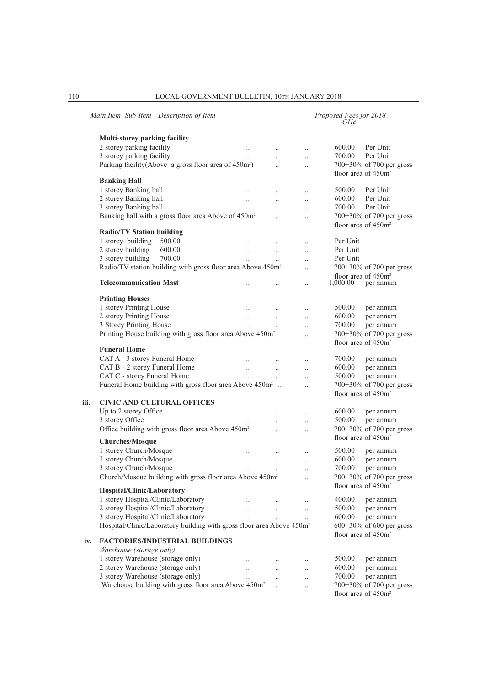|      | Main Item Sub-Item Description of Item                                                         |                      |                      |                      | Proposed Fees for 2018<br>GH¢ |                                       |
|------|------------------------------------------------------------------------------------------------|----------------------|----------------------|----------------------|-------------------------------|---------------------------------------|
|      | Multi-storey parking facility                                                                  |                      |                      |                      |                               |                                       |
|      | 2 storey parking facility                                                                      | $\ldots$             | $\ddotsc$            | $\ldots$             | 600.00                        | Per Unit                              |
|      | 3 storey parking facility                                                                      | $\ddots$             | $\ddotsc$            | $\ddot{\phantom{a}}$ | 700.00                        | Per Unit                              |
|      | Parking facility(Above a gross floor area of 450m <sup>2</sup> )                               |                      | $\ddotsc$            | $\ddotsc$            |                               | 700+30% of 700 per gross              |
|      |                                                                                                |                      |                      |                      |                               | floor area of 450m <sup>2</sup>       |
|      | <b>Banking Hall</b>                                                                            |                      |                      |                      |                               |                                       |
|      | 1 storey Banking hall                                                                          | $\ddotsc$            | $\ddot{\phantom{a}}$ | $\ldots$             | 500.00                        | Per Unit                              |
|      | 2 storey Banking hall                                                                          | $\ddots$             | $\ddots$             | $\ldots$             | 600.00                        | Per Unit                              |
|      | 3 storey Banking hall                                                                          | $\ddots$             | $\ddot{\phantom{0}}$ | $\ddotsc$            | 700.00                        | Per Unit                              |
|      | Banking hall with a gross floor area Above of 450m <sup>2</sup>                                |                      | $\ddotsc$            | $\ddotsc$            |                               | 700+30% of 700 per gross              |
|      |                                                                                                |                      |                      |                      |                               | floor area of 450m <sup>2</sup>       |
|      | <b>Radio/TV Station building</b>                                                               |                      |                      |                      |                               |                                       |
|      | 1 storey building<br>500.00                                                                    |                      | $\ldots$             | $\ldots$             | Per Unit                      |                                       |
|      | 2 storey building<br>600.00                                                                    | $\ldots$             | $\ldots$             | $\ddotsc$            | Per Unit                      |                                       |
|      | 3 storey building<br>700.00                                                                    | $\ddot{\phantom{a}}$ | $\ddotsc$            | $\ddotsc$            | Per Unit                      |                                       |
|      | Radio/TV station building with gross floor area Above 450m <sup>2</sup>                        |                      |                      | $\ddot{\phantom{0}}$ |                               | 700+30% of 700 per gross              |
|      |                                                                                                |                      |                      |                      |                               | floor area of 450m <sup>2</sup>       |
|      | <b>Telecommunication Mast</b>                                                                  |                      |                      | $\ddot{\phantom{a}}$ | 1,000.00                      | per annum                             |
|      | <b>Printing Houses</b>                                                                         |                      |                      |                      |                               |                                       |
|      | 1 storey Printing House                                                                        |                      |                      |                      | 500.00                        | per annum                             |
|      | 2 storey Printing House                                                                        | $\ddots$             | $\ddotsc$            | $\ldots$             | 600.00                        | per annum                             |
|      | 3 Storey Printing House                                                                        | $\ddots$             | $\ddotsc$            | $\ddotsc$            | 700.00                        | per annum                             |
|      | Printing House building with gross floor area Above 450m <sup>2</sup>                          | $\ddotsc$            | $\ldots$             | $\ddotsc$            |                               | 700+30% of 700 per gross              |
|      |                                                                                                |                      |                      | $\ddot{\phantom{0}}$ |                               | floor area of 450m <sup>2</sup>       |
|      | <b>Funeral Home</b>                                                                            |                      |                      |                      |                               |                                       |
|      | CAT A - 3 storey Funeral Home                                                                  | $\ddots$             |                      | $\cdot$              | 700.00                        | per annum                             |
|      | CAT B - 2 storey Funeral Home                                                                  | $\ddotsc$            | $\ldots$             | $\ldots$             | 600.00                        | per annum                             |
|      | CAT C - storey Funeral Home                                                                    | $\ddot{\phantom{a}}$ |                      |                      | 500.00                        | per annum                             |
|      | Funeral Home building with gross floor area Above 450m <sup>2</sup>                            |                      |                      | $\ddotsc$            |                               | 700+30% of 700 per gross              |
|      |                                                                                                |                      |                      |                      |                               | floor area of 450m <sup>2</sup>       |
| iii. | <b>CIVIC AND CULTURAL OFFICES</b>                                                              |                      |                      |                      |                               |                                       |
|      | Up to 2 storey Office                                                                          | $\ldots$             |                      | $\ldots$             | 600.00                        | per annum                             |
|      | 3 storey Office                                                                                | $\ddotsc$            | $\ddot{\phantom{0}}$ | $\ddot{\phantom{0}}$ | 500.00                        | per annum                             |
|      | Office building with gross floor area Above 450m <sup>2</sup>                                  |                      | $\ddotsc$            | $\ddotsc$            |                               | 700+30% of 700 per gross              |
|      |                                                                                                |                      |                      |                      |                               | floor area of 450m <sup>2</sup>       |
|      | <b>Churches/Mosque</b>                                                                         |                      |                      |                      |                               |                                       |
|      | 1 storey Church/Mosque                                                                         | $\ldots$             | $\ldots$             | $\ddotsc$            | 500.00                        | per annum                             |
|      | 2 storey Church/Mosque                                                                         | $\ddotsc$            | $\ldots$             | $\ddotsc$            | 600.00                        | per annum                             |
|      | 3 storey Church/Mosque<br>Church/Mosque building with gross floor area Above 450m <sup>2</sup> | $\ddot{\phantom{a}}$ | $\ddot{\phantom{a}}$ | $\ddotsc$            | 700.00                        | per annum<br>700+30% of 700 per gross |
|      |                                                                                                |                      |                      |                      |                               | floor area of 450m <sup>2</sup>       |
|      | Hospital/Clinic/Laboratory                                                                     |                      |                      |                      |                               |                                       |
|      | 1 storey Hospital/Clinic/Laboratory                                                            |                      |                      |                      | 400.00                        | per annum                             |
|      | 2 storey Hospital/Clinic/Laboratory                                                            | $\ddotsc$            | $\ldots$             | $\ldots$             | 500.00                        | per annum                             |
|      | 3 storey Hospital/Clinic/Laboratory                                                            | $\ddotsc$            | $\ddotsc$            | $\ldots$             | 600.00                        | per annum                             |
|      | Hospital/Clinic/Laboratory building with gross floor area Above 450m <sup>2</sup>              |                      |                      |                      |                               | $600+30\%$ of 600 per gross           |
|      |                                                                                                |                      |                      |                      |                               | floor area of 450m <sup>2</sup>       |
| iv.  | <b>FACTORIES/INDUSTRIAL BUILDINGS</b>                                                          |                      |                      |                      |                               |                                       |
|      | Warehouse (storage only)                                                                       |                      |                      |                      |                               |                                       |
|      | 1 storey Warehouse (storage only)                                                              | $\ldots$             | $\ldots$             | $\cdot$ .            | 500.00                        | per annum                             |
|      | 2 storey Warehouse (storage only)                                                              | $\ddotsc$            | $\ldots$             | $\cdot$              | 600.00                        | per annum                             |
|      | 3 storey Warehouse (storage only)                                                              | $\ddotsc$            | $\ldots$             | $\ddotsc$            | 700.00                        | per annum                             |
|      | Warehouse building with gross floor area Above 450m <sup>2</sup>                               |                      | $\ddotsc$            | $\ddotsc$            |                               | 700+30% of 700 per gross              |
|      |                                                                                                |                      |                      |                      |                               | floor area of 450m <sup>2</sup>       |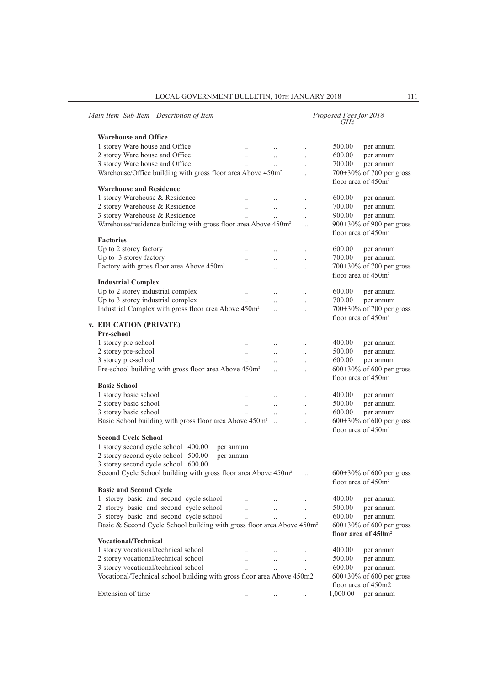| <b>Warehouse and Office</b><br>1 storey Ware house and Office<br>500.00<br>$\ddotsc$<br>$\ldots$<br>$\ldots$<br>2 storey Ware house and Office<br>600.00<br>$\ddotsc$<br>$\ldots$<br>$\ldots$<br>3 storey Ware house and Office<br>700.00<br>$\ddotsc$<br>$\ddotsc$<br>Warehouse/Office building with gross floor area Above 450m <sup>2</sup><br>700+30% of 700 per gross<br>$\ddotsc$<br>floor area of 450m <sup>2</sup><br><b>Warehouse and Residence</b><br>1 storey Warehouse & Residence<br>600.00<br>$\ldots$<br>2 storey Warehouse & Residence<br>700.00<br>$\ddot{\phantom{a}}$<br>$\ddot{\phantom{a}}$<br>$\ddotsc$<br>3 storey Warehouse & Residence<br>900.00<br>$\ddots$<br>$\ddotsc$<br>$\ddots$<br>Warehouse/residence building with gross floor area Above 450m <sup>2</sup><br>900+30% of 900 per gross<br>$\ddotsc$<br>floor area of 450m <sup>2</sup><br><b>Factories</b><br>Up to 2 storey factory<br>600.00<br>$\ldots$<br>$\ddot{\phantom{0}}$<br>Up to 3 storey factory<br>700.00<br>$\ddotsc$<br>$\ddotsc$<br>$\ldots$<br>Factory with gross floor area Above 450m <sup>2</sup><br>700+30% of 700 per gross<br>$\ddotsc$<br>$\ddotsc$<br>$\ddot{\phantom{0}}$<br>floor area of 450m <sup>2</sup><br><b>Industrial Complex</b><br>Up to 2 storey industrial complex<br>600.00<br>$\ldots$<br>$\ddotsc$<br>$\ddots$<br>Up to 3 storey industrial complex<br>700.00<br>$\ddotsc$<br>$\ddots$<br>$\ddotsc$<br>Industrial Complex with gross floor area Above 450m <sup>2</sup><br>700+30% of 700 per gross<br>$\ddotsc$<br>$\ddot{\phantom{0}}$<br>floor area of 450m <sup>2</sup><br>v. EDUCATION (PRIVATE)<br>Pre-school<br>1 storey pre-school<br>400.00<br>$\ldots$<br>2 storey pre-school<br>500.00<br>$\ldots$<br>$\ldots$<br>$\ldots$<br>3 storey pre-school<br>600.00<br>$\ddot{\phantom{0}}$<br>$\ldots$<br>Pre-school building with gross floor area Above 450m <sup>2</sup><br>600+30% of 600 per gross<br>$\ddotsc$<br>$\ddot{\phantom{0}}$<br>floor area of 450m <sup>2</sup><br><b>Basic School</b><br>1 storey basic school<br>400.00<br>$\ldots$<br>2 storey basic school<br>500.00<br>$\ddotsc$<br>3 storey basic school<br>600.00<br>$\ddotsc$<br>$\ddotsc$<br>Basic School building with gross floor area Above 450m <sup>2</sup><br>600+30% of 600 per gross<br>$\ddotsc$<br>floor area of 450m <sup>2</sup><br><b>Second Cycle School</b><br>1 storey second cycle school 400.00<br>per annum<br>2 storey second cycle school 500.00<br>per annum<br>3 storey second cycle school 600.00<br>Second Cycle School building with gross floor area Above 450m <sup>2</sup><br>$600+30\%$ of 600 per gross<br>floor area of 450m <sup>2</sup><br><b>Basic and Second Cycle</b><br>1 storey basic and second cycle school<br>400.00<br>2 storey basic and second cycle school<br>500.00<br>$\ddot{\phantom{a}}$<br>$\ddotsc$<br>$\ddotsc$ | Main Item Sub-Item Description of Item |  | Proposed Fees for 2018<br>GH¢ |           |
|------------------------------------------------------------------------------------------------------------------------------------------------------------------------------------------------------------------------------------------------------------------------------------------------------------------------------------------------------------------------------------------------------------------------------------------------------------------------------------------------------------------------------------------------------------------------------------------------------------------------------------------------------------------------------------------------------------------------------------------------------------------------------------------------------------------------------------------------------------------------------------------------------------------------------------------------------------------------------------------------------------------------------------------------------------------------------------------------------------------------------------------------------------------------------------------------------------------------------------------------------------------------------------------------------------------------------------------------------------------------------------------------------------------------------------------------------------------------------------------------------------------------------------------------------------------------------------------------------------------------------------------------------------------------------------------------------------------------------------------------------------------------------------------------------------------------------------------------------------------------------------------------------------------------------------------------------------------------------------------------------------------------------------------------------------------------------------------------------------------------------------------------------------------------------------------------------------------------------------------------------------------------------------------------------------------------------------------------------------------------------------------------------------------------------------------------------------------------------------------------------------------------------------------------------------------------------------------------------------------------------------------------------------------------------------------------------------------------------------------------------------------------------------------------------------------------------------------------------------------------------|----------------------------------------|--|-------------------------------|-----------|
|                                                                                                                                                                                                                                                                                                                                                                                                                                                                                                                                                                                                                                                                                                                                                                                                                                                                                                                                                                                                                                                                                                                                                                                                                                                                                                                                                                                                                                                                                                                                                                                                                                                                                                                                                                                                                                                                                                                                                                                                                                                                                                                                                                                                                                                                                                                                                                                                                                                                                                                                                                                                                                                                                                                                                                                                                                                                              |                                        |  |                               |           |
|                                                                                                                                                                                                                                                                                                                                                                                                                                                                                                                                                                                                                                                                                                                                                                                                                                                                                                                                                                                                                                                                                                                                                                                                                                                                                                                                                                                                                                                                                                                                                                                                                                                                                                                                                                                                                                                                                                                                                                                                                                                                                                                                                                                                                                                                                                                                                                                                                                                                                                                                                                                                                                                                                                                                                                                                                                                                              |                                        |  |                               | per annum |
|                                                                                                                                                                                                                                                                                                                                                                                                                                                                                                                                                                                                                                                                                                                                                                                                                                                                                                                                                                                                                                                                                                                                                                                                                                                                                                                                                                                                                                                                                                                                                                                                                                                                                                                                                                                                                                                                                                                                                                                                                                                                                                                                                                                                                                                                                                                                                                                                                                                                                                                                                                                                                                                                                                                                                                                                                                                                              |                                        |  |                               | per annum |
|                                                                                                                                                                                                                                                                                                                                                                                                                                                                                                                                                                                                                                                                                                                                                                                                                                                                                                                                                                                                                                                                                                                                                                                                                                                                                                                                                                                                                                                                                                                                                                                                                                                                                                                                                                                                                                                                                                                                                                                                                                                                                                                                                                                                                                                                                                                                                                                                                                                                                                                                                                                                                                                                                                                                                                                                                                                                              |                                        |  |                               | per annum |
|                                                                                                                                                                                                                                                                                                                                                                                                                                                                                                                                                                                                                                                                                                                                                                                                                                                                                                                                                                                                                                                                                                                                                                                                                                                                                                                                                                                                                                                                                                                                                                                                                                                                                                                                                                                                                                                                                                                                                                                                                                                                                                                                                                                                                                                                                                                                                                                                                                                                                                                                                                                                                                                                                                                                                                                                                                                                              |                                        |  |                               |           |
|                                                                                                                                                                                                                                                                                                                                                                                                                                                                                                                                                                                                                                                                                                                                                                                                                                                                                                                                                                                                                                                                                                                                                                                                                                                                                                                                                                                                                                                                                                                                                                                                                                                                                                                                                                                                                                                                                                                                                                                                                                                                                                                                                                                                                                                                                                                                                                                                                                                                                                                                                                                                                                                                                                                                                                                                                                                                              |                                        |  |                               |           |
|                                                                                                                                                                                                                                                                                                                                                                                                                                                                                                                                                                                                                                                                                                                                                                                                                                                                                                                                                                                                                                                                                                                                                                                                                                                                                                                                                                                                                                                                                                                                                                                                                                                                                                                                                                                                                                                                                                                                                                                                                                                                                                                                                                                                                                                                                                                                                                                                                                                                                                                                                                                                                                                                                                                                                                                                                                                                              |                                        |  |                               |           |
|                                                                                                                                                                                                                                                                                                                                                                                                                                                                                                                                                                                                                                                                                                                                                                                                                                                                                                                                                                                                                                                                                                                                                                                                                                                                                                                                                                                                                                                                                                                                                                                                                                                                                                                                                                                                                                                                                                                                                                                                                                                                                                                                                                                                                                                                                                                                                                                                                                                                                                                                                                                                                                                                                                                                                                                                                                                                              |                                        |  |                               | per annum |
|                                                                                                                                                                                                                                                                                                                                                                                                                                                                                                                                                                                                                                                                                                                                                                                                                                                                                                                                                                                                                                                                                                                                                                                                                                                                                                                                                                                                                                                                                                                                                                                                                                                                                                                                                                                                                                                                                                                                                                                                                                                                                                                                                                                                                                                                                                                                                                                                                                                                                                                                                                                                                                                                                                                                                                                                                                                                              |                                        |  |                               | per annum |
|                                                                                                                                                                                                                                                                                                                                                                                                                                                                                                                                                                                                                                                                                                                                                                                                                                                                                                                                                                                                                                                                                                                                                                                                                                                                                                                                                                                                                                                                                                                                                                                                                                                                                                                                                                                                                                                                                                                                                                                                                                                                                                                                                                                                                                                                                                                                                                                                                                                                                                                                                                                                                                                                                                                                                                                                                                                                              |                                        |  |                               | per annum |
|                                                                                                                                                                                                                                                                                                                                                                                                                                                                                                                                                                                                                                                                                                                                                                                                                                                                                                                                                                                                                                                                                                                                                                                                                                                                                                                                                                                                                                                                                                                                                                                                                                                                                                                                                                                                                                                                                                                                                                                                                                                                                                                                                                                                                                                                                                                                                                                                                                                                                                                                                                                                                                                                                                                                                                                                                                                                              |                                        |  |                               |           |
|                                                                                                                                                                                                                                                                                                                                                                                                                                                                                                                                                                                                                                                                                                                                                                                                                                                                                                                                                                                                                                                                                                                                                                                                                                                                                                                                                                                                                                                                                                                                                                                                                                                                                                                                                                                                                                                                                                                                                                                                                                                                                                                                                                                                                                                                                                                                                                                                                                                                                                                                                                                                                                                                                                                                                                                                                                                                              |                                        |  |                               |           |
|                                                                                                                                                                                                                                                                                                                                                                                                                                                                                                                                                                                                                                                                                                                                                                                                                                                                                                                                                                                                                                                                                                                                                                                                                                                                                                                                                                                                                                                                                                                                                                                                                                                                                                                                                                                                                                                                                                                                                                                                                                                                                                                                                                                                                                                                                                                                                                                                                                                                                                                                                                                                                                                                                                                                                                                                                                                                              |                                        |  |                               | per annum |
|                                                                                                                                                                                                                                                                                                                                                                                                                                                                                                                                                                                                                                                                                                                                                                                                                                                                                                                                                                                                                                                                                                                                                                                                                                                                                                                                                                                                                                                                                                                                                                                                                                                                                                                                                                                                                                                                                                                                                                                                                                                                                                                                                                                                                                                                                                                                                                                                                                                                                                                                                                                                                                                                                                                                                                                                                                                                              |                                        |  |                               | per annum |
|                                                                                                                                                                                                                                                                                                                                                                                                                                                                                                                                                                                                                                                                                                                                                                                                                                                                                                                                                                                                                                                                                                                                                                                                                                                                                                                                                                                                                                                                                                                                                                                                                                                                                                                                                                                                                                                                                                                                                                                                                                                                                                                                                                                                                                                                                                                                                                                                                                                                                                                                                                                                                                                                                                                                                                                                                                                                              |                                        |  |                               |           |
|                                                                                                                                                                                                                                                                                                                                                                                                                                                                                                                                                                                                                                                                                                                                                                                                                                                                                                                                                                                                                                                                                                                                                                                                                                                                                                                                                                                                                                                                                                                                                                                                                                                                                                                                                                                                                                                                                                                                                                                                                                                                                                                                                                                                                                                                                                                                                                                                                                                                                                                                                                                                                                                                                                                                                                                                                                                                              |                                        |  |                               |           |
|                                                                                                                                                                                                                                                                                                                                                                                                                                                                                                                                                                                                                                                                                                                                                                                                                                                                                                                                                                                                                                                                                                                                                                                                                                                                                                                                                                                                                                                                                                                                                                                                                                                                                                                                                                                                                                                                                                                                                                                                                                                                                                                                                                                                                                                                                                                                                                                                                                                                                                                                                                                                                                                                                                                                                                                                                                                                              |                                        |  |                               |           |
|                                                                                                                                                                                                                                                                                                                                                                                                                                                                                                                                                                                                                                                                                                                                                                                                                                                                                                                                                                                                                                                                                                                                                                                                                                                                                                                                                                                                                                                                                                                                                                                                                                                                                                                                                                                                                                                                                                                                                                                                                                                                                                                                                                                                                                                                                                                                                                                                                                                                                                                                                                                                                                                                                                                                                                                                                                                                              |                                        |  |                               | per annum |
|                                                                                                                                                                                                                                                                                                                                                                                                                                                                                                                                                                                                                                                                                                                                                                                                                                                                                                                                                                                                                                                                                                                                                                                                                                                                                                                                                                                                                                                                                                                                                                                                                                                                                                                                                                                                                                                                                                                                                                                                                                                                                                                                                                                                                                                                                                                                                                                                                                                                                                                                                                                                                                                                                                                                                                                                                                                                              |                                        |  |                               | per annum |
|                                                                                                                                                                                                                                                                                                                                                                                                                                                                                                                                                                                                                                                                                                                                                                                                                                                                                                                                                                                                                                                                                                                                                                                                                                                                                                                                                                                                                                                                                                                                                                                                                                                                                                                                                                                                                                                                                                                                                                                                                                                                                                                                                                                                                                                                                                                                                                                                                                                                                                                                                                                                                                                                                                                                                                                                                                                                              |                                        |  |                               |           |
|                                                                                                                                                                                                                                                                                                                                                                                                                                                                                                                                                                                                                                                                                                                                                                                                                                                                                                                                                                                                                                                                                                                                                                                                                                                                                                                                                                                                                                                                                                                                                                                                                                                                                                                                                                                                                                                                                                                                                                                                                                                                                                                                                                                                                                                                                                                                                                                                                                                                                                                                                                                                                                                                                                                                                                                                                                                                              |                                        |  |                               |           |
|                                                                                                                                                                                                                                                                                                                                                                                                                                                                                                                                                                                                                                                                                                                                                                                                                                                                                                                                                                                                                                                                                                                                                                                                                                                                                                                                                                                                                                                                                                                                                                                                                                                                                                                                                                                                                                                                                                                                                                                                                                                                                                                                                                                                                                                                                                                                                                                                                                                                                                                                                                                                                                                                                                                                                                                                                                                                              |                                        |  |                               |           |
|                                                                                                                                                                                                                                                                                                                                                                                                                                                                                                                                                                                                                                                                                                                                                                                                                                                                                                                                                                                                                                                                                                                                                                                                                                                                                                                                                                                                                                                                                                                                                                                                                                                                                                                                                                                                                                                                                                                                                                                                                                                                                                                                                                                                                                                                                                                                                                                                                                                                                                                                                                                                                                                                                                                                                                                                                                                                              |                                        |  |                               | per annum |
|                                                                                                                                                                                                                                                                                                                                                                                                                                                                                                                                                                                                                                                                                                                                                                                                                                                                                                                                                                                                                                                                                                                                                                                                                                                                                                                                                                                                                                                                                                                                                                                                                                                                                                                                                                                                                                                                                                                                                                                                                                                                                                                                                                                                                                                                                                                                                                                                                                                                                                                                                                                                                                                                                                                                                                                                                                                                              |                                        |  |                               | per annum |
|                                                                                                                                                                                                                                                                                                                                                                                                                                                                                                                                                                                                                                                                                                                                                                                                                                                                                                                                                                                                                                                                                                                                                                                                                                                                                                                                                                                                                                                                                                                                                                                                                                                                                                                                                                                                                                                                                                                                                                                                                                                                                                                                                                                                                                                                                                                                                                                                                                                                                                                                                                                                                                                                                                                                                                                                                                                                              |                                        |  |                               | per annum |
|                                                                                                                                                                                                                                                                                                                                                                                                                                                                                                                                                                                                                                                                                                                                                                                                                                                                                                                                                                                                                                                                                                                                                                                                                                                                                                                                                                                                                                                                                                                                                                                                                                                                                                                                                                                                                                                                                                                                                                                                                                                                                                                                                                                                                                                                                                                                                                                                                                                                                                                                                                                                                                                                                                                                                                                                                                                                              |                                        |  |                               |           |
|                                                                                                                                                                                                                                                                                                                                                                                                                                                                                                                                                                                                                                                                                                                                                                                                                                                                                                                                                                                                                                                                                                                                                                                                                                                                                                                                                                                                                                                                                                                                                                                                                                                                                                                                                                                                                                                                                                                                                                                                                                                                                                                                                                                                                                                                                                                                                                                                                                                                                                                                                                                                                                                                                                                                                                                                                                                                              |                                        |  |                               |           |
|                                                                                                                                                                                                                                                                                                                                                                                                                                                                                                                                                                                                                                                                                                                                                                                                                                                                                                                                                                                                                                                                                                                                                                                                                                                                                                                                                                                                                                                                                                                                                                                                                                                                                                                                                                                                                                                                                                                                                                                                                                                                                                                                                                                                                                                                                                                                                                                                                                                                                                                                                                                                                                                                                                                                                                                                                                                                              |                                        |  |                               |           |
|                                                                                                                                                                                                                                                                                                                                                                                                                                                                                                                                                                                                                                                                                                                                                                                                                                                                                                                                                                                                                                                                                                                                                                                                                                                                                                                                                                                                                                                                                                                                                                                                                                                                                                                                                                                                                                                                                                                                                                                                                                                                                                                                                                                                                                                                                                                                                                                                                                                                                                                                                                                                                                                                                                                                                                                                                                                                              |                                        |  |                               | per annum |
|                                                                                                                                                                                                                                                                                                                                                                                                                                                                                                                                                                                                                                                                                                                                                                                                                                                                                                                                                                                                                                                                                                                                                                                                                                                                                                                                                                                                                                                                                                                                                                                                                                                                                                                                                                                                                                                                                                                                                                                                                                                                                                                                                                                                                                                                                                                                                                                                                                                                                                                                                                                                                                                                                                                                                                                                                                                                              |                                        |  |                               | per annum |
|                                                                                                                                                                                                                                                                                                                                                                                                                                                                                                                                                                                                                                                                                                                                                                                                                                                                                                                                                                                                                                                                                                                                                                                                                                                                                                                                                                                                                                                                                                                                                                                                                                                                                                                                                                                                                                                                                                                                                                                                                                                                                                                                                                                                                                                                                                                                                                                                                                                                                                                                                                                                                                                                                                                                                                                                                                                                              |                                        |  |                               | per annum |
|                                                                                                                                                                                                                                                                                                                                                                                                                                                                                                                                                                                                                                                                                                                                                                                                                                                                                                                                                                                                                                                                                                                                                                                                                                                                                                                                                                                                                                                                                                                                                                                                                                                                                                                                                                                                                                                                                                                                                                                                                                                                                                                                                                                                                                                                                                                                                                                                                                                                                                                                                                                                                                                                                                                                                                                                                                                                              |                                        |  |                               |           |
|                                                                                                                                                                                                                                                                                                                                                                                                                                                                                                                                                                                                                                                                                                                                                                                                                                                                                                                                                                                                                                                                                                                                                                                                                                                                                                                                                                                                                                                                                                                                                                                                                                                                                                                                                                                                                                                                                                                                                                                                                                                                                                                                                                                                                                                                                                                                                                                                                                                                                                                                                                                                                                                                                                                                                                                                                                                                              |                                        |  |                               |           |
|                                                                                                                                                                                                                                                                                                                                                                                                                                                                                                                                                                                                                                                                                                                                                                                                                                                                                                                                                                                                                                                                                                                                                                                                                                                                                                                                                                                                                                                                                                                                                                                                                                                                                                                                                                                                                                                                                                                                                                                                                                                                                                                                                                                                                                                                                                                                                                                                                                                                                                                                                                                                                                                                                                                                                                                                                                                                              |                                        |  |                               |           |
|                                                                                                                                                                                                                                                                                                                                                                                                                                                                                                                                                                                                                                                                                                                                                                                                                                                                                                                                                                                                                                                                                                                                                                                                                                                                                                                                                                                                                                                                                                                                                                                                                                                                                                                                                                                                                                                                                                                                                                                                                                                                                                                                                                                                                                                                                                                                                                                                                                                                                                                                                                                                                                                                                                                                                                                                                                                                              |                                        |  |                               |           |
|                                                                                                                                                                                                                                                                                                                                                                                                                                                                                                                                                                                                                                                                                                                                                                                                                                                                                                                                                                                                                                                                                                                                                                                                                                                                                                                                                                                                                                                                                                                                                                                                                                                                                                                                                                                                                                                                                                                                                                                                                                                                                                                                                                                                                                                                                                                                                                                                                                                                                                                                                                                                                                                                                                                                                                                                                                                                              |                                        |  |                               |           |
|                                                                                                                                                                                                                                                                                                                                                                                                                                                                                                                                                                                                                                                                                                                                                                                                                                                                                                                                                                                                                                                                                                                                                                                                                                                                                                                                                                                                                                                                                                                                                                                                                                                                                                                                                                                                                                                                                                                                                                                                                                                                                                                                                                                                                                                                                                                                                                                                                                                                                                                                                                                                                                                                                                                                                                                                                                                                              |                                        |  |                               |           |
|                                                                                                                                                                                                                                                                                                                                                                                                                                                                                                                                                                                                                                                                                                                                                                                                                                                                                                                                                                                                                                                                                                                                                                                                                                                                                                                                                                                                                                                                                                                                                                                                                                                                                                                                                                                                                                                                                                                                                                                                                                                                                                                                                                                                                                                                                                                                                                                                                                                                                                                                                                                                                                                                                                                                                                                                                                                                              |                                        |  |                               |           |
|                                                                                                                                                                                                                                                                                                                                                                                                                                                                                                                                                                                                                                                                                                                                                                                                                                                                                                                                                                                                                                                                                                                                                                                                                                                                                                                                                                                                                                                                                                                                                                                                                                                                                                                                                                                                                                                                                                                                                                                                                                                                                                                                                                                                                                                                                                                                                                                                                                                                                                                                                                                                                                                                                                                                                                                                                                                                              |                                        |  |                               |           |
|                                                                                                                                                                                                                                                                                                                                                                                                                                                                                                                                                                                                                                                                                                                                                                                                                                                                                                                                                                                                                                                                                                                                                                                                                                                                                                                                                                                                                                                                                                                                                                                                                                                                                                                                                                                                                                                                                                                                                                                                                                                                                                                                                                                                                                                                                                                                                                                                                                                                                                                                                                                                                                                                                                                                                                                                                                                                              |                                        |  |                               | per annum |
|                                                                                                                                                                                                                                                                                                                                                                                                                                                                                                                                                                                                                                                                                                                                                                                                                                                                                                                                                                                                                                                                                                                                                                                                                                                                                                                                                                                                                                                                                                                                                                                                                                                                                                                                                                                                                                                                                                                                                                                                                                                                                                                                                                                                                                                                                                                                                                                                                                                                                                                                                                                                                                                                                                                                                                                                                                                                              |                                        |  |                               | per annum |
| 600.00<br>$\ddotsc$                                                                                                                                                                                                                                                                                                                                                                                                                                                                                                                                                                                                                                                                                                                                                                                                                                                                                                                                                                                                                                                                                                                                                                                                                                                                                                                                                                                                                                                                                                                                                                                                                                                                                                                                                                                                                                                                                                                                                                                                                                                                                                                                                                                                                                                                                                                                                                                                                                                                                                                                                                                                                                                                                                                                                                                                                                                          | 3 storey basic and second cycle school |  |                               | per annum |
| Basic & Second Cycle School building with gross floor area Above 450m <sup>2</sup><br>600+30% of 600 per gross                                                                                                                                                                                                                                                                                                                                                                                                                                                                                                                                                                                                                                                                                                                                                                                                                                                                                                                                                                                                                                                                                                                                                                                                                                                                                                                                                                                                                                                                                                                                                                                                                                                                                                                                                                                                                                                                                                                                                                                                                                                                                                                                                                                                                                                                                                                                                                                                                                                                                                                                                                                                                                                                                                                                                               |                                        |  |                               |           |
| floor area of 450m <sup>2</sup>                                                                                                                                                                                                                                                                                                                                                                                                                                                                                                                                                                                                                                                                                                                                                                                                                                                                                                                                                                                                                                                                                                                                                                                                                                                                                                                                                                                                                                                                                                                                                                                                                                                                                                                                                                                                                                                                                                                                                                                                                                                                                                                                                                                                                                                                                                                                                                                                                                                                                                                                                                                                                                                                                                                                                                                                                                              |                                        |  |                               |           |
| <b>Vocational/Technical</b>                                                                                                                                                                                                                                                                                                                                                                                                                                                                                                                                                                                                                                                                                                                                                                                                                                                                                                                                                                                                                                                                                                                                                                                                                                                                                                                                                                                                                                                                                                                                                                                                                                                                                                                                                                                                                                                                                                                                                                                                                                                                                                                                                                                                                                                                                                                                                                                                                                                                                                                                                                                                                                                                                                                                                                                                                                                  |                                        |  |                               |           |
| 1 storey vocational/technical school<br>400.00<br>$\ddotsc$<br>$\ddotsc$                                                                                                                                                                                                                                                                                                                                                                                                                                                                                                                                                                                                                                                                                                                                                                                                                                                                                                                                                                                                                                                                                                                                                                                                                                                                                                                                                                                                                                                                                                                                                                                                                                                                                                                                                                                                                                                                                                                                                                                                                                                                                                                                                                                                                                                                                                                                                                                                                                                                                                                                                                                                                                                                                                                                                                                                     |                                        |  |                               | per annum |
| 2 storey vocational/technical school<br>500.00<br>$\ddotsc$<br>$\ddotsc$<br>$\ddotsc$                                                                                                                                                                                                                                                                                                                                                                                                                                                                                                                                                                                                                                                                                                                                                                                                                                                                                                                                                                                                                                                                                                                                                                                                                                                                                                                                                                                                                                                                                                                                                                                                                                                                                                                                                                                                                                                                                                                                                                                                                                                                                                                                                                                                                                                                                                                                                                                                                                                                                                                                                                                                                                                                                                                                                                                        |                                        |  |                               | per annum |
| 3 storey vocational/technical school<br>600.00<br>$\ddotsc$<br>$\dddot{\phantom{0}}$<br>$\ddotsc$                                                                                                                                                                                                                                                                                                                                                                                                                                                                                                                                                                                                                                                                                                                                                                                                                                                                                                                                                                                                                                                                                                                                                                                                                                                                                                                                                                                                                                                                                                                                                                                                                                                                                                                                                                                                                                                                                                                                                                                                                                                                                                                                                                                                                                                                                                                                                                                                                                                                                                                                                                                                                                                                                                                                                                            |                                        |  |                               | per annum |
| Vocational/Technical school building with gross floor area Above 450m2<br>$600+30\%$ of 600 per gross                                                                                                                                                                                                                                                                                                                                                                                                                                                                                                                                                                                                                                                                                                                                                                                                                                                                                                                                                                                                                                                                                                                                                                                                                                                                                                                                                                                                                                                                                                                                                                                                                                                                                                                                                                                                                                                                                                                                                                                                                                                                                                                                                                                                                                                                                                                                                                                                                                                                                                                                                                                                                                                                                                                                                                        |                                        |  |                               |           |
| floor area of 450m2                                                                                                                                                                                                                                                                                                                                                                                                                                                                                                                                                                                                                                                                                                                                                                                                                                                                                                                                                                                                                                                                                                                                                                                                                                                                                                                                                                                                                                                                                                                                                                                                                                                                                                                                                                                                                                                                                                                                                                                                                                                                                                                                                                                                                                                                                                                                                                                                                                                                                                                                                                                                                                                                                                                                                                                                                                                          |                                        |  |                               |           |
| Extension of time<br>1,000.00<br>$\ldots$<br>$\cdots$<br>$\ldots$                                                                                                                                                                                                                                                                                                                                                                                                                                                                                                                                                                                                                                                                                                                                                                                                                                                                                                                                                                                                                                                                                                                                                                                                                                                                                                                                                                                                                                                                                                                                                                                                                                                                                                                                                                                                                                                                                                                                                                                                                                                                                                                                                                                                                                                                                                                                                                                                                                                                                                                                                                                                                                                                                                                                                                                                            |                                        |  |                               | per annum |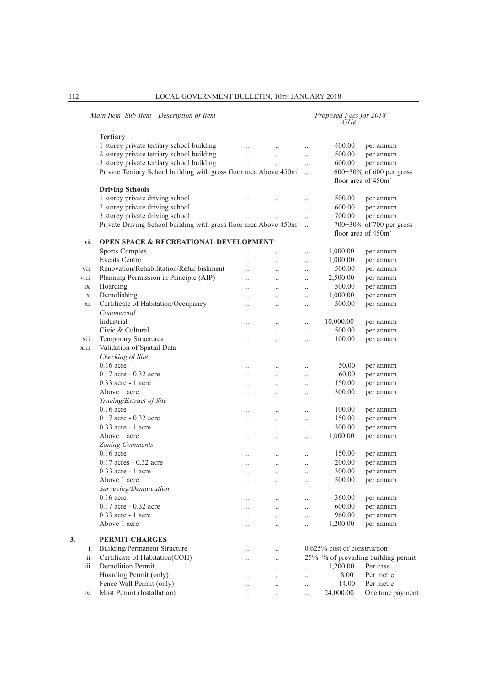|       | Main Item Sub-Item Description of Item                                         |                      |                      |                      | Proposed Fees for 2018<br>GH¢  |                                     |
|-------|--------------------------------------------------------------------------------|----------------------|----------------------|----------------------|--------------------------------|-------------------------------------|
|       | <b>Tertiary</b>                                                                |                      |                      |                      |                                |                                     |
|       | 1 storey private tertiary school building                                      | $\ddotsc$            | $\ddotsc$            | $\ddotsc$            | 400.00                         | per annum                           |
|       | 2 storey private tertiary school building                                      | $\ddotsc$            | $\ddot{\phantom{a}}$ | $\ldots$             | 500.00                         | per annum                           |
|       | 3 storey private tertiary school building                                      | $\ddotsc$            |                      |                      | 600.00                         | per annum                           |
|       | Private Tertiary School building with gross floor area Above 450m <sup>2</sup> |                      | $\ddotsc$            | $\ddotsc$            |                                | 600+30% of 600 per gross            |
|       |                                                                                |                      |                      |                      |                                | floor area of $450m^2$              |
|       | <b>Driving Schools</b>                                                         |                      |                      |                      |                                |                                     |
|       | 1 storey private driving school                                                |                      |                      |                      | 500.00                         | per annum                           |
|       | 2 storey private driving school                                                | $\ddotsc$            | $\ldots$             | $\ddotsc$            | 600.00                         | per annum                           |
|       | 3 storey private driving school                                                | $\ddotsc$            | $\ddotsc$            | $\ldots$             | 700.00                         | per annum                           |
|       | Private Driving School building with gross floor area Above 450m <sup>2</sup>  |                      |                      |                      |                                | 700+30% of 700 per gross            |
|       |                                                                                |                      |                      |                      |                                | floor area of 450m <sup>2</sup>     |
| vi.   | <b>OPEN SPACE &amp; RECREATIONAL DEVELOPMENT</b>                               |                      |                      |                      |                                |                                     |
|       | Sports Complex                                                                 |                      |                      | $\ddot{\phantom{0}}$ | 1,000.00                       | per annum                           |
|       | <b>Events Centre</b>                                                           | $\ddotsc$            | $\ddotsc$            | $\ddotsc$            | 1,000.00                       | per annum                           |
| vii   | Renovation/Rehabilitation/Refur bishment                                       | $\ddotsc$            | $\ddotsc$            | $\ddot{\phantom{0}}$ | 500.00                         | per annum                           |
| viii. | Planning Permission in Principle (AIP)                                         | $\ddotsc$            | $\ddotsc$            | $\ddot{\phantom{0}}$ | 2,500.00                       | per annum                           |
| ix.   | Hoarding                                                                       | $\ddotsc$            | $\ddots$             | $\ldots$             | 500.00                         | per annum                           |
| X.    | Demolishing                                                                    | $\ddotsc$            | $\ddotsc$            | $\ddot{\phantom{0}}$ | 1,000.00                       | per annum                           |
| xi.   | Certificate of Habitation/Occupancy                                            | $\ddotsc$            | $\ddotsc$            | $\ddot{\phantom{0}}$ | 500.00                         | per annum                           |
|       | Commercial                                                                     |                      |                      |                      |                                |                                     |
|       | Industrial                                                                     | $\ddotsc$            | $\ddotsc$            | $\ddot{\phantom{0}}$ | 10,000.00                      | per annum                           |
|       | Civic & Cultural                                                               | $\ldots$             | $\ddotsc$            | $\ddotsc$            | 500.00                         | per annum                           |
| xii.  | Temporary Structures                                                           | $\ddotsc$            | $\cdot$ .            | $\ddot{\phantom{0}}$ | 100.00                         | per annum                           |
| xiii. | Validation of Spatial Data                                                     |                      |                      |                      |                                |                                     |
|       | Checking of Site                                                               |                      |                      |                      |                                |                                     |
|       | $0.16$ acre                                                                    | $\ddotsc$            | $\ddotsc$            | $\ldots$             | 50.00                          | per annum                           |
|       | $0.17$ acre $-0.32$ acre                                                       | $\ldots$             | $\ldots$             | $\ldots$             | 60.00                          | per annum                           |
|       | $0.33$ acre - 1 acre                                                           | $\ldots$             | $\ddotsc$            | $\ddot{\phantom{a}}$ | 150.00                         | per annum                           |
|       | Above 1 acre                                                                   | $\ddotsc$            | $\ddotsc$            | $\ddotsc$            | 300.00                         | per annum                           |
|       | Tracing/Extract of Site                                                        |                      |                      |                      |                                |                                     |
|       | $0.16$ acre                                                                    | $\ddotsc$            | $\ddotsc$            | $\ldots$             | 100.00                         | per annum                           |
|       | $0.17$ acre $-0.32$ acre                                                       | $\ldots$             | $\ddotsc$            | $\cdot$              | 150.00                         | per annum                           |
|       | 0.33 acre - 1 acre                                                             | $\ldots$             | $\ddotsc$            | $\ddot{\phantom{0}}$ | 300.00                         | per annum                           |
|       | Above 1 acre                                                                   | $\ddotsc$            | $\ddotsc$            | $\ddot{\phantom{0}}$ | 1,000.00                       | per annum                           |
|       | Zoning Comments                                                                |                      |                      |                      |                                |                                     |
|       | $0.16$ acre                                                                    | $\ddotsc$            | $\ddotsc$            | $\ddotsc$            | 150.00                         | per annum                           |
|       | 0.17 acres - 0.32 acre                                                         | $\ldots$             | $\ldots$             | $\ldots$             | 200.00                         | per annum                           |
|       | $0.33$ acre - 1 acre                                                           | $\ddotsc$            | $\ddotsc$            | $\ddotsc$            | 300.00                         | per annum                           |
|       | Above 1 acre                                                                   | $\ldots$             | $\cdot$ .            |                      | 500.00                         | per annum                           |
|       | Surveying/Demarcation                                                          |                      |                      |                      |                                |                                     |
|       | $0.16$ acre                                                                    | $\cdot$ .            |                      | $\cdot$              | 360.00                         | per annum                           |
|       | 0.17 acre - 0.32 acre                                                          | $\ddotsc$            | $\ddotsc$            | $\ddotsc$            | 600.00                         | per annum                           |
|       | 0.33 acre - 1 acre                                                             | $\cdot$ .            | $\ddotsc$            | $\ddot{\phantom{0}}$ | 960.00                         | per annum                           |
|       | Above 1 acre                                                                   | $\ddotsc$            | $\ddotsc$            | $\ddot{\phantom{0}}$ | 1,200.00                       | per annum                           |
|       |                                                                                |                      |                      |                      |                                |                                     |
| 3.    | <b>PERMIT CHARGES</b>                                                          |                      |                      |                      |                                |                                     |
| i.    | <b>Building/Permanent Structure</b>                                            | $\ddotsc$            |                      |                      | $0.625\%$ cost of construction |                                     |
| ii.   | Certificate of Habitation(COH)                                                 | $\ddotsc$            | $\cdot$              |                      |                                | 25% % of prevailing building permit |
| iii.  | <b>Demolition Permit</b>                                                       |                      |                      | $\ddot{\phantom{a}}$ | 1,200.00                       | Per case                            |
|       | Hoarding Permit (only)                                                         | $\ddot{\phantom{a}}$ | $\ddotsc$            | $\ddotsc$            | 8.00                           | Per metre                           |
|       | Fence Wall Permit (only)                                                       | $\ddotsc$            | $\ddot{\phantom{a}}$ | $\ddot{\phantom{0}}$ | 14.00                          | Per metre                           |
| iv.   | Mast Permit (Installation)                                                     | $\ddotsc$            | $\cdot$ .            | $\ddot{\phantom{a}}$ | 24,000.00                      | One time payment                    |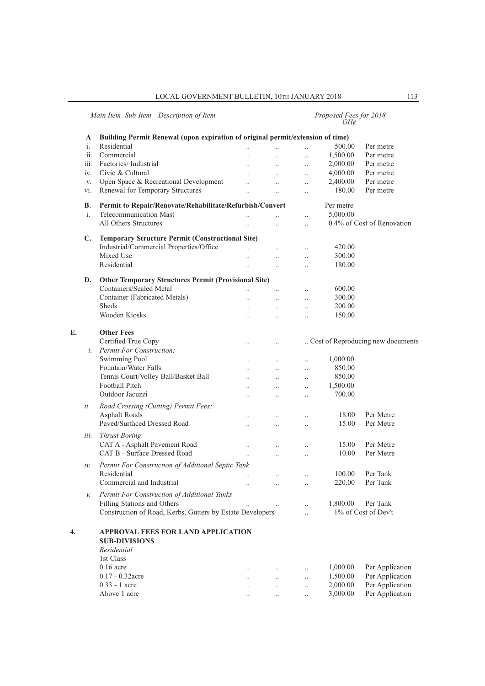# *Main Item Sub-Item Description of Item Proposed Fees for 2018 GH¢*

|    | A              | Building Permit Renewal (upon expiration of original permit/extension of time) |                       |                      |                      |           |                                   |
|----|----------------|--------------------------------------------------------------------------------|-----------------------|----------------------|----------------------|-----------|-----------------------------------|
|    | i.             | Residential                                                                    | $\ddotsc$             | $\ddot{\phantom{a}}$ | $\ddotsc$            | 500.00    | Per metre                         |
|    | ii.            | Commercial                                                                     |                       |                      | $\ddotsc$            | 1,500.00  | Per metre                         |
|    | iii.           | Factories/Industrial                                                           | $\ddotsc$             | $\ddots$             | $\ddotsc$            | 2,000.00  | Per metre                         |
|    | iv.            | Civic & Cultural                                                               | $\ddotsc$             | $\ddots$             | $\ddotsc$            | 4,000.00  | Per metre                         |
|    | V.             | Open Space & Recreational Development                                          | $\ddot{\phantom{a}}$  | $\ddotsc$            | $\ddotsc$            | 2,400.00  | Per metre                         |
|    | vi.            | Renewal for Temporary Structures                                               | $\ddots$              | $\ddotsc$            | $\ddotsc$            | 180.00    | Per metre                         |
|    | В.             | Permit to Repair/Renovate/Rehabilitate/Refurbish/Convert                       |                       |                      |                      | Per metre |                                   |
|    | $\mathbf{i}$ . | Telecommunication Mast                                                         | $\ddotsc$             |                      | $\ddotsc$            | 5,000.00  |                                   |
|    |                | All Others Structures                                                          | $\ddotsc$             | $\ddotsc$            | $\ddotsc$            |           | 0.4% of Cost of Renovation        |
|    | $\mathbf{C}$ . | <b>Temporary Structure Permit (Constructional Site)</b>                        |                       |                      |                      |           |                                   |
|    |                | Industrial/Commercial Properties/Office                                        | $\ddotsc$             | $\ddots$             | $\ldots$             | 420.00    |                                   |
|    |                | Mixed Use                                                                      | $\ddot{\phantom{a}}$  | $\ddotsc$            | $\ddotsc$            | 300.00    |                                   |
|    |                | Residential                                                                    |                       | $\ddot{\phantom{a}}$ | $\ddotsc$            | 180.00    |                                   |
|    | D.             | <b>Other Temporary Structures Permit (Provisional Site)</b>                    |                       |                      |                      |           |                                   |
|    |                | Containers/Sealed Metal                                                        | $\dddot{\phantom{0}}$ | $\ddots$             | $\ldots$             | 600.00    |                                   |
|    |                | Container (Fabricated Metals)                                                  | $\ddotsc$             | $\ddot{\phantom{a}}$ | $\ddotsc$            | 300.00    |                                   |
|    |                | <b>Sheds</b>                                                                   |                       | $\ddotsc$            | $\ddotsc$            | 200.00    |                                   |
|    |                | Wooden Kiosks                                                                  | $\ddots$              | $\ddots$             | $\ddotsc$            | 150.00    |                                   |
|    |                |                                                                                |                       |                      |                      |           |                                   |
| E. |                | <b>Other Fees</b>                                                              |                       |                      |                      |           |                                   |
|    |                | Certified True Copy                                                            | $\ddots$              | $\ldots$             |                      |           | Cost of Reproducing new documents |
|    | $i$ .          | <b>Permit For Construction:</b>                                                |                       |                      |                      |           |                                   |
|    |                | <b>Swimming Pool</b>                                                           | $\ddots$              | $\ddots$             | $\ddotsc$            | 1,000.00  |                                   |
|    |                | Fountain/Water Falls                                                           |                       |                      | $\ddotsc$            | 850.00    |                                   |
|    |                | Tennis Court/Volley Ball/Basket Ball                                           | $\ddotsc$             | $\ddots$             | $\ddotsc$            | 850.00    |                                   |
|    |                | Football Pitch                                                                 | $\ddots$              | $\ddots$             | $\ddotsc$            | 1,500.00  |                                   |
|    |                | Outdoor Jacuzzi                                                                | $\ddot{\phantom{a}}$  | $\ddots$             | $\ddotsc$            | 700.00    |                                   |
|    | ii.            | Road Crossing (Cutting) Permit Fees:                                           |                       |                      |                      |           |                                   |
|    |                | <b>Asphalt Roads</b>                                                           | $\ddotsc$             | $\ddotsc$            | $\ddotsc$            | 18.00     | Per Metre                         |
|    |                | Paved/Surfaced Dressed Road                                                    | $\ddot{\phantom{0}}$  | $\ddotsc$            | $\ddotsc$            | 15.00     | Per Metre                         |
|    | iii.           | <b>Thrust Boring</b>                                                           |                       |                      |                      |           |                                   |
|    |                | CAT A - Asphalt Pavement Road                                                  | $\ddotsc$             | $\ddotsc$            | $\ddotsc$            | 15.00     | Per Metre                         |
|    |                | CAT B - Surface Dressed Road                                                   | $\ddotsc$             | $\ldots$             | $\ddotsc$            | 10.00     | Per Metre                         |
|    | iν.            | Permit For Construction of Additional Septic Tank                              |                       |                      |                      |           |                                   |
|    |                | Residential                                                                    |                       | $\ddotsc$            | $\ddotsc$            | 100.00    | Per Tank                          |
|    |                | Commercial and Industrial                                                      | $\ddotsc$             | $\ddots$             | $\ddotsc$            | 220.00    | Per Tank                          |
|    |                | Permit For Construction of Additional Tanks                                    |                       |                      |                      |           |                                   |
|    |                | Filling Stations and Others                                                    |                       |                      |                      | 1,800.00  | Per Tank                          |
|    |                | Construction of Road, Kerbs, Gutters by Estate Developers                      |                       |                      | $\ddot{\phantom{a}}$ |           | 1% of Cost of Dev't               |
| 4. |                | <b>APPROVAL FEES FOR LAND APPLICATION</b>                                      |                       |                      |                      |           |                                   |
|    |                | <b>SUB-DIVISIONS</b>                                                           |                       |                      |                      |           |                                   |
|    |                | Residential                                                                    |                       |                      |                      |           |                                   |
|    |                | 1st Class                                                                      |                       |                      |                      |           |                                   |
|    |                | $0.16$ acre                                                                    | $\ddot{\phantom{a}}$  |                      | $\ldots$             | 1,000.00  | Per Application                   |
|    |                | $0.17 - 0.32$ acre                                                             |                       | $\ldots$             | $\ddotsc$            | 1,500.00  | Per Application                   |
|    |                | $0.33 - 1$ acre                                                                |                       | $\ldots$             | $\ldots$             | 2,000.00  | Per Application                   |
|    |                | Above 1 acre                                                                   | $\ddotsc$             | $\ddotsc$            | $\ldots$             | 3,000.00  | Per Application                   |
|    |                |                                                                                |                       |                      |                      |           |                                   |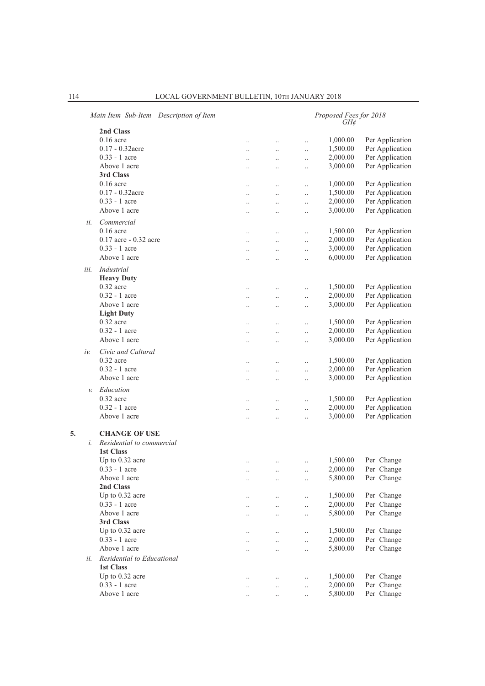|      | Main Item Sub-Item Description of Item |           | Proposed Fees for 2018<br>GH¢ |                      |          |                 |  |  |  |
|------|----------------------------------------|-----------|-------------------------------|----------------------|----------|-----------------|--|--|--|
|      | 2nd Class                              |           |                               |                      |          |                 |  |  |  |
|      | $0.16$ acre                            | $\ddotsc$ | $\cdot$ .                     | $\ddotsc$            | 1,000.00 | Per Application |  |  |  |
|      | $0.17 - 0.32$ acre                     | $\ddotsc$ | $\ldots$                      | $\ldots$             | 1,500.00 | Per Application |  |  |  |
|      | $0.33 - 1$ acre                        |           | $\ldots$                      | $\ldots$             | 2,000.00 | Per Application |  |  |  |
|      | Above 1 acre                           |           |                               | $\ddotsc$            | 3,000.00 | Per Application |  |  |  |
|      | 3rd Class                              |           |                               |                      |          |                 |  |  |  |
|      | $0.16$ acre                            |           | $\ddotsc$                     | $\ddotsc$            | 1,000.00 | Per Application |  |  |  |
|      | $0.17 - 0.32$ acre                     | $\ddotsc$ | $\ldots$                      | $\ldots$             | 1,500.00 | Per Application |  |  |  |
|      | $0.33 - 1$ acre                        | $\cdot$   | $\ldots$                      | $\ldots$             | 2,000.00 | Per Application |  |  |  |
|      | Above 1 acre                           |           |                               | $\ddot{\phantom{a}}$ | 3,000.00 | Per Application |  |  |  |
|      |                                        |           |                               |                      |          |                 |  |  |  |
| ii.  | Commercial                             |           |                               |                      |          |                 |  |  |  |
|      | $0.16$ acre                            | $\cdot$   | $\ldots$                      | $\ldots$             | 1,500.00 | Per Application |  |  |  |
|      | 0.17 acre - 0.32 acre                  |           |                               | $\ddot{\phantom{0}}$ | 2,000.00 | Per Application |  |  |  |
|      | $0.33 - 1$ acre                        | $\ddotsc$ | $\ddotsc$                     | $\ddotsc$            | 3,000.00 | Per Application |  |  |  |
|      | Above 1 acre                           | $\ddotsc$ | $\ddot{\phantom{0}}$          | $\ldots$             | 6,000.00 | Per Application |  |  |  |
| iii. | Industrial                             |           |                               |                      |          |                 |  |  |  |
|      | <b>Heavy Duty</b>                      |           |                               |                      |          |                 |  |  |  |
|      | $0.32$ acre                            |           | $\ldots$                      | $\ldots$             | 1,500.00 | Per Application |  |  |  |
|      | $0.32 - 1$ acre                        | $\ddotsc$ | $\ldots$                      | $\ldots$             | 2,000.00 | Per Application |  |  |  |
|      | Above 1 acre                           | $\ddotsc$ | $\cdot$ .                     | $\ldots$             | 3,000.00 | Per Application |  |  |  |
|      | <b>Light Duty</b>                      |           |                               |                      |          |                 |  |  |  |
|      | $0.32$ acre                            |           | $\ldots$                      | $\ldots$             | 1,500.00 | Per Application |  |  |  |
|      | $0.32 - 1$ acre                        | $\ddotsc$ | $\ldots$                      | $\ldots$             | 2,000.00 | Per Application |  |  |  |
|      | Above 1 acre                           | $\cdot$   | $\ldots$                      | $\ldots$             | 3,000.00 | Per Application |  |  |  |
|      |                                        |           |                               |                      |          |                 |  |  |  |
| iν.  | Civic and Cultural                     |           |                               |                      |          |                 |  |  |  |
|      | $0.32$ acre                            |           | $\ldots$                      | $\ldots$             | 1,500.00 | Per Application |  |  |  |
|      | $0.32 - 1$ acre                        | $\ddotsc$ | $\ldots$                      | $\ldots$             | 2,000.00 | Per Application |  |  |  |
|      | Above 1 acre                           | $\ddotsc$ | $\ldots$                      | $\ldots$             | 3,000.00 | Per Application |  |  |  |
| v.   | Education                              |           |                               |                      |          |                 |  |  |  |
|      | $0.32$ acre                            |           | $\ddotsc$                     |                      | 1,500.00 | Per Application |  |  |  |
|      | $0.32 - 1$ acre                        | $\ddotsc$ | $\ddots$                      | $\ldots$             | 2,000.00 | Per Application |  |  |  |
|      | Above 1 acre                           |           | $\ddotsc$                     | $\ldots$             | 3,000.00 | Per Application |  |  |  |
|      |                                        |           |                               |                      |          |                 |  |  |  |
| 5.   | <b>CHANGE OF USE</b>                   |           |                               |                      |          |                 |  |  |  |
| i.   | Residential to commercial              |           |                               |                      |          |                 |  |  |  |
|      | <b>1st Class</b>                       |           |                               |                      |          |                 |  |  |  |
|      | Up to 0.32 acre                        | $\cdot$ . | $\cdot$ .                     | $\ldots$             | 1,500.00 | Per Change      |  |  |  |
|      | $0.33 - 1$ acre                        | $\ddotsc$ | $\ddot{\phantom{a}}$          | $\ddotsc$            | 2,000.00 | Per Change      |  |  |  |
|      | Above 1 acre                           |           | $\ddotsc$                     | $\ldots$             | 5,800.00 | Per Change      |  |  |  |
|      | 2nd Class                              |           |                               |                      |          |                 |  |  |  |
|      | Up to 0.32 acre                        |           | $\cdot \cdot$                 | $\ldots$             | 1,500.00 | Per Change      |  |  |  |
|      | $0.33 - 1$ acre                        |           |                               |                      | 2,000.00 | Per Change      |  |  |  |
|      | Above 1 acre                           |           | $\ldots$                      | $\ldots$             | 5,800.00 | Per Change      |  |  |  |
|      | 3rd Class                              |           | $\cdot$                       | $\ldots$             |          |                 |  |  |  |
|      | Up to 0.32 acre                        |           |                               |                      | 1,500.00 | Per Change      |  |  |  |
|      | $0.33 - 1$ acre                        |           |                               | $\ddotsc$            | 2,000.00 | Per Change      |  |  |  |
|      | Above 1 acre                           |           | $\ddotsc$                     | $\ddotsc$            | 5,800.00 | Per Change      |  |  |  |
|      |                                        |           | $\ldots$                      | $\ldots$             |          |                 |  |  |  |
| ii.  | Residential to Educational             |           |                               |                      |          |                 |  |  |  |
|      | <b>1st Class</b>                       |           |                               |                      |          |                 |  |  |  |
|      | Up to 0.32 acre                        | $\ddotsc$ | $\ddotsc$                     | $\ldots$             | 1,500.00 | Per Change      |  |  |  |
|      | $0.33 - 1$ acre                        |           | $\ldots$                      | $\ldots$             | 2,000.00 | Per Change      |  |  |  |
|      | Above 1 acre                           |           | $\ddot{\phantom{a}}$          | $\ldots$             | 5,800.00 | Per Change      |  |  |  |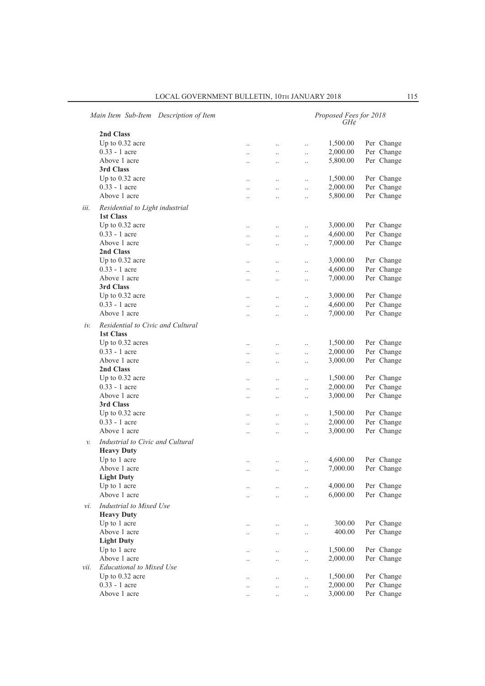|                 | Main Item Sub-Item Description of Item                |                      | Proposed Fees for 2018<br>$GH\mathcal{C}$ |           |          |            |  |  |
|-----------------|-------------------------------------------------------|----------------------|-------------------------------------------|-----------|----------|------------|--|--|
|                 | 2nd Class                                             |                      |                                           |           |          |            |  |  |
|                 | Up to 0.32 acre                                       | $\ddots$             | $\ddotsc$                                 | $\ddotsc$ | 1,500.00 | Per Change |  |  |
|                 | $0.33 - 1$ acre                                       | $\ddotsc$            | $\ldots$                                  | $\ddotsc$ | 2,000.00 | Per Change |  |  |
|                 | Above 1 acre                                          | $\ddotsc$            | $\ldots$                                  | $\ddotsc$ | 5,800.00 | Per Change |  |  |
|                 | 3rd Class                                             |                      |                                           |           |          |            |  |  |
|                 | Up to 0.32 acre                                       | $\ddots$             | $\ldots$                                  | $\ddotsc$ | 1,500.00 | Per Change |  |  |
|                 | $0.33 - 1$ acre                                       | $\ddotsc$            | $\ddotsc$                                 | $\ddotsc$ | 2,000.00 | Per Change |  |  |
|                 | Above 1 acre                                          | $\ddotsc$            | $\ddotsc$                                 | $\ddotsc$ | 5,800.00 | Per Change |  |  |
|                 |                                                       |                      |                                           |           |          |            |  |  |
| iii.            | Residential to Light industrial                       |                      |                                           |           |          |            |  |  |
|                 | 1st Class                                             |                      |                                           |           |          |            |  |  |
|                 | Up to 0.32 acre                                       |                      | $\ldots$                                  | $\ldots$  | 3,000.00 | Per Change |  |  |
|                 | $0.33 - 1$ acre                                       | $\ddotsc$            | $\ldots$                                  | $\ddotsc$ | 4,600.00 | Per Change |  |  |
|                 | Above 1 acre                                          | $\ddotsc$            | $\ldots$                                  | $\ldots$  | 7,000.00 | Per Change |  |  |
|                 | 2nd Class                                             |                      |                                           |           |          |            |  |  |
|                 | Up to 0.32 acre                                       | $\ddots$             | $\ddots$                                  | $\ddotsc$ | 3,000.00 | Per Change |  |  |
|                 | 0.33 - 1 acre                                         | $\ddots$             | $\ddot{\phantom{a}}$                      | $\ddotsc$ | 4,600.00 | Per Change |  |  |
|                 | Above 1 acre                                          | $\ddot{\phantom{0}}$ | $\ldots$                                  | $\ddotsc$ | 7,000.00 | Per Change |  |  |
|                 | 3rd Class                                             |                      |                                           |           |          |            |  |  |
|                 | Up to 0.32 acre                                       | $\ddots$             | $\ddotsc$                                 | $\ddotsc$ | 3,000.00 | Per Change |  |  |
|                 | $0.33 - 1$ acre                                       | $\ddots$             | $\ddotsc$                                 | $\ddotsc$ | 4,600.00 | Per Change |  |  |
|                 | Above 1 acre                                          | $\ddot{\phantom{0}}$ | $\ddotsc$                                 | $\ddotsc$ | 7,000.00 | Per Change |  |  |
| iv.             | Residential to Civic and Cultural<br>1st Class        |                      |                                           |           |          |            |  |  |
|                 | Up to 0.32 acres                                      |                      | $\ddotsc$                                 | $\ldots$  | 1,500.00 | Per Change |  |  |
|                 | $0.33 - 1$ acre                                       | $\ddot{\phantom{0}}$ | $\ldots$                                  | $\ddotsc$ | 2,000.00 | Per Change |  |  |
|                 | Above 1 acre                                          | $\ddotsc$            | $\ddotsc$                                 | $\ddotsc$ | 3,000.00 | Per Change |  |  |
|                 | 2nd Class                                             |                      |                                           |           |          |            |  |  |
|                 | Up to 0.32 acre                                       | $\ddots$             | $\ddots$                                  | $\ddotsc$ | 1,500.00 | Per Change |  |  |
|                 | 0.33 - 1 acre                                         | $\ddots$             | $\ddotsc$                                 | $\ddotsc$ | 2,000.00 | Per Change |  |  |
|                 | Above 1 acre                                          | $\ddotsc$            | $\ldots$                                  | $\ddotsc$ | 3,000.00 | Per Change |  |  |
|                 | 3rd Class                                             |                      |                                           |           |          |            |  |  |
|                 | Up to 0.32 acre                                       | $\ldots$             | $\ldots$                                  | $\ddotsc$ | 1,500.00 | Per Change |  |  |
|                 | $0.33 - 1$ acre                                       | $\ddots$             | $\ddotsc$                                 | $\ddotsc$ | 2,000.00 | Per Change |  |  |
|                 | Above 1 acre                                          | $\ddot{\phantom{0}}$ | $\ddot{\phantom{0}}$                      | $\ddotsc$ | 3,000.00 | Per Change |  |  |
| $\mathcal{V}$ . | Industrial to Civic and Cultural<br><b>Heavy Duty</b> |                      |                                           |           |          |            |  |  |
|                 | Up to 1 acre                                          |                      |                                           |           | 4,600.00 | Per Change |  |  |
|                 | Above 1 acre                                          | $\ddotsc$            | $\ldots$                                  | $\ddotsc$ | 7,000.00 | Per Change |  |  |
|                 | <b>Light Duty</b>                                     |                      |                                           |           |          |            |  |  |
|                 | Up to 1 acre                                          | $\ldots$             | $\cdot$                                   |           | 4,000.00 | Per Change |  |  |
|                 | Above 1 acre                                          | $\ddotsc$            | $\ddot{\phantom{a}}$                      | $\ddotsc$ | 6,000.00 | Per Change |  |  |
| vi.             | Industrial to Mixed Use<br><b>Heavy Duty</b>          |                      |                                           |           |          |            |  |  |
|                 | Up to 1 acre                                          |                      | $\ldots$                                  | $\ldots$  | 300.00   | Per Change |  |  |
|                 | Above 1 acre                                          | $\ldots$             | $\ldots$                                  | $\ldots$  | 400.00   | Per Change |  |  |
|                 | <b>Light Duty</b>                                     |                      |                                           |           |          |            |  |  |
|                 | Up to 1 acre                                          | $\ddotsc$            | $\ddotsc$                                 | $\ddotsc$ | 1,500.00 | Per Change |  |  |
|                 | Above 1 acre                                          | $\ddot{\phantom{a}}$ | $\ddot{\phantom{a}}$                      | $\ddotsc$ | 2,000.00 | Per Change |  |  |
| vii.            | <b>Educational to Mixed Use</b>                       |                      |                                           |           |          |            |  |  |
|                 | Up to 0.32 acre                                       | $\ldots$             | $\ldots$                                  | $\ldots$  | 1,500.00 | Per Change |  |  |
|                 | 0.33 - 1 acre                                         | $\ldots$             | $\ldots$                                  | $\ldots$  | 2,000.00 | Per Change |  |  |
|                 | Above 1 acre                                          |                      | $\ldots$                                  |           | 3,000.00 | Per Change |  |  |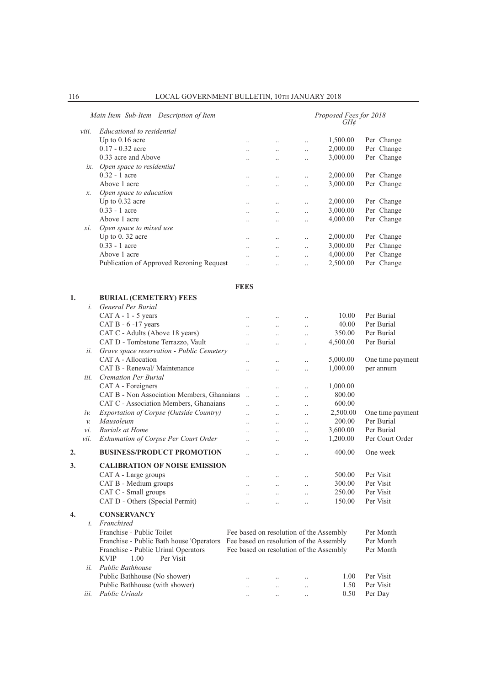|    |                 | Main Item Sub-Item Description of Item                                           |                      |                                         |                      | Proposed Fees for 2018<br>GH¢ |                  |
|----|-----------------|----------------------------------------------------------------------------------|----------------------|-----------------------------------------|----------------------|-------------------------------|------------------|
|    | viii.           | Educational to residential                                                       |                      |                                         |                      |                               |                  |
|    |                 | Up to 0.16 acre                                                                  | $\ddotsc$            |                                         | $\ldots$             | 1,500.00                      | Per Change       |
|    |                 | $0.17 - 0.32$ acre                                                               | $\ddotsc$            | $\ddotsc$                               | $\ddotsc$            | 2,000.00                      | Per Change       |
|    |                 | 0.33 acre and Above                                                              | $\ddotsc$            | $\ddotsc$                               | $\ddotsc$            | 3,000.00                      | Per Change       |
|    |                 | ix. Open space to residential                                                    |                      |                                         |                      |                               |                  |
|    |                 | $0.32 - 1$ acre                                                                  | $\cdot$ .            | $\ddot{\phantom{a}}$                    | $\ddotsc$            | 2,000.00                      | Per Change       |
|    |                 | Above 1 acre                                                                     | $\ldots$             | $\ddotsc$                               | $\ldots$             | 3,000.00                      | Per Change       |
|    | x.              | Open space to education                                                          |                      |                                         |                      |                               |                  |
|    |                 | Up to 0.32 acre                                                                  | $\cdot$ .            | $\ddotsc$                               | $\ldots$             | 2,000.00                      | Per Change       |
|    |                 | 0.33 - 1 acre                                                                    | $\ddot{\phantom{a}}$ | $\ddot{\phantom{a}}$                    | $\ddotsc$            | 3,000.00                      | Per Change       |
|    |                 | Above 1 acre                                                                     | $\cdot$ .            | $\ddot{\phantom{a}}$                    | $\ddotsc$            | 4,000.00                      | Per Change       |
|    | xi.             | Open space to mixed use                                                          |                      |                                         |                      |                               |                  |
|    |                 | Up to 0.32 acre                                                                  | $\ddotsc$            | $\ddotsc$                               | $\ddot{\phantom{a}}$ | 2,000.00                      | Per Change       |
|    |                 | $0.33 - 1$ acre                                                                  | $\ddotsc$            | $\ddotsc$                               | $\ddotsc$            | 3,000.00                      | Per Change       |
|    |                 | Above 1 acre                                                                     | $\ddot{\phantom{a}}$ | $\ddot{\phantom{a}}$                    | $\ldots$             | 4,000.00                      | Per Change       |
|    |                 | Publication of Approved Rezoning Request                                         | $\ddotsc$            | $\ddotsc$                               | $\ddotsc$            | 2,500.00                      | Per Change       |
|    |                 |                                                                                  | <b>FEES</b>          |                                         |                      |                               |                  |
| 1. |                 | <b>BURIAL (CEMETERY) FEES</b>                                                    |                      |                                         |                      |                               |                  |
|    | $\dot{i}$ .     | General Per Burial                                                               |                      |                                         |                      |                               |                  |
|    |                 | $CAT A - 1 - 5$ years                                                            | $\ddotsc$            |                                         | $\cdot$              | 10.00                         | Per Burial       |
|    |                 | CAT B - 6 -17 years                                                              | $\ddot{\phantom{a}}$ | $\ldots$                                | $\ldots$             | 40.00                         | Per Burial       |
|    |                 | CAT C - Adults (Above 18 years)                                                  |                      | $\ddot{\phantom{0}}$                    | $\ldots$             | 350.00                        | Per Burial       |
|    |                 | CAT D - Tombstone Terrazzo, Vault                                                |                      | $\ddot{\phantom{a}}$                    |                      | 4,500.00                      | Per Burial       |
|    | ii.             | Grave space reservation - Public Cemetery                                        |                      |                                         |                      |                               |                  |
|    |                 | CAT A - Allocation                                                               | $\ddot{\phantom{a}}$ | $\ddotsc$                               | $\ldots$             | 5,000.00                      | One time payment |
|    |                 | CAT B - Renewal/ Maintenance                                                     | $\ddotsc$            | $\ldots$                                | $\ldots$             | 1,000.00                      | per annum        |
|    | iii.            | <b>Cremation Per Burial</b>                                                      |                      |                                         |                      |                               |                  |
|    |                 | CAT A - Foreigners                                                               | $\ddotsc$            | $\ddot{\phantom{a}}$                    | $\ddotsc$            | 1,000.00                      |                  |
|    |                 | CAT B - Non Association Members, Ghanaians                                       | $\ddots$             | $\ddotsc$                               | $\ddotsc$            | 800.00                        |                  |
|    |                 | CAT C - Association Members, Ghanaians                                           | $\ddotsc$            | $\ddotsc$                               | $\ldots$             | 600.00                        |                  |
|    | iν.             | <b>Exportation of Corpse (Outside Country)</b>                                   | $\ddotsc$            | $\ddotsc$                               | $\ldots$             | 2,500.00                      | One time payment |
|    | $\mathcal{V}$ . | Mausoleum                                                                        | $\ddotsc$            | $\ddotsc$                               | $\ddotsc$            | 200.00                        | Per Burial       |
|    | vi.             | <b>Burials at Home</b>                                                           | $\ddot{\phantom{a}}$ | $\ddot{\phantom{a}}$                    | $\ddotsc$            | 3,600.00                      | Per Burial       |
|    | vii.            | Exhumation of Corpse Per Court Order                                             | $\ddot{\phantom{a}}$ | $\ddot{\phantom{a}}$                    | $\ddotsc$            | 1,200.00                      | Per Court Order  |
| 2. |                 | <b>BUSINESS/PRODUCT PROMOTION</b>                                                | $\ddot{\phantom{a}}$ |                                         | $\ldots$             | 400.00                        | One week         |
| 3. |                 | <b>CALIBRATION OF NOISE EMISSION</b>                                             |                      |                                         |                      |                               |                  |
|    |                 | CAT A - Large groups                                                             |                      |                                         | $\ldots$             | 500.00                        | Per Visit        |
|    |                 | CAT B - Medium groups                                                            |                      |                                         |                      | 300.00                        | Per Visit        |
|    |                 | CAT C - Small groups                                                             |                      |                                         | $\ddotsc$            | 250.00                        | Per Visit        |
|    |                 | CAT D - Others (Special Permit)                                                  | $\ddotsc$            | $\ddotsc$                               | $\ddotsc$            | 150.00                        | Per Visit        |
| 4. |                 | <b>CONSERVANCY</b>                                                               |                      |                                         |                      |                               |                  |
|    | i.              | Franchised                                                                       |                      |                                         |                      |                               |                  |
|    |                 | Franchise - Public Toilet                                                        |                      | Fee based on resolution of the Assembly |                      |                               | Per Month        |
|    |                 | Franchise - Public Bath house 'Operators Fee based on resolution of the Assembly |                      |                                         |                      |                               | Per Month        |
|    |                 | Franchise - Public Urinal Operators                                              |                      | Fee based on resolution of the Assembly |                      |                               | Per Month        |
|    |                 | <b>KVIP</b><br>Per Visit<br>1.00                                                 |                      |                                         |                      |                               |                  |
|    | ii.             | <b>Public Bathhouse</b>                                                          |                      |                                         |                      |                               |                  |
|    |                 | Public Bathhouse (No shower)                                                     |                      |                                         |                      | 1.00                          | Per Visit        |
|    |                 | Public Bathhouse (with shower)                                                   | $\ddot{\phantom{0}}$ | $\ldots$                                | $\ddotsc$            | 1.50                          | Per Visit        |
|    | iii.            | Public Urinals                                                                   | $\ddotsc$            | $\ldots$                                | $\ldots$             | 0.50                          | Per Day          |
|    |                 |                                                                                  |                      |                                         |                      |                               |                  |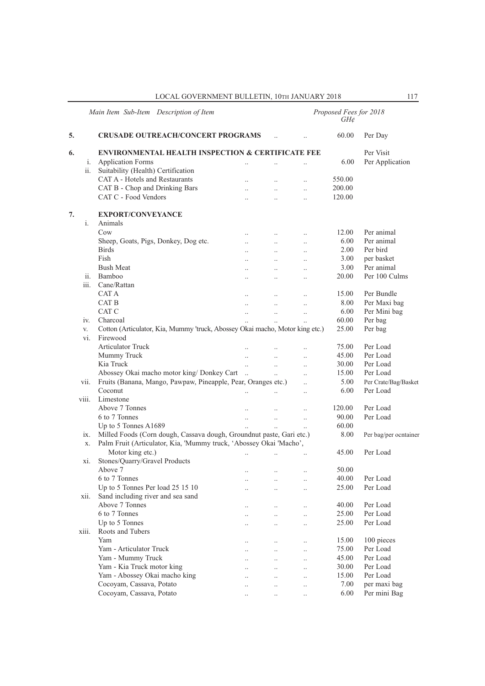|       | Main Item Sub-Item Description of Item                                       |                      |                       |                      | Proposed Fees for 2018<br>GH¢ |                        |  |  |
|-------|------------------------------------------------------------------------------|----------------------|-----------------------|----------------------|-------------------------------|------------------------|--|--|
| 5.    | <b>CRUSADE OUTREACH/CONCERT PROGRAMS</b>                                     |                      |                       |                      | 60.00                         | Per Day                |  |  |
| 6.    | <b>ENVIRONMENTAL HEALTH INSPECTION &amp; CERTIFICATE FEE</b>                 |                      |                       |                      |                               | Per Visit              |  |  |
| i.    | <b>Application Forms</b>                                                     | $\ddotsc$            | $\ddotsc$             |                      | 6.00                          | Per Application        |  |  |
| ii.   | Suitability (Health) Certification                                           |                      |                       |                      |                               |                        |  |  |
|       | CAT A - Hotels and Restaurants                                               | $\ddotsc$            | $\ddotsc$             | $\ddotsc$            | 550.00                        |                        |  |  |
|       | CAT B - Chop and Drinking Bars                                               | $\ddot{\phantom{0}}$ | $\ddotsc$             | $\ddotsc$            | 200.00                        |                        |  |  |
|       | CAT C - Food Vendors                                                         | $\ddotsc$            | $\ddotsc$             | $\ddotsc$            | 120.00                        |                        |  |  |
| 7.    | <b>EXPORT/CONVEYANCE</b>                                                     |                      |                       |                      |                               |                        |  |  |
| i.    | Animals                                                                      |                      |                       |                      |                               |                        |  |  |
|       | C <sub>ow</sub>                                                              |                      |                       | $\ddotsc$            | 12.00                         | Per animal             |  |  |
|       | Sheep, Goats, Pigs, Donkey, Dog etc.                                         | $\ddotsc$            | $\ddotsc$             | $\ddotsc$            | 6.00                          | Per animal             |  |  |
|       | <b>Birds</b>                                                                 | $\ddot{\phantom{a}}$ | $\ddotsc$             | $\ddotsc$            | 2.00                          | Per bird               |  |  |
|       | Fish                                                                         | $\ddotsc$            | $\ddotsc$             | $\ddotsc$            | 3.00                          | per basket             |  |  |
|       | <b>Bush Meat</b>                                                             | $\ddotsc$            | $\ddotsc$             | $\ddotsc$            | 3.00                          | Per animal             |  |  |
| ii.   | Bamboo                                                                       | $\ddotsc$            | $\ddotsc$             | $\ddotsc$            | 20.00                         | Per 100 Culms          |  |  |
| iii.  | Cane/Rattan                                                                  |                      |                       |                      |                               |                        |  |  |
|       | CAT A                                                                        | $\ddotsc$            | $\ddotsc$             | $\ddotsc$            | 15.00                         | Per Bundle             |  |  |
|       | CAT B                                                                        | $\ddotsc$            | $\ddot{\phantom{a}}$  | $\ddotsc$            | 8.00                          | Per Maxi bag           |  |  |
|       | CAT C                                                                        | $\ddotsc$            | $\ddotsc$             | $\ddotsc$            | 6.00                          | Per Mini bag           |  |  |
| iv.   | Charcoal                                                                     |                      | $\ddotsc$             | $\ddot{\phantom{a}}$ | 60.00                         | Per bag                |  |  |
| V.    | Cotton (Articulator, Kia, Mummy 'truck, Abossey Okai macho, Motor king etc.) |                      |                       |                      | 25.00                         | Per bag                |  |  |
| vi.   | Firewood                                                                     |                      |                       |                      |                               |                        |  |  |
|       | Articulator Truck                                                            | $\ddotsc$            | $\ddotsc$             | $\ddotsc$            | 75.00                         | Per Load               |  |  |
|       | Mummy Truck                                                                  |                      | $\ddotsc$             | $\ddotsc$            | 45.00                         | Per Load               |  |  |
|       | Kia Truck                                                                    | $\ddot{\phantom{a}}$ | $\ddotsc$             | $\ddotsc$            | 30.00                         | Per Load               |  |  |
|       | Abossey Okai macho motor king/ Donkey Cart                                   | $\dddotsc$           | $\dddot{\phantom{0}}$ | $\ddotsc$            | 15.00                         | Per Load               |  |  |
| vii.  | Fruits (Banana, Mango, Pawpaw, Pineapple, Pear, Oranges etc.)                |                      |                       | $\ddot{\phantom{a}}$ | 5.00                          | Per Crate/Bag/Basket   |  |  |
|       | Coconut                                                                      | $\ddot{\phantom{a}}$ | $\ddotsc$             | $\ddot{\phantom{a}}$ | 6.00                          | Per Load               |  |  |
| viii. | Limestone                                                                    |                      |                       |                      |                               |                        |  |  |
|       | Above 7 Tonnes                                                               |                      |                       |                      | 120.00                        | Per Load               |  |  |
|       | 6 to 7 Tonnes                                                                | $\ddotsc$            | $\ddotsc$             | $\ddotsc$            | 90.00                         | Per Load               |  |  |
|       | Up to 5 Tonnes A1689                                                         |                      |                       |                      | 60.00                         |                        |  |  |
| ix.   | Milled Foods (Corn dough, Cassava dough, Groundnut paste, Gari etc.)         |                      |                       |                      | 8.00                          | Per bag/per ocntainer  |  |  |
| X.    | Palm Fruit (Articulator, Kia, 'Mummy truck, 'Abossey Okai 'Macho',           |                      |                       |                      |                               |                        |  |  |
|       | Motor king etc.)                                                             |                      |                       |                      | 45.00                         | Per Load               |  |  |
| xi.   | Stones/Quarry/Gravel Products                                                |                      |                       |                      |                               |                        |  |  |
|       | Above 7                                                                      | $\cdot$ .            | $\ldots$              | $\ldots$             | 50.00                         |                        |  |  |
|       | 6 to 7 Tonnes                                                                | $\ddot{\phantom{a}}$ | $\ddot{\phantom{a}}$  |                      | 40.00                         | Per Load               |  |  |
|       | Up to 5 Tonnes Per load 25 15 10                                             |                      |                       | $\ddot{\phantom{a}}$ | 25.00                         | Per Load               |  |  |
| xii.  | Sand including river and sea sand                                            |                      |                       |                      |                               |                        |  |  |
|       | Above 7 Tonnes                                                               |                      | $\ddotsc$             |                      | 40.00                         | Per Load               |  |  |
|       | 6 to 7 Tonnes                                                                | $\ddotsc$            |                       | $\ddotsc$            | 25.00                         | Per Load               |  |  |
|       | Up to 5 Tonnes                                                               |                      | $\ddotsc$             | $\ddotsc$            | 25.00                         | Per Load               |  |  |
| xiii. | Roots and Tubers                                                             |                      | $\ddotsc$             | $\ddotsc$            |                               |                        |  |  |
|       | Yam                                                                          |                      |                       |                      |                               |                        |  |  |
|       | Yam - Articulator Truck                                                      |                      | $\ddotsc$             | $\ddotsc$            | 15.00                         | 100 pieces<br>Per Load |  |  |
|       |                                                                              | $\ddotsc$            | $\ddotsc$             | $\ddotsc$            | 75.00                         | Per Load               |  |  |
|       | Yam - Mummy Truck                                                            |                      | $\ddot{\phantom{0}}$  | $\ldots$             | 45.00                         |                        |  |  |
|       | Yam - Kia Truck motor king                                                   | $\ddot{\phantom{0}}$ | $\ddotsc$             | $\ldots$             | 30.00                         | Per Load               |  |  |
|       | Yam - Abossey Okai macho king                                                | $\ddot{\phantom{0}}$ | $\ddot{\phantom{0}}$  | $\ddotsc$            | 15.00                         | Per Load               |  |  |
|       | Cocoyam, Cassava, Potato                                                     | $\ddotsc$            | $\ddot{\phantom{0}}$  | $\ddotsc$            | 7.00                          | per maxi bag           |  |  |
|       | Cocoyam, Cassava, Potato                                                     | $\ddotsc$            | $\ddotsc$             | $\ddotsc$            | 6.00                          | Per mini Bag           |  |  |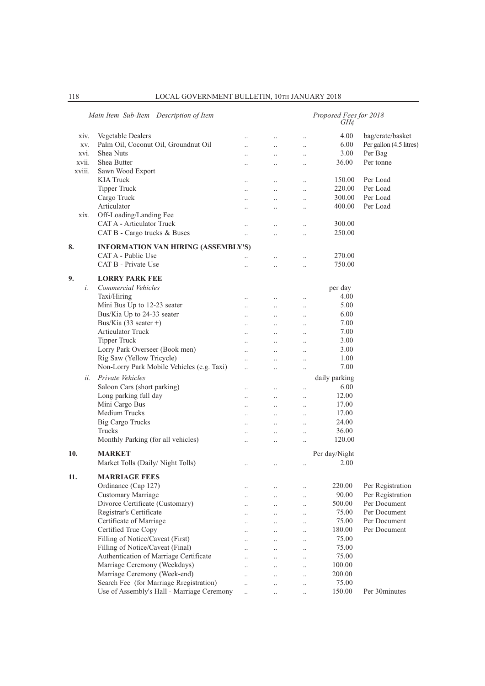|        | Main Item Sub-Item Description of Item     |                      | Proposed Fees for 2018<br>GH¢ |                      |               |                         |  |
|--------|--------------------------------------------|----------------------|-------------------------------|----------------------|---------------|-------------------------|--|
| XIV.   | Vegetable Dealers                          |                      |                               |                      | 4.00          | bag/crate/basket        |  |
| XV.    | Palm Oil, Coconut Oil, Groundnut Oil       |                      | $\ddot{\phantom{a}}$          | $\ddotsc$            | 6.00          | Per gallon (4.5 litres) |  |
| xvi.   | Shea Nuts                                  | $\ddot{\phantom{a}}$ | $\ddotsc$                     | $\ddotsc$            | 3.00          | Per Bag                 |  |
| xvii.  | Shea Butter                                | $\ddot{\phantom{a}}$ | $\ddotsc$                     | $\ddotsc$            | 36.00         | Per tonne               |  |
| xviii. | Sawn Wood Export                           |                      |                               |                      |               |                         |  |
|        | <b>KIA Truck</b>                           |                      | $\ddotsc$                     | $\ddot{\phantom{0}}$ | 150.00        | Per Load                |  |
|        | <b>Tipper Truck</b>                        |                      | $\ddot{\phantom{a}}$          | $\ddot{\phantom{a}}$ | 220.00        | Per Load                |  |
|        | Cargo Truck                                | $\ddot{\phantom{a}}$ | $\ddot{\phantom{a}}$          | $\ddotsc$            | 300.00        | Per Load                |  |
|        | Articulator                                | $\ddot{\phantom{a}}$ |                               |                      | 400.00        | Per Load                |  |
| xix.   | Off-Loading/Landing Fee                    |                      |                               |                      |               |                         |  |
|        | <b>CAT A - Articulator Truck</b>           |                      |                               |                      | 300.00        |                         |  |
|        | CAT B - Cargo trucks & Buses               | $\ddotsc$            | $\ddot{\phantom{a}}$          | $\ddot{\phantom{a}}$ | 250.00        |                         |  |
|        |                                            |                      |                               |                      |               |                         |  |
| 8.     | <b>INFORMATION VAN HIRING (ASSEMBLY'S)</b> |                      |                               |                      |               |                         |  |
|        | CAT A - Public Use                         |                      | $\ddot{\phantom{0}}$          | $\ddot{\phantom{0}}$ | 270.00        |                         |  |
|        | CAT B - Private Use                        |                      |                               | $\ddot{\phantom{a}}$ | 750.00        |                         |  |
| 9.     | <b>LORRY PARK FEE</b>                      |                      |                               |                      |               |                         |  |
| i.     | Commercial Vehicles                        |                      |                               |                      | per day       |                         |  |
|        | Taxi/Hiring                                |                      |                               |                      | 4.00          |                         |  |
|        | Mini Bus Up to 12-23 seater                | $\ddotsc$            | $\ddotsc$                     | $\ddotsc$            | 5.00          |                         |  |
|        | Bus/Kia Up to 24-33 seater                 | $\ddotsc$            | $\ddotsc$                     | $\ldots$             | 6.00          |                         |  |
|        | Bus/Kia (33 seater +)                      | $\ddotsc$            | $\ddotsc$                     | $\ddotsc$            | 7.00          |                         |  |
|        | <b>Articulator Truck</b>                   |                      |                               |                      | 7.00          |                         |  |
|        | <b>Tipper Truck</b>                        | $\ddot{\phantom{a}}$ | $\ddot{\phantom{a}}$          | $\ddotsc$            | 3.00          |                         |  |
|        | Lorry Park Overseer (Book men)             | $\ddotsc$            | $\ddotsc$                     | $\ddotsc$            | 3.00          |                         |  |
|        | Rig Saw (Yellow Tricycle)                  | $\ddotsc$            | $\ddotsc$                     | $\ldots$             | 1.00          |                         |  |
|        | Non-Lorry Park Mobile Vehicles (e.g. Taxi) |                      |                               | $\ddotsc$            | 7.00          |                         |  |
|        |                                            |                      |                               | $\ddotsc$            |               |                         |  |
| ii.    | Private Vehicles                           |                      |                               |                      | daily parking |                         |  |
|        | Saloon Cars (short parking)                |                      | $\ddot{\phantom{a}}$          | $\ddotsc$            | 6.00          |                         |  |
|        | Long parking full day                      | $\ddot{\phantom{a}}$ | $\ddot{\phantom{a}}$          | $\ddot{\phantom{a}}$ | 12.00         |                         |  |
|        | Mini Cargo Bus                             | $\ddotsc$            | $\ddotsc$                     | $\ddotsc$            | 17.00         |                         |  |
|        | <b>Medium Trucks</b>                       | $\ddotsc$            | $\ddotsc$                     | $\ddot{\phantom{0}}$ | 17.00         |                         |  |
|        | <b>Big Cargo Trucks</b>                    | $\ddot{\phantom{a}}$ | $\ddots$                      | $\ddotsc$            | 24.00         |                         |  |
|        | Trucks                                     |                      | $\ddot{\phantom{a}}$          | $\ddotsc$            | 36.00         |                         |  |
|        | Monthly Parking (for all vehicles)         | $\ddot{\phantom{a}}$ | $\ddot{\phantom{a}}$          |                      | 120.00        |                         |  |
| 10.    | <b>MARKET</b>                              |                      |                               |                      | Per day/Night |                         |  |
|        | Market Tolls (Daily/Night Tolls)           | $\ddotsc$            | $\ddotsc$                     | $\ldots$             | 2.00          |                         |  |
|        |                                            |                      |                               |                      |               |                         |  |
| 11.    | <b>MARRIAGE FEES</b>                       |                      |                               |                      |               |                         |  |
|        | Ordinance (Cap 127)                        | $\ddotsc$            |                               |                      | 220.00        | Per Registration        |  |
|        | Customary Marriage                         |                      |                               | $\ddotsc$            | 90.00         | Per Registration        |  |
|        | Divorce Certificate (Customary)            | $\ddotsc$            | $\ddotsc$                     | $\ddotsc$            | 500.00        | Per Document            |  |
|        | Registrar's Certificate                    | $\ddot{\phantom{0}}$ | $\ddotsc$                     | $\ldots$             | 75.00         | Per Document            |  |
|        | Certificate of Marriage                    | $\ddot{\phantom{0}}$ | $\ddots$                      | $\ddotsc$            | 75.00         | Per Document            |  |
|        | Certified True Copy                        | $\ddotsc$            | $\ldots$                      | $\ddotsc$            | 180.00        | Per Document            |  |
|        | Filling of Notice/Caveat (First)           | $\ddotsc$            | $\ddotsc$                     | $\ddotsc$            | 75.00         |                         |  |
|        | Filling of Notice/Caveat (Final)           |                      |                               | $\ddot{\phantom{0}}$ | 75.00         |                         |  |
|        | Authentication of Marriage Certificate     | $\ddotsc$            | $\ddotsc$                     | $\ddot{\phantom{0}}$ | 75.00         |                         |  |
|        | Marriage Ceremony (Weekdays)               |                      | $\ddot{\phantom{a}}$          | $\ddot{\phantom{0}}$ | 100.00        |                         |  |
|        | Marriage Ceremony (Week-end)               | $\ddot{\phantom{a}}$ | $\ddotsc$                     | $\ddotsc$            | 200.00        |                         |  |
|        | Search Fee (for Marriage Rregistration)    | $\ddot{\phantom{0}}$ |                               | $\ddotsc$            | 75.00         |                         |  |
|        | Use of Assembly's Hall - Marriage Ceremony | $\ddotsc$            |                               |                      | 150.00        | Per 30minutes           |  |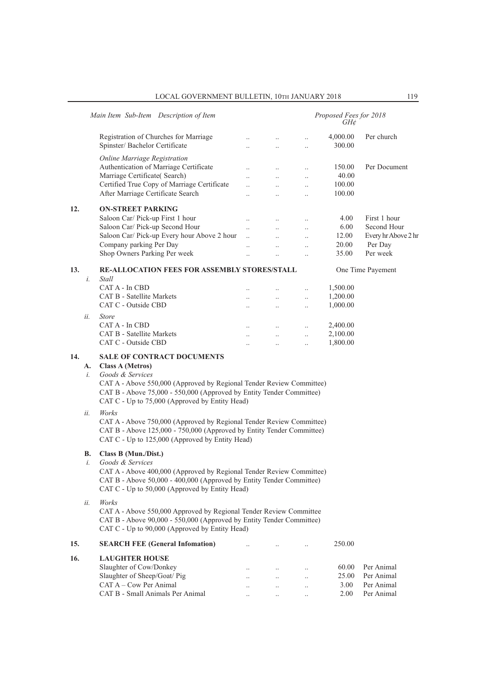|  |  |  |  | LOCAL GOVERNMENT BULLETIN, 10TH JANUARY 2018 |  |
|--|--|--|--|----------------------------------------------|--|
|--|--|--|--|----------------------------------------------|--|

|     | Main Item Sub-Item Description of Item                                                                                                                                                                    |                                                                                                                                                                                                                                                                                                                                                                                                    |                                                                         |                                                               | Proposed Fees for 2018<br>GH¢                |                                                                           |  |  |  |  |  |
|-----|-----------------------------------------------------------------------------------------------------------------------------------------------------------------------------------------------------------|----------------------------------------------------------------------------------------------------------------------------------------------------------------------------------------------------------------------------------------------------------------------------------------------------------------------------------------------------------------------------------------------------|-------------------------------------------------------------------------|---------------------------------------------------------------|----------------------------------------------|---------------------------------------------------------------------------|--|--|--|--|--|
|     | Registration of Churches for Marriage<br>Spinster/ Bachelor Certificate                                                                                                                                   | $\ddot{\phantom{a}}$<br>$\ddotsc$                                                                                                                                                                                                                                                                                                                                                                  | $\ldots$<br>$\ddotsc$                                                   | $\ldots$<br>$\ddotsc$                                         | 4,000.00<br>300.00                           | Per church                                                                |  |  |  |  |  |
|     | Online Marriage Registration<br>Authentication of Marriage Certificate<br>Marriage Certificate(Search)<br>Certified True Copy of Marriage Certificate                                                     | $\ddot{\phantom{a}}$<br>$\ddot{\phantom{a}}$<br>$\ddotsc$                                                                                                                                                                                                                                                                                                                                          | $\ddots$<br>$\ldots$<br>$\ddotsc$                                       | $\ddotsc$<br>$\ldots$<br>$\ddotsc$                            | 150.00<br>40.00<br>100.00                    | Per Document                                                              |  |  |  |  |  |
|     | After Marriage Certificate Search                                                                                                                                                                         | $\ddot{\phantom{a}}$                                                                                                                                                                                                                                                                                                                                                                               | $\ddotsc$                                                               | $\ddotsc$                                                     | 100.00                                       |                                                                           |  |  |  |  |  |
| 12. | <b>ON-STREET PARKING</b><br>Saloon Car/ Pick-up First 1 hour<br>Saloon Car/ Pick-up Second Hour<br>Saloon Car/ Pick-up Every hour Above 2 hour<br>Company parking Per Day<br>Shop Owners Parking Per week | $\ddotsc$<br>$\ddotsc$<br>$\ddotsc$<br>$\ddotsc$<br>$\ddotsc$                                                                                                                                                                                                                                                                                                                                      | $\ddots$<br>$\ddotsc$<br>$\ddot{\phantom{a}}$<br>$\ddotsc$<br>$\ddotsc$ | $\ddotsc$<br>$\ddotsc$<br>$\ddotsc$<br>$\ddotsc$<br>$\ddotsc$ | 4.00<br>6.00<br>12.00<br>20.00<br>35.00      | First 1 hour<br>Second Hour<br>Every hr Above 2 hr<br>Per Day<br>Per week |  |  |  |  |  |
| 13. | <b>RE-ALLOCATION FEES FOR ASSEMBLY STORES/STALL</b>                                                                                                                                                       |                                                                                                                                                                                                                                                                                                                                                                                                    |                                                                         |                                                               |                                              | One Time Payement                                                         |  |  |  |  |  |
|     | i.<br>Stall<br>CAT A - In CBD<br><b>CAT B - Satellite Markets</b><br>CAT C - Outside CBD<br>ii.<br><b>Store</b><br>CAT A - In CBD                                                                         | $\ddotsc$<br>$\ddot{\phantom{a}}$<br>$\ddot{\phantom{a}}$<br>$\ddotsc$                                                                                                                                                                                                                                                                                                                             | $\ddotsc$<br>$\ddotsc$<br>$\ddots$<br>$\ddots$                          | $\ddotsc$<br>$\ldots$<br>$\ddots$<br>$\ddots$                 | 1,500.00<br>1,200.00<br>1,000.00<br>2,400.00 |                                                                           |  |  |  |  |  |
|     | <b>CAT B - Satellite Markets</b><br>CAT C - Outside CBD                                                                                                                                                   | $\ddot{\phantom{a}}$<br>$\ddot{\phantom{a}}$                                                                                                                                                                                                                                                                                                                                                       | $\ddots$<br>$\ldots$                                                    | $\ddot{\phantom{a}}$<br>$\ldots$                              | 2,100.00<br>1,800.00                         |                                                                           |  |  |  |  |  |
| 14. | <b>SALE OF CONTRACT DOCUMENTS</b><br><b>Class A (Metros)</b><br>A.<br>Goods & Services<br>i.<br>Works<br>ii.                                                                                              | CAT A - Above 550,000 (Approved by Regional Tender Review Committee)<br>CAT B - Above 75,000 - 550,000 (Approved by Entity Tender Committee)<br>CAT C - Up to 75,000 (Approved by Entity Head)<br>CAT A - Above 750,000 (Approved by Regional Tender Review Committee)<br>CAT B - Above 125,000 - 750,000 (Approved by Entity Tender Committee)<br>CAT C - Up to 125,000 (Approved by Entity Head) |                                                                         |                                                               |                                              |                                                                           |  |  |  |  |  |
|     | Class B (Mun./Dist.)<br>В.<br>Goods & Services<br>i.                                                                                                                                                      | CAT A - Above 400,000 (Approved by Regional Tender Review Committee)<br>CAT B - Above 50,000 - 400,000 (Approved by Entity Tender Committee)<br>CAT C - Up to 50,000 (Approved by Entity Head)                                                                                                                                                                                                     |                                                                         |                                                               |                                              |                                                                           |  |  |  |  |  |
|     | Works<br>ii.                                                                                                                                                                                              | CAT A - Above 550,000 Approved by Regional Tender Review Committee<br>CAT B - Above 90,000 - 550,000 (Approved by Entity Tender Committee)<br>CAT C - Up to 90,000 (Approved by Entity Head)                                                                                                                                                                                                       |                                                                         |                                                               |                                              |                                                                           |  |  |  |  |  |
| 15. | <b>SEARCH FEE (General Infomation)</b>                                                                                                                                                                    |                                                                                                                                                                                                                                                                                                                                                                                                    |                                                                         |                                                               | 250.00                                       |                                                                           |  |  |  |  |  |
| 16. | <b>LAUGHTER HOUSE</b>                                                                                                                                                                                     |                                                                                                                                                                                                                                                                                                                                                                                                    |                                                                         |                                                               |                                              |                                                                           |  |  |  |  |  |
|     | Slaughter of Cow/Donkey<br>Slaughter of Sheep/Goat/ Pig<br>CAT A - Cow Per Animal<br>CAT B - Small Animals Per Animal                                                                                     |                                                                                                                                                                                                                                                                                                                                                                                                    | $\ddotsc$<br>$\ldots$<br>$\ldots$                                       | $\ddotsc$<br>$\cdot$ .                                        | 60.00<br>25.00<br>3.00<br>2.00               | Per Animal<br>Per Animal<br>Per Animal<br>Per Animal                      |  |  |  |  |  |
|     |                                                                                                                                                                                                           |                                                                                                                                                                                                                                                                                                                                                                                                    |                                                                         |                                                               |                                              |                                                                           |  |  |  |  |  |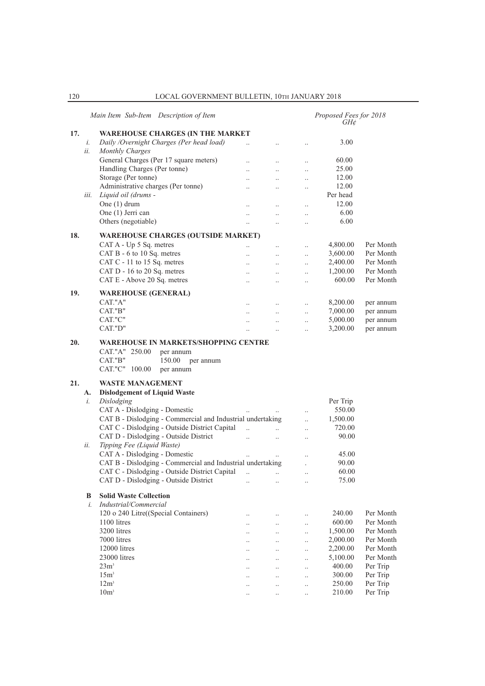|     |      | Main Item Sub-Item Description of Item                                                       |                       |                                   | Proposed Fees for 2018<br>GH¢ |           |
|-----|------|----------------------------------------------------------------------------------------------|-----------------------|-----------------------------------|-------------------------------|-----------|
| 17. |      | <b>WAREHOUSE CHARGES (IN THE MARKET</b>                                                      |                       |                                   |                               |           |
|     | i.   | Daily /Overnight Charges (Per head load)                                                     | $\ddot{\phantom{a}}$  | $\ldots$                          | 3.00                          |           |
|     | ii.  | <b>Monthly Charges</b>                                                                       |                       |                                   |                               |           |
|     |      | General Charges (Per 17 square meters)                                                       | $\ddotsc$             | $\ddotsc$                         | 60.00                         |           |
|     |      | Handling Charges (Per tonne)                                                                 |                       | $\ddotsc$<br>$\ddotsc$            | 25.00                         |           |
|     |      | Storage (Per tonne)                                                                          | $\ddotsc$             | $\ddotsc$<br>$\ddotsc$            | 12.00                         |           |
|     |      | Administrative charges (Per tonne)                                                           |                       |                                   | 12.00                         |           |
|     | iii. | Liquid oil (drums -                                                                          | $\ddotsc$             | $\ddotsc$<br>$\ldots$             | Per head                      |           |
|     |      | One (1) drum                                                                                 |                       |                                   | 12.00                         |           |
|     |      |                                                                                              | $\ddot{\phantom{0}}$  | $\ddotsc$                         |                               |           |
|     |      | One (1) Jerri can                                                                            | $\ddotsc$             | $\ddotsc$                         | 6.00                          |           |
|     |      | Others (negotiable)                                                                          | $\ddotsc$             | $\ddotsc$<br>$\ddotsc$            | 6.00                          |           |
| 18. |      | <b>WAREHOUSE CHARGES (OUTSIDE MARKET)</b>                                                    |                       |                                   |                               |           |
|     |      | CAT A - Up 5 Sq. metres                                                                      | $\ddotsc$             | $\cdot$ .<br>$\ldots$             | 4,800.00                      | Per Month |
|     |      | CAT B - 6 to 10 Sq. metres                                                                   | $\ddot{\phantom{0}}$  | $\ddotsc$<br>$\ddotsc$            | 3,600.00                      | Per Month |
|     |      | CAT C - 11 to 15 Sq. metres                                                                  |                       |                                   | 2,400.00                      | Per Month |
|     |      | CAT D - 16 to 20 Sq. metres                                                                  |                       | $\ddotsc$                         | 1,200.00                      | Per Month |
|     |      |                                                                                              | $\ddot{\phantom{0}}$  | $\ddotsc$<br>$\ddotsc$            | 600.00                        | Per Month |
|     |      | CAT E - Above 20 Sq. metres                                                                  | $\ddotsc$             | $\ddotsc$<br>$\ddotsc$            |                               |           |
| 19. |      | <b>WAREHOUSE (GENERAL)</b>                                                                   |                       |                                   |                               |           |
|     |      | CAT."A"                                                                                      | $\ddotsc$             | $\ddotsc$<br>$\ddotsc$            | 8,200.00                      | per annum |
|     |      | CAT."B"                                                                                      | $\ddotsc$             | $\ddotsc$<br>$\ddotsc$            | 7,000.00                      | per annum |
|     |      | CAT."C"                                                                                      |                       | $\ddotsc$<br>$\ddotsc$            | 5,000.00                      | per annum |
|     |      | CAT."D"                                                                                      |                       | $\ddotsc$                         | 3,200.00                      | per annum |
|     |      |                                                                                              |                       |                                   |                               |           |
|     |      | CAT."A" 250.00<br>per annum<br>CAT."B"<br>150.00<br>per annum<br>CAT."C" 100.00<br>per annum |                       |                                   |                               |           |
| 21. |      | <b>WASTE MANAGEMENT</b>                                                                      |                       |                                   |                               |           |
|     | A.   | <b>Dislodgement of Liquid Waste</b>                                                          |                       |                                   |                               |           |
|     | i.   | Dislodging                                                                                   |                       |                                   | Per Trip                      |           |
|     |      | CAT A - Dislodging - Domestic                                                                |                       |                                   | 550.00                        |           |
|     |      | CAT B - Dislodging - Commercial and Industrial undertaking                                   |                       | $\ldots$<br>$\ddotsc$             | 1,500.00                      |           |
|     |      | CAT C - Dislodging - Outside District Capital                                                | $\ddot{\phantom{a}}$  | $\dddot{\phantom{0}}$             | 720.00                        |           |
|     |      | CAT D - Dislodging - Outside District                                                        |                       | $\ddotsc$                         |                               |           |
|     |      |                                                                                              | $\dddot{\phantom{0}}$ | $\ddotsc$<br>$\ddotsc$            | 90.00                         |           |
|     | ii.  | Tipping Fee (Liquid Waste)                                                                   |                       |                                   |                               |           |
|     |      | CAT A - Dislodging - Domestic                                                                |                       | $\ddot{\phantom{a}}$              | 45.00                         |           |
|     |      | CAT B - Dislodging - Commercial and Industrial undertaking                                   |                       |                                   | 90.00                         |           |
|     |      | CAT C - Dislodging - Outside District Capital                                                |                       |                                   | 60.00                         |           |
|     |      | CAT D - Dislodging - Outside District                                                        | $\ddotsc$             | $\ldots$<br>$\cdot$ .             | 75.00                         |           |
|     | B    | <b>Solid Waste Collection</b>                                                                |                       |                                   |                               |           |
|     | i.   | Industrial/Commercial                                                                        |                       |                                   |                               |           |
|     |      |                                                                                              |                       |                                   |                               |           |
|     |      | 120 o 240 Litre((Special Containers)                                                         |                       | $\cdot$ .                         | 240.00                        | Per Month |
|     |      | 1100 litres                                                                                  |                       | $\ldots$                          | 600.00                        | Per Month |
|     |      | 3200 litres                                                                                  |                       | $\ldots$                          | 1,500.00                      | Per Month |
|     |      | 7000 litres                                                                                  |                       | $\ldots$                          | 2,000.00                      | Per Month |
|     |      | 12000 litres                                                                                 |                       | $\ddot{\phantom{0}}$<br>$\ddotsc$ | 2,200.00                      | Per Month |
|     |      | 23000 litres                                                                                 |                       | $\ldots$<br>$\cdot$ .             | 5,100.00                      | Per Month |
|     |      | 23m <sup>3</sup>                                                                             |                       | $\ldots$                          | 400.00                        | Per Trip  |
|     |      | 15m <sup>3</sup>                                                                             |                       | $\ldots$                          | 300.00                        | Per Trip  |
|     |      | 12m <sup>3</sup>                                                                             |                       | $\ldots$                          | 250.00                        | Per Trip  |
|     |      | 10m <sup>3</sup>                                                                             |                       | $\ddot{\phantom{a}}$              | 210.00                        | Per Trip  |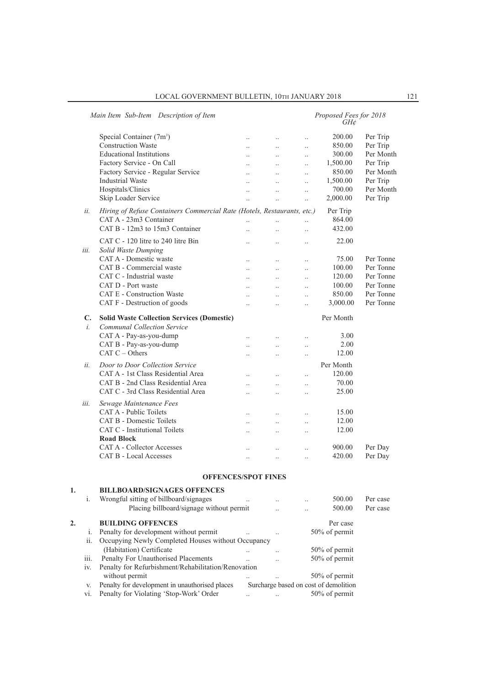|    |      | Main Item Sub-Item Description of Item                                  |                                 |                        |                      | Proposed Fees for 2018<br>GH¢         |           |
|----|------|-------------------------------------------------------------------------|---------------------------------|------------------------|----------------------|---------------------------------------|-----------|
|    |      | Special Container (7m <sup>3</sup> )                                    | $\ddotsc$                       | $\cdot$ .              | $\ddot{\phantom{a}}$ | 200.00                                | Per Trip  |
|    |      | <b>Construction Waste</b>                                               | $\ddot{\phantom{a}}$            | $\cdot$ .              | $\cdot$              | 850.00                                | Per Trip  |
|    |      | <b>Educational Institutions</b>                                         |                                 | $\ddotsc$              | $\ddot{\phantom{a}}$ | 300.00                                | Per Month |
|    |      | Factory Service - On Call                                               | $\ddot{\phantom{a}}$            | $\ddotsc$              | $\ddot{\phantom{0}}$ | 1,500.00                              | Per Trip  |
|    |      | Factory Service - Regular Service                                       |                                 | $\ddotsc$              | $\ddot{\phantom{0}}$ | 850.00                                | Per Month |
|    |      | <b>Industrial Waste</b>                                                 | $\ddot{\phantom{a}}$            | $\ddotsc$              | $\ddot{\phantom{0}}$ | 1,500.00                              | Per Trip  |
|    |      | Hospitals/Clinics                                                       |                                 |                        | $\cdot$              | 700.00                                | Per Month |
|    |      | Skip Loader Service                                                     |                                 |                        | $\ddot{\phantom{a}}$ | 2,000.00                              | Per Trip  |
|    | ii.  | Hiring of Refuse Containers Commercial Rate (Hotels, Restaurants, etc.) |                                 |                        |                      | Per Trip                              |           |
|    |      | CAT A - 23m3 Container                                                  | $\ddot{\phantom{a}}$            | $\ddot{\phantom{a}}$   | $\ddot{\phantom{0}}$ | 864.00                                |           |
|    |      | CAT B - 12m3 to 15m3 Container                                          | $\ddotsc$                       | $\ddot{\phantom{0}}$   | $\ddot{\phantom{a}}$ | 432.00                                |           |
|    |      | CAT C - 120 litre to 240 litre Bin                                      |                                 |                        |                      | 22.00                                 |           |
|    | iii. | Solid Waste Dumping                                                     | $\ddot{\phantom{a}}$            | $\ddotsc$              | $\ddot{\phantom{a}}$ |                                       |           |
|    |      | CAT A - Domestic waste                                                  |                                 |                        |                      | 75.00                                 | Per Tonne |
|    |      | CAT B - Commercial waste                                                | $\cdot$<br>$\ddot{\phantom{a}}$ | $\cdot$ .<br>$\ddotsc$ | $\cdot$<br>$\ldots$  | 100.00                                | Per Tonne |
|    |      | CAT C - Industrial waste                                                |                                 |                        | $\ddot{\phantom{a}}$ | 120.00                                | Per Tonne |
|    |      | CAT D - Port waste                                                      | $\ddot{\phantom{a}}$            |                        | $\ddotsc$            | 100.00                                | Per Tonne |
|    |      | CAT E - Construction Waste                                              | $\ddot{\phantom{a}}$            | $\ddot{\phantom{a}}$   | $\ddot{\phantom{a}}$ | 850.00                                | Per Tonne |
|    |      | CAT F - Destruction of goods                                            | $\ddot{\phantom{a}}$            |                        | $\ddot{\phantom{a}}$ | 3,000.00                              | Per Tonne |
|    |      |                                                                         |                                 |                        |                      |                                       |           |
|    | C.   | <b>Solid Waste Collection Services (Domestic)</b>                       |                                 |                        |                      | Per Month                             |           |
|    | i.   | <b>Communal Collection Service</b>                                      |                                 |                        |                      |                                       |           |
|    |      | CAT A - Pay-as-you-dump                                                 | $\ddot{\phantom{a}}$            | $\ddot{\phantom{a}}$   | $\ddot{\phantom{a}}$ | 3.00                                  |           |
|    |      | CAT B - Pay-as-you-dump                                                 | $\ddot{\phantom{a}}$            | $\ddot{\phantom{a}}$   | $\ddotsc$            | 2.00                                  |           |
|    |      | $CAT C - Others$                                                        |                                 | $\ddot{\phantom{0}}$   | $\ddot{\phantom{a}}$ | 12.00                                 |           |
|    | ii.  | Door to Door Collection Service                                         |                                 |                        |                      | Per Month                             |           |
|    |      | CAT A - 1st Class Residential Area                                      | $\ddot{\phantom{a}}$            | $\ddot{\phantom{a}}$   | $\ddotsc$            | 120.00                                |           |
|    |      | CAT B - 2nd Class Residential Area                                      |                                 | $\ddot{\phantom{0}}$   | $\ddot{\phantom{a}}$ | 70.00                                 |           |
|    |      | CAT C - 3rd Class Residential Area                                      | $\ddot{\phantom{a}}$            | $\ddot{\phantom{a}}$   | $\ddotsc$            | 25.00                                 |           |
|    | iii. | Sewage Maintenance Fees                                                 |                                 |                        |                      |                                       |           |
|    |      | CAT A - Public Toilets                                                  | $\ddot{\phantom{a}}$            | $\ddot{\phantom{a}}$   | $\ddotsc$            | 15.00                                 |           |
|    |      | <b>CAT B - Domestic Toilets</b>                                         | $\ddot{\phantom{a}}$            | $\ddotsc$              | $\ddotsc$            | 12.00                                 |           |
|    |      | CAT C - Institutional Toilets                                           | $\ddotsc$                       | $\cdot$ .              | $\ddotsc$            | 12.00                                 |           |
|    |      | <b>Road Block</b>                                                       |                                 |                        |                      |                                       |           |
|    |      | <b>CAT A - Collector Accesses</b>                                       |                                 |                        | $\ddot{\phantom{a}}$ | 900.00                                | Per Day   |
|    |      | CAT B - Local Accesses                                                  | $\ddot{\phantom{a}}$            |                        | $\ddot{\phantom{a}}$ | 420.00                                | Per Day   |
|    |      | <b>OFFENCES/SPOT FINES</b>                                              |                                 |                        |                      |                                       |           |
| 1. |      | <b>BILLBOARD/SIGNAGES OFFENCES</b>                                      |                                 |                        |                      |                                       |           |
|    | i.   | Wrongful sitting of billboard/signages                                  |                                 |                        |                      | 500.00                                | Per case  |
|    |      | Placing billboard/signage without permit                                |                                 |                        |                      | 500.00                                | Per case  |
|    |      |                                                                         |                                 |                        |                      |                                       |           |
| 2. |      | <b>BUILDING OFFENCES</b>                                                |                                 |                        |                      | Per case                              |           |
|    | i.   | Penalty for development without permit                                  |                                 | $\ldots$               |                      | 50% of permit                         |           |
|    | ii.  | Occupying Newly Completed Houses without Occupancy                      |                                 |                        |                      |                                       |           |
|    |      | (Habitation) Certificate                                                |                                 |                        |                      | 50% of permit                         |           |
|    | iii. | Penalty For Unauthorised Placements                                     | $\ddotsc$                       |                        |                      | 50% of permit                         |           |
|    | iv.  | Penalty for Refurbishment/Rehabilitation/Renovation                     |                                 |                        |                      |                                       |           |
|    |      | without permit                                                          |                                 |                        |                      | 50% of permit                         |           |
|    | V.   | Penalty for development in unauthorised places                          |                                 |                        |                      | Surcharge based on cost of demolition |           |
|    | vi.  | Penalty for Violating 'Stop-Work' Order                                 | $\ddotsc$                       | $\ddot{\phantom{0}}$   |                      | 50% of permit                         |           |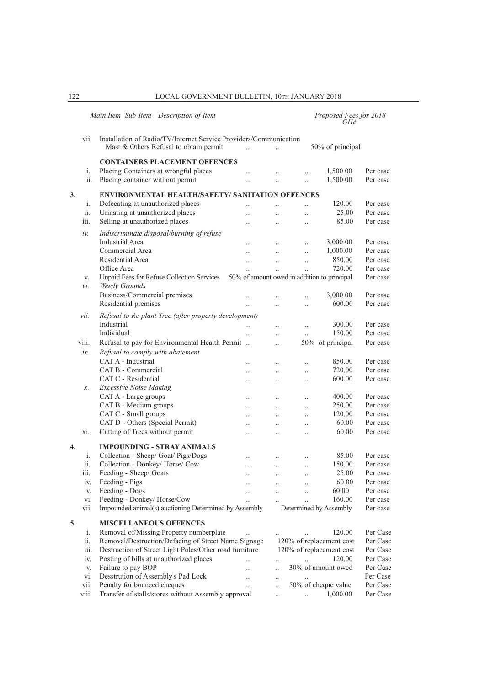|    |           | Main Item Sub-Item Description of Item                                                                         |                      |                      |                                   | Proposed Fees for 2018<br>$GH\phi$ |                      |
|----|-----------|----------------------------------------------------------------------------------------------------------------|----------------------|----------------------|-----------------------------------|------------------------------------|----------------------|
|    | vii.      | Installation of Radio/TV/Internet Service Providers/Communication<br>Mast & Others Refusal to obtain permit    | $\ddotsc$            | $\ddot{\phantom{a}}$ |                                   | 50% of principal                   |                      |
|    |           | <b>CONTAINERS PLACEMENT OFFENCES</b>                                                                           |                      |                      |                                   |                                    |                      |
|    | i.        | Placing Containers at wrongful places                                                                          | $\ddot{\phantom{a}}$ |                      |                                   | 1,500.00                           | Per case             |
|    | ii.       | Placing container without permit                                                                               | $\ddotsc$            |                      |                                   | 1,500.00                           | Per case             |
|    |           |                                                                                                                |                      |                      |                                   |                                    |                      |
| 3. |           | <b>ENVIRONMENTAL HEALTH/SAFETY/ SANITATION OFFENCES</b>                                                        |                      |                      |                                   |                                    |                      |
|    | i.<br>ii. | Defecating at unauthorized places<br>Urinating at unauthorized places                                          | $\ddot{\phantom{0}}$ |                      | $\ddot{\phantom{0}}$              | 120.00<br>25.00                    | Per case<br>Per case |
|    | iii.      | Selling at unauthorized places                                                                                 | $\ddotsc$            | $\ddot{\phantom{a}}$ | $\ddotsc$                         | 85.00                              | Per case             |
|    |           |                                                                                                                | $\ddotsc$            | $\ddotsc$            | $\ddotsc$                         |                                    |                      |
|    | iν.       | Indiscriminate disposal/burning of refuse                                                                      |                      |                      |                                   |                                    |                      |
|    |           | Industrial Area                                                                                                | $\ddot{\phantom{a}}$ | $\ddots$             | $\ddot{\phantom{a}}$              | 3,000.00                           | Per case             |
|    |           | Commercial Area                                                                                                | $\ddotsc$            | $\ddotsc$            | $\ddotsc$                         | 1,000.00                           | Per case             |
|    |           | Residential Area<br>Office Area                                                                                | $\ddotsc$            | $\ldots$             | $\ldots$                          | 850.00                             | Per case             |
|    |           |                                                                                                                |                      | $\ddot{\phantom{0}}$ |                                   | 720.00                             | Per case<br>Per case |
|    | V.<br>νi. | Unpaid Fees for Refuse Collection Services 50% of amount owed in addition to principal<br><b>Weedy Grounds</b> |                      |                      |                                   |                                    |                      |
|    |           | Business/Commercial premises                                                                                   |                      |                      |                                   | 3,000.00                           | Per case             |
|    |           | Residential premises                                                                                           |                      |                      | $\ddotsc$<br>$\ddot{\phantom{a}}$ | 600.00                             | Per case             |
|    |           |                                                                                                                |                      | $\ddot{\phantom{0}}$ |                                   |                                    |                      |
|    | vii.      | Refusal to Re-plant Tree (after property development)                                                          |                      |                      |                                   |                                    |                      |
|    |           | Industrial                                                                                                     |                      | $\ddotsc$            | $\ddotsc$                         | 300.00                             | Per case             |
|    |           | Individual                                                                                                     |                      | $\ddot{\phantom{0}}$ | $\ddotsc$                         | 150.00                             | Per case             |
|    | viii.     | Refusal to pay for Environmental Health Permit                                                                 |                      | $\ddotsc$            |                                   | 50% of principal                   | Per case             |
|    | ix.       | Refusal to comply with abatement                                                                               |                      |                      |                                   |                                    |                      |
|    |           | CAT A - Industrial                                                                                             | $\ddot{\phantom{0}}$ | $\ddotsc$            | $\ddot{\phantom{0}}$              | 850.00                             | Per case             |
|    |           | CAT B - Commercial                                                                                             |                      | $\ddot{\phantom{0}}$ | $\ddot{\phantom{0}}$              | 720.00                             | Per case             |
|    |           | CAT C - Residential                                                                                            | $\ddot{\phantom{a}}$ | $\ddotsc$            | $\ddot{\phantom{a}}$              | 600.00                             | Per case             |
|    | x.        | <b>Excessive Noise Making</b>                                                                                  |                      |                      |                                   |                                    |                      |
|    |           | CAT A - Large groups<br>CAT B - Medium groups                                                                  | $\cdot$ .            | $\cdot$ .            | $\ddot{\phantom{a}}$              | 400.00<br>250.00                   | Per case<br>Per case |
|    |           | CAT C - Small groups                                                                                           | $\ddotsc$            | $\ddotsc$            | $\ddot{\phantom{0}}$              | 120.00                             | Per case             |
|    |           | CAT D - Others (Special Permit)                                                                                | $\ddotsc$            | $\ddotsc$            | $\ddotsc$                         | 60.00                              | Per case             |
|    | xi.       | Cutting of Trees without permit                                                                                |                      | $\ddotsc$            | $\ddot{\phantom{0}}$              | 60.00                              | Per case             |
|    |           |                                                                                                                | $\ddot{\phantom{0}}$ | $\ddotsc$            | $\ddot{\phantom{0}}$              |                                    |                      |
| 4. |           | <b>IMPOUNDING - STRAY ANIMALS</b>                                                                              |                      |                      |                                   |                                    |                      |
|    | i.        | Collection - Sheep/ Goat/ Pigs/Dogs                                                                            |                      |                      |                                   | 85.00                              | Per case             |
|    | ii.       | Collection - Donkey/ Horse/ Cow                                                                                | $\ddot{\phantom{0}}$ | $\ddotsc$            | $\ddotsc$                         | 150.00                             | Per case             |
|    | iii.      | Feeding - Sheep/ Goats                                                                                         | $\cdot \cdot$        |                      | $\cdot$ .                         | 25.00                              | Per case             |
|    | iv.       | Feeding - Pigs                                                                                                 |                      | $\cdot$ .            |                                   | 60.00                              | Per case             |
|    | V.        | Feeding - Dogs                                                                                                 |                      |                      | $\ddot{\phantom{a}}$              | 60.00                              | Per case             |
|    | vi.       | Feeding - Donkey/ Horse/Cow                                                                                    |                      |                      |                                   | 160.00                             | Per case             |
|    | vii.      | Impounded animal(s) auctioning Determined by Assembly                                                          |                      |                      |                                   | Determined by Assembly             | Per case             |
| 5. |           | <b>MISCELLANEOUS OFFENCES</b>                                                                                  |                      |                      |                                   |                                    |                      |
|    | i.        | Removal of/Missing Property numberplate                                                                        |                      |                      |                                   | 120.00                             | Per Case             |
|    | ii.       | Removal/Destruction/Defacing of Street Name Signage                                                            |                      |                      |                                   | 120% of replacement cost           | Per Case             |
|    | iii.      | Destruction of Street Light Poles/Other road furniture                                                         |                      |                      |                                   | 120% of replacement cost           | Per Case             |
|    | iv.       | Posting of bills at unauthorized places                                                                        |                      | $\ddotsc$            |                                   | 120.00                             | Per Case             |
|    | V.        | Failure to pay BOP                                                                                             |                      | $\ddotsc$            |                                   | 30% of amount owed                 | Per Case             |
|    | vi.       | Desstrution of Assembly's Pad Lock                                                                             | $\ddot{\phantom{0}}$ | $\cdot$ .            |                                   |                                    | Per Case             |
|    | vii.      | Penalty for bounced cheques                                                                                    |                      | $\ddot{\phantom{a}}$ |                                   | 50% of cheque value                | Per Case             |
|    | viii.     | Transfer of stalls/stores without Assembly approval                                                            |                      | $\ddotsc$            | $\ddotsc$                         | 1,000.00                           | Per Case             |
|    |           |                                                                                                                |                      |                      |                                   |                                    |                      |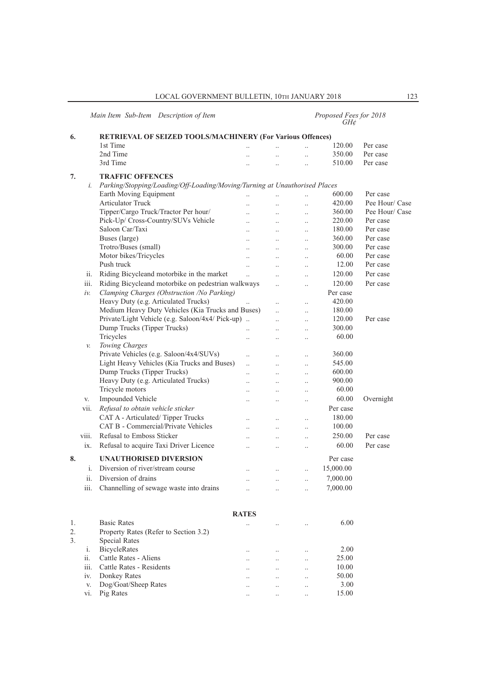# *Main Item Sub-Item Description of Item Proposed Fees for 2018 GH¢*

| 6. |       | <b>RETRIEVAL OF SEIZED TOOLS/MACHINERY (For Various Offences)</b>          |                      |                      |                      |           |                |
|----|-------|----------------------------------------------------------------------------|----------------------|----------------------|----------------------|-----------|----------------|
|    |       | 1st Time                                                                   |                      |                      |                      | 120.00    | Per case       |
|    |       | 2nd Time                                                                   |                      | $\ddotsc$            |                      | 350.00    | Per case       |
|    |       | 3rd Time                                                                   |                      | $\ddot{\phantom{0}}$ |                      | 510.00    | Per case       |
| 7. |       | <b>TRAFFIC OFFENCES</b>                                                    |                      |                      |                      |           |                |
|    | i.    | Parking/Stopping/Loading/Off-Loading/Moving/Turning at Unauthorised Places |                      |                      |                      |           |                |
|    |       | Earth Moving Equipment                                                     | $\ddotsc$            | $\ddot{\phantom{a}}$ | $\ddotsc$            | 600.00    | Per case       |
|    |       | Articulator Truck                                                          |                      |                      |                      | 420.00    | Pee Hour/ Case |
|    |       | Tipper/Cargo Truck/Tractor Per hour/                                       | $\ddotsc$            | $\ddotsc$            | $\ddotsc$            | 360.00    | Pee Hour/ Case |
|    |       | Pick-Up/ Cross-Country/SUVs Vehicle                                        | $\ddot{\phantom{a}}$ | $\ddotsc$            | $\ddotsc$            | 220.00    | Per case       |
|    |       | Saloon Car/Taxi                                                            | $\ddot{\phantom{a}}$ | $\ddotsc$            | $\ldots$             | 180.00    | Per case       |
|    |       | Buses (large)                                                              |                      | $\ddot{\phantom{0}}$ | $\ddotsc$            | 360.00    | Per case       |
|    |       | Trotro/Buses (small)                                                       | $\ddotsc$            | $\ddotsc$            | $\ddotsc$            | 300.00    | Per case       |
|    |       | Motor bikes/Tricycles                                                      | $\ddotsc$            | $\ddotsc$            | $\ddotsc$            | 60.00     | Per case       |
|    |       | Push truck                                                                 | $\ddot{\phantom{a}}$ | $\ddotsc$            | $\ddotsc$            | 12.00     | Per case       |
|    | ii.   | Riding Bicycleand motorbike in the market                                  |                      | $\ddot{\phantom{a}}$ | $\ddotsc$            | 120.00    | Per case       |
|    | iii.  | Riding Bicycleand motorbike on pedestrian walkways                         |                      |                      | $\ddotsc$            | 120.00    | Per case       |
|    | iv.   | Clamping Charges (Obstruction /No Parking)                                 |                      |                      |                      | Per case  |                |
|    |       | Heavy Duty (e.g. Articulated Trucks)                                       | $\ddot{\phantom{a}}$ | $\ddotsc$            | $\ddotsc$            | 420.00    |                |
|    |       | Medium Heavy Duty Vehicles (Kia Trucks and Buses)                          |                      | $\ddotsc$            | $\ddotsc$            | 180.00    |                |
|    |       | Private/Light Vehicle (e.g. Saloon/4x4/ Pick-up)                           |                      | $\ddot{\phantom{0}}$ | $\ddotsc$            | 120.00    | Per case       |
|    |       | Dump Trucks (Tipper Trucks)                                                | $\ddotsc$            | $\ddotsc$            | $\ddotsc$            | 300.00    |                |
|    |       | Tricycles                                                                  | $\ddot{\phantom{a}}$ | $\ddot{\phantom{a}}$ | $\ddotsc$            | 60.00     |                |
|    | v.    | Towing Charges                                                             |                      |                      |                      |           |                |
|    |       | Private Vehicles (e.g. Saloon/4x4/SUVs)                                    |                      |                      |                      | 360.00    |                |
|    |       | Light Heavy Vehicles (Kia Trucks and Buses)                                | $\ddotsc$            | $\ddotsc$            | $\ddotsc$            | 545.00    |                |
|    |       | Dump Trucks (Tipper Trucks)                                                | $\ddot{\phantom{a}}$ | $\ddotsc$            | $\ddotsc$            | 600.00    |                |
|    |       | Heavy Duty (e.g. Articulated Trucks)                                       | $\ddot{\phantom{a}}$ | $\ddotsc$            | $\ddot{\phantom{a}}$ | 900.00    |                |
|    |       | Tricycle motors                                                            | $\ddot{\phantom{a}}$ | $\ddotsc$            | $\ldots$             | 60.00     |                |
|    | V.    | Impounded Vehicle                                                          | $\ddot{\phantom{a}}$ | $\ddot{\phantom{a}}$ | $\cdot$              | 60.00     | Overnight      |
|    | vii.  | Refusal to obtain vehicle sticker                                          |                      |                      |                      | Per case  |                |
|    |       | CAT A - Articulated/Tipper Trucks                                          | $\cdot$              | $\ldots$             | $\ldots$             | 180.00    |                |
|    |       | CAT B - Commercial/Private Vehicles                                        | $\ddot{\phantom{a}}$ | $\ddot{\phantom{0}}$ | $\ldots$             | 100.00    |                |
|    | viii. | Refusal to Emboss Sticker                                                  |                      | $\ddotsc$            | $\ldots$             | 250.00    | Per case       |
|    | ix.   | Refusal to acquire Taxi Driver Licence                                     |                      | $\ddot{\phantom{0}}$ | $\ddotsc$            | 60.00     | Per case       |
| 8. |       | <b>UNAUTHORISED DIVERSION</b>                                              |                      |                      |                      | Per case  |                |
|    | i.    | Diversion of river/stream course                                           | $\ddot{\phantom{a}}$ | $\ddotsc$            | $\ddotsc$            | 15,000.00 |                |
|    | ii.   | Diversion of drains                                                        |                      | $\ddotsc$            | $\ddotsc$            | 7,000.00  |                |
|    | iii.  | Channelling of sewage waste into drains                                    | $\ddot{\phantom{a}}$ | $\ddotsc$            | $\ddotsc$            | 7,000.00  |                |
|    |       |                                                                            |                      |                      |                      |           |                |
|    |       |                                                                            |                      |                      |                      |           |                |
|    |       |                                                                            | <b>RATES</b>         |                      |                      |           |                |
| 1. |       | <b>Basic Rates</b>                                                         | $\ddot{\phantom{0}}$ | $\ddotsc$            |                      | 6.00      |                |
| 2. |       | Property Rates (Refer to Section 3.2)                                      |                      |                      |                      |           |                |
| 3. |       | <b>Special Rates</b>                                                       |                      |                      |                      |           |                |
|    | i.    | <b>BicycleRates</b>                                                        | $\cdot$              | $\ldots$             | $\ddotsc$            | 2.00      |                |
|    | ii.   | Cattle Rates - Aliens                                                      | $\ddotsc$            | $\ddotsc$            | $\ddotsc$            | 25.00     |                |
|    | iii.  | Cattle Rates - Residents                                                   |                      | $\ddot{\phantom{a}}$ | $\ddotsc$            | 10.00     |                |
|    | iv.   | Donkey Rates                                                               | $\ddot{\phantom{a}}$ | $\ddotsc$            | $\ddotsc$            | 50.00     |                |
|    | V.    | Dog/Goat/Sheep Rates                                                       |                      | $\ddotsc$            | $\cdot$              | 3.00      |                |
|    | vi.   | Pig Rates                                                                  |                      | $\ldots$             | $\ldots$             | 15.00     |                |
|    |       |                                                                            |                      |                      |                      |           |                |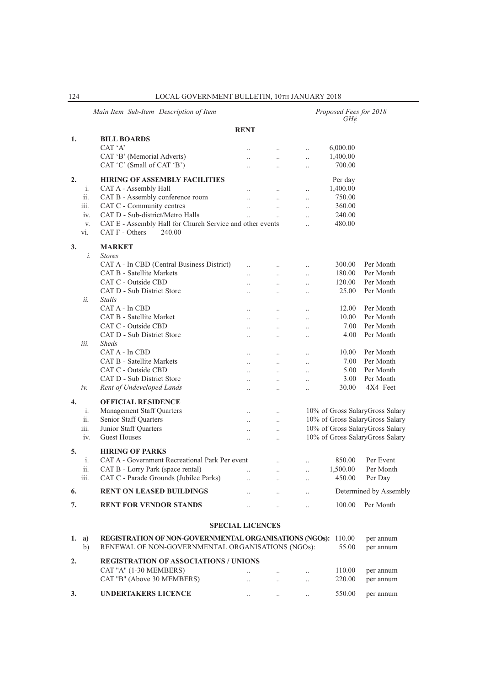|                  |           | Main Item Sub-Item Description of Item                                                                             |                      |                      |                      | Proposed Fees for 2018<br>$GH\mathcal{E}$ |                                 |
|------------------|-----------|--------------------------------------------------------------------------------------------------------------------|----------------------|----------------------|----------------------|-------------------------------------------|---------------------------------|
|                  |           |                                                                                                                    | <b>RENT</b>          |                      |                      |                                           |                                 |
| 1.               |           | <b>BILL BOARDS</b>                                                                                                 |                      |                      |                      |                                           |                                 |
|                  |           | CAT 'A'                                                                                                            |                      |                      | $\ddot{\phantom{0}}$ | 6,000.00                                  |                                 |
|                  |           | CAT 'B' (Memorial Adverts)                                                                                         | $\ddot{\phantom{a}}$ | $\ddotsc$            | $\ddotsc$            | 1,400.00                                  |                                 |
|                  |           | CAT 'C' (Small of CAT 'B')                                                                                         |                      |                      | $\ddot{\phantom{a}}$ | 700.00                                    |                                 |
| 2.               |           | <b>HIRING OF ASSEMBLY FACILITIES</b>                                                                               |                      |                      |                      | Per day                                   |                                 |
|                  | i.        | CAT A - Assembly Hall                                                                                              | $\ddot{\phantom{a}}$ | $\ddotsc$            | $\ddot{\phantom{0}}$ | 1,400.00                                  |                                 |
|                  | ii.       | CAT B - Assembly conference room                                                                                   | $\ddot{\phantom{a}}$ | $\ddotsc$            | $\ddot{\phantom{0}}$ | 750.00                                    |                                 |
|                  | iii.      | CAT C - Community centres                                                                                          | $\ddotsc$            | $\ddotsc$            | $\ddotsc$            | 360.00                                    |                                 |
|                  | iv.       | CAT D - Sub-district/Metro Halls                                                                                   |                      | $\ddotsc$            | $\ddot{\phantom{0}}$ | 240.00                                    |                                 |
|                  | V.<br>vi. | CAT E - Assembly Hall for Church Service and other events<br>$CAT F - Others$<br>240.00                            |                      |                      | $\ddot{\phantom{a}}$ | 480.00                                    |                                 |
| 3.               |           | <b>MARKET</b>                                                                                                      |                      |                      |                      |                                           |                                 |
|                  | i.        | <b>Stores</b>                                                                                                      |                      |                      |                      |                                           |                                 |
|                  |           | CAT A - In CBD (Central Business District)                                                                         | $\ddot{\phantom{0}}$ | $\ddotsc$            | $\ddot{\phantom{a}}$ | 300.00                                    | Per Month                       |
|                  |           | <b>CAT B - Satellite Markets</b>                                                                                   | $\ddot{\phantom{a}}$ | $\ddotsc$            | $\ddotsc$            | 180.00                                    | Per Month                       |
|                  |           | CAT C - Outside CBD                                                                                                | $\ddot{\phantom{a}}$ | $\ddot{\phantom{a}}$ | $\ddotsc$            | 120.00                                    | Per Month                       |
|                  |           | CAT D - Sub District Store                                                                                         |                      | $\ddot{\phantom{a}}$ | $\ddot{\phantom{a}}$ | 25.00                                     | Per Month                       |
|                  | ii.       | <i>Stalls</i>                                                                                                      |                      |                      |                      |                                           |                                 |
|                  |           | CAT A - In CBD                                                                                                     |                      | $\ddotsc$            | $\ddotsc$            | 12.00                                     | Per Month                       |
|                  |           | CAT B - Satellite Market                                                                                           | $\ddot{\phantom{a}}$ | $\ddotsc$            | $\ddotsc$            | 10.00                                     | Per Month                       |
|                  |           | CAT C - Outside CBD                                                                                                | $\ddot{\phantom{a}}$ | $\ddot{\phantom{a}}$ | $\ddot{\phantom{a}}$ | 7.00                                      | Per Month                       |
|                  |           | CAT D - Sub District Store                                                                                         | $\ddot{\phantom{0}}$ |                      | $\ddot{\phantom{a}}$ | 4.00                                      | Per Month                       |
|                  | iii.      | <b>Sheds</b>                                                                                                       |                      |                      |                      |                                           |                                 |
|                  |           | CAT A - In CBD                                                                                                     |                      | $\ddotsc$            |                      | 10.00                                     | Per Month                       |
|                  |           | <b>CAT B - Satellite Markets</b>                                                                                   | $\ddot{\phantom{a}}$ | $\ddotsc$            | $\ddotsc$            | 7.00                                      | Per Month                       |
|                  |           | CAT C - Outside CBD                                                                                                | $\ddot{\phantom{a}}$ | $\ddot{\phantom{a}}$ | $\ddot{\phantom{a}}$ | 5.00                                      | Per Month                       |
|                  |           | CAT D - Sub District Store                                                                                         | $\ddot{\phantom{0}}$ |                      | $\ddot{\phantom{a}}$ | 3.00                                      | Per Month                       |
|                  | iv.       | Rent of Undeveloped Lands                                                                                          | $\ddot{\phantom{a}}$ | $\ddotsc$            | $\ddotsc$            | 30.00                                     | 4X4 Feet                        |
|                  |           |                                                                                                                    |                      |                      |                      |                                           |                                 |
| $\overline{4}$ . |           | <b>OFFICIAL RESIDENCE</b>                                                                                          |                      |                      |                      |                                           |                                 |
|                  | i.        | Management Staff Quarters                                                                                          | $\ddot{\phantom{0}}$ | $\ddotsc$            |                      |                                           | 10% of Gross SalaryGross Salary |
|                  | ii.       | Senior Staff Quarters                                                                                              | $\ddot{\phantom{a}}$ | $\ddotsc$            |                      |                                           | 10% of Gross SalaryGross Salary |
|                  | iii.      | Junior Staff Quarters                                                                                              | $\ddot{\phantom{a}}$ | $\ddotsc$            |                      |                                           | 10% of Gross SalaryGross Salary |
|                  | iv.       | <b>Guest Houses</b>                                                                                                | $\ddot{\phantom{0}}$ | $\ddotsc$            |                      |                                           | 10% of Gross SalaryGross Salary |
| 5.               |           | <b>HIRING OF PARKS</b>                                                                                             |                      |                      |                      |                                           |                                 |
|                  | i.        | CAT A - Government Recreational Park Per event                                                                     |                      | $\ddotsc$            |                      | 850.00                                    | Per Event                       |
|                  | ii.       | CAT B - Lorry Park (space rental)                                                                                  |                      | $\cdot \cdot$        |                      | 1,500.00                                  | Per Month                       |
|                  | iii.      | CAT C - Parade Grounds (Jubilee Parks)                                                                             |                      | $\ddotsc$            |                      | 450.00                                    | Per Day                         |
| 6.               |           | <b>RENT ON LEASED BUILDINGS</b>                                                                                    |                      | $\ddotsc$            | $\ddotsc$            |                                           | Determined by Assembly          |
| 7.               |           | <b>RENT FOR VENDOR STANDS</b>                                                                                      | $\ddot{\phantom{0}}$ | $\ddotsc$            | $\ddot{\phantom{0}}$ | 100.00                                    | Per Month                       |
|                  |           |                                                                                                                    |                      |                      |                      |                                           |                                 |
|                  |           | <b>SPECIAL LICENCES</b>                                                                                            |                      |                      |                      |                                           |                                 |
| 1.               | a)<br>b)  | REGISTRATION OF NON-GOVERNMENTAL ORGANISATIONS (NGOs): 110.00<br>RENEWAL OF NON-GOVERNMENTAL ORGANISATIONS (NGOs): |                      |                      |                      | 55.00                                     | per annum<br>per annum          |
| 2.               |           | <b>REGISTRATION OF ASSOCIATIONS / UNIONS</b>                                                                       |                      |                      |                      |                                           |                                 |
|                  |           | CAT "A" (1-30 MEMBERS)                                                                                             | $\ddot{\phantom{0}}$ | $\ldots$             | $\ddotsc$            | 110.00                                    | per annum                       |
|                  |           | CAT "B" (Above 30 MEMBERS)                                                                                         | $\ddot{\phantom{0}}$ | $\ddotsc$            | $\ddotsc$            | 220.00                                    | per annum                       |
| 3.               |           | <b>UNDERTAKERS LICENCE</b>                                                                                         | $\ddotsc$            | $\ddotsc$            | $\ddotsc$            | 550.00                                    | per annum                       |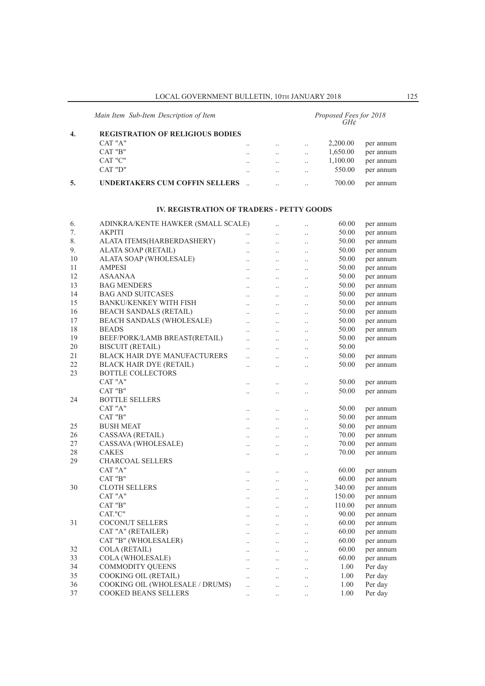|    | Main Item Sub-Item Description of Item  |  | Proposed Fees for 2018<br>$GH\mathcal{E}$ |           |          |           |  |
|----|-----------------------------------------|--|-------------------------------------------|-----------|----------|-----------|--|
| 4. | <b>REGISTRATION OF RELIGIOUS BODIES</b> |  |                                           |           |          |           |  |
|    | CAT "A"                                 |  | $\cdot$ .                                 |           | 2,200.00 | per annum |  |
|    | CAT "B"                                 |  | $\cdot$ .                                 |           | 1,650.00 | per annum |  |
|    | CAT "C"                                 |  |                                           |           | 1,100.00 | per annum |  |
|    | CAT "D"                                 |  | $\cdot$ .                                 |           | 550.00   | per annum |  |
|    | <b>UNDERTAKERS CUM COFFIN SELLERS</b>   |  | $\cdot$ .                                 | $\cdot$ . | 700.00   | per annum |  |

#### **IV. REGISTRATION OF TRADERS - PETTY GOODS**

| 6. | ADINKRA/KENTE HAWKER (SMALL SCALE)  |                      | $\ddot{\phantom{0}}$ | $\ddot{\phantom{0}}$ | 60.00  | per annum |
|----|-------------------------------------|----------------------|----------------------|----------------------|--------|-----------|
| 7. | <b>AKPITI</b>                       |                      | $\ddotsc$            |                      | 50.00  | per annum |
| 8. | ALATA ITEMS(HARBERDASHERY)          | $\ddot{\phantom{a}}$ | $\ddotsc$            | $\cdot$ .            | 50.00  | per annum |
| 9. | ALATA SOAP (RETAIL)                 | $\ddot{\phantom{0}}$ | $\ddotsc$            | $\ddot{\phantom{a}}$ | 50.00  | per annum |
| 10 | ALATA SOAP (WHOLESALE)              | $\ddot{\phantom{a}}$ | $\ddot{\phantom{a}}$ | $\ddotsc$            | 50.00  | per annum |
| 11 | <b>AMPESI</b>                       | $\ddot{\phantom{a}}$ | $\ldots$             |                      | 50.00  | per annum |
| 12 | ASAANAA                             | $\ddotsc$            | $\ddot{\phantom{a}}$ | $\cdot$ .            | 50.00  | per annum |
| 13 | <b>BAG MENDERS</b>                  | $\ddotsc$            | $\ddot{\phantom{a}}$ | $\ddotsc$            | 50.00  | per annum |
| 14 | <b>BAG AND SUITCASES</b>            | $\ddotsc$            | $\ddotsc$            | $\ddot{\phantom{a}}$ | 50.00  | per annum |
| 15 | <b>BANKU/KENKEY WITH FISH</b>       | $\ddotsc$            | $\ddotsc$            | $\ddot{\phantom{a}}$ | 50.00  | per annum |
| 16 | <b>BEACH SANDALS (RETAIL)</b>       | $\ddot{\phantom{0}}$ | $\ddotsc$            | $\ddot{\phantom{a}}$ | 50.00  | per annum |
| 17 | <b>BEACH SANDALS (WHOLESALE)</b>    | $\ddot{\phantom{a}}$ | $\ldots$             |                      | 50.00  | per annum |
| 18 | <b>BEADS</b>                        | $\ddotsc$            | $\ddotsc$            | $\cdot$              | 50.00  | per annum |
| 19 | BEEF/PORK/LAMB BREAST(RETAIL)       | $\ddot{\phantom{a}}$ | $\ldots$             | $\ddot{\phantom{0}}$ | 50.00  | per annum |
| 20 | <b>BISCUIT (RETAIL)</b>             | $\ddotsc$            | $\ddotsc$            | $\ddot{\phantom{a}}$ | 50.00  |           |
| 21 | <b>BLACK HAIR DYE MANUFACTURERS</b> | $\ddot{\phantom{a}}$ | $\ddotsc$            | $\ddot{\phantom{a}}$ | 50.00  | per annum |
| 22 | <b>BLACK HAIR DYE (RETAIL)</b>      | $\ddot{\phantom{a}}$ | $\ddot{\phantom{a}}$ | $\ddot{\phantom{a}}$ | 50.00  | per annum |
| 23 | <b>BOTTLE COLLECTORS</b>            |                      |                      |                      |        |           |
|    | CAT "A"                             | $\ddot{\phantom{a}}$ | $\ddot{\phantom{a}}$ | $\cdot$              | 50.00  | per annum |
|    | CAT "B"                             | $\ddot{\phantom{0}}$ | $\ddotsc$            | $\ddot{\phantom{0}}$ | 50.00  | per annum |
| 24 | <b>BOTTLE SELLERS</b>               |                      |                      |                      |        |           |
|    | CAT "A"                             | $\ddotsc$            | $\ldots$             | $\ddotsc$            | 50.00  | per annum |
|    | CAT "B"                             | $\ddot{\phantom{a}}$ | $\ddotsc$            | $\ddotsc$            | 50.00  | per annum |
| 25 | <b>BUSH MEAT</b>                    | $\ddotsc$            | $\ddotsc$            | $\ddot{\phantom{0}}$ | 50.00  | per annum |
| 26 | CASSAVA (RETAIL)                    | $\ddot{\phantom{a}}$ | $\ddotsc$            | $\ddot{\phantom{a}}$ | 70.00  | per annum |
| 27 | CASSAVA (WHOLESALE)                 | $\ddotsc$            | $\ddotsc$            | $\cdot$ .            | 70.00  | per annum |
| 28 | <b>CAKES</b>                        | $\ddot{\phantom{a}}$ | $\ddotsc$            | $\ddotsc$            | 70.00  | per annum |
| 29 | <b>CHARCOAL SELLERS</b>             |                      |                      |                      |        |           |
|    | CAT "A"                             | $\ddot{\phantom{a}}$ | $\ddotsc$            | $\ddot{\phantom{a}}$ | 60.00  | per annum |
|    | CAT "B"                             | $\ddotsc$            | $\ldots$             | $\ddot{\phantom{0}}$ | 60.00  | per annum |
| 30 | <b>CLOTH SELLERS</b>                | $\ddot{\phantom{a}}$ | $\ddotsc$            | $\cdot$              | 340.00 | per annum |
|    | CAT "A"                             | $\ddot{\phantom{a}}$ | $\ddot{\phantom{a}}$ | $\ddot{\phantom{0}}$ | 150.00 | per annum |
|    | CAT "B"                             | $\ddot{\phantom{a}}$ | $\ddot{\phantom{a}}$ | $\ddotsc$            | 110.00 | per annum |
|    | CAT."C"                             | $\ddotsc$            | $\ddot{\phantom{a}}$ | $\ddot{\phantom{a}}$ | 90.00  | per annum |
| 31 | <b>COCONUT SELLERS</b>              | $\ddot{\phantom{a}}$ | $\ddot{\phantom{a}}$ | $\ddot{\phantom{a}}$ | 60.00  | per annum |
|    | CAT "A" (RETAILER)                  | $\ddot{\phantom{0}}$ | $\ldots$             | $\ddot{\phantom{a}}$ | 60.00  | per annum |
|    | CAT "B" (WHOLESALER)                | $\ldots$             | $\ldots$             | $\ddot{\phantom{0}}$ | 60.00  | per annum |
| 32 | <b>COLA (RETAIL)</b>                | $\ddotsc$            | $\ddot{\phantom{a}}$ | $\ddotsc$            | 60.00  | per annum |
| 33 | COLA (WHOLESALE)                    | $\ddotsc$            | $\ddotsc$            | $\ddot{\phantom{a}}$ | 60.00  | per annum |
| 34 | <b>COMMODITY QUEENS</b>             | $\ddotsc$            | $\ddotsc$            | $\ddot{\phantom{a}}$ | 1.00   | Per day   |
| 35 | COOKING OIL (RETAIL)                | $\ddot{\phantom{a}}$ | $\ddot{\phantom{a}}$ |                      | 1.00   | Per day   |
| 36 | COOKING OIL (WHOLESALE / DRUMS)     |                      |                      | $\ddot{\phantom{0}}$ | 1.00   | Per day   |
| 37 | <b>COOKED BEANS SELLERS</b>         | $\ddotsc$            | $\ddot{\phantom{0}}$ | $\ddot{\phantom{a}}$ | 1.00   | Per day   |
|    |                                     | $\ddot{\phantom{a}}$ | $\ddotsc$            | $\ddot{\phantom{0}}$ |        |           |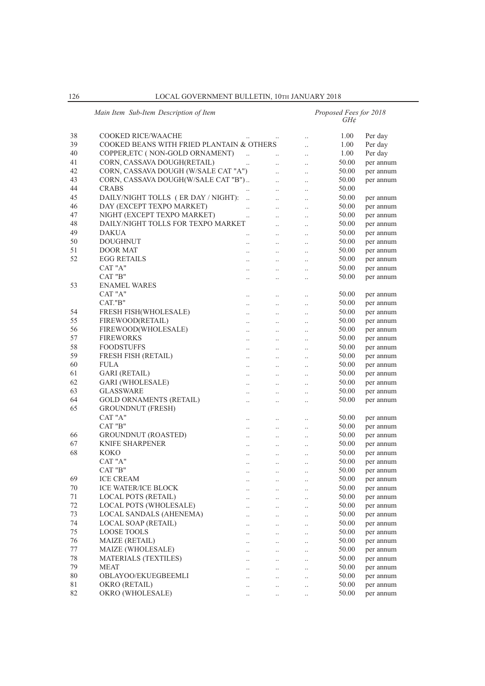|    | Main Item Sub-Item Description of Item    |                      |                      |                      | Proposed Fees for 2018<br>$GH\mathcal{E}$ |           |
|----|-------------------------------------------|----------------------|----------------------|----------------------|-------------------------------------------|-----------|
| 38 | COOKED RICE/WAACHE                        |                      |                      |                      | 1.00                                      | Per day   |
| 39 | COOKED BEANS WITH FRIED PLANTAIN & OTHERS |                      |                      | $\ddot{\phantom{a}}$ | 1.00                                      | Per day   |
| 40 | COPPER, ETC (NON-GOLD ORNAMENT)           | $\ddots$             |                      | $\ddot{\phantom{0}}$ | 1.00                                      | Per day   |
| 41 | CORN, CASSAVA DOUGH(RETAIL)               |                      | $\ddot{\phantom{a}}$ | $\cdot$ .            | 50.00                                     | per annum |
| 42 | CORN, CASSAVA DOUGH (W/SALE CAT "A")      |                      | $\ddotsc$            |                      | 50.00                                     |           |
| 43 | CORN, CASSAVA DOUGH(W/SALE CAT "B")       |                      | $\ddotsc$            | $\ddot{\phantom{a}}$ |                                           | per annum |
|    |                                           |                      | $\ddotsc$            | $\ddot{\phantom{0}}$ | 50.00                                     | per annum |
| 44 | <b>CRABS</b>                              |                      | $\ldots$             | $\cdot$              | 50.00                                     |           |
| 45 | DAILY/NIGHT TOLLS (ER DAY / NIGHT):       | $\ddotsc$            | $\ldots$             | $\cdot$ .            | 50.00                                     | per annum |
| 46 | DAY (EXCEPT TEXPO MARKET)                 | $\ddot{\phantom{0}}$ | $\ldots$             | $\cdot$              | 50.00                                     | per annum |
| 47 | NIGHT (EXCEPT TEXPO MARKET)               | $\ddot{\phantom{a}}$ | $\ddotsc$            | $\cdot$              | 50.00                                     | per annum |
| 48 | DAILY/NIGHT TOLLS FOR TEXPO MARKET        |                      | $\ddotsc$            | $\ddotsc$            | 50.00                                     | per annum |
| 49 | <b>DAKUA</b>                              |                      | $\ldots$             | $\cdot$              | 50.00                                     | per annum |
| 50 | <b>DOUGHNUT</b>                           | $\cdot$              | $\ldots$             | $\cdot$ .            | 50.00                                     | per annum |
| 51 | DOOR MAT                                  | $\cdot$              | $\ldots$             | $\cdot$              | 50.00                                     | per annum |
| 52 | <b>EGG RETAILS</b>                        |                      |                      | $\ddotsc$            | 50.00                                     | per annum |
|    | CAT "A"                                   | $\ddot{\phantom{0}}$ | $\ddotsc$            | $\ddotsc$            | 50.00                                     | per annum |
|    | CAT "B"                                   | $\cdot$              | $\ldots$             | $\cdot$              | 50.00                                     | per annum |
| 53 | <b>ENAMEL WARES</b>                       |                      |                      |                      |                                           |           |
|    | CAT "A"                                   | $\cdot$              | $\ldots$             |                      | 50.00                                     | per annum |
|    | CAT."B"                                   | $\ddot{\phantom{0}}$ | $\ddotsc$            | $\cdot$              | 50.00                                     | per annum |
| 54 | FRESH FISH(WHOLESALE)                     | $\ddot{\phantom{a}}$ | $\ddotsc$            | $\ddotsc$            | 50.00                                     | per annum |
| 55 | FIREWOOD(RETAIL)                          | $\ddotsc$            | $\ldots$             | $\cdot$              | 50.00                                     | per annum |
| 56 | FIREWOOD(WHOLESALE)                       | $\ldots$             | $\ldots$             | $\cdot$              | 50.00                                     | per annum |
| 57 | <b>FIREWORKS</b>                          | $\cdot$              | $\ldots$             | $\cdot$              | 50.00                                     | per annum |
| 58 | <b>FOODSTUFFS</b>                         | $\ddot{\phantom{a}}$ |                      |                      | 50.00                                     | per annum |
| 59 | <b>FRESH FISH (RETAIL)</b>                | $\ddot{\phantom{0}}$ | $\ddotsc$            | $\ddotsc$            | 50.00                                     | per annum |
| 60 | <b>FULA</b>                               | $\ddotsc$            | $\ldots$             | $\cdot$              | 50.00                                     | per annum |
| 61 | <b>GARI</b> (RETAIL)                      | $\cdot$              | $\ldots$             | $\cdot$              | 50.00                                     | per annum |
| 62 | GARI (WHOLESALE)                          | $\cdot$              | $\ldots$             | $\cdot$              | 50.00                                     | per annum |
| 63 | <b>GLASSWARE</b>                          |                      | $\ddotsc$            |                      | 50.00                                     | per annum |
| 64 | <b>GOLD ORNAMENTS (RETAIL)</b>            | $\ddot{\phantom{a}}$ | $\ddotsc$            | $\ddotsc$            | 50.00                                     | per annum |
| 65 | <b>GROUNDNUT (FRESH)</b>                  |                      |                      |                      |                                           |           |
|    | CAT "A"                                   |                      | $\ldots$             |                      | 50.00                                     | per annum |
|    | CAT "B"                                   | $\ddotsc$            | $\ldots$             | $\ldots$             | 50.00                                     | per annum |
| 66 | <b>GROUNDNUT (ROASTED)</b>                |                      |                      | $\cdot$              | 50.00                                     | per annum |
| 67 | <b>KNIFE SHARPENER</b>                    | $\ddot{\phantom{a}}$ | $\ddotsc$            | $\ddotsc$            | 50.00                                     | per annum |
| 68 | KOKO                                      | $\ldots$             | $\ldots$             | $\cdot$ .            | 50.00                                     | per annum |
|    | CAT "A"                                   |                      | $\ldots$             | $\ldots$             | 50.00                                     | per annum |
|    | CAT "B"                                   | $\cdot$ .            | $\cdot$ .            | $\cdot$ .            | 50.00                                     | per annum |
| 69 | <b>ICE CREAM</b>                          | $\cdot$              | $\ldots$             | $\cdot$              | 50.00                                     | per annum |
| 70 | ICE WATER/ICE BLOCK                       |                      | $\ddotsc$            | $\ddotsc$            | 50.00                                     | per annum |
| 71 | <b>LOCAL POTS (RETAIL)</b>                |                      | $\ldots$             | $\cdot$ .            | 50.00                                     | per annum |
| 72 | LOCAL POTS (WHOLESALE)                    |                      | $\ldots$             | $\ldots$             | 50.00                                     | per annum |
| 73 | <b>LOCAL SANDALS (AHENEMA)</b>            |                      | $\ldots$             | $\ldots$             | 50.00                                     | per annum |
| 74 | <b>LOCAL SOAP (RETAIL)</b>                |                      | $\ldots$             | $\cdot$              | 50.00                                     | per annum |
| 75 | LOOSE TOOLS                               | $\ddot{\phantom{0}}$ | $\ldots$             | $\ddotsc$            | 50.00                                     | per annum |
| 76 | MAIZE (RETAIL)                            |                      |                      |                      | 50.00                                     | per annum |
| 77 | MAIZE (WHOLESALE)                         |                      | $\ldots$             | $\ldots$             | 50.00                                     | per annum |
| 78 | <b>MATERIALS (TEXTILES)</b>               |                      | $\ldots$             | $\ldots$             | 50.00                                     | per annum |
| 79 | <b>MEAT</b>                               |                      | $\ldots$             | $\ldots$             | 50.00                                     | per annum |
| 80 | OBLAYOO/EKUEGBEEMLI                       |                      | $\ddotsc$            | $\ddotsc$            | 50.00                                     | per annum |
| 81 | OKRO (RETAIL)                             |                      | $\ddotsc$            | $\ddotsc$            | 50.00                                     | per annum |
| 82 | OKRO (WHOLESALE)                          |                      | $\ldots$             | $\ldots$             | 50.00                                     | per annum |
|    |                                           |                      | $\ldots$             | $\ldots$             |                                           |           |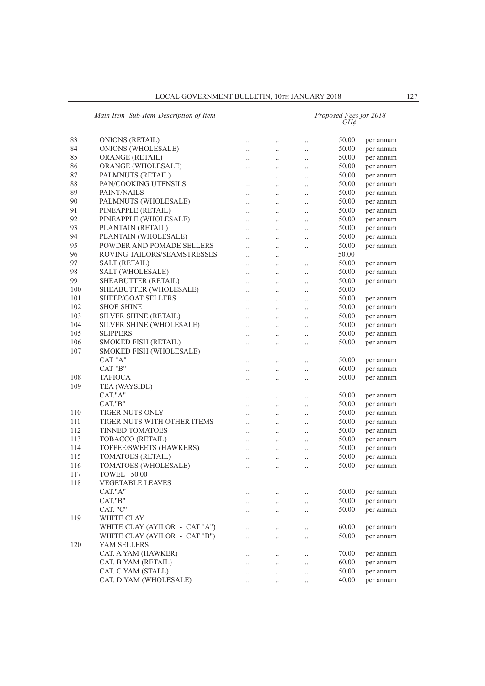|     | Main Item Sub-Item Description of Item |                      |           | Proposed Fees for 2018<br>GH¢ |       |           |  |
|-----|----------------------------------------|----------------------|-----------|-------------------------------|-------|-----------|--|
| 83  | <b>ONIONS (RETAIL)</b>                 | $\ldots$             | $\ldots$  | $\cdot$                       | 50.00 | per annum |  |
| 84  | ONIONS (WHOLESALE)                     | $\ddotsc$            | $\ldots$  | $\ddotsc$                     | 50.00 | per annum |  |
| 85  | <b>ORANGE (RETAIL)</b>                 | $\ddots$             | $\ldots$  | $\ddotsc$                     | 50.00 | per annum |  |
| 86  | ORANGE (WHOLESALE)                     | $\ldots$             | $\ldots$  | $\ddotsc$                     | 50.00 | per annum |  |
| 87  | PALMNUTS (RETAIL)                      | $\ldots$             | $\ldots$  | $\ddotsc$                     | 50.00 | per annum |  |
| 88  | PAN/COOKING UTENSILS                   | $\ddots$             | $\ldots$  | $\ddotsc$                     | 50.00 | per annum |  |
| 89  | PAINT/NAILS                            | $\ddotsc$            | $\ldots$  | $\ddotsc$                     | 50.00 | per annum |  |
| 90  | PALMNUTS (WHOLESALE)                   | $\ddotsc$            | $\ldots$  | $\ddot{\phantom{a}}$          | 50.00 | per annum |  |
| 91  | PINEAPPLE (RETAIL)                     | $\ldots$             | $\ldots$  | $\cdot$ .                     | 50.00 | per annum |  |
| 92  | PINEAPPLE (WHOLESALE)                  | $\ddotsc$            | $\ldots$  | $\cdot$ .                     | 50.00 | per annum |  |
| 93  | PLANTAIN (RETAIL)                      | $\ldots$             | $\ldots$  | $\cdot$                       | 50.00 | per annum |  |
| 94  | PLANTAIN (WHOLESALE)                   | $\ddot{\phantom{a}}$ | $\ldots$  | $\ddotsc$                     | 50.00 | per annum |  |
| 95  | POWDER AND POMADE SELLERS              | $\ddot{\phantom{a}}$ | $\ldots$  | $\ldots$                      | 50.00 | per annum |  |
| 96  | ROVING TAILORS/SEAMSTRESSES            | $\cdot$ .            | $\ldots$  |                               | 50.00 |           |  |
| 97  | <b>SALT (RETAIL)</b>                   | $\cdot$ .            | $\ldots$  | $\cdot$ .                     | 50.00 | per annum |  |
| 98  | SALT (WHOLESALE)                       | $\cdot$ .            | $\ldots$  | $\cdot$                       | 50.00 | per annum |  |
| 99  | SHEABUTTER (RETAIL)                    | $\ddot{\phantom{0}}$ | $\ldots$  | $\ddotsc$                     | 50.00 | per annum |  |
| 100 | SHEABUTTER (WHOLESALE)                 | $\ddotsc$            | $\ddotsc$ | $\ddot{\phantom{a}}$          | 50.00 |           |  |
| 101 | <b>SHEEP/GOAT SELLERS</b>              | $\cdot$ .            | $\ldots$  | $\cdot$ .                     | 50.00 | per annum |  |
| 102 | <b>SHOE SHINE</b>                      | $\ldots$             | $\ldots$  | $\cdot$                       | 50.00 | per annum |  |
| 103 | SILVER SHINE (RETAIL)                  | $\ddotsc$            | $\ldots$  | $\cdot$                       | 50.00 | per annum |  |
| 104 | SILVER SHINE (WHOLESALE)               | $\ddot{\phantom{a}}$ | $\ldots$  | $\ddotsc$                     | 50.00 | per annum |  |
| 105 | <b>SLIPPERS</b>                        | $\ddotsc$            | $\ddotsc$ | $\ddot{\phantom{a}}$          | 50.00 | per annum |  |
| 106 | <b>SMOKED FISH (RETAIL)</b>            | $\cdot$ .            | $\ldots$  | $\cdot$ .                     | 50.00 | per annum |  |
| 107 | SMOKED FISH (WHOLESALE)                |                      |           |                               |       |           |  |
|     | CAT "A"                                | $\ldots$             | $\ldots$  | $\cdot$                       | 50.00 | per annum |  |
|     | CAT "B"                                | $\ddot{\phantom{0}}$ | $\ddotsc$ | $\ddotsc$                     | 60.00 | per annum |  |
| 108 | <b>TAPIOCA</b>                         | $\ddot{\phantom{0}}$ | $\ddotsc$ | $\cdot$                       | 50.00 | per annum |  |
| 109 | TEA (WAYSIDE)                          |                      |           |                               |       |           |  |
|     | CAT."A"                                | $\ldots$             | $\ldots$  | $\cdot$                       | 50.00 | per annum |  |
|     | CAT."B"                                | $\ldots$             | $\ldots$  | $\cdot$                       | 50.00 | per annum |  |
| 110 | <b>TIGER NUTS ONLY</b>                 | $\ddot{\phantom{a}}$ | $\ldots$  | $\ddotsc$                     | 50.00 | per annum |  |
| 111 | TIGER NUTS WITH OTHER ITEMS            | $\ddotsc$            | $\ldots$  | $\cdot$                       | 50.00 | per annum |  |
| 112 | <b>TINNED TOMATOES</b>                 | $\ldots$             | $\ldots$  | $\cdot$ .                     | 50.00 | per annum |  |
| 113 | TOBACCO (RETAIL)                       | $\cdot$ .            | $\ldots$  |                               | 50.00 | per annum |  |
| 114 | TOFFEE/SWEETS (HAWKERS)                | $\ddotsc$            | $\ldots$  | $\cdot$ .                     | 50.00 | per annum |  |
| 115 | TOMATOES (RETAIL)                      | $\ddot{\phantom{0}}$ | $\ldots$  | $\ddotsc$                     | 50.00 | per annum |  |
| 116 | TOMATOES (WHOLESALE)                   | $\ddotsc$            | $\ldots$  | $\ldots$                      | 50.00 | per annum |  |
| 117 | TOWEL 50.00                            |                      |           |                               |       |           |  |
| 118 | <b>VEGETABLE LEAVES</b>                |                      |           |                               |       |           |  |
|     | CAT."A"                                | $\cdot \cdot$        | $\ddots$  | $\cdot$                       | 50.00 | per annum |  |
|     | CAT."B"                                | $\ddot{\phantom{0}}$ | $\ddots$  | $\ddotsc$                     | 50.00 | per annum |  |
|     | CAT. "C"                               | $\cdot$ .            | $\ddotsc$ | $\ddotsc$                     | 50.00 | per annum |  |
| 119 | WHITE CLAY                             |                      |           |                               |       |           |  |
|     | WHITE CLAY (AYILOR - CAT "A")          | $\ldots$             | $\ldots$  | $\cdot$                       | 60.00 | per annum |  |
|     | WHITE CLAY (AYILOR - CAT "B")          | $\ddot{\phantom{0}}$ | $\ddotsc$ | $\ddotsc$                     | 50.00 | per annum |  |
| 120 | YAM SELLERS                            |                      |           |                               |       |           |  |
|     | CAT. A YAM (HAWKER)                    | $\ddot{\phantom{a}}$ | $\ldots$  | $\ddotsc$                     | 70.00 | per annum |  |
|     | CAT. B YAM (RETAIL)                    | $\cdot$ .            | $\ldots$  | $\ldots$                      | 60.00 | per annum |  |
|     | CAT. C YAM (STALL)                     |                      | $\ldots$  | $\cdot$                       | 50.00 | per annum |  |
|     | CAT. D YAM (WHOLESALE)                 | $\cdot$ .            | $\ddotsc$ | $\ddotsc$                     | 40.00 | per annum |  |
|     |                                        |                      |           |                               |       |           |  |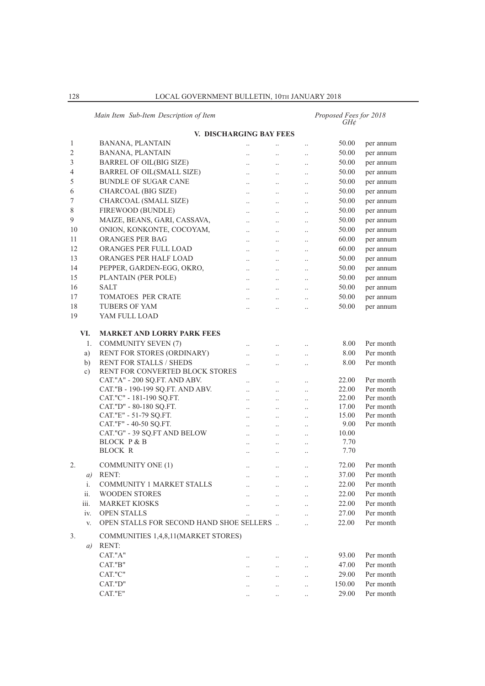# *Main Item Sub-Item Description of Item Proposed Fees for 2018 GH¢*

|    |               | V. DISCHARGING BAY FEES                  |                        |                        |                      |        |           |
|----|---------------|------------------------------------------|------------------------|------------------------|----------------------|--------|-----------|
| 1  |               | <b>BANANA, PLANTAIN</b>                  | $\ldots$               |                        | $\ldots$             | 50.00  | per annum |
| 2  |               | <b>BANANA, PLANTAIN</b>                  | $\cdot$ .              | $\ldots$               | $\ldots$             | 50.00  | per annum |
| 3  |               | <b>BARREL OF OIL(BIG SIZE)</b>           | $\ldots$               | $\ldots$               | $\cdot$ .            | 50.00  | per annum |
| 4  |               | <b>BARREL OF OIL(SMALL SIZE)</b>         | $\ldots$               | $\ldots$               | $\cdot$ .            | 50.00  | per annum |
| 5  |               | <b>BUNDLE OF SUGAR CANE</b>              | $\ldots$               | $\ldots$               | $\cdot$ .            | 50.00  | per annum |
| 6  |               | CHARCOAL (BIG SIZE)                      | $\ddotsc$              | $\ldots$               | $\ddotsc$            | 50.00  | per annum |
| 7  |               | CHARCOAL (SMALL SIZE)                    | $\ldots$               | $\cdot \cdot$          | $\cdot$ .            | 50.00  | per annum |
| 8  |               | FIREWOOD (BUNDLE)                        | $\ldots$               | $\cdot \cdot$          | $\cdot$ .            | 50.00  | per annum |
| 9  |               | MAIZE, BEANS, GARI, CASSAVA,             | $\ldots$               | $\ldots$               | $\cdot$              | 50.00  | per annum |
| 10 |               | ONION, KONKONTE, COCOYAM,                | $\ldots$               | $\ldots$               | $\cdot$              | 50.00  | per annum |
| 11 |               | ORANGES PER BAG                          | $\ldots$               | $\cdot$ .              | $\cdot$ .            | 60.00  | per annum |
| 12 |               | ORANGES PER FULL LOAD                    | $\ddotsc$              | $\ldots$               | $\cdot$ .            | 60.00  | per annum |
| 13 |               | ORANGES PER HALF LOAD                    | $\ddotsc$              | $\ddotsc$              | $\ddotsc$            | 50.00  | per annum |
| 14 |               | PEPPER, GARDEN-EGG, OKRO,                |                        |                        |                      | 50.00  | per annum |
| 15 |               | PLANTAIN (PER POLE)                      | $\ddotsc$              | $\ddot{\phantom{0}}$   | $\ddotsc$            | 50.00  | per annum |
| 16 |               | <b>SALT</b>                              | $\ddotsc$              | $\cdot$ .              | $\cdot$              | 50.00  | per annum |
| 17 |               | <b>TOMATOES PER CRATE</b>                | $\ddotsc$              | $\ddotsc$              | $\ddotsc$            | 50.00  | per annum |
|    |               | <b>TUBERS OF YAM</b>                     | $\ddotsc$              | $\ddotsc$              | $\ldots$             |        |           |
| 18 |               | YAM FULL LOAD                            | $\ddotsc$              | $\ddot{\phantom{a}}$   | $\ldots$             | 50.00  | per annum |
| 19 |               |                                          |                        |                        |                      |        |           |
|    | VI.           | <b>MARKET AND LORRY PARK FEES</b>        |                        |                        |                      |        |           |
|    | 1.            | <b>COMMUNITY SEVEN (7)</b>               |                        |                        |                      | 8.00   | Per month |
|    | a)            | RENT FOR STORES (ORDINARY)               | $\cdot$ .              | $\cdot$ .              | $\cdot$ .            | 8.00   | Per month |
|    | b)            | <b>RENT FOR STALLS / SHEDS</b>           | $\cdot$ .              | $\cdot$ .              | $\ldots$             | 8.00   | Per month |
|    | $\mathbf{c})$ | RENT FOR CONVERTED BLOCK STORES          | $\cdot$ .              | $\ldots$               | $\cdot$ .            |        |           |
|    |               | CAT."A" - 200 SQ.FT. AND ABV.            |                        |                        |                      | 22.00  | Per month |
|    |               | CAT."B - 190-199 SQ.FT. AND ABV.         | $\cdot$ .<br>$\ddotsc$ | $\cdot$ .<br>$\ddotsc$ | $\ldots$<br>$\ldots$ | 22.00  | Per month |
|    |               | CAT."C" - 181-190 SQ.FT.                 | $\ddotsc$              | $\ldots$               | $\ldots$             | 22.00  | Per month |
|    |               | CAT."D" - 80-180 SQ.FT.                  | $\cdot$ .              | $\ldots$               | $\cdot$ .            | 17.00  | Per month |
|    |               | CAT."E" - 51-79 SQ.FT.                   | $\ldots$               | $\ldots$               | $\cdot$ .            | 15.00  | Per month |
|    |               | CAT."F" - 40-50 SQ.FT.                   | $\ddotsc$              | $\ddotsc$              | $\ddotsc$            | 9.00   | Per month |
|    |               | CAT."G" - 39 SQ.FT AND BELOW             | $\ddotsc$              | $\ddotsc$              | $\ddotsc$            | 10.00  |           |
|    |               | <b>BLOCK P &amp; B</b>                   | $\ldots$               | $\cdot$ .              | $\ldots$             | 7.70   |           |
|    |               | <b>BLOCK R</b>                           | $\cdot$ .              | $\cdot$ .              | $\cdot$ .            | 7.70   |           |
| 2. |               | <b>COMMUNITY ONE (1)</b>                 |                        |                        |                      | 72.00  | Per month |
|    | a)            | <b>RENT:</b>                             | $\ddotsc$              | $\cdot$ .              | $\cdot$ .            | 37.00  | Per month |
|    | i.            | <b>COMMUNITY 1 MARKET STALLS</b>         | $\ddotsc$              | $\ddotsc$              | $\ddotsc$            | 22.00  | Per month |
|    | ii.           | WOODEN STORES                            | $\ldots$               | $\ldots$               | $\ldots$             | 22.00  | Per month |
|    | iii.          | <b>MARKET KIOSKS</b>                     |                        | $\ldots$               | $\ldots$             | 22.00  | Per month |
|    |               |                                          |                        |                        | $\ddotsc$            |        |           |
|    | iv.           | <b>OPEN STALLS</b>                       |                        | $\ddotsc$              | $\ddotsc$            | 27.00  | Per month |
|    | V.            | OPEN STALLS FOR SECOND HAND SHOE SELLERS |                        |                        | $\ddotsc$            | 22.00  | Per month |
| 3. |               | COMMUNITIES 1,4,8,11(MARKET STORES)      |                        |                        |                      |        |           |
|    | a)            | RENT:                                    |                        |                        |                      |        |           |
|    |               | CAT."A"                                  | $\ddotsc$              | $\ddotsc$              | $\ddotsc$            | 93.00  | Per month |
|    |               | CAT."B"                                  | $\ddot{\phantom{a}}$   | $\ddots$               | $\ddotsc$            | 47.00  | Per month |
|    |               | CAT."C"                                  |                        | $\ddotsc$              | $\ldots$             | 29.00  | Per month |
|    |               | CAT."D"                                  |                        | $\cdot$ .              | $\ddotsc$            | 150.00 | Per month |
|    |               | CAT."E"                                  |                        |                        |                      | 29.00  | Per month |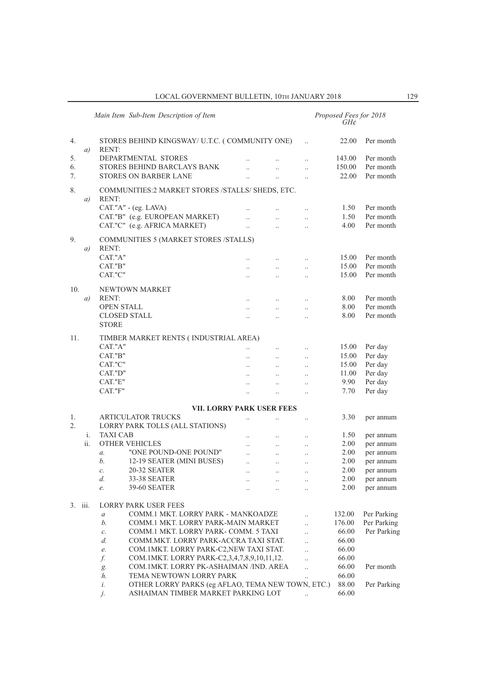$\overline{a}$ 

|         |     | Main Item Sub-Item Description of Item                         |                      |                        |                        | Proposed Fees for 2018<br>GH¢ |             |
|---------|-----|----------------------------------------------------------------|----------------------|------------------------|------------------------|-------------------------------|-------------|
| 4.      | a)  | STORES BEHIND KINGSWAY/ U.T.C. (COMMUNITY ONE)<br><b>RENT:</b> |                      |                        |                        | 22.00                         | Per month   |
| 5.      |     | DEPARTMENTAL STORES                                            |                      |                        | $\ddot{\phantom{a}}$   | 143.00                        | Per month   |
| 6.      |     | STORES BEHIND BARCLAYS BANK                                    |                      |                        | $\ddot{\phantom{a}}$   | 150.00                        | Per month   |
| 7.      |     | <b>STORES ON BARBER LANE</b>                                   |                      |                        | $\ddotsc$              | 22.00                         | Per month   |
| 8.      |     | COMMUNITIES:2 MARKET STORES /STALLS/ SHEDS, ETC.               |                      |                        |                        |                               |             |
|         | a)  | <b>RENT:</b>                                                   |                      |                        |                        |                               |             |
|         |     | CAT."A" - (eg. LAVA)                                           |                      |                        | $\ddot{\phantom{a}}$   | 1.50                          | Per month   |
|         |     | CAT."B" (e.g. EUROPEAN MARKET)                                 |                      | $\ddotsc$              | $\ddotsc$              | 1.50                          | Per month   |
|         |     | CAT."C" (e.g. AFRICA MARKET)                                   | $\ddotsc$            | $\ddot{\phantom{a}}$   | $\cdot$                | 4.00                          | Per month   |
| 9.      |     | <b>COMMUNITIES 5 (MARKET STORES /STALLS)</b><br>RENT:          |                      |                        |                        |                               |             |
|         | a)  | CAT."A"                                                        |                      |                        |                        | 15.00                         | Per month   |
|         |     | CAT."B"                                                        |                      |                        | $\ddotsc$              | 15.00                         | Per month   |
|         |     | CAT."C"                                                        | $\ddotsc$            | $\ddotsc$<br>$\ddotsc$ | $\ddotsc$<br>$\ddotsc$ | 15.00                         | Per month   |
|         |     |                                                                |                      |                        |                        |                               |             |
| 10.     |     | NEWTOWN MARKET                                                 |                      |                        |                        |                               |             |
|         | a)  | RENT:                                                          | $\ddotsc$            | $\ddotsc$              | $\ddotsc$              | 8.00                          | Per month   |
|         |     | <b>OPEN STALL</b>                                              | $\ddot{\phantom{a}}$ | $\ddotsc$              | $\ddotsc$              | 8.00                          | Per month   |
|         |     | <b>CLOSED STALL</b>                                            |                      | $\ddotsc$              | $\ddot{\phantom{a}}$   | 8.00                          | Per month   |
|         |     | <b>STORE</b>                                                   |                      |                        |                        |                               |             |
| 11.     |     | TIMBER MARKET RENTS (INDUSTRIAL AREA)                          |                      |                        |                        |                               |             |
|         |     | CAT."A"                                                        | $\ddot{\phantom{0}}$ | $\ddotsc$              | $\ddotsc$              | 15.00                         | Per day     |
|         |     | CAT."B"                                                        | $\ddotsc$            | $\ddotsc$              | $\ddotsc$              | 15.00                         | Per day     |
|         |     | CAT."C"                                                        | $\ddot{\phantom{a}}$ | $\ddotsc$              | $\ddotsc$              | 15.00                         | Per day     |
|         |     | CAT."D"                                                        |                      |                        | $\cdot$                | 11.00                         | Per day     |
|         |     | CAT."E"                                                        | $\ddotsc$            |                        | $\ddot{\phantom{a}}$   | 9.90                          | Per day     |
|         |     | CAT."F"                                                        | $\ddotsc$            | $\ddotsc$              | $\ddotsc$              | 7.70                          | Per day     |
|         |     | <b>VII. LORRY PARK USER FEES</b>                               |                      |                        |                        |                               |             |
| 1.      |     | <b>ARTICULATOR TRUCKS</b>                                      | $\ddotsc$            |                        | $\cdot$                | 3.30                          | per annum   |
| 2.      |     | LORRY PARK TOLLS (ALL STATIONS)                                |                      |                        |                        |                               |             |
|         | i.  | <b>TAXI CAB</b>                                                | $\ddotsc$            | $\ddotsc$              | $\ddotsc$              | 1.50                          | per annum   |
|         | ii. | <b>OTHER VEHICLES</b>                                          |                      | $\ddotsc$              | $\ddotsc$              | 2.00                          | per annum   |
|         |     | "ONE POUND-ONE POUND"<br>$\mathfrak{a}$ .                      | $\ddotsc$            | $\ddotsc$              | $\ddotsc$              | 2.00                          | per annum   |
|         |     | b.<br>12-19 SEATER (MINI BUSES)                                | $\ddotsc$            | $\ldots$               | $\cdot$                | 2.00                          | per annum   |
|         |     | 20-32 SEATER<br>C.                                             | $\cdot \cdot$        |                        |                        | 2.00                          | per annum   |
|         |     | d.<br><b>33-38 SEATER</b>                                      |                      | $\cdot$ .              | $\ldots$               | 2.00                          | per annum   |
|         |     | 39-60 SEATER<br>e.                                             |                      |                        |                        | 2.00                          | per annum   |
| 3. iii. |     | <b>LORRY PARK USER FEES</b>                                    |                      |                        |                        |                               |             |
|         |     | COMM.1 MKT. LORRY PARK - MANKOADZE                             |                      |                        |                        | 132.00                        | Per Parking |
|         |     | $\boldsymbol{a}$<br>b.<br>COMM.1 MKT. LORRY PARK-MAIN MARKET   |                      |                        | $\ddot{\phantom{0}}$   | 176.00                        | Per Parking |
|         |     | COMM.1 MKT. LORRY PARK- COMM. 5 TAXI                           |                      |                        | $\ddot{\phantom{a}}$   | 66.00                         | Per Parking |
|         |     | $\mathcal{C}.$<br>COMM.MKT. LORRY PARK-ACCRA TAXI STAT.<br>d.  |                      |                        | $\ddotsc$              | 66.00                         |             |
|         |     | COM. 1MKT. LORRY PARK-C2, NEW TAXI STAT.<br>e.                 |                      |                        | $\ddotsc$              | 66.00                         |             |
|         |     | COM.1MKT. LORRY PARK-C2,3,4,7,8,9,10,11,12.<br>f.              |                      |                        | $\ddot{\phantom{a}}$   | 66.00                         |             |
|         |     | COM. 1MKT. LORRY PK-ASHAIMAN /IND. AREA                        |                      |                        | $\ddotsc$              | 66.00                         | Per month   |
|         |     | g.<br>TEMA NEWTOWN LORRY PARK<br>h.                            |                      |                        | $\ddotsc$              | 66.00                         |             |
|         |     | OTHER LORRY PARKS (eg AFLAO, TEMA NEW TOWN, ETC.)<br>i.        |                      |                        |                        | 88.00                         | Per Parking |
|         |     | ASHAIMAN TIMBER MARKET PARKING LOT<br>j.                       |                      |                        |                        | 66.00                         |             |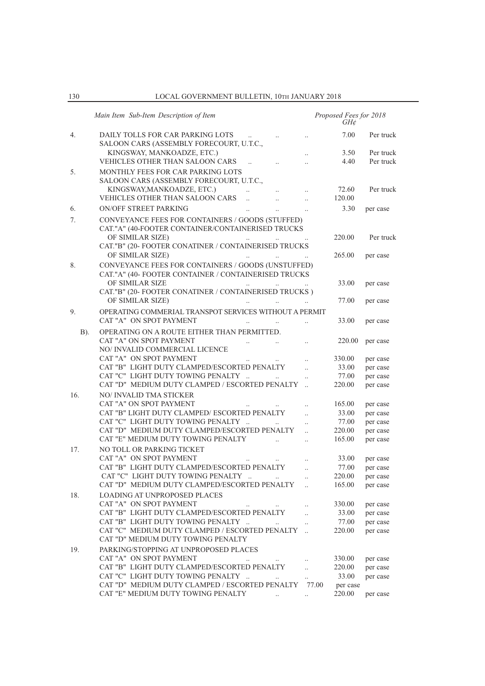130 LOCAL GOVERNMENT BULLETIN, 10Th JANUARY 2018

|             | Main Item Sub-Item Description of Item                                                                                                                                                                             |                       | Proposed Fees for 2018<br>GH¢ |                       |
|-------------|--------------------------------------------------------------------------------------------------------------------------------------------------------------------------------------------------------------------|-----------------------|-------------------------------|-----------------------|
| 4.          | DAILY TOLLS FOR CAR PARKING LOTS<br>SALOON CARS (ASSEMBLY FORECOURT, U.T.C.,                                                                                                                                       |                       | 7.00                          | Per truck             |
|             | KINGSWAY, MANKOADZE, ETC.)                                                                                                                                                                                         | $\ddotsc$             | 3.50                          | Per truck             |
| 5.          | VEHICLES OTHER THAN SALOON CARS<br>$\ddotsc$<br>MONTHLY FEES FOR CAR PARKING LOTS<br>SALOON CARS (ASSEMBLY FORECOURT, U.T.C.,                                                                                      | $\ddotsc$             | 4.40                          | Per truck             |
|             | KINGSWAY, MANKOADZE, ETC.)<br>$\ddotsc$<br>$\ddotsc$                                                                                                                                                               | $\ddotsc$             | 72.60                         | Per truck             |
|             | VEHICLES OTHER THAN SALOON CARS<br>$\ddot{\phantom{a}}$                                                                                                                                                            | $\ddot{\phantom{0}}$  | 120.00                        |                       |
| 6.          | ON/OFF STREET PARKING<br>$\ddotsc$                                                                                                                                                                                 | $\ddots$              | 3.30                          | per case              |
| 7.          | CONVEYANCE FEES FOR CONTAINERS / GOODS (STUFFED)<br>CAT."A" (40-FOOTER CONTAINER/CONTAINERISED TRUCKS<br>OF SIMILAR SIZE)<br>CAT."B" (20- FOOTER CONATINER / CONTAINERISED TRUCKS<br>OF SIMILAR SIZE)<br>$\ddotsc$ |                       | 220.00<br>265.00              | Per truck<br>per case |
| 8.          | CONVEYANCE FEES FOR CONTAINERS / GOODS (UNSTUFFED)<br>CAT."A" (40- FOOTER CONTAINER / CONTAINERISED TRUCKS<br>OF SIMILAR SIZE                                                                                      |                       | 33.00                         | per case              |
|             | CAT."B" (20- FOOTER CONATINER / CONTAINERISED TRUCKS)<br>OF SIMILAR SIZE)                                                                                                                                          |                       | 77.00                         | per case              |
| 9.          | OPERATING COMMERIAL TRANSPOT SERVICES WITHOUT A PERMIT<br>CAT "A" ON SPOT PAYMENT                                                                                                                                  |                       | 33.00                         | per case              |
| <b>B</b> ). | OPERATING ON A ROUTE EITHER THAN PERMITTED.<br>CAT "A" ON SPOT PAYMENT                                                                                                                                             | $\ddot{\phantom{a}}$  | 220.00                        | per case              |
|             | NO/ INVALID COMMERCIAL LICENCE                                                                                                                                                                                     |                       |                               |                       |
|             | CAT "A" ON SPOT PAYMENT                                                                                                                                                                                            |                       | 330.00                        | per case              |
|             | CAT "B" LIGHT DUTY CLAMPED/ESCORTED PENALTY                                                                                                                                                                        | $\ddotsc$             | 33.00                         | per case              |
|             | CAT "C" LIGHT DUTY TOWING PENALTY                                                                                                                                                                                  | $\ddotsc$             | 77.00                         | per case              |
| 16.         | CAT "D" MEDIUM DUTY CLAMPED / ESCORTED PENALTY<br>NO/ INVALID TMA STICKER                                                                                                                                          |                       | 220.00                        | per case              |
|             | CAT "A" ON SPOT PAYMENT                                                                                                                                                                                            | $\ddotsc$             | 165.00                        | per case              |
|             | CAT "B" LIGHT DUTY CLAMPED/ ESCORTED PENALTY                                                                                                                                                                       | $\ddotsc$             | 33.00                         | per case              |
|             | CAT "C" LIGHT DUTY TOWING PENALTY                                                                                                                                                                                  | $\ddotsc$             | 77.00                         | per case              |
|             | CAT "D" MEDIUM DUTY CLAMPED/ESCORTED PENALTY                                                                                                                                                                       | $\ddotsc$             | 220.00                        | per case              |
| 17.         | CAT "E" MEDIUM DUTY TOWING PENALTY<br>NO TOLL OR PARKING TICKET                                                                                                                                                    |                       | 165.00                        | per case              |
|             | CAT "A" ON SPOT PAYMENT                                                                                                                                                                                            |                       | 33.00                         | per case              |
|             | CAT "B" LIGHT DUTY CLAMPED/ESCORTED PENALTY                                                                                                                                                                        | $\ddotsc$             | 77.00                         | per case              |
|             | CAT "C" LIGHT DUTY TOWING PENALTY                                                                                                                                                                                  |                       | 220.00                        | per case              |
| 18.         | CAT "D" MEDIUM DUTY CLAMPED/ESCORTED PENALTY<br><b>LOADING AT UNPROPOSED PLACES</b>                                                                                                                                |                       | 165.00                        | per case              |
|             | CAT "A" ON SPOT PAYMENT                                                                                                                                                                                            | $\ddotsc$             | 330.00                        | per case              |
|             | CAT "B" LIGHT DUTY CLAMPED/ESCORTED PENALTY                                                                                                                                                                        |                       | 33.00                         | per case              |
|             | CAT "B" LIGHT DUTY TOWING PENALTY                                                                                                                                                                                  | $\ddots$              | 77.00                         | per case              |
|             | CAT "C" MEDIUM DUTY CLAMPED / ESCORTED PENALTY<br>CAT "D" MEDIUM DUTY TOWING PENALTY                                                                                                                               | $\dddot{\phantom{0}}$ | 220.00                        | per case              |
| 19.         | PARKING/STOPPING AT UNPROPOSED PLACES                                                                                                                                                                              |                       |                               |                       |
|             | CAT "A" ON SPOT PAYMENT                                                                                                                                                                                            | $\ddots$              | 330.00                        | per case              |
|             | CAT "B" LIGHT DUTY CLAMPED/ESCORTED PENALTY                                                                                                                                                                        | $\ddotsc$             | 220.00                        | per case              |
|             | CAT "C" LIGHT DUTY TOWING PENALTY<br>$\ddots$                                                                                                                                                                      | $\ddots$              | 33.00                         | per case              |
|             | CAT "D" MEDIUM DUTY CLAMPED / ESCORTED PENALTY 77.00                                                                                                                                                               |                       | per case                      |                       |
|             | CAT "E" MEDIUM DUTY TOWING PENALTY<br>$\ldots$                                                                                                                                                                     | $\ddots$              | 220.00                        | per case              |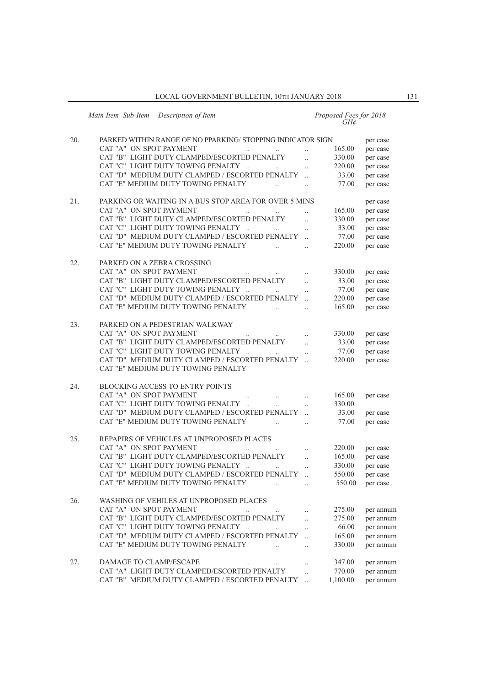|     | Main Item Sub-Item<br>Description of Item                   |                      | Proposed Fees for 2018<br>GH¢ |           |
|-----|-------------------------------------------------------------|----------------------|-------------------------------|-----------|
| 20. | PARKED WITHIN RANGE OF NO PPARKING/STOPPING INDICATOR SIGN  |                      |                               |           |
|     | CAT "A" ON SPOT PAYMENT                                     |                      | 165.00                        | per case  |
|     |                                                             | $\ddot{\phantom{a}}$ |                               | per case  |
|     | CAT "B" LIGHT DUTY CLAMPED/ESCORTED PENALTY                 |                      | 330.00                        | per case  |
|     | CAT "C" LIGHT DUTY TOWING PENALTY                           | $\ldots$             | 220.00                        | per case  |
|     | CAT "D" MEDIUM DUTY CLAMPED / ESCORTED PENALTY              |                      | 33.00                         | per case  |
|     | CAT "E" MEDIUM DUTY TOWING PENALTY                          | $\ldots$             | 77.00                         | per case  |
| 21. | PARKING OR WAITING IN A BUS STOP AREA FOR OVER 5 MINS       |                      |                               | per case  |
|     | CAT "A" ON SPOT PAYMENT                                     |                      | 165.00                        | per case  |
|     | CAT "B" LIGHT DUTY CLAMPED/ESCORTED PENALTY                 |                      | 330.00                        | per case  |
|     | CAT "C" LIGHT DUTY TOWING PENALTY                           | $\ldots$             | 33.00                         | per case  |
|     | CAT "D" MEDIUM DUTY CLAMPED / ESCORTED PENALTY              |                      | 77.00                         | per case  |
|     | CAT "E" MEDIUM DUTY TOWING PENALTY                          | $\ddot{\phantom{0}}$ | 220.00                        | per case  |
| 22. | PARKED ON A ZEBRA CROSSING                                  |                      |                               |           |
|     | CAT "A" ON SPOT PAYMENT                                     |                      | 330.00                        |           |
|     | $\cdot\cdot$<br>CAT "B" LIGHT DUTY CLAMPED/ESCORTED PENALTY | $\ldots$             |                               | per case  |
|     |                                                             | $\ddotsc$            | 33.00                         | per case  |
|     | CAT "C" LIGHT DUTY TOWING PENALTY<br>$\ddotsc$              | $\ddotsc$            | 77.00                         | per case  |
|     | CAT "D" MEDIUM DUTY CLAMPED / ESCORTED PENALTY              |                      | 220.00                        | per case  |
|     | CAT "E" MEDIUM DUTY TOWING PENALTY<br>$\ddotsc$             | $\ddotsc$            | 165.00                        | per case  |
| 23. | PARKED ON A PEDESTRIAN WALKWAY                              |                      |                               |           |
|     | CAT "A" ON SPOT PAYMENT                                     | $\ddotsc$            | 330.00                        | per case  |
|     | CAT "B" LIGHT DUTY CLAMPED/ESCORTED PENALTY                 |                      | 33.00                         | per case  |
|     | CAT "C" LIGHT DUTY TOWING PENALTY                           | $\ldots$             | 77.00                         | per case  |
|     | CAT "D" MEDIUM DUTY CLAMPED / ESCORTED PENALTY              |                      | 220.00                        | per case  |
|     | CAT "E" MEDIUM DUTY TOWING PENALTY                          |                      |                               |           |
| 24. | <b>BLOCKING ACCESS TO ENTRY POINTS</b>                      |                      |                               |           |
|     | CAT "A" ON SPOT PAYMENT                                     | $\ldots$             | 165.00                        | per case  |
|     | CAT "C" LIGHT DUTY TOWING PENALTY                           |                      | 330.00                        |           |
|     | CAT "D" MEDIUM DUTY CLAMPED / ESCORTED PENALTY              | $\ldots$             | 33.00                         |           |
|     | CAT "E" MEDIUM DUTY TOWING PENALTY                          | $\ddotsc$            |                               | per case  |
|     | $\ddotsc$                                                   | $\ddot{\phantom{0}}$ | 77.00                         | per case  |
| 25. | REPAPIRS OF VEHICLES AT UNPROPOSED PLACES                   |                      |                               |           |
|     | CAT "A" ON SPOT PAYMENT<br>$\ldots$                         | $\ldots$             | 220.00                        | per case  |
|     | CAT "B" LIGHT DUTY CLAMPED/ESCORTED PENALTY                 | $\ddotsc$            | 165.00                        | per case  |
|     | CAT "C" LIGHT DUTY TOWING PENALTY                           | $\ddot{\phantom{a}}$ | 330.00                        | per case  |
|     | CAT "D" MEDIUM DUTY CLAMPED / ESCORTED PENALTY              |                      | 550.00                        | per case  |
|     | CAT "E" MEDIUM DUTY TOWING PENALTY                          |                      | 550.00                        | per case  |
| 26. | WASHING OF VEHILES AT UNPROPOSED PLACES                     |                      |                               |           |
|     | CAT "A" ON SPOT PAYMENT<br>$\ddotsc$                        | $\ddotsc$            | 275.00                        | per annum |
|     | CAT "B" LIGHT DUTY CLAMPED/ESCORTED PENALTY                 | $\ddotsc$            | 275.00                        | per annum |
|     | CAT "C" LIGHT DUTY TOWING PENALTY                           |                      | 66.00                         | per annum |
|     | CAT "D" MEDIUM DUTY CLAMPED / ESCORTED PENALTY              | $\ddotsc$            | 165.00                        | per annum |
|     | CAT "E" MEDIUM DUTY TOWING PENALTY                          | $\ldots$             | 330.00                        | per annum |
|     |                                                             |                      |                               |           |
| 27. | DAMAGE TO CLAMP/ESCAPE                                      | $\ldots$             | 347.00                        | per annum |
|     | CAT "A" LIGHT DUTY CLAMPED/ESCORTED PENALTY                 | $\ddotsc$            | 770.00                        | per annum |
|     | CAT "B" MEDIUM DUTY CLAMPED / ESCORTED PENALTY              | $\dddotsc$           | 1,100.00                      | per annum |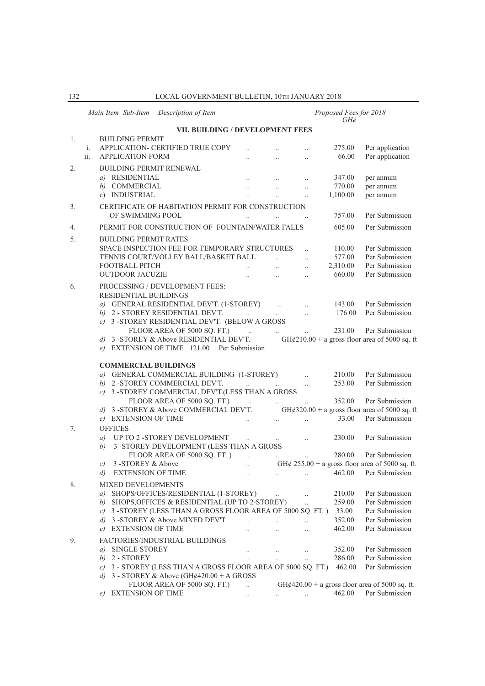|    |                     | Main Item Sub-Item                                | Description of Item                                                                                                              |                        |                                                    |                                  | Proposed Fees for 2018<br>GH¢ |                                                   |
|----|---------------------|---------------------------------------------------|----------------------------------------------------------------------------------------------------------------------------------|------------------------|----------------------------------------------------|----------------------------------|-------------------------------|---------------------------------------------------|
|    |                     |                                                   | VII. BUILDING / DEVELOPMENT FEES                                                                                                 |                        |                                                    |                                  |                               |                                                   |
| 1. | i.<br>ii.           | <b>BUILDING PERMIT</b><br><b>APPLICATION FORM</b> | APPLICATION- CERTIFIED TRUE COPY                                                                                                 | $\ddotsc$              | $\ddotsc$                                          | $\ddot{\phantom{a}}$             | 275.00<br>66.00               | Per application<br>Per application                |
| 2. |                     |                                                   | <b>BUILDING PERMIT RENEWAL</b>                                                                                                   |                        |                                                    |                                  |                               |                                                   |
|    |                     | a) RESIDENTIAL                                    |                                                                                                                                  |                        |                                                    | $\ddotsc$                        | 347.00                        | per annum                                         |
|    |                     | b) COMMERCIAL                                     |                                                                                                                                  | $\ddotsc$              | $\ddotsc$                                          | $\ddotsc$                        | 770.00                        | per annum                                         |
|    |                     | c) INDUSTRIAL                                     |                                                                                                                                  |                        | $\ddotsc$                                          |                                  | 1,100.00                      | per annum                                         |
| 3. |                     |                                                   | CERTIFICATE OF HABITATION PERMIT FOR CONSTRUCTION                                                                                |                        |                                                    |                                  |                               |                                                   |
|    |                     | OF SWIMMING POOL                                  |                                                                                                                                  |                        |                                                    |                                  | 757.00                        | Per Submission                                    |
| 4. |                     |                                                   | PERMIT FOR CONSTRUCTION OF FOUNTAIN/WATER FALLS                                                                                  |                        |                                                    |                                  | 605.00                        | Per Submission                                    |
| 5. |                     | <b>BUILDING PERMIT RATES</b>                      |                                                                                                                                  |                        |                                                    |                                  |                               |                                                   |
|    |                     |                                                   | SPACE INSPECTION FEE FOR TEMPORARY STRUCTURES                                                                                    |                        |                                                    |                                  | 110.00                        | Per Submission                                    |
|    |                     |                                                   | TENNIS COURT/VOLLEY BALL/BASKET BALL                                                                                             |                        |                                                    | $\ddotsc$                        | 577.00                        | Per Submission                                    |
|    |                     | FOOTBALL PITCH                                    |                                                                                                                                  | $\ddotsc$              | $\dddot{\phantom{0}}$                              | $\ddotsc$                        | 2,310.00                      | Per Submission                                    |
|    |                     | <b>OUTDOOR JACUZIE</b>                            |                                                                                                                                  |                        | $\ddotsc$                                          | $\ddot{\phantom{a}}$             | 660.00                        | Per Submission                                    |
| 6. |                     |                                                   | PROCESSING / DEVELOPMENT FEES:                                                                                                   |                        |                                                    |                                  |                               |                                                   |
|    |                     | RESIDENTIAL BUILDINGS                             |                                                                                                                                  |                        |                                                    |                                  |                               |                                                   |
|    |                     |                                                   | a) GENERAL RESIDENTIAL DEV'T. (1-STOREY)                                                                                         |                        |                                                    |                                  | 143.00                        | Per Submission                                    |
|    |                     |                                                   | b) 2 - STOREY RESIDENTIAL DEV'T.                                                                                                 | $\ddotsc$              | $\ddots$                                           |                                  | 176.00                        | Per Submission                                    |
|    |                     |                                                   | c) 3 -STOREY RESIDENTIAL DEV'T. (BELOW A GROSS                                                                                   |                        |                                                    |                                  |                               |                                                   |
|    |                     |                                                   | FLOOR AREA OF 5000 SQ. FT.)                                                                                                      | $\sim$                 | $\ddots$                                           | $\ddotsc$                        | 231.00                        | Per Submission                                    |
|    | d)                  |                                                   | 3 -STOREY & Above RESIDENTIAL DEV'T.<br>e) EXTENSION OF TIME 121.00 Per Submission                                               |                        |                                                    |                                  |                               | GH¢210.00 + a gross floor area of 5000 sq. ft     |
|    |                     | <b>COMMERCIAL BUILDINGS</b>                       | a) GENERAL COMMERCIAL BUILDING (1-STOREY)<br>b) 2 - STOREY COMMERCIAL DEV'T.<br>c) 3 -STOREY COMMERCIAL DEV'T.(LESS THAN A GROSS | $\ddotsc$              |                                                    | $\ddotsc$<br>$\ddotsc$           | 210.00<br>253.00              | Per Submission<br>Per Submission                  |
|    |                     |                                                   | FLOOR AREA OF 5000 SQ. FT.)                                                                                                      | $\sim 100$             | $\ldots$                                           | $\ddotsc$                        | 352.00                        | Per Submission                                    |
|    |                     |                                                   | d) 3 -STOREY & Above COMMERCIAL DEV'T.                                                                                           |                        |                                                    |                                  |                               | GH¢320.00 + a gross floor area of 5000 sq. ft     |
|    |                     | e) EXTENSION OF TIME                              |                                                                                                                                  |                        |                                                    | $\ddotsc$                        | 33.00                         | Per Submission                                    |
| 7. |                     | <b>OFFICES</b>                                    |                                                                                                                                  |                        |                                                    |                                  |                               |                                                   |
|    | a)                  |                                                   | UP TO 2 -STOREY DEVELOPMENT                                                                                                      | $\ddotsc$              | $\ldots$                                           | $\ddotsc$                        | 230.00                        | Per Submission                                    |
|    | b)                  |                                                   | 3 -STOREY DEVELOPMENT (LESS THAN A GROSS<br>FLOOR AREA OF 5000 SQ. FT.)                                                          |                        |                                                    |                                  | 280.00                        | Per Submission                                    |
|    | C)                  | 3 -STOREY & Above                                 |                                                                                                                                  | $\ddotsc$<br>$\ddotsc$ |                                                    |                                  |                               | GH¢ $255.00 + a$ gross floor area of 5000 sq. ft. |
|    | $\left( d\right)$   | EXTENSION OF TIME                                 |                                                                                                                                  |                        | $\ldots$                                           |                                  |                               | 462.00 Per Submission                             |
|    |                     |                                                   |                                                                                                                                  |                        |                                                    |                                  |                               |                                                   |
| 8. |                     | MIXED DEVELOPMENTS                                |                                                                                                                                  |                        |                                                    |                                  | 210.00                        | Per Submission                                    |
|    | a)<br>b)            |                                                   | SHOPS/OFFICES/RESIDENTIAL (1-STOREY)<br>SHOPS, OFFICES & RESIDENTIAL (UP TO 2-STOREY)                                            |                        | $\ddotsc$                                          | $\ldots$<br>$\ddot{\phantom{a}}$ | 259.00                        | Per Submission                                    |
|    | c)                  |                                                   | 3 -STOREY (LESS THAN A GROSS FLOOR AREA OF 5000 SQ. FT.)                                                                         |                        |                                                    |                                  | 33.00                         | Per Submission                                    |
|    | d)                  |                                                   | 3 -STOREY & Above MIXED DEV'T.                                                                                                   | $\ddotsc$              | $\ddotsc$                                          | $\ddotsc$                        | 352.00                        | Per Submission                                    |
|    | e)                  | <b>EXTENSION OF TIME</b>                          |                                                                                                                                  | $\ddotsc$              | $\ldots$                                           | $\ddotsc$                        | 462.00                        | Per Submission                                    |
|    |                     |                                                   |                                                                                                                                  |                        |                                                    |                                  |                               |                                                   |
| 9. |                     |                                                   | FACTORIES/INDUSTRIAL BUILDINGS                                                                                                   |                        |                                                    |                                  |                               |                                                   |
|    | a)                  | <b>SINGLE STOREY</b>                              |                                                                                                                                  | $\ldots$               | $\cdots$                                           | $\ldots$                         | 352.00                        | Per Submission<br>Per Submission                  |
|    | b)                  | 2 - STOREY                                        | 3 - STOREY (LESS THAN A GROSS FLOOR AREA OF 5000 SQ. FT.)                                                                        | $\ddots$               |                                                    | $\ddotsc$                        | 286.00<br>462.00              | Per Submission                                    |
|    | $\mathcal{C}$<br>d) |                                                   | 3 - STOREY & Above (GH¢420.00 + A GROSS                                                                                          |                        |                                                    |                                  |                               |                                                   |
|    |                     |                                                   | FLOOR AREA OF 5000 SQ. FT.)                                                                                                      | $\ddotsc$              |                                                    |                                  |                               | GH¢420.00 + a gross floor area of 5000 sq. ft.    |
|    | e)                  | <b>EXTENSION OF TIME</b>                          |                                                                                                                                  | $\ddotsc$              | $\mathbf{a}$ , and $\mathbf{a}$ , and $\mathbf{a}$ |                                  | 462.00                        | Per Submission                                    |
|    |                     |                                                   |                                                                                                                                  |                        |                                                    |                                  |                               |                                                   |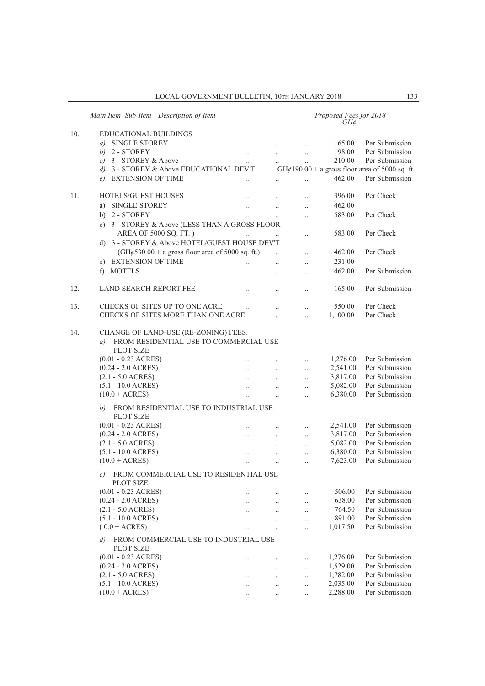|     | Main Item Sub-Item Description of Item                           |                      | Proposed Fees for 2018<br>$GH\mathcal{C}$ |                      |          |                                                |  |  |  |  |  |
|-----|------------------------------------------------------------------|----------------------|-------------------------------------------|----------------------|----------|------------------------------------------------|--|--|--|--|--|
| 10. | EDUCATIONAL BUILDINGS                                            |                      |                                           |                      |          |                                                |  |  |  |  |  |
|     | a) SINGLE STOREY                                                 | $\ddotsc$            | $\ddotsc$                                 | $\ldots$             | 165.00   | Per Submission                                 |  |  |  |  |  |
|     | $b)$ 2 - STOREY                                                  | $\ddotsc$            | $\ddotsc$                                 | $\ddot{\phantom{a}}$ | 198.00   | Per Submission                                 |  |  |  |  |  |
|     | $c)$ 3 - STOREY & Above                                          | $\ddotsc$            | $\ddots$                                  | $\ddotsc$            | 210.00   | Per Submission                                 |  |  |  |  |  |
|     | d) 3 - STOREY & Above EDUCATIONAL DEV'T                          |                      |                                           |                      |          | GH¢190.00 + a gross floor area of 5000 sq. ft. |  |  |  |  |  |
|     | e) EXTENSION OF TIME                                             |                      |                                           | $\ddotsc$            | 462.00   | Per Submission                                 |  |  |  |  |  |
|     |                                                                  |                      |                                           |                      |          |                                                |  |  |  |  |  |
| 11. | <b>HOTELS/GUEST HOUSES</b>                                       |                      |                                           | $\ldots$             | 396.00   | Per Check                                      |  |  |  |  |  |
|     | <b>SINGLE STOREY</b><br>a)                                       | $\ddotsc$            | $\ddotsc$                                 | $\ddotsc$            | 462.00   |                                                |  |  |  |  |  |
|     | b) 2 - STOREY                                                    | $\ddotsc$            | $\ddotsc$                                 | $\ddotsc$            | 583.00   | Per Check                                      |  |  |  |  |  |
|     | c) 3 - STOREY & Above (LESS THAN A GROSS FLOOR                   |                      |                                           |                      |          |                                                |  |  |  |  |  |
|     | AREA OF 5000 SQ. FT.)                                            |                      |                                           | $\ddot{\phantom{0}}$ | 583.00   | Per Check                                      |  |  |  |  |  |
|     | d) 3 - STOREY & Above HOTEL/GUEST HOUSE DEV'T.                   |                      |                                           |                      |          |                                                |  |  |  |  |  |
|     | $(GH\varphi 530.00 + a$ gross floor area of 5000 sq. ft.)        |                      |                                           | $\ddot{\phantom{0}}$ | 462.00   | Per Check                                      |  |  |  |  |  |
|     | e) EXTENSION OF TIME                                             |                      | $\ddotsc$                                 | $\ddotsc$            | 231.00   |                                                |  |  |  |  |  |
|     | f) MOTELS                                                        | $\ddot{\phantom{a}}$ | $\ddotsc$                                 | $\ddotsc$            | 462.00   | Per Submission                                 |  |  |  |  |  |
|     |                                                                  |                      |                                           |                      |          |                                                |  |  |  |  |  |
| 12. | <b>LAND SEARCH REPORT FEE</b>                                    | $\ddotsc$            |                                           |                      | 165.00   | Per Submission                                 |  |  |  |  |  |
|     |                                                                  |                      |                                           |                      |          |                                                |  |  |  |  |  |
| 13. | CHECKS OF SITES UP TO ONE ACRE                                   | $\ddotsc$            |                                           | $\ldots$             | 550.00   | Per Check                                      |  |  |  |  |  |
|     | CHECKS OF SITES MORE THAN ONE ACRE                               |                      | $\ddotsc$                                 | $\ddotsc$            | 1,100.00 | Per Check                                      |  |  |  |  |  |
|     |                                                                  |                      |                                           |                      |          |                                                |  |  |  |  |  |
| 14. | CHANGE OF LAND-USE (RE-ZONING) FEES:                             |                      |                                           |                      |          |                                                |  |  |  |  |  |
|     | FROM RESIDENTIAL USE TO COMMERCIAL USE<br>a)                     |                      |                                           |                      |          |                                                |  |  |  |  |  |
|     | <b>PLOT SIZE</b>                                                 |                      |                                           |                      |          |                                                |  |  |  |  |  |
|     | $(0.01 - 0.23$ ACRES)                                            |                      | $\ddots$                                  | $\ldots$             | 1,276.00 | Per Submission                                 |  |  |  |  |  |
|     | $(0.24 - 2.0 \text{ ACRES})$                                     |                      | $\ddot{\phantom{a}}$                      | $\ddotsc$            | 2,541.00 | Per Submission                                 |  |  |  |  |  |
|     | $(2.1 - 5.0 \text{ ACRES})$                                      |                      | $\ddot{\phantom{a}}$                      | $\ddotsc$            | 3,817.00 | Per Submission                                 |  |  |  |  |  |
|     | $(5.1 - 10.0 \text{ ACRES})$                                     | $\ddotsc$            |                                           | $\ddotsc$            | 5,082.00 | Per Submission                                 |  |  |  |  |  |
|     | $(10.0 + ACRES)$                                                 |                      |                                           | $\ddotsc$            | 6,380.00 | Per Submission                                 |  |  |  |  |  |
|     |                                                                  |                      |                                           |                      |          |                                                |  |  |  |  |  |
|     | FROM RESIDENTIAL USE TO INDUSTRIAL USE<br>b)<br><b>PLOT SIZE</b> |                      |                                           |                      |          |                                                |  |  |  |  |  |
|     | $(0.01 - 0.23$ ACRES)                                            |                      |                                           |                      | 2,541.00 | Per Submission                                 |  |  |  |  |  |
|     | $(0.24 - 2.0 \text{ ACRES})$                                     |                      |                                           | $\ldots$             | 3,817.00 | Per Submission                                 |  |  |  |  |  |
|     | $(2.1 - 5.0 \text{ ACRES})$                                      | $\ddotsc$            | $\ddots$                                  | $\ldots$             | 5,082.00 | Per Submission                                 |  |  |  |  |  |
|     | $(5.1 - 10.0 \text{ ACRES})$                                     | $\ddotsc$            |                                           | $\ldots$             | 6,380.00 | Per Submission                                 |  |  |  |  |  |
|     | $(10.0 + ACRES)$                                                 | $\ddotsc$            | $\ddotsc$                                 | $\ddotsc$            | 7,623.00 | Per Submission                                 |  |  |  |  |  |
|     |                                                                  | $\ddotsc$            | $\ddot{\phantom{a}}$                      | $\ddotsc$            |          |                                                |  |  |  |  |  |
|     | FROM COMMERCIAL USE TO RESIDENTIAL USE<br>c)                     |                      |                                           |                      |          |                                                |  |  |  |  |  |
|     | <b>PLOT SIZE</b>                                                 |                      |                                           |                      |          |                                                |  |  |  |  |  |
|     | $(0.01 - 0.23$ ACRES)                                            |                      |                                           | $\cdot$ .            | 506.00   | Per Submission                                 |  |  |  |  |  |
|     | $(0.24 - 2.0 \text{ ACRES})$                                     |                      |                                           | $\ddotsc$            | 638.00   | Per Submission                                 |  |  |  |  |  |
|     | $(2.1 - 5.0 \text{ ACRES})$                                      |                      | $\ldots$                                  | $\ldots$             | 764.50   | Per Submission                                 |  |  |  |  |  |
|     | $(5.1 - 10.0 \text{ ACRES})$                                     |                      |                                           | $\cdot$ .            | 891.00   | Per Submission                                 |  |  |  |  |  |
|     | $(0.0 + ACRES)$                                                  |                      |                                           | $\ddotsc$            | 1,017.50 | Per Submission                                 |  |  |  |  |  |
|     | FROM COMMERCIAL USE TO INDUSTRIAL USE<br>$\left( d\right)$       |                      |                                           |                      |          |                                                |  |  |  |  |  |
|     | <b>PLOT SIZE</b>                                                 |                      |                                           |                      |          |                                                |  |  |  |  |  |
|     | $(0.01 - 0.23$ ACRES)                                            |                      |                                           | $\cdot$ .            | 1,276.00 | Per Submission                                 |  |  |  |  |  |
|     | $(0.24 - 2.0 \text{ ACRES})$                                     |                      | $\ldots$                                  | $\ldots$             | 1,529.00 | Per Submission                                 |  |  |  |  |  |
|     | $(2.1 - 5.0 \text{ ACRES})$                                      |                      |                                           | $\ldots$             | 1,782.00 | Per Submission                                 |  |  |  |  |  |
|     | $(5.1 - 10.0 \text{ ACRES})$                                     | $\ddotsc$            |                                           | $\ldots$             | 2,035.00 | Per Submission                                 |  |  |  |  |  |
|     | $(10.0 + ACRES)$                                                 |                      |                                           | $\ldots$             | 2,288.00 | Per Submission                                 |  |  |  |  |  |
|     |                                                                  |                      |                                           |                      |          |                                                |  |  |  |  |  |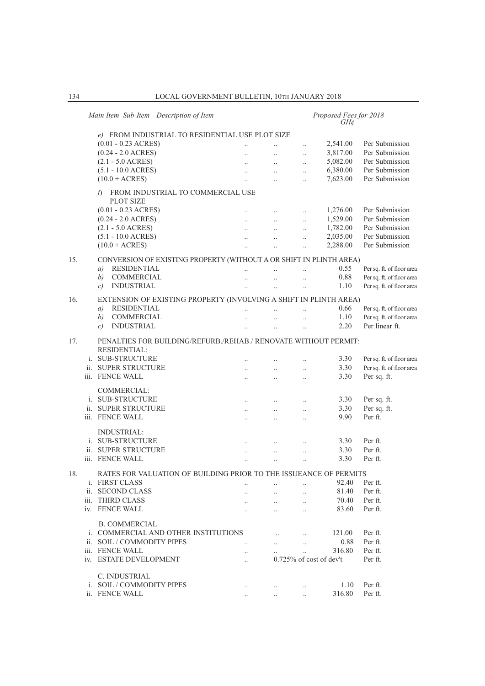|     | Main Item Sub-Item Description of Item                              |                      |                                                           | Proposed Fees for 2018<br>$GH\mathcal{E}$ |                            |                           |
|-----|---------------------------------------------------------------------|----------------------|-----------------------------------------------------------|-------------------------------------------|----------------------------|---------------------------|
|     | e) FROM INDUSTRIAL TO RESIDENTIAL USE PLOT SIZE                     |                      |                                                           |                                           |                            |                           |
|     | $(0.01 - 0.23$ ACRES)                                               |                      |                                                           | $\ddotsc$                                 | 2,541.00                   | Per Submission            |
|     | $(0.24 - 2.0 \text{ ACRES})$                                        | $\ddotsc$            | $\ddots$                                                  | $\ddotsc$                                 | 3,817.00                   | Per Submission            |
|     | $(2.1 - 5.0 \text{ ACRES})$                                         | $\ddots$             | $\ddotsc$                                                 | $\ddotsc$                                 | 5,082.00                   | Per Submission            |
|     | $(5.1 - 10.0 \text{ ACRES})$                                        | $\ddots$             | $\cdots$                                                  | $\ddot{\phantom{a}}$                      | 6,380.00                   | Per Submission            |
|     | $(10.0 + ACRES)$                                                    |                      | $\ddots$                                                  |                                           | 7,623.00                   | Per Submission            |
|     | FROM INDUSTRIAL TO COMMERCIAL USE<br>f                              |                      |                                                           |                                           |                            |                           |
|     | <b>PLOT SIZE</b>                                                    |                      |                                                           |                                           |                            |                           |
|     | $(0.01 - 0.23$ ACRES)                                               | $\ddotsc$            | $\ldots$                                                  | $\ddots$                                  | 1,276.00                   | Per Submission            |
|     | $(0.24 - 2.0 \text{ ACRES})$                                        | $\ddotsc$            | $\mathbf{1}$ , $\mathbf{1}$                               | $\ddotsc$                                 | 1,529.00                   | Per Submission            |
|     | $(2.1 - 5.0 \text{ ACRES})$                                         |                      | $\mathbf{r}_{\mathbf{r}}$ , and $\mathbf{r}_{\mathbf{r}}$ |                                           | 1,782.00                   | Per Submission            |
|     | $(5.1 - 10.0 \text{ ACRES})$                                        | $\ddotsc$            | $\ddots$                                                  | $\ddot{\phantom{a}}$                      | 2,035.00                   | Per Submission            |
|     | $(10.0 + ACRES)$                                                    |                      | $\ddotsc$                                                 | $\ddotsc$                                 | 2,288.00                   | Per Submission            |
|     |                                                                     |                      |                                                           |                                           |                            |                           |
| 15. | CONVERSION OF EXISTING PROPERTY (WITHOUT A OR SHIFT IN PLINTH AREA) |                      |                                                           |                                           |                            |                           |
|     | <b>RESIDENTIAL</b><br>a)                                            | $\ddotsc$            | $\ddotsc$                                                 | $\ddot{\phantom{a}}$                      | 0.55                       | Per sq. ft. of floor area |
|     | <b>COMMERCIAL</b><br>b)                                             |                      | $\dddotsc$                                                | $\ddotsc$                                 | 0.88                       | Per sq. ft. of floor area |
|     | <b>INDUSTRIAL</b><br>$\mathcal{C}$                                  |                      | $\ddotsc$                                                 |                                           | 1.10                       | Per sq. ft. of floor area |
| 16. | EXTENSION OF EXISTING PROPERTY (INVOLVING A SHIFT IN PLINTH AREA)   |                      |                                                           |                                           |                            |                           |
|     | <b>RESIDENTIAL</b><br>a)                                            |                      |                                                           |                                           | 0.66                       | Per sq. ft. of floor area |
|     | COMMERCIAL<br>b)                                                    |                      | $\ddotsc$                                                 | $\ddotsc$                                 | 1.10                       | Per sq. ft. of floor area |
|     | <b>INDUSTRIAL</b><br>$\mathcal{C}$                                  | $\ddot{\phantom{a}}$ | $\ddots$                                                  | $\ddotsc$                                 | 2.20                       | Per linear ft.            |
|     |                                                                     |                      |                                                           |                                           |                            |                           |
| 17. | PENALTIES FOR BUILDING/REFURB./REHAB./ RENOVATE WITHOUT PERMIT:     |                      |                                                           |                                           |                            |                           |
|     | <b>RESIDENTIAL:</b>                                                 |                      |                                                           |                                           |                            |                           |
|     | i. SUB-STRUCTURE                                                    |                      |                                                           | $\ddotsc$                                 | 3.30                       | Per sq. ft. of floor area |
|     | ii. SUPER STRUCTURE                                                 | $\ddot{\phantom{a}}$ | $\ddots$                                                  | $\ddotsc$                                 | 3.30                       | Per sq. ft. of floor area |
|     | iii. FENCE WALL                                                     | $\ddotsc$            | $\ddots$                                                  | $\ddotsc$                                 | 3.30                       | Per sq. ft.               |
|     | COMMERCIAL:                                                         |                      |                                                           |                                           |                            |                           |
|     | i. SUB-STRUCTURE                                                    |                      |                                                           |                                           | 3.30                       | Per sq. ft.               |
|     | ii. SUPER STRUCTURE                                                 | $\ddots$             | $\ldots$                                                  |                                           | 3.30                       | Per sq. ft.               |
|     | iii. FENCE WALL                                                     | $\ddots$             | $\ddots$                                                  | $\ddotsc$                                 | 9.90                       | Per ft.                   |
|     |                                                                     | $\ddots$             | $\ddots$                                                  | $\ddotsc$                                 |                            |                           |
|     | <b>INDUSTRIAL:</b>                                                  |                      |                                                           |                                           |                            |                           |
|     | i. SUB-STRUCTURE                                                    | $\ddots$             | $\ddots$                                                  | $\ddots$                                  | 3.30                       | Per ft.                   |
|     | ii. SUPER STRUCTURE                                                 |                      | $\ddot{\phantom{a}}$                                      |                                           | 3.30                       | Per ft.                   |
|     | iii. FENCE WALL                                                     |                      | $\ddotsc$                                                 | $\ddots$                                  | 3.30                       | Per ft.                   |
|     |                                                                     |                      |                                                           |                                           |                            |                           |
| 18. | RATES FOR VALUATION OF BUILDING PRIOR TO THE ISSUEANCE OF PERMITS   |                      |                                                           |                                           |                            |                           |
|     | <i>i.</i> FIRST CLASS                                               |                      |                                                           |                                           | 92.40                      | Per ft.                   |
|     | ii. SECOND CLASS                                                    |                      | $\ddot{\phantom{0}}$                                      | $\ddotsc$                                 | 81.40                      | Per ft.                   |
|     | iii. THIRD CLASS                                                    | $\ddotsc$            | $\ddotsc$                                                 | $\ddot{\phantom{a}}$                      | 70.40                      | Per ft.                   |
|     | iv. FENCE WALL                                                      |                      |                                                           |                                           | 83.60                      | Per ft.                   |
|     |                                                                     |                      |                                                           |                                           |                            |                           |
|     | <b>B. COMMERCIAL</b>                                                |                      |                                                           |                                           |                            |                           |
|     | i. COMMERCIAL AND OTHER INSTITUTIONS                                |                      | $\ddotsc$                                                 | $\ddotsc$                                 | 121.00                     | Per ft.                   |
|     | ii. SOIL / COMMODITY PIPES                                          | $\ddots$             | $\cdots$                                                  | $\ddotsc$                                 | 0.88                       | Per ft.                   |
|     | iii. FENCE WALL                                                     | $\ddotsc$            |                                                           | $\dddot{\phantom{0}}$                     | 316.80                     | Per ft.                   |
|     | iv. ESTATE DEVELOPMENT                                              |                      |                                                           |                                           | $0.725\%$ of cost of dev't | Per ft.                   |
|     | C. INDUSTRIAL                                                       |                      |                                                           |                                           |                            |                           |
|     | i. SOIL / COMMODITY PIPES                                           |                      |                                                           |                                           | 1.10                       | Per ft.                   |
|     | ii. FENCE WALL                                                      | $\ldots$             |                                                           |                                           | 316.80                     | Per ft.                   |
|     |                                                                     |                      |                                                           |                                           |                            |                           |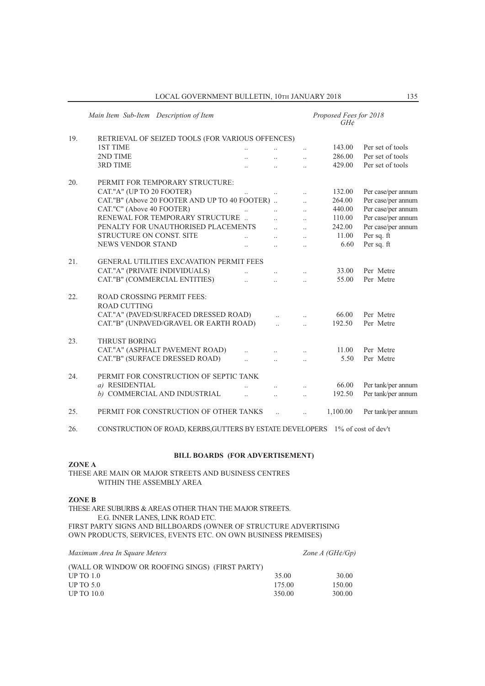|     | Main Item Sub-Item Description of Item                   |                      |                      | Proposed Fees for 2018<br>$GH\mathcal{E}$ |                    |
|-----|----------------------------------------------------------|----------------------|----------------------|-------------------------------------------|--------------------|
| 19. | RETRIEVAL OF SEIZED TOOLS (FOR VARIOUS OFFENCES)         |                      |                      |                                           |                    |
|     | <b>1ST TIME</b>                                          |                      | $\ddot{\phantom{0}}$ | 143.00                                    | Per set of tools   |
|     | 2ND TIME                                                 |                      | $\ddotsc$            | 286.00                                    | Per set of tools   |
|     | <b>3RD TIME</b>                                          |                      | $\ddotsc$            | 429.00                                    | Per set of tools   |
| 20. | PERMIT FOR TEMPORARY STRUCTURE:                          |                      |                      |                                           |                    |
|     | CAT."A" (UP TO 20 FOOTER)                                | $\ddotsc$            |                      | 132.00                                    | Per case/per annum |
|     | CAT."B" (Above 20 FOOTER AND UP TO 40 FOOTER)            |                      | $\ddotsc$            | 264.00                                    | Per case/per annum |
|     | CAT."C" (Above 40 FOOTER)<br>$\ddotsc$                   | $\ddotsc$            | $\ddotsc$            | 440.00                                    | Per case/per annum |
|     | RENEWAL FOR TEMPORARY STRUCTURE                          | $\ddot{\phantom{a}}$ | $\ddotsc$            | 110.00                                    | Per case/per annum |
|     | PENALTY FOR UNAUTHORISED PLACEMENTS                      | $\ddotsc$            | $\ddots$             | 242.00                                    | Per case/per annum |
|     | STRUCTURE ON CONST. SITE                                 | $\ddotsc$            | $\ddot{\phantom{0}}$ | 11.00                                     | Per sq. ft         |
|     | <b>NEWS VENDOR STAND</b>                                 |                      | $\ddotsc$            | 6.60                                      | Per sq. ft         |
| 21. | <b>GENERAL UTILITIES EXCAVATION PERMIT FEES</b>          |                      |                      |                                           |                    |
|     | CAT."A" (PRIVATE INDIVIDUALS)                            | $\ddotsc$            |                      | 33.00                                     | Per Metre          |
|     | CAT."B" (COMMERCIAL ENTITIES)                            | $\ddot{\phantom{a}}$ |                      | 55.00                                     | Per Metre          |
| 22. | <b>ROAD CROSSING PERMIT FEES:</b><br><b>ROAD CUTTING</b> |                      |                      |                                           |                    |
|     | CAT."A" (PAVED/SURFACED DRESSED ROAD)                    | $\ddotsc$            | $\ddotsc$            | 66.00                                     | Per Metre          |
|     | CAT."B" (UNPAVED/GRAVEL OR EARTH ROAD)                   | $\ddotsc$            | $\ddotsc$            | 192.50                                    | Per Metre          |
| 23. | <b>THRUST BORING</b>                                     |                      |                      |                                           |                    |
|     | CAT."A" (ASPHALT PAVEMENT ROAD)                          |                      | $\ddotsc$            | 11.00                                     | Per Metre          |
|     | CAT."B" (SURFACE DRESSED ROAD)                           | $\ddotsc$            | $\ddotsc$            | 5.50                                      | Per Metre          |
| 24. | PERMIT FOR CONSTRUCTION OF SEPTIC TANK                   |                      |                      |                                           |                    |
|     | a) RESIDENTIAL                                           |                      | $\ddot{\phantom{0}}$ | 66.00                                     | Per tank/per annum |
|     | b) COMMERCIAL AND INDUSTRIAL                             | $\ddotsc$            | $\ddotsc$            | 192.50                                    | Per tank/per annum |
| 25. | PERMIT FOR CONSTRUCTION OF OTHER TANKS                   |                      | $\ddotsc$            | 1,100.00                                  | Per tank/per annum |

26. CONSTRUCTION OF ROAD, KERBS,GUTTERS BY ESTATE DEVELOPERS 1% of cost of dev't

#### **BILL BOARDS (FOR ADVERTISEMENT)**

**ZONE A**

ThESE ARE MAIN OR MAJOR STREETS AND BUSINESS CENTRES WIThIN ThE ASSEMBLY AREA

**ZONE B**

ThESE ARE SUBURBS & AREAS OThER ThAN ThE MAJOR STREETS. E.G. INNER LANES, LINK ROAD ETC. FIRST PARTY SIGNS AND BILLBOARDS (OWNER OF STRUCTURE ADVERTISING OWN PRODUCTS, SERVICES, EVENTS ETC. ON OWN BUSINESS PREMISES)

*Maximum Area In Square Meters Zone A (GH¢/Gp)* (WALL OR WINDOW OR ROOFING SINGS) (FIRST PARTY) UP TO 1.0 35.00 30.00 UP TO 5.0 175.00 150.00 UP TO 10.0 350.00 300.00 300.00 300.00 300.00 300.00 300.00 300.00 300.00 300.00 300.00 300.00 300.00 300.00 300.00 300.00 300.00 300.00 300.00 300.00 300.00 300.00 300.00 300.00 300.00 300.00 300.00 300.00 300.00 300.00 3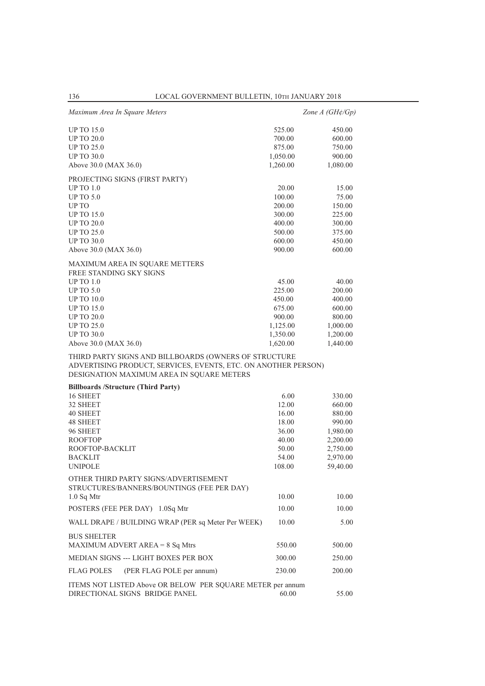| Maximum Area In Square Meters                                                                                                                                        |          | Zone $A(GH\phi/Gp)$ |
|----------------------------------------------------------------------------------------------------------------------------------------------------------------------|----------|---------------------|
| <b>UP TO 15.0</b>                                                                                                                                                    | 525.00   | 450.00              |
| <b>UP TO 20.0</b>                                                                                                                                                    | 700.00   | 600.00              |
| <b>UP TO 25.0</b>                                                                                                                                                    | 875.00   | 750.00              |
| <b>UP TO 30.0</b>                                                                                                                                                    | 1,050.00 | 900.00              |
| Above 30.0 (MAX 36.0)                                                                                                                                                | 1,260.00 | 1,080.00            |
| PROJECTING SIGNS (FIRST PARTY)                                                                                                                                       |          |                     |
| <b>UP TO 1.0</b>                                                                                                                                                     | 20.00    | 15.00               |
| <b>UP TO 5.0</b>                                                                                                                                                     | 100.00   | 75.00               |
| UP TO                                                                                                                                                                | 200.00   | 150.00              |
| <b>UP TO 15.0</b>                                                                                                                                                    | 300.00   | 225.00              |
| <b>UP TO 20.0</b>                                                                                                                                                    | 400.00   | 300.00              |
| <b>UP TO 25.0</b>                                                                                                                                                    | 500.00   | 375.00              |
| <b>UP TO 30.0</b>                                                                                                                                                    | 600.00   | 450.00              |
| Above 30.0 (MAX 36.0)                                                                                                                                                | 900.00   | 600.00              |
| MAXIMUM AREA IN SQUARE METTERS                                                                                                                                       |          |                     |
| FREE STANDING SKY SIGNS                                                                                                                                              |          |                     |
| <b>UP TO 1.0</b>                                                                                                                                                     | 45.00    | 40.00               |
| <b>UP TO 5.0</b>                                                                                                                                                     | 225.00   | 200.00              |
| <b>UP TO 10.0</b>                                                                                                                                                    | 450.00   | 400.00              |
| <b>UP TO 15.0</b>                                                                                                                                                    | 675.00   | 600.00              |
| <b>UP TO 20.0</b>                                                                                                                                                    | 900.00   | 800.00              |
| <b>UP TO 25.0</b>                                                                                                                                                    | 1,125.00 | 1,000.00            |
| <b>UP TO 30.0</b>                                                                                                                                                    | 1,350.00 | 1,200.00            |
| Above 30.0 (MAX 36.0)                                                                                                                                                | 1,620.00 | 1,440.00            |
| THIRD PARTY SIGNS AND BILLBOARDS (OWNERS OF STRUCTURE<br>ADVERTISING PRODUCT, SERVICES, EVENTS, ETC. ON ANOTHER PERSON)<br>DESIGNATION MAXIMUM AREA IN SQUARE METERS |          |                     |
| <b>Billboards /Structure (Third Party)</b>                                                                                                                           |          |                     |
| 16 SHEET                                                                                                                                                             | 6.00     | 330.00              |
| 32 SHEET                                                                                                                                                             | 12.00    | 660.00              |
| 40 SHEET                                                                                                                                                             | 16.00    | 880.00              |
| 48 SHEET                                                                                                                                                             | 18.00    | 990.00              |
| 96 SHEET                                                                                                                                                             | 36.00    | 1,980.00            |
| <b>ROOFTOP</b>                                                                                                                                                       | 40.00    | 2,200.00            |
| ROOFTOP-BACKLIT                                                                                                                                                      | 50.00    | 2,750.00            |
| <b>BACKLIT</b>                                                                                                                                                       | 54.00    | 2,970.00            |
| <b>UNIPOLE</b>                                                                                                                                                       | 108.00   | 59,40.00            |
| OTHER THIRD PARTY SIGNS/ADVERTISEMENT                                                                                                                                |          |                     |
| STRUCTURES/BANNERS/BOUNTINGS (FEE PER DAY)                                                                                                                           | 10.00    | 10.00               |
| $1.0$ Sq Mtr                                                                                                                                                         | 10.00    | 10.00               |
| POSTERS (FEE PER DAY) 1.0Sq Mtr                                                                                                                                      |          |                     |
| WALL DRAPE / BUILDING WRAP (PER sq Meter Per WEEK)                                                                                                                   | 10.00    | 5.00                |
| <b>BUS SHELTER</b>                                                                                                                                                   |          |                     |
| MAXIMUM ADVERT AREA = $8$ Sq Mtrs                                                                                                                                    | 550.00   | 500.00              |
| MEDIAN SIGNS --- LIGHT BOXES PER BOX                                                                                                                                 | 300.00   | 250.00              |
| <b>FLAG POLES</b><br>(PER FLAG POLE per annum)                                                                                                                       | 230.00   | 200.00              |
| ITEMS NOT LISTED Above OR BELOW PER SQUARE METER per annum                                                                                                           |          |                     |
| DIRECTIONAL SIGNS BRIDGE PANEL                                                                                                                                       | 60.00    | 55.00               |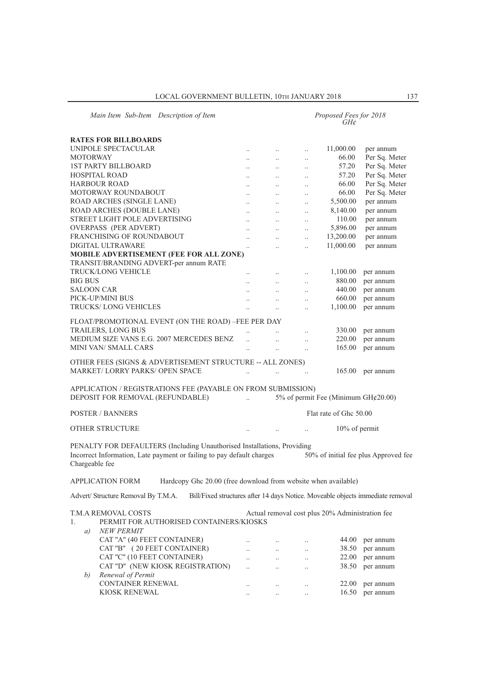| Main Item Sub-Item Description of Item                                             |                      |                                   |                      | Proposed Fees for 2018<br>GH¢                   |                                                                                |
|------------------------------------------------------------------------------------|----------------------|-----------------------------------|----------------------|-------------------------------------------------|--------------------------------------------------------------------------------|
| <b>RATES FOR BILLBOARDS</b>                                                        |                      |                                   |                      |                                                 |                                                                                |
| UNIPOLE SPECTACULAR                                                                | $\ddotsc$            | $\ldots$                          | $\ddot{\phantom{a}}$ | 11,000.00                                       | per annum                                                                      |
| <b>MOTORWAY</b>                                                                    | $\ddotsc$            | $\ddotsc$                         | $\ddotsc$            | 66.00                                           | Per Sq. Meter                                                                  |
| <b>1ST PARTY BILLBOARD</b>                                                         |                      |                                   |                      | 57.20                                           | Per Sq. Meter                                                                  |
| <b>HOSPITAL ROAD</b>                                                               | $\ddotsc$            | $\ddotsc$<br>$\ddot{\phantom{a}}$ | $\ddotsc$            | 57.20                                           | Per Sq. Meter                                                                  |
| <b>HARBOUR ROAD</b>                                                                | $\ddot{\phantom{a}}$ |                                   | $\ddotsc$            | 66.00                                           | Per Sq. Meter                                                                  |
| MOTORWAY ROUNDABOUT                                                                | $\cdot$ .            | $\ldots$                          | $\cdot$              | 66.00                                           | Per Sq. Meter                                                                  |
| ROAD ARCHES (SINGLE LANE)                                                          | $\ddotsc$            | $\ddotsc$                         | $\ddotsc$            | 5,500.00                                        | per annum                                                                      |
| ROAD ARCHES (DOUBLE LANE)                                                          | $\cdot$ .            | $\ddotsc$                         | $\ddotsc$            | 8,140.00                                        | per annum                                                                      |
| STREET LIGHT POLE ADVERTISING                                                      | $\ddot{\phantom{a}}$ | $\cdot$ .                         | $\ddotsc$            | 110.00                                          | per annum                                                                      |
| <b>OVERPASS (PER ADVERT)</b>                                                       | $\ddot{\phantom{a}}$ | $\ddot{\phantom{a}}$              | $\ddot{\phantom{a}}$ | 5,896.00                                        |                                                                                |
| FRANCHISING OF ROUNDABOUT                                                          |                      | $\ddotsc$                         | $\ddotsc$            |                                                 | per annum                                                                      |
| DIGITAL ULTRAWARE                                                                  | $\ddotsc$            | $\ddotsc$                         | $\ddot{\phantom{a}}$ | 13,200.00                                       | per annum                                                                      |
|                                                                                    | $\ddotsc$            | $\ddotsc$                         | $\ddotsc$            | 11,000.00                                       | per annum                                                                      |
| MOBILE ADVERTISEMENT (FEE FOR ALL ZONE)                                            |                      |                                   |                      |                                                 |                                                                                |
| TRANSIT/BRANDING ADVERT-per annum RATE                                             |                      |                                   |                      |                                                 |                                                                                |
| <b>TRUCK/LONG VEHICLE</b>                                                          |                      |                                   | $\cdot$              | 1,100.00                                        | per annum                                                                      |
| <b>BIG BUS</b>                                                                     | $\ddotsc$            | $\ddotsc$                         | $\ddotsc$            | 880.00                                          | per annum                                                                      |
| SALOON CAR                                                                         | $\cdot$ .            | $\ddotsc$                         | $\ddotsc$            | 440.00                                          | per annum                                                                      |
| PICK-UP/MINI BUS                                                                   | $\ddot{\phantom{a}}$ | $\cdot$ .                         | $\ddotsc$            | 660.00                                          | per annum                                                                      |
| TRUCKS/LONG VEHICLES                                                               | $\ddot{\phantom{a}}$ | $\ddot{\phantom{a}}$              | $\ddot{\phantom{a}}$ | 1,100.00                                        | per annum                                                                      |
| FLOAT/PROMOTIONAL EVENT (ON THE ROAD) -FEE PER DAY                                 |                      |                                   |                      |                                                 |                                                                                |
| <b>TRAILERS, LONG BUS</b>                                                          |                      |                                   |                      | 330.00                                          | per annum                                                                      |
| MEDIUM SIZE VANS E.G. 2007 MERCEDES BENZ                                           |                      |                                   | $\ddot{\phantom{a}}$ | 220.00                                          | per annum                                                                      |
| <b>MINI VAN/ SMALL CARS</b>                                                        | $\ddotsc$            | $\ddotsc$                         | $\ddotsc$            | 165.00                                          | per annum                                                                      |
|                                                                                    | $\ddotsc$            | $\ddotsc$                         | $\ddotsc$            |                                                 |                                                                                |
| OTHER FEES (SIGNS & ADVERTISEMENT STRUCTURE -- ALL ZONES)                          |                      |                                   |                      |                                                 |                                                                                |
| <b>MARKET/LORRY PARKS/ OPEN SPACE</b>                                              |                      |                                   |                      | 165.00                                          | per annum                                                                      |
|                                                                                    |                      |                                   |                      |                                                 |                                                                                |
| APPLICATION / REGISTRATIONS FEE (PAYABLE ON FROM SUBMISSION)                       |                      |                                   |                      |                                                 |                                                                                |
| DEPOSIT FOR REMOVAL (REFUNDABLE)                                                   | $\ddotsc$            |                                   |                      | 5% of permit Fee (Minimum $GH¢20.00$ )          |                                                                                |
|                                                                                    |                      |                                   |                      |                                                 |                                                                                |
| <b>POSTER / BANNERS</b>                                                            |                      |                                   |                      | Flat rate of Ghc 50.00                          |                                                                                |
|                                                                                    |                      |                                   |                      |                                                 |                                                                                |
| <b>OTHER STRUCTURE</b>                                                             |                      |                                   |                      | 10% of permit                                   |                                                                                |
|                                                                                    |                      |                                   |                      |                                                 |                                                                                |
| PENALTY FOR DEFAULTERS (Including Unauthorised Installations, Providing            |                      |                                   |                      |                                                 |                                                                                |
| Incorrect Information, Late payment or failing to pay default charges              |                      |                                   |                      |                                                 | 50% of initial fee plus Approved fee                                           |
| Chargeable fee                                                                     |                      |                                   |                      |                                                 |                                                                                |
|                                                                                    |                      |                                   |                      |                                                 |                                                                                |
| APPLICATION FORM<br>Hardcopy Ghc 20.00 (free download from website when available) |                      |                                   |                      |                                                 |                                                                                |
| Advert/ Structure Removal By T.M.A.                                                |                      |                                   |                      |                                                 | Bill/Fixed structures after 14 days Notice. Moveable objects immediate removal |
|                                                                                    |                      |                                   |                      |                                                 |                                                                                |
| T.M.A REMOVAL COSTS                                                                |                      |                                   |                      | Actual removal cost plus 20% Administration fee |                                                                                |
| PERMIT FOR AUTHORISED CONTAINERS/KIOSKS                                            |                      |                                   |                      |                                                 |                                                                                |
| 1.                                                                                 |                      |                                   |                      |                                                 |                                                                                |
| <b>NEW PERMIT</b><br>a)                                                            |                      |                                   |                      |                                                 |                                                                                |
| CAT "A" (40 FEET CONTAINER)                                                        |                      | $\ldots$                          |                      | 44.00                                           | per annum                                                                      |
| CAT "B" (20 FEET CONTAINER)                                                        | $\ddotsc$            | $\ddotsc$                         | $\ddotsc$            | 38.50                                           | per annum                                                                      |
| CAT "C" (10 FEET CONTAINER)                                                        | $\ddot{\phantom{a}}$ | $\ddotsc$                         | $\ddot{\phantom{0}}$ | 22.00                                           | per annum                                                                      |
| CAT "D" (NEW KIOSK REGISTRATION)                                                   | $\ddot{\phantom{a}}$ | $\ddot{\phantom{a}}$              | $\ddotsc$            | 38.50                                           | per annum                                                                      |
| Renewal of Permit<br>b)                                                            |                      |                                   |                      |                                                 |                                                                                |
| CONTAINER RENEWAL                                                                  | $\cdot$ .            | $\ldots$                          | $\ddot{\phantom{a}}$ | 22.00                                           | per annum                                                                      |
| KIOSK RENEWAL                                                                      |                      |                                   |                      | 16.50                                           | per annum                                                                      |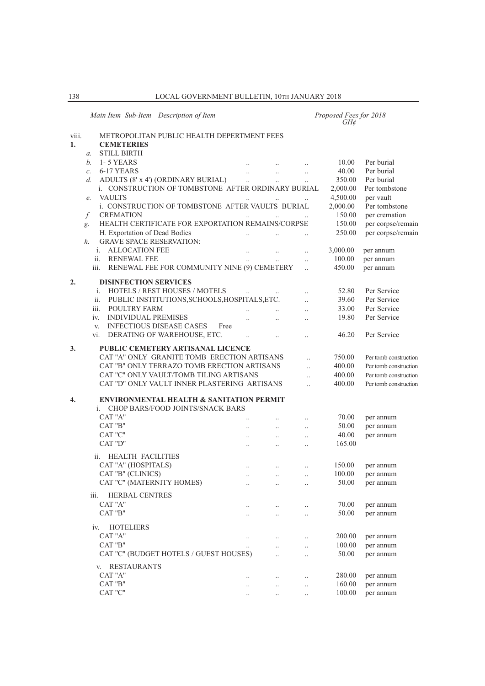|             | Main Item Sub-Item Description of Item                                           |                      |                      |                      | Proposed Fees for 2018<br>$GH\mathcal{C}$ |                                                |
|-------------|----------------------------------------------------------------------------------|----------------------|----------------------|----------------------|-------------------------------------------|------------------------------------------------|
| viii.<br>1. | METROPOLITAN PUBLIC HEALTH DEPERTMENT FEES<br><b>CEMETERIES</b>                  |                      |                      |                      |                                           |                                                |
|             | <b>STILL BIRTH</b><br>$\alpha$ .                                                 |                      |                      |                      |                                           |                                                |
|             | 1-5 YEARS<br>$h_{\cdot}$                                                         |                      |                      |                      | 10.00                                     | Per burial                                     |
|             | 6-17 YEARS<br>$\mathcal{C}$ .                                                    |                      | $\ddotsc$            | $\ddotsc$            | 40.00                                     | Per burial                                     |
|             | ADULTS (8' x 4') (ORDINARY BURIAL)<br>d.                                         |                      | $\ddotsc$            | $\ddotsc$            | 350.00                                    | Per burial                                     |
|             | i. CONSTRUCTION OF TOMBSTONE AFTER ORDINARY BURIAL                               |                      |                      |                      | 2,000.00                                  | Per tombstone                                  |
|             | <b>VAULTS</b><br>e.                                                              |                      |                      |                      | 4,500.00                                  | per vault                                      |
|             | i. CONSTRUCTION OF TOMBSTONE AFTER VAULTS BURIAL                                 |                      |                      |                      | 2,000.00                                  | Per tombstone                                  |
|             | <b>CREMATION</b><br>f.                                                           |                      |                      |                      | 150.00                                    | per cremation                                  |
|             | HEALTH CERTIFICATE FOR EXPORTATION REMAINS/CORPSE<br>g.                          |                      |                      |                      | 150.00                                    | per corpse/remain                              |
|             | H. Exportation of Dead Bodies                                                    | $\ddot{\phantom{a}}$ | $\ldots$             |                      | 250.00                                    | per corpse/remain                              |
|             | <b>GRAVE SPACE RESERVATION:</b><br>h.                                            |                      |                      |                      |                                           |                                                |
|             | i. ALLOCATION FEE                                                                |                      | $\ldots$             | $\ddotsc$            | 3,000.00                                  | per annum                                      |
|             | ii.<br><b>RENEWAL FEE</b>                                                        |                      |                      | $\ddotsc$            | 100.00                                    | per annum                                      |
|             | RENEWAL FEE FOR COMMUNITY NINE (9) CEMETERY<br>iii.                              |                      |                      | $\ddotsc$            | 450.00                                    | per annum                                      |
| 2.          | <b>DISINFECTION SERVICES</b>                                                     |                      |                      |                      |                                           |                                                |
|             | HOTELS / REST HOUSES / MOTELS<br>i.                                              |                      |                      | $\ddot{\phantom{0}}$ | 52.80                                     | Per Service                                    |
|             | ii.<br>PUBLIC INSTITUTIONS, SCHOOLS, HOSPITALS, ETC.                             |                      |                      | $\ddotsc$            | 39.60                                     | Per Service                                    |
|             | iii.<br>POULTRY FARM                                                             |                      | $\ddots$             | $\ddotsc$            | 33.00                                     | Per Service                                    |
|             | <b>INDIVIDUAL PREMISES</b><br>iv.                                                |                      | $\ddotsc$            |                      | 19.80                                     | Per Service                                    |
|             | <b>INFECTIOUS DISEASE CASES</b><br>Free<br>V.                                    |                      |                      |                      |                                           |                                                |
|             | DERATING OF WAREHOUSE, ETC.<br>vi.                                               | $\ddotsc$            | $\ddotsc$            | $\ddotsc$            | 46.20                                     | Per Service                                    |
|             |                                                                                  |                      |                      |                      |                                           |                                                |
| 3.          | PUBLIC CEMETERY ARTISANAL LICENCE<br>CAT "A" ONLY GRANITE TOMB ERECTION ARTISANS |                      |                      |                      |                                           |                                                |
|             | CAT "B" ONLY TERRAZO TOMB ERECTION ARTISANS                                      |                      |                      | $\ddotsc$            | 750.00<br>400.00                          | Per tomb construction                          |
|             | CAT "C" ONLY VAULT/TOMB TILING ARTISANS                                          |                      |                      | $\ddotsc$            | 400.00                                    | Per tomb construction<br>Per tomb construction |
|             | CAT "D" ONLY VAULT INNER PLASTERING ARTISANS                                     |                      |                      |                      | 400.00                                    | Per tomb construction                          |
|             |                                                                                  |                      |                      | $\ddotsc$            |                                           |                                                |
| 4.          | <b>ENVIRONMENTAL HEALTH &amp; SANITATION PERMIT</b>                              |                      |                      |                      |                                           |                                                |
|             | i. CHOP BARS/FOOD JOINTS/SNACK BARS                                              |                      |                      |                      |                                           |                                                |
|             | CAT "A"                                                                          |                      |                      | $\ddotsc$            | 70.00                                     | per annum                                      |
|             | CAT "B"                                                                          |                      | $\ddotsc$            |                      | 50.00                                     | per annum                                      |
|             | CAT "C"                                                                          | $\ddots$             | $\ddotsc$            | $\ddotsc$            | 40.00                                     | per annum                                      |
|             | CAT "D"                                                                          | $\ldots$             | $\ldots$             | $\ddotsc$            | 165.00                                    |                                                |
|             | ii. HEALTH FACILITIES                                                            |                      |                      |                      |                                           |                                                |
|             | CAT "A" (HOSPITALS)                                                              |                      |                      |                      | 150.00                                    | per annum                                      |
|             | CAT "B" (CLINICS)                                                                |                      | $\ldots$             |                      | 100.00                                    | per annum                                      |
|             | CAT "C" (MATERNITY HOMES)                                                        |                      |                      |                      | 50.00                                     |                                                |
|             |                                                                                  | $\cdot$ .            | $\ldots$             | $\ldots$             |                                           | per annum                                      |
|             | <b>HERBAL CENTRES</b><br>iii.                                                    |                      |                      |                      |                                           |                                                |
|             | CAT "A"                                                                          |                      | $\cdot$ .            | $\ddotsc$            | 70.00                                     | per annum                                      |
|             | CAT "B"                                                                          | $\ddotsc$            | $\ddot{\phantom{0}}$ | $\ddotsc$            | 50.00                                     | per annum                                      |
|             | <b>HOTELIERS</b><br>iv.                                                          |                      |                      |                      |                                           |                                                |
|             | CAT "A"                                                                          | $\ldots$             |                      |                      | 200.00                                    | per annum                                      |
|             | CAT "B"                                                                          |                      | $\ddot{\phantom{0}}$ | $\ddot{\phantom{0}}$ | 100.00                                    | per annum                                      |
|             | CAT "C" (BUDGET HOTELS / GUEST HOUSES)                                           |                      |                      |                      | 50.00                                     | per annum                                      |
|             | <b>RESTAURANTS</b><br>V.                                                         |                      |                      |                      |                                           |                                                |
|             | CAT "A"                                                                          |                      |                      |                      | 280.00                                    | per annum                                      |
|             | CAT "B"                                                                          | $\cdot$ .            | $\ddotsc$            | $\ddot{\phantom{0}}$ | 160.00                                    | per annum                                      |
|             | CAT "C"                                                                          | $\cdot$ .            |                      | $\cdot$ .            | 100.00                                    | per annum                                      |
|             |                                                                                  |                      |                      |                      |                                           |                                                |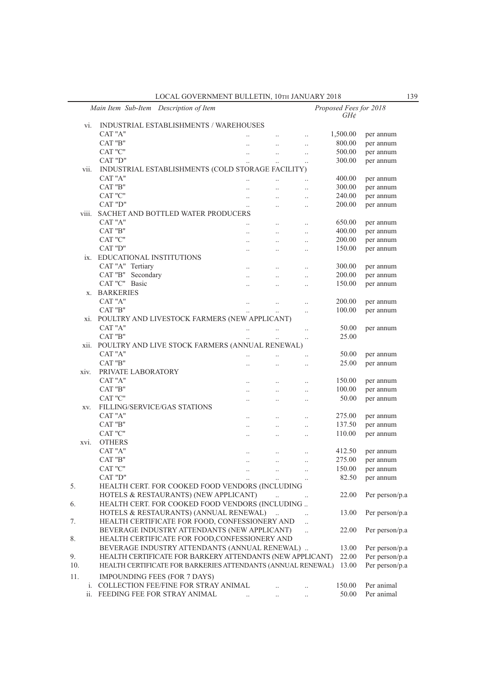LOCAL GOVERNMENT BULLETIN, 10TH JANUARY 2018 139

|     |       | Main Item Sub-Item Description of Item                       |                      |                      |                      | Proposed Fees for 2018<br>$GH\phi$ |                |
|-----|-------|--------------------------------------------------------------|----------------------|----------------------|----------------------|------------------------------------|----------------|
|     | vi.   | INDUSTRIAL ESTABLISHMENTS / WAREHOUSES                       |                      |                      |                      |                                    |                |
|     |       | CAT "A"                                                      | $\cdot$ .            | $\ldots$             | $\cdot$              | 1,500.00                           | per annum      |
|     |       | CAT "B"                                                      | $\ddotsc$            | $\ddotsc$            | $\cdot$              | 800.00                             | per annum      |
|     |       | CAT "C"                                                      | $\ddotsc$            | $\ddotsc$            | $\ldots$             | 500.00                             | per annum      |
|     |       | CAT "D"                                                      | $\ddotsc$            | $\ldots$             | $\ldots$             | 300.00                             | per annum      |
|     | vii.  | INDUSTRIAL ESTABLISHMENTS (COLD STORAGE FACILITY)            |                      |                      |                      |                                    |                |
|     |       | CAT "A"                                                      | $\ddotsc$            |                      |                      | 400.00                             | per annum      |
|     |       | CAT "B"                                                      |                      |                      |                      | 300.00                             | per annum      |
|     |       | CAT "C"                                                      | $\ddotsc$            | $\ddotsc$            | $\cdot$              | 240.00                             | per annum      |
|     |       | CAT "D"                                                      | $\ddotsc$            | $\ddotsc$            | $\ddotsc$            | 200.00                             | per annum      |
|     | viii. | SACHET AND BOTTLED WATER PRODUCERS                           |                      |                      |                      |                                    |                |
|     |       | CAT "A"                                                      | $\ddotsc$            | $\ldots$             | $\cdot$              | 650.00                             | per annum      |
|     |       | CAT "B"                                                      | $\ddotsc$            | $\ddotsc$            |                      | 400.00                             | per annum      |
|     |       | CAT "C"                                                      | $\ddotsc$            | $\ddotsc$            | $\cdot$              | 200.00                             | per annum      |
|     |       | CAT "D"                                                      | $\ddotsc$            | $\ddotsc$            | $\ddot{\phantom{a}}$ | 150.00                             | per annum      |
|     |       | ix. EDUCATIONAL INSTITUTIONS                                 |                      |                      |                      |                                    |                |
|     |       | CAT "A" Tertiary                                             | $\cdot$ .            | $\ldots$             | $\cdot$              | 300.00                             | per annum      |
|     |       | CAT "B"<br>Secondary                                         | $\ddotsc$            | $\ddotsc$            | $\ddotsc$            | 200.00                             | per annum      |
|     |       | CAT "C" Basic                                                | $\ddot{\phantom{a}}$ |                      | $\ddot{\phantom{a}}$ | 150.00                             | per annum      |
|     | X.    | <b>BARKERIES</b>                                             |                      |                      |                      |                                    |                |
|     |       | CAT "A"                                                      | $\ldots$             | $\cdot$ .            |                      | 200.00                             | per annum      |
|     |       | CAT "B"                                                      | $\ddot{\phantom{0}}$ | $\ldots$             |                      | 100.00                             | per annum      |
|     |       | xi. POULTRY AND LIVESTOCK FARMERS (NEW APPLICANT)            |                      |                      |                      |                                    |                |
|     |       | CAT "A"                                                      | $\ddotsc$            | $\ddotsc$            | $\ddot{\phantom{a}}$ | 50.00                              | per annum      |
|     |       | CAT "B"                                                      |                      | $\ddotsc$            | $\ddotsc$            | 25.00                              |                |
|     | xii.  | POULTRY AND LIVE STOCK FARMERS (ANNUAL RENEWAL)              |                      |                      |                      |                                    |                |
|     |       | CAT "A"                                                      | $\cdot$              |                      |                      | 50.00                              | per annum      |
|     |       | CAT "B"                                                      |                      | $\ddot{\phantom{a}}$ | $\ddotsc$            | 25.00                              | per annum      |
|     | xiv.  | PRIVATE LABORATORY                                           |                      |                      |                      |                                    |                |
|     |       | CAT "A"                                                      | $\ddotsc$            |                      | $\ddot{\phantom{a}}$ | 150.00                             | per annum      |
|     |       | CAT "B"                                                      | $\cdot$ .            | $\ldots$             | $\cdot$              | 100.00                             | per annum      |
|     |       | CAT "C"                                                      |                      |                      |                      | 50.00                              | per annum      |
|     | XV.   | FILLING/SERVICE/GAS STATIONS                                 |                      |                      |                      |                                    |                |
|     |       | CAT "A"                                                      |                      | $\ddotsc$            | $\ddot{\phantom{a}}$ | 275.00                             | per annum      |
|     |       | CAT "B"                                                      | $\ddotsc$            | $\ddotsc$            | $\ddotsc$            | 137.50                             | per annum      |
|     |       | CAT "C"                                                      | $\ldots$             | $\cdot$              |                      | 110.00                             | per annum      |
|     | XVI.  | <b>OTHERS</b>                                                |                      |                      |                      |                                    |                |
|     |       | CAT "A"                                                      | $\ddotsc$            | $\ddotsc$            |                      | 412.50                             | per annum      |
|     |       | CAT "B"                                                      | $\ddotsc$            | $\ddotsc$            | $\ddot{\phantom{a}}$ | 275.00                             | per annum      |
|     |       | CAT "C"                                                      |                      |                      |                      | 150.00                             | per annum      |
|     |       | $\rm CAT$ "D"                                                | $\ldots$             |                      | $\cdot\cdot$         | 82.50                              | per annum      |
| 5.  |       | HEALTH CERT. FOR COOKED FOOD VENDORS (INCLUDING              |                      |                      |                      |                                    |                |
|     |       | HOTELS & RESTAURANTS) (NEW APPLICANT)                        |                      | $\ddot{\phantom{a}}$ |                      | 22.00                              | Per person/p.a |
| 6.  |       | HEALTH CERT. FOR COOKED FOOD VENDORS (INCLUDING              |                      |                      |                      |                                    |                |
|     |       | HOTELS & RESTAURANTS) (ANNUAL RENEWAL)                       |                      |                      |                      | 13.00                              | Per person/p.a |
| 7.  |       | HEALTH CERTIFICATE FOR FOOD, CONFESSIONERY AND               |                      |                      | $\ddot{\phantom{a}}$ |                                    |                |
|     |       | BEVERAGE INDUSTRY ATTENDANTS (NEW APPLICANT)                 |                      |                      | $\ddotsc$            | 22.00                              | Per person/p.a |
| 8.  |       | HEALTH CERTIFICATE FOR FOOD, CONFESSIONERY AND               |                      |                      |                      |                                    |                |
|     |       | BEVERAGE INDUSTRY ATTENDANTS (ANNUAL RENEWAL).               |                      |                      |                      | 13.00                              | Per person/p.a |
| 9.  |       | HEALTH CERTIFICATE FOR BARKERY ATTENDANTS (NEW APPLICANT)    |                      |                      |                      | 22.00                              | Per person/p.a |
| 10. |       | HEALTH CERTIFICATE FOR BARKERIES ATTENDANTS (ANNUAL RENEWAL) |                      |                      |                      | 13.00                              | Per person/p.a |
| 11. |       | <b>IMPOUNDING FEES (FOR 7 DAYS)</b>                          |                      |                      |                      |                                    |                |
|     | i.    | COLLECTION FEE/FINE FOR STRAY ANIMAL                         |                      |                      |                      | 150.00                             | Per animal     |
|     |       | FEEDING FEE FOR STRAY ANIMAL                                 |                      |                      |                      | 50.00                              | Per animal     |
|     | ii.   |                                                              | $\ddotsc$            | $\ldots$             | $\cdot$ .            |                                    |                |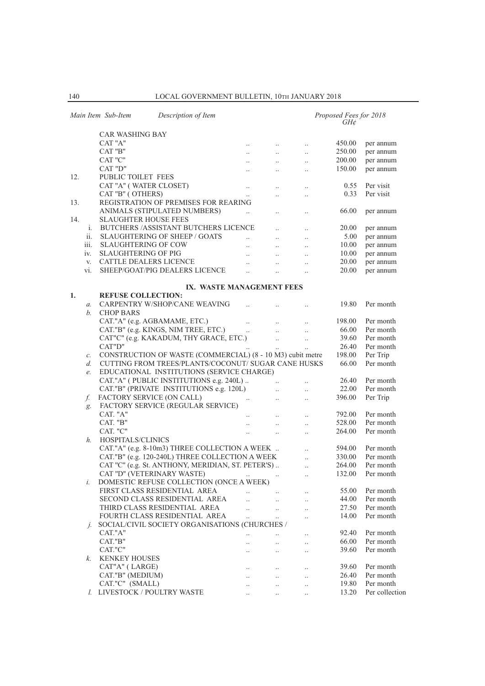|                 | Main Item Sub-Item<br>Description of Item                  |                       |                       |                      | Proposed Fees for 2018<br>$GH\mathcal{C}$ |                |
|-----------------|------------------------------------------------------------|-----------------------|-----------------------|----------------------|-------------------------------------------|----------------|
|                 | <b>CAR WASHING BAY</b>                                     |                       |                       |                      |                                           |                |
|                 | CAT "A"                                                    | $\ddots$              | $\ddotsc$             | $\ddotsc$            | 450.00                                    | per annum      |
|                 | CAT "B"                                                    | $\ddots$              | $\ddots$              | $\ddotsc$            | 250.00                                    | per annum      |
|                 | CAT "C"                                                    | $\ldots$              | $\ldots$              | $\ddot{\phantom{a}}$ | 200.00                                    | per annum      |
|                 | CAT "D"                                                    | $\ddots$              | $\ldots$              | $\ddot{\phantom{a}}$ | 150.00                                    | per annum      |
| 12.             | PUBLIC TOILET FEES                                         |                       |                       |                      |                                           |                |
|                 | CAT "A" (WATER CLOSET)                                     |                       |                       |                      | 0.55                                      | Per visit      |
|                 | CAT "B" (OTHERS)                                           | $\ldots$<br>$\ddotsc$ | $\ldots$              | $\ldots$             | 0.33                                      | Per visit      |
| 13.             | REGISTRATION OF PREMISES FOR REARING                       |                       | $\ddotsc$             | $\ddotsc$            |                                           |                |
|                 | ANIMALS (STIPULATED NUMBERS)                               |                       |                       |                      | 66.00                                     | per annum      |
| 14.             | <b>SLAUGHTER HOUSE FEES</b>                                | $\ddotsc$             | $\ldots$              | $\ldots$             |                                           |                |
| i.              | <b>BUTCHERS /ASSISTANT BUTCHERS LICENCE</b>                |                       |                       |                      | 20.00                                     |                |
| ii.             | <b>SLAUGHTERING OF SHEEP / GOATS</b>                       |                       | $\ddot{\phantom{a}}$  | $\ddotsc$            |                                           | per annum      |
|                 |                                                            | $\ddotsc$             | $\ddot{\phantom{a}}$  | $\ddotsc$            | 5.00                                      | per annum      |
| iii.            | <b>SLAUGHTERING OF COW</b>                                 | $\ddotsc$             | $\ddots$              | $\ldots$             | 10.00                                     | per annum      |
| iv.             | <b>SLAUGHTERING OF PIG</b>                                 | $\ddots$              | $\ddots$              | $\ddotsc$            | 10.00                                     | per annum      |
| V.              | CATTLE DEALERS LICENCE                                     | $\ddotsc$             | $\ddotsc$             | $\ddotsc$            | 20.00                                     | per annum      |
| vi.             | SHEEP/GOAT/PIG DEALERS LICENCE                             | $\ddotsc$             | $\ddotsc$             | $\ddotsc$            | 20.00                                     | per annum      |
|                 |                                                            |                       |                       |                      |                                           |                |
| 1.              | IX. WASTE MANAGEMENT FEES<br><b>REFUSE COLLECTION:</b>     |                       |                       |                      |                                           |                |
|                 | <b>CARPENTRY W/SHOP/CANE WEAVING</b>                       |                       |                       |                      | 19.80                                     | Per month      |
| $a$ .<br>b.     | <b>CHOP BARS</b>                                           |                       |                       | $\ddotsc$            |                                           |                |
|                 |                                                            |                       |                       |                      |                                           |                |
|                 | CAT."A" (e.g. AGBAMAME, ETC.)                              | $\ddot{\phantom{a}}$  | $\ddotsc$             | $\ddotsc$            | 198.00                                    | Per month      |
|                 | CAT."B" (e.g. KINGS, NIM TREE, ETC.)                       | $\dddot{\phantom{0}}$ | $\ddotsc$             | $\ddotsc$            | 66.00                                     | Per month      |
|                 | CAT"C" (e.g. KAKADUM, THY GRACE, ETC.)                     |                       | $\ddots$              | $\ldots$             | 39.60                                     | Per month      |
|                 | CAT"D"                                                     |                       | $\ddots$              | $\ddotsc$            | 26.40                                     | Per month      |
| $\mathcal{C}.$  | CONSTRUCTION OF WASTE (COMMERCIAL) (8 - 10 M3) cubit metre |                       |                       |                      | 198.00                                    | Per Trip       |
| d.              | CUTTING FROM TREES/PLANTS/COCONUT/ SUGAR CANE HUSKS        |                       |                       |                      | 66.00                                     | Per month      |
| $e_{\cdot}$     | EDUCATIONAL INSTITUTIONS (SERVICE CHARGE)                  |                       |                       |                      |                                           |                |
|                 | CAT."A" (PUBLIC INSTITUTIONS e.g. 240L)                    |                       |                       | $\ddot{\phantom{a}}$ | 26.40                                     | Per month      |
|                 | CAT."B" (PRIVATE INSTITUTIONS e.g. 120L)                   |                       | $\dddot{\phantom{0}}$ | $\ddotsc$            | 22.00                                     | Per month      |
| f.              | FACTORY SERVICE (ON CALL)                                  | $\cdots$              | $\ldots$              | $\ddotsc$            | 396.00                                    | Per Trip       |
| g.              | FACTORY SERVICE (REGULAR SERVICE)                          |                       |                       |                      |                                           |                |
|                 | CAT. "A"                                                   |                       | $\ddotsc$             | $\ddotsc$            | 792.00                                    | Per month      |
|                 | CAT. "B"                                                   | $\ddot{\phantom{a}}$  | $\ddotsc$             | $\ddotsc$            | 528.00                                    | Per month      |
|                 | CAT. "C"                                                   | $\ldots$              | $\ldots$              | $\ldots$             | 264.00                                    | Per month      |
| h.              | HOSPITALS/CLINICS                                          |                       |                       |                      |                                           |                |
|                 | CAT."A" (e.g. 8-10m3) THREE COLLECTION A WEEK              |                       |                       | $\ddot{\phantom{a}}$ | 594.00                                    | Per month      |
|                 | CAT."B" (e.g. 120-240L) THREE COLLECTION A WEEK            |                       |                       | $\ddotsc$            | 330.00                                    | Per month      |
|                 | CAT "C" (e.g. St. ANTHONY, MERIDIAN, ST. PETER'S)          |                       |                       | $\ddotsc$            | 264.00                                    | Per month      |
|                 | CAT "D" (VETERINARY WASTE)                                 | $\cdots$              |                       | $\ddotsc$            | 132.00                                    | Per month      |
| i.              | DOMESTIC REFUSE COLLECTION (ONCE A WEEK)                   |                       |                       |                      |                                           |                |
|                 | FIRST CLASS RESIDENTIAL AREA                               |                       |                       |                      | 55.00                                     | Per month      |
|                 | SECOND CLASS RESIDENTIAL AREA                              | $\ddotsc$             | $\ddot{\phantom{a}}$  | $\ddotsc$            | 44.00                                     | Per month      |
|                 | THIRD CLASS RESIDENTIAL AREA                               | $\ddotsc$             | $\ddotsc$             |                      | 27.50                                     | Per month      |
|                 | FOURTH CLASS RESIDENTIAL AREA                              | $\ddotsc$             |                       | $\ddot{\phantom{a}}$ | 14.00                                     | Per month      |
|                 | SOCIAL/CIVIL SOCIETY ORGANISATIONS (CHURCHES /             |                       | $\ddot{\phantom{a}}$  | $\ddot{\phantom{a}}$ |                                           |                |
| $\mathcal{I}$ . | CAT."A"                                                    |                       |                       |                      | 92.40                                     | Per month      |
|                 |                                                            | $\ddotsc$             |                       | $\ddot{\phantom{a}}$ |                                           |                |
|                 | CAT."B"                                                    | $\ddot{\phantom{0}}$  | $\ddot{\phantom{a}}$  | $\ddot{\phantom{a}}$ | 66.00                                     | Per month      |
|                 | CAT."C"                                                    | $\ddotsc$             | $\ddotsc$             | $\ddot{\phantom{a}}$ | 39.60                                     | Per month      |
| k.              | <b>KENKEY HOUSES</b>                                       |                       |                       |                      |                                           |                |
|                 | CAT"A" (LARGE)                                             | $\cdot$ .             | $\cdot$ .             | $\cdot$ .            | 39.60                                     | Per month      |
|                 | CAT."B" (MEDIUM)                                           | $\ddotsc$             | $\ddotsc$             | $\ddotsc$            | 26.40                                     | Per month      |
|                 | CAT."C" (SMALL)                                            | $\ddotsc$             | $\ddot{\phantom{0}}$  | $\ddot{\phantom{a}}$ | 19.80                                     | Per month      |
|                 | l. LIVESTOCK / POULTRY WASTE                               | $\ddotsc$             | $\ldots$              | $\ldots$             | 13.20                                     | Per collection |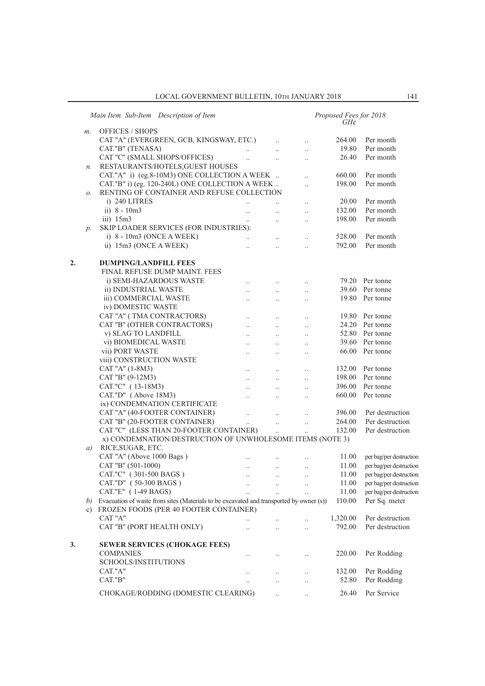|    |       | Main Item Sub-Item Description of Item                                                  |                      |                      | Proposed Fees for 2018<br>GH¢ |                         |
|----|-------|-----------------------------------------------------------------------------------------|----------------------|----------------------|-------------------------------|-------------------------|
|    | $m$ . | <b>OFFICES / SHOPS</b>                                                                  |                      |                      |                               |                         |
|    |       | CAT "A" (EVERGREEN, GCB, KINGSWAY, ETC.)                                                | $\ddots$             | $\ldots$             | 264.00                        | Per month               |
|    |       | CAT."B" (TENASA)<br>$\ddotsc$                                                           | $\ddotsc$            | $\ddotsc$            | 19.80                         | Per month               |
|    |       | CAT "C" (SMALL SHOPS/OFFICES)<br>$\cdots$                                               | $\ddotsc$            | $\ddotsc$            | 26.40                         | Per month               |
|    | n.    | RESTAURANTS/HOTELS, GUEST HOUSES                                                        |                      |                      |                               |                         |
|    |       | CAT."A" i) (eg.8-10M3) ONE COLLECTION A WEEK                                            |                      | $\ddotsc$            | 660.00                        | Per month               |
|    |       | CAT."B" i) (eg. 120-240L) ONE COLLECTION A WEEK                                         |                      | $\ddotsc$            | 198.00                        | Per month               |
|    | о.    | RENTING OF CONTAINER AND REFUSE COLLECTION                                              |                      |                      |                               |                         |
|    |       | i) 240 LITRES                                                                           |                      | $\ddots$             | 20.00                         | Per month               |
|    |       | ii) $8 - 10m3$<br>$\ldots$                                                              | $\ddotsc$            | $\ldots$             | 132.00                        | Per month               |
|    |       | iii) $15m3$<br>$\ddots$                                                                 | $\ddotsc$            | $\ldots$             | 198.00                        | Per month               |
|    | $p$ . | SKIP LOADER SERVICES (FOR INDUSTRIES):                                                  |                      |                      |                               |                         |
|    |       | i) $8 - 10m3$ (ONCE A WEEK)<br>$\ddots$                                                 | $\ddots$             |                      | 528.00                        | Per month               |
|    |       | ii) 15m3 (ONCE A WEEK)<br>$\ddotsc$                                                     | $\ddot{\phantom{a}}$ | $\ddotsc$            | 792.00                        | Per month               |
| 2. |       | <b>DUMPING/LANDFILL FEES</b>                                                            |                      |                      |                               |                         |
|    |       | FINAL REFUSE DUMP MAINT. FEES                                                           |                      |                      |                               |                         |
|    |       | i) SEMI-HAZARDOUS WASTE<br>$\ddots$                                                     | $\ddots$             | $\ddots$             |                               | 79.20 Per tonne         |
|    |       | ii) INDUSTRIAL WASTE<br>$\ddotsc$                                                       | $\ddotsc$            | $\ddot{\phantom{a}}$ |                               | 39.60 Per tonne         |
|    |       | iii) COMMERCIAL WASTE<br>$\ldots$                                                       | $\ldots$             | $\ldots$             |                               | 19.80 Per tonne         |
|    |       | iv) DOMESTIC WASTE                                                                      |                      |                      |                               |                         |
|    |       | CAT "A" (TMA CONTRACTORS)<br>$\ddots$                                                   | $\ddots$             | $\ldots$             |                               | 19.80 Per tonne         |
|    |       | CAT "B" (OTHER CONTRACTORS)<br>$\ddotsc$                                                | $\cdots$             | $\ldots$             |                               | 24.20 Per tonne         |
|    |       | v) SLAG TO LANDFILL<br>$\ddots$                                                         | $\ddots$             | $\ddots$             |                               | 52.80 Per tonne         |
|    |       | vi) BIOMEDICAL WASTE<br>$\ldots$                                                        | $\ldots$             | $\ldots$             |                               | 39.60 Per tonne         |
|    |       | vii) PORT WASTE                                                                         |                      |                      |                               | 66.00 Per tonne         |
|    |       | $\ldots$<br>viii) CONSTRUCTION WASTE                                                    | $\ldots$             | $\ldots$             |                               |                         |
|    |       | CAT "A" (1-8M3)<br>$\ddots$                                                             | $\ddots$             | $\ddots$             |                               | 132.00 Per tonne        |
|    |       | CAT "B" (9-12M3)<br>$\ddots$                                                            | $\cdots$             | $\ddotsc$            | 198.00                        | Per tonne               |
|    |       | CAT."C" (13-18M3)                                                                       | $\ldots$             | $\ldots$             | 396.00                        | Per tonne               |
|    |       | $\ldots$<br>CAT."D" (Above 18M3)<br>$\ddots$                                            | $\ldots$             |                      | 660.00                        | Per tonne               |
|    |       | ix) CONDEMNATION CERTIFICATE                                                            |                      | $\ldots$             |                               |                         |
|    |       | CAT "A" (40-FOOTER CONTAINER)<br>$\ddotsc$                                              | $\ddots$             | $\ddotsc$            | 396.00                        | Per destruction         |
|    |       | CAT "B" (20-FOOTER CONTAINER)<br>$\ddots$                                               | $\cdots$             | $\ddotsc$            | 264.00                        | Per destruction         |
|    |       | CAT "C" (LESS THAN 20-FOOTER CONTAINER)                                                 | $\ddots$             | $\ddotsc$            | 132.00                        | Per destruction         |
|    |       | x) CONDEMNATION/DESTRUCTION OF UNWHOLESOME ITEMS (NOTE 3)                               |                      |                      |                               |                         |
|    | a)    | RICE, SUGAR, ETC.                                                                       |                      |                      |                               |                         |
|    |       | CAT "A" (Above 1000 Bags)                                                               |                      | $\ddotsc$            | 11.00                         | per bag/per destruction |
|    |       | CAT "B" (501-1000)<br>$\ldots$                                                          | $\ldots$             | $\ldots$             | 11.00                         | per bag/per destruction |
|    |       | CAT."C" (301-500 BAGS)                                                                  |                      |                      | 11.00                         | per bag/per destruction |
|    |       | $\cdots$<br>CAT."D" (50-300 BAGS)                                                       | $\cdots$             | $\cdots$             | 11.00                         | per bag/per destruction |
|    |       | CAT."E" (1-49 BAGS)                                                                     |                      |                      | 11.00                         | per bag/per destruction |
|    | b)    | Evacuation of waste from sites (Materials to be excavated and transported by owner (s)) |                      |                      | 110.00                        | Per Sq. meter           |
|    | c)    | FROZEN FOODS (PER 40 FOOTER CONTAINER)                                                  |                      |                      |                               |                         |
|    |       | CAT "A"<br>$\ddotsc$                                                                    | $\ldots$             |                      | 1,320.00                      | Per destruction         |
|    |       | CAT "B" (PORT HEALTH ONLY)<br>$\ddot{\phantom{a}}$                                      | $\ddotsc$            | $\ddotsc$            | 792.00                        | Per destruction         |
|    |       |                                                                                         |                      |                      |                               |                         |
| 3. |       | <b>SEWER SERVICES (CHOKAGE FEES)</b>                                                    |                      |                      |                               |                         |
|    |       | <b>COMPANIES</b><br>$\ddotsc$                                                           |                      |                      | 220.00                        | Per Rodding             |
|    |       | SCHOOLS/INSTITUTIONS                                                                    |                      |                      |                               |                         |
|    |       | CAT."A"<br>$\cdot$ .                                                                    | $\ldots$             | $\ddotsc$            | 132.00                        | Per Rodding             |
|    |       | CAT."B"                                                                                 | $\ddotsc$            |                      | 52.80                         | Per Rodding             |
|    |       | CHOKAGE/RODDING (DOMESTIC CLEARING)                                                     | $\ldots$             |                      | 26.40                         | Per Service             |
|    |       |                                                                                         |                      |                      |                               |                         |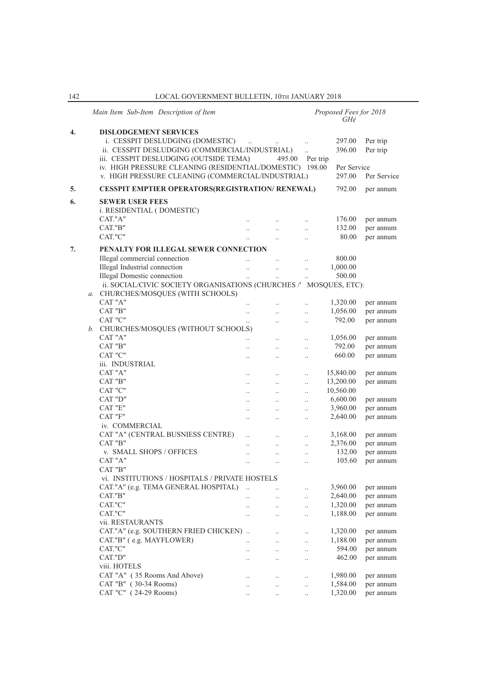|    | Main Item Sub-Item Description of Item                            |                      |                      |                       | Proposed Fees for 2018<br>$GH\phi$ |                        |
|----|-------------------------------------------------------------------|----------------------|----------------------|-----------------------|------------------------------------|------------------------|
| 4. | <b>DISLODGEMENT SERVICES</b>                                      |                      |                      |                       |                                    |                        |
|    | i. CESSPIT DESLUDGING (DOMESTIC)                                  | $\ddotsc$            |                      | $\ldots$              | 297.00                             | Per trip               |
|    | ii. CESSPIT DESLUDGING (COMMERCIAL/INDUSTRIAL)                    |                      |                      | $\ddotsc$             | 396.00                             | Per trip               |
|    | iii. CESSPIT DESLUDGING (OUTSIDE TEMA)                            |                      | 495.00               | Per trip              |                                    |                        |
|    | iv. HIGH PRESSURE CLEANING (RESIDENTIAL/DOMESTIC) 198.00          |                      |                      |                       | Per Service                        |                        |
|    | v. HIGH PRESSURE CLEANING (COMMERCIAL/INDUSTRIAL)                 |                      |                      |                       | 297.00                             | Per Service            |
| 5. | <b>CESSPIT EMPTIER OPERATORS(REGISTRATION/ RENEWAL)</b>           |                      |                      |                       | 792.00                             | per annum              |
| 6. | <b>SEWER USER FEES</b>                                            |                      |                      |                       |                                    |                        |
|    | <i>i. RESIDENTIAL (DOMESTIC)</i>                                  |                      |                      |                       |                                    |                        |
|    | CAT."A"                                                           |                      |                      |                       |                                    |                        |
|    | CAT."B"                                                           |                      |                      | $\cdot$ .             | 176.00                             | per annum              |
|    | CAT."C"                                                           | $\ddotsc$            | $\ddot{\phantom{0}}$ | $\ddotsc$             | 132.00<br>80.00                    | per annum<br>per annum |
|    |                                                                   |                      | $\ddot{\phantom{a}}$ | $\ddotsc$             |                                    |                        |
| 7. | PENALTY FOR ILLEGAL SEWER CONNECTION                              |                      |                      |                       |                                    |                        |
|    | Illegal commercial connection                                     |                      | $\ddot{\phantom{0}}$ | $\ldots$              | 800.00                             |                        |
|    | Illegal Industrial connection                                     | $\ddotsc$            | $\ddotsc$            | $\ddotsc$             | 1,000.00                           |                        |
|    | <b>Illegal Domestic connection</b>                                | $\ddotsc$            | $\ldots$             | $\ldots$              | 500.00                             |                        |
|    | ii. SOCIAL/CIVIC SOCIETY ORGANISATIONS (CHURCHES / MOSQUES, ETC): |                      |                      |                       |                                    |                        |
|    | a. CHURCHES/MOSQUES (WITH SCHOOLS)                                |                      |                      |                       |                                    |                        |
|    | CAT "A"                                                           |                      |                      | $\ddot{\phantom{0}}$  | 1,320.00                           | per annum              |
|    | CAT "B"                                                           | $\ddotsc$            | $\ddot{\phantom{0}}$ | $\ddotsc$             | 1,056.00                           | per annum              |
|    | CAT "C"                                                           | $\ddotsc$            | $\cdot$ .            | $\ldots$              | 792.00                             | per annum              |
|    | b. CHURCHES/MOSOUES (WITHOUT SCHOOLS)                             |                      |                      |                       |                                    |                        |
|    | CAT "A"                                                           | $\ddot{\phantom{a}}$ | $\cdot$ .            | $\ddotsc$             | 1,056.00                           | per annum              |
|    | CAT "B"                                                           |                      | $\ddotsc$            | $\ddotsc$             | 792.00                             | per annum              |
|    | CAT "C"                                                           | $\ddotsc$            | $\ddot{\phantom{a}}$ | $\ddotsc$             | 660.00                             | per annum              |
|    | iii. INDUSTRIAL                                                   |                      |                      |                       |                                    |                        |
|    | CAT "A"                                                           |                      |                      |                       | 15,840.00                          | per annum              |
|    | CAT "B"                                                           | <br>$\ddotsc$        | $\cdot$<br>$\ddotsc$ | $\ldots$<br>$\ddotsc$ | 13,200.00                          | per annum              |
|    | CAT "C"                                                           |                      |                      |                       | 10,560.00                          |                        |
|    | CAT "D"                                                           | $\ddotsc$            | $\ddotsc$            | $\ldots$              | 6,600.00                           | per annum              |
|    | CAT "E"                                                           | $\ddotsc$            | $\ddot{\phantom{0}}$ | $\ddotsc$             | 3,960.00                           |                        |
|    | CAT "F"                                                           | $\cdot$ .            | $\ldots$             | $\ldots$              |                                    | per annum              |
|    |                                                                   | $\cdot$ .            |                      | $\ldots$              | 2,640.00                           | per annum              |
|    | iv. COMMERCIAL                                                    |                      |                      |                       |                                    |                        |
|    | CAT "A" (CENTRAL BUSNIESS CENTRE)                                 |                      | $\ddotsc$            | $\ldots$              | 3,168.00                           | per annum              |
|    | CAT "B"                                                           | $\ddot{\phantom{0}}$ | $\ddot{\phantom{0}}$ | $\ddotsc$             | 2,376.00                           | per annum              |
|    | v. SMALL SHOPS / OFFICES                                          | $\cdot$ .            | $\ddotsc$            | $\ldots$              | 132.00                             | per annum              |
|    | CAT "A"                                                           |                      |                      | $\ddot{\phantom{a}}$  | 105.60                             | per annum              |
|    | CAT "B"                                                           |                      |                      |                       |                                    |                        |
|    | vi. INSTITUTIONS / HOSPITALS / PRIVATE HOSTELS                    |                      |                      |                       |                                    |                        |
|    | CAT."A" (e.g. TEMA GENERAL HOSPITAL)                              |                      |                      |                       | 3,960.00                           | per annum              |
|    | CAT."B"                                                           |                      |                      | $\ldots$              | 2,640.00                           | per annum              |
|    | CAT."C"                                                           |                      |                      | $\ldots$              | 1,320.00                           | per annum              |
|    | CAT."C"                                                           |                      |                      | $\cdot$ .             | 1,188.00                           | per annum              |
|    | vii. RESTAURANTS                                                  |                      |                      |                       |                                    |                        |
|    | CAT."A" (e.g. SOUTHERN FRIED CHICKEN)                             |                      |                      | $\ddotsc$             | 1,320.00                           | per annum              |
|    | CAT."B" (e.g. MAYFLOWER)                                          |                      | $\cdot$ .            | $\ldots$              | 1,188.00                           | per annum              |
|    | CAT."C"                                                           |                      |                      | $\ldots$              | 594.00                             | per annum              |
|    | CAT."D"                                                           |                      |                      | $\cdot$ .             | 462.00                             | per annum              |
|    | viii. HOTELS                                                      |                      |                      |                       |                                    |                        |
|    | CAT "A" (35 Rooms And Above)                                      |                      |                      | $\ldots$              | 1,980.00                           | per annum              |
|    | CAT "B" (30-34 Rooms)                                             |                      | $\cdot$ .            | $\ldots$              | 1,584.00                           | per annum              |
|    | CAT "C" (24-29 Rooms)                                             |                      |                      | $\ldots$              | 1,320.00                           | per annum              |
|    |                                                                   |                      |                      |                       |                                    |                        |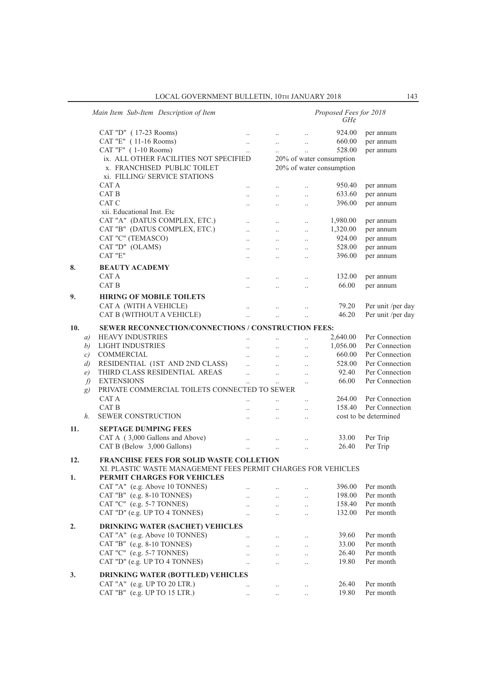|     |               | Main Item Sub-Item Description of Item                        |                      |           |                      | Proposed Fees for 2018<br>GH¢ |                       |
|-----|---------------|---------------------------------------------------------------|----------------------|-----------|----------------------|-------------------------------|-----------------------|
|     |               | CAT "D" (17-23 Rooms)                                         | $\ddotsc$            |           |                      | 924.00                        | per annum             |
|     |               | CAT "E" (11-16 Rooms)                                         | $\ddotsc$            | $\ddotsc$ | $\cdot$ .            | 660.00                        | per annum             |
|     |               | CAT "F" (1-10 Rooms)                                          | $\ddotsc$            |           | $\ddot{\phantom{a}}$ | 528.00                        | per annum             |
|     |               | ix. ALL OTHER FACILITIES NOT SPECIFIED                        |                      |           |                      | 20% of water consumption      |                       |
|     |               | x. FRANCHISED PUBLIC TOILET                                   |                      |           |                      | 20% of water consumption      |                       |
|     |               | xi. FILLING/ SERVICE STATIONS                                 |                      |           |                      |                               |                       |
|     |               | CAT A                                                         |                      |           | $\ddotsc$            | 950.40                        | per annum             |
|     |               | CAT B                                                         | $\ddot{\phantom{a}}$ | $\ddotsc$ | $\ddotsc$            | 633.60                        | per annum             |
|     |               | CAT C                                                         | $\ddot{\phantom{a}}$ |           | $\ldots$             | 396.00                        | per annum             |
|     |               | xii. Educational Inst. Etc                                    |                      |           |                      |                               |                       |
|     |               | CAT "A" (DATUS COMPLEX, ETC.)                                 | $\ddot{\phantom{a}}$ | $\ddotsc$ | $\ldots$             | 1,980.00                      | per annum             |
|     |               | CAT "B" (DATUS COMPLEX, ETC.)                                 | $\ddotsc$            | $\ldots$  | $\ldots$             | 1,320.00                      | per annum             |
|     |               | CAT "C" (TEMASCO)                                             | $\ddot{\phantom{a}}$ | $\ddotsc$ | $\ddotsc$            | 924.00                        | per annum             |
|     |               | CAT "D" (OLAMS)                                               |                      | $\ddotsc$ |                      | 528.00                        | per annum             |
|     |               | CAT "E"                                                       |                      |           | $\ldots$             | 396.00                        | per annum             |
|     |               |                                                               | $\ddot{\phantom{a}}$ | $\ddotsc$ | $\ldots$             |                               |                       |
| 8.  |               | <b>BEAUTY ACADEMY</b>                                         |                      |           |                      |                               |                       |
|     |               | CAT A                                                         |                      |           | $\ddotsc$            | 132.00                        | per annum             |
|     |               | CAT B                                                         |                      |           | $\ddotsc$            | 66.00                         | per annum             |
| 9.  |               | <b>HIRING OF MOBILE TOILETS</b>                               |                      |           |                      |                               |                       |
|     |               | CAT A (WITH A VEHICLE)                                        |                      |           | $\ddotsc$            | 79.20                         | Per unit /per day     |
|     |               | CAT B (WITHOUT A VEHICLE)                                     | $\ddot{\phantom{a}}$ |           |                      | 46.20                         | Per unit /per day     |
|     |               |                                                               |                      |           |                      |                               |                       |
| 10. |               | SEWER RECONNECTION/CONNECTIONS / CONSTRUCTION FEES:           |                      |           |                      |                               |                       |
|     | a)            | <b>HEAVY INDUSTRIES</b>                                       |                      |           | $\ddot{\phantom{0}}$ | 2,640.00                      | Per Connection        |
|     | b)            | <b>LIGHT INDUSTRIES</b>                                       |                      |           |                      | 1,056.00                      | Per Connection        |
|     | $\mathcal{C}$ | <b>COMMERCIAL</b>                                             |                      | $\ddotsc$ | $\ddotsc$            | 660.00                        | Per Connection        |
|     | d)            | RESIDENTIAL (1ST AND 2ND CLASS)                               |                      |           | $\ddotsc$            | 528.00                        | Per Connection        |
|     | e)            | THIRD CLASS RESIDENTIAL AREAS                                 | $\ddot{\phantom{a}}$ | $\ddotsc$ | $\ddotsc$            | 92.40                         | Per Connection        |
|     | f)            | <b>EXTENSIONS</b>                                             |                      | $\ddotsc$ | $\ldots$             | 66.00                         | Per Connection        |
|     | g)            | PRIVATE COMMERCIAL TOILETS CONNECTED TO SEWER                 |                      |           |                      |                               |                       |
|     |               | CAT A                                                         |                      |           | $\ddotsc$            | 264.00                        | Per Connection        |
|     |               | CAT B                                                         | $\ddot{\phantom{a}}$ | $\ddotsc$ | $\ldots$             | 158.40                        | Per Connection        |
|     | h.            | <b>SEWER CONSTRUCTION</b>                                     | $\ddotsc$            | $\ddotsc$ | $\ldots$             |                               | cost to be determined |
| 11. |               | <b>SEPTAGE DUMPING FEES</b>                                   |                      |           |                      |                               |                       |
|     |               | CAT A (3,000 Gallons and Above)                               |                      |           |                      | 33.00                         | Per Trip              |
|     |               | CAT B (Below 3,000 Gallons)                                   |                      |           |                      | 26.40                         | Per Trip              |
|     |               |                                                               | $\ddotsc$            | $\ddotsc$ | $\ddotsc$            |                               |                       |
| 12. |               | <b>FRANCHISE FEES FOR SOLID WASTE COLLETION</b>               |                      |           |                      |                               |                       |
|     |               | XI. PLASTIC WASTE MANAGEMENT FEES PERMIT CHARGES FOR VEHICLES |                      |           |                      |                               |                       |
| 1.  |               | PERMIT CHARGES FOR VEHICLES                                   |                      |           |                      |                               |                       |
|     |               | CAT "A" (e.g. Above 10 TONNES)                                |                      |           | $\cdot$ .            | 396.00                        | Per month             |
|     |               | CAT "B" (e.g. 8-10 TONNES)                                    |                      | $\ddotsc$ | $\ldots$             | 198.00                        | Per month             |
|     |               | CAT "C" (e.g. 5-7 TONNES)                                     | $\ddot{\phantom{0}}$ | $\ddots$  | $\ldots$             | 158.40                        | Per month             |
|     |               | CAT "D" (e.g. UP TO 4 TONNES)                                 | $\ddotsc$            |           | $\ldots$             | 132.00                        | Per month             |
|     |               |                                                               |                      |           |                      |                               |                       |
| 2.  |               | <b>DRINKING WATER (SACHET) VEHICLES</b>                       |                      |           |                      |                               |                       |
|     |               | CAT "A" (e.g. Above 10 TONNES)                                | $\ddotsc$            |           | $\ldots$             | 39.60                         | Per month             |
|     |               | CAT "B" (e.g. 8-10 TONNES)                                    |                      | $\ddotsc$ | $\ldots$             | 33.00                         | Per month             |
|     |               | CAT "C" (e.g. 5-7 TONNES)                                     | $\ddot{\phantom{a}}$ | $\ddotsc$ | $\ldots$             | 26.40                         | Per month             |
|     |               | CAT "D" (e.g. UP TO 4 TONNES)                                 | $\ddotsc$            |           | $\ddotsc$            | 19.80                         | Per month             |
| 3.  |               | <b>DRINKING WATER (BOTTLED) VEHICLES</b>                      |                      |           |                      |                               |                       |
|     |               | CAT "A" (e.g. UP TO 20 LTR.)                                  |                      | $\ldots$  | $\ldots$             | 26.40                         | Per month             |
|     |               | CAT "B" $(e.g. UP TO 15 LTR.)$                                | $\ddotsc$            |           |                      | 19.80                         | Per month             |
|     |               |                                                               |                      |           |                      |                               |                       |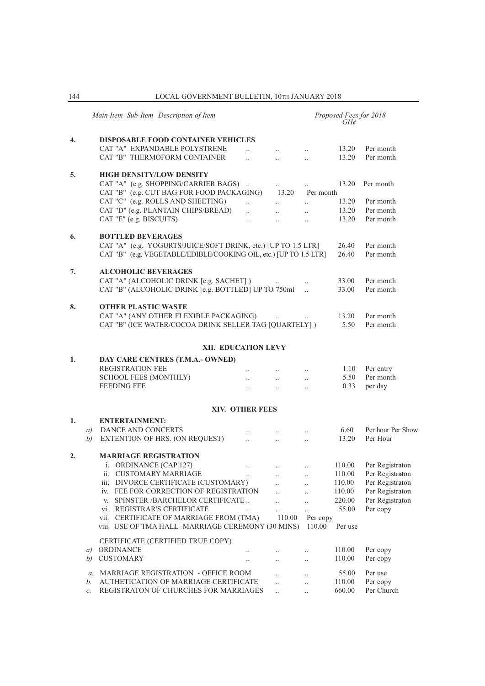144 LOCAL GOVERNMENT BULLETIN, 10Th JANUARY 2018

|    |                | Main Item Sub-Item Description of Item                            |                      |                      |                       | Proposed Fees for 2018<br>GH¢ |                   |
|----|----------------|-------------------------------------------------------------------|----------------------|----------------------|-----------------------|-------------------------------|-------------------|
| 4. |                | <b>DISPOSABLE FOOD CONTAINER VEHICLES</b>                         |                      |                      |                       |                               |                   |
|    |                | CAT "A" EXPANDABLE POLYSTRENE                                     |                      |                      |                       | 13.20                         | Per month         |
|    |                | CAT "B" THERMOFORM CONTAINER                                      | $\ddotsc$            | $\ddots$             | $\ddot{\phantom{a}}$  | 13.20                         | Per month         |
| 5. |                | <b>HIGH DENSITY/LOW DENSITY</b>                                   |                      |                      |                       |                               |                   |
|    |                | CAT "A" (e.g. SHOPPING/CARRIER BAGS)                              |                      | <b>All Committee</b> | $\ddotsc$             | 13.20                         | Per month         |
|    |                | CAT "B" (e.g. CUT BAG FOR FOOD PACKAGING) 13.20 Per month         |                      |                      |                       |                               |                   |
|    |                | CAT "C" (e.g. ROLLS AND SHEETING)                                 | $\ddot{\phantom{a}}$ | and the con-         | $\ddots$              | 13.20                         | Per month         |
|    |                | CAT "D" (e.g. PLANTAIN CHIPS/BREAD)                               | $\ddotsc$            | $\ddotsc$            | $\ddots$              | 13.20                         | Per month         |
|    |                | CAT "E" (e.g. BISCUITS)                                           | $\ddotsc$            | $\ddots$             | $\ddots$              | 13.20                         | Per month         |
| 6. |                | <b>BOTTLED BEVERAGES</b>                                          |                      |                      |                       |                               |                   |
|    |                | CAT "A" (e.g. YOGURTS/JUICE/SOFT DRINK, etc.) [UP TO 1.5 LTR]     |                      |                      |                       | 26.40                         | Per month         |
|    |                | CAT "B" (e.g. VEGETABLE/EDIBLE/COOKING OIL, etc.) [UP TO 1.5 LTR] |                      |                      |                       | 26.40                         | Per month         |
| 7. |                | <b>ALCOHOLIC BEVERAGES</b>                                        |                      |                      |                       |                               |                   |
|    |                | CAT "A" (ALCOHOLIC DRINK [e.g. SACHET])                           |                      |                      | $\ddotsc$             | 33.00                         | Per month         |
|    |                | CAT "B" (ALCOHOLIC DRINK [e.g. BOTTLED] UP TO 750ml               |                      |                      | $\ddot{\phantom{a}}$  | 33.00                         | Per month         |
| 8. |                | <b>OTHER PLASTIC WASTE</b>                                        |                      |                      |                       |                               |                   |
|    |                | CAT "A" (ANY OTHER FLEXIBLE PACKAGING)                            |                      | $\ddotsc$            | $\ddotsc$             | 13.20                         | Per month         |
|    |                | CAT "B" (ICE WATER/COCOA DRINK SELLER TAG [QUARTELY])             |                      |                      |                       | 5.50                          | Per month         |
|    |                | XII. EDUCATION LEVY                                               |                      |                      |                       |                               |                   |
| 1. |                | DAY CARE CENTRES (T.M.A.- OWNED)                                  |                      |                      |                       |                               |                   |
|    |                | REGISTRATION FEE                                                  |                      |                      |                       | 1.10                          | Per entry         |
|    |                | <b>SCHOOL FEES (MONTHLY)</b>                                      | $\ddotsc$            | $\ddots$             | $\ddotsc$             | 5.50                          | Per month         |
|    |                | <b>FEEDING FEE</b>                                                |                      | $\ldots$             | $\ddotsc$             | 0.33                          | per day           |
|    |                | <b>XIV. OTHER FEES</b>                                            |                      |                      |                       |                               |                   |
| 1. |                | <b>ENTERTAINMENT:</b>                                             |                      |                      |                       |                               |                   |
|    |                | a) DANCE AND CONCERTS                                             |                      |                      |                       | 6.60                          | Per hour Per Show |
|    | b)             | EXTENTION OF HRS. (ON REQUEST)                                    | $\ddotsc$            | $\ddots$             | $\dddot{\phantom{0}}$ | 13.20                         | Per Hour          |
| 2. |                | <b>MARRIAGE REGISTRATION</b>                                      |                      |                      |                       |                               |                   |
|    |                | i. ORDINANCE (CAP 127)                                            | $\ddots$             | $\ldots$             | $\ddots$              | 110.00                        | Per Registraton   |
|    |                | ii. CUSTOMARY MARRIAGE                                            | $\ddotsc$            | $\ldots$             | $\ddotsc$             | 110.00                        | Per Registraton   |
|    |                | iii. DIVORCE CERTIFICATE (CUSTOMARY)                              |                      |                      | $\ddot{\phantom{0}}$  | 110.00                        | Per Registraton   |
|    |                | iv. FEE FOR CORRECTION OF REGISTRATION                            |                      |                      |                       | 110.00                        | Per Registraton   |
|    |                | SPINSTER /BARCHELOR CERTIFICATE<br>V.                             |                      |                      |                       | 220.00                        | Per Registraton   |
|    |                | vi. REGISTRAR'S CERTIFICATE                                       |                      | $\ddot{\phantom{a}}$ | $\ddotsc$             | 55.00                         | Per copy          |
|    |                | vii. CERTIFICATE OF MARRIAGE FROM (TMA)                           |                      | 110.00               | Per copy              |                               |                   |
|    |                | viii. USE OF TMA HALL -MARRIAGE CEREMONY (30 MINS)                |                      |                      | 110.00                | Per use                       |                   |
|    |                | CERTIFICATE (CERTIFIED TRUE COPY)                                 |                      |                      |                       |                               |                   |
|    | a)             | <b>ORDINANCE</b>                                                  |                      |                      |                       | 110.00                        | Per copy          |
|    | b)             | <b>CUSTOMARY</b>                                                  |                      | $\cdot$              | $\cdot$               | 110.00                        | Per copy          |
|    | a.             | <b>MARRIAGE REGISTRATION - OFFICE ROOM</b>                        |                      | $\ddotsc$            | $\cdot$               | 55.00                         | Per use           |
|    | b.             | AUTHETICATION OF MARRIAGE CERTIFICATE                             |                      | $\ddotsc$            |                       | 110.00                        | Per copy          |
|    | $\mathcal{C}.$ | REGISTRATON OF CHURCHES FOR MARRIAGES                             |                      | $\ddotsc$            | $\ddot{\phantom{0}}$  | 660.00                        | Per Church        |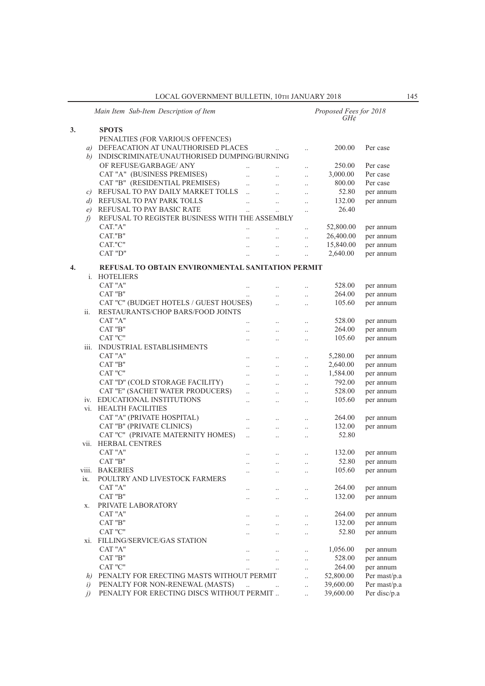LOCAL GOVERNMENT BULLETIN, 10TH JANUARY 2018 145

|                   | Main Item Sub-Item Description of Item            |                      |                      |           | Proposed Fees for 2018<br>GH¢ |              |
|-------------------|---------------------------------------------------|----------------------|----------------------|-----------|-------------------------------|--------------|
| 3.                | <b>SPOTS</b>                                      |                      |                      |           |                               |              |
|                   | PENALTIES (FOR VARIOUS OFFENCES)                  |                      |                      |           |                               |              |
|                   | a) DEFEACATION AT UNAUTHORISED PLACES             |                      |                      |           | 200.00                        | Per case     |
|                   | b) INDISCRIMINATE/UNAUTHORISED DUMPING/BURNING    |                      |                      |           |                               |              |
|                   | OF REFUSE/GARBAGE/ ANY                            |                      |                      |           | 250.00                        | Per case     |
|                   | CAT "A" (BUSINESS PREMISES)                       | $\ddot{\phantom{0}}$ | $\ldots$             | $\cdot$ . |                               | Per case     |
|                   |                                                   | $\ddot{\phantom{0}}$ | $\ldots$             | $\cdot$ . | 3,000.00                      |              |
|                   | CAT "B" (RESIDENTIAL PREMISES)                    | $\ddotsc$            | $\ddot{\phantom{a}}$ | $\cdot$ . | 800.00                        | Per case     |
|                   | c) REFUSAL TO PAY DAILY MARKET TOLLS              | $\ddotsc$            |                      | $\cdot$ . | 52.80                         | per annum    |
| $\left( d\right)$ | REFUSAL TO PAY PARK TOLLS                         | $\ddotsc$            | $\ddotsc$            | $\ddotsc$ | 132.00                        | per annum    |
| e)                | REFUSAL TO PAY BASIC RATE                         |                      | $\ddotsc$            | $\cdot$ . | 26.40                         |              |
| $\mathcal{L}$     | REFUSAL TO REGISTER BUSINESS WITH THE ASSEMBLY    |                      |                      |           |                               |              |
|                   | CAT."A"                                           |                      |                      | $\cdot$ . | 52,800.00                     | per annum    |
|                   | CAT."B"                                           |                      |                      | $\ddotsc$ | 26,400.00                     | per annum    |
|                   | CAT."C"                                           | $\ddotsc$            | $\ddotsc$            | $\ddotsc$ | 15,840.00                     | per annum    |
|                   | CAT "D"                                           |                      |                      |           | 2,640.00                      | per annum    |
|                   |                                                   |                      |                      |           |                               |              |
| 4.                | REFUSAL TO OBTAIN ENVIRONMENTAL SANITATION PERMIT |                      |                      |           |                               |              |
|                   | i. HOTELIERS                                      |                      |                      |           |                               |              |
|                   | CAT "A"                                           |                      | $\ddotsc$            | $\cdot$ . | 528.00                        | per annum    |
|                   | CAT "B"                                           | $\ddotsc$            | $\ddotsc$            | $\cdot$ . | 264.00                        | per annum    |
|                   | CAT "C" (BUDGET HOTELS / GUEST HOUSES)            |                      |                      | $\cdot$ . | 105.60                        | per annum    |
| ii.               | RESTAURANTS/CHOP BARS/FOOD JOINTS                 |                      |                      |           |                               |              |
|                   | CAT "A"                                           | $\cdot$ .            | $\cdot$ .            | $\cdot$ . | 528.00                        | per annum    |
|                   | CAT "B"                                           |                      |                      |           | 264.00                        | per annum    |
|                   | CAT "C"                                           |                      | $\ddotsc$            | $\cdot$ . | 105.60                        | per annum    |
| iii.              |                                                   |                      |                      | $\cdot$ . |                               |              |
|                   | INDUSTRIAL ESTABLISHMENTS                         |                      |                      |           |                               |              |
|                   | CAT "A"                                           |                      | $\ddotsc$            | $\ddotsc$ | 5,280.00                      | per annum    |
|                   | CAT "B"                                           | $\ldots$             | $\ldots$             | $\ldots$  | 2,640.00                      | per annum    |
|                   | CAT "C"                                           |                      | $\ddotsc$            | $\cdot$ . | 1,584.00                      | per annum    |
|                   | CAT "D" (COLD STORAGE FACILITY)                   | $\ddot{\phantom{a}}$ | $\ddotsc$            | $\cdot$ . | 792.00                        | per annum    |
|                   | CAT "E" (SACHET WATER PRODUCERS)                  |                      | $\ddotsc$            | $\cdot$ . | 528.00                        | per annum    |
|                   | iv. EDUCATIONAL INSTITUTIONS                      |                      | $\ddotsc$            | $\ddotsc$ | 105.60                        | per annum    |
|                   | vi. HEALTH FACILITIES                             |                      |                      |           |                               |              |
|                   | CAT "A" (PRIVATE HOSPITAL)                        |                      | $\ldots$             | $\cdot$ . | 264.00                        | per annum    |
|                   | CAT "B" (PRIVATE CLINICS)                         | $\cdot$ .            | $\ddotsc$            | $\cdot$ . | 132.00                        | per annum    |
|                   | CAT "C" (PRIVATE MATERNITY HOMES)                 | $\ddot{\phantom{0}}$ | $\ddot{\phantom{a}}$ | $\cdot$ . | 52.80                         |              |
| vii.              | <b>HERBAL CENTRES</b>                             |                      |                      |           |                               |              |
|                   | CAT "A"                                           |                      |                      |           | 132.00                        | per annum    |
|                   | CAT "B"                                           |                      | $\cdot$ .            | $\ddotsc$ | 52.80                         |              |
|                   |                                                   |                      | $\ldots$             | $\ldots$  |                               | per annum    |
|                   | viii. BAKERIES                                    |                      |                      |           | 105.60                        | per annum    |
| 1X.               | POULTRY AND LIVESTOCK FARMERS                     |                      |                      |           |                               |              |
|                   | CAT "A"                                           |                      |                      |           | 264.00                        | per annum    |
|                   | CAT "B"                                           | $\cdot$ .            | $\ldots$             | $\cdot$ . | 132.00                        | per annum    |
| X.                | PRIVATE LABORATORY                                |                      |                      |           |                               |              |
|                   | CAT "A"                                           |                      | $\ldots$             | $\ldots$  | 264.00                        | per annum    |
|                   | $\rm CAT$ "B"                                     | $\cdot$ .            | $\ldots$             | $\cdot$ . | 132.00                        | per annum    |
|                   | CAT "C"                                           |                      | $\ddotsc$            | $\ldots$  | 52.80                         | per annum    |
| X1.               | <b>FILLING/SERVICE/GAS STATION</b>                |                      |                      |           |                               |              |
|                   | CAT "A"                                           |                      |                      | $\ldots$  | 1,056.00                      | per annum    |
|                   | CAT "B"                                           |                      |                      | $\ldots$  | 528.00                        | per annum    |
|                   | CAT "C"                                           |                      | $\ddotsc$            | $\ddotsc$ | 264.00                        | per annum    |
| h)                | PENALTY FOR ERECTING MASTS WITHOUT PERMIT         |                      |                      | $\ddotsc$ | 52,800.00                     | Per mast/p.a |
| i)                | PENALTY FOR NON-RENEWAL (MASTS)                   | $\ddotsc$            |                      |           | 39,600.00                     | Per mast/p.a |
|                   | PENALTY FOR ERECTING DISCS WITHOUT PERMIT         |                      |                      | $\ddotsc$ |                               | Per disc/p.a |
| $\iota$           |                                                   |                      |                      | $\cdot$ . | 39,600.00                     |              |